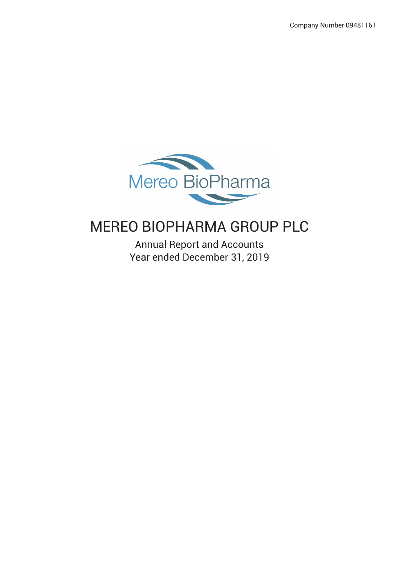

# MEREO BIOPHARMA GROUP PLC

Annual Report and Accounts Year ended December 31, 2019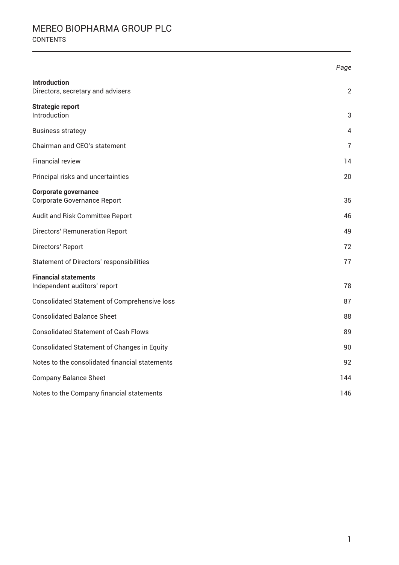|                                                                   | Page           |
|-------------------------------------------------------------------|----------------|
| <b>Introduction</b><br>Directors, secretary and advisers          | $\overline{2}$ |
| <b>Strategic report</b><br>Introduction                           | 3              |
| <b>Business strategy</b>                                          | 4              |
| Chairman and CEO's statement                                      | $\overline{7}$ |
| <b>Financial review</b>                                           | 14             |
| Principal risks and uncertainties                                 | 20             |
| <b>Corporate governance</b><br><b>Corporate Governance Report</b> | 35             |
| Audit and Risk Committee Report                                   | 46             |
| <b>Directors' Remuneration Report</b>                             | 49             |
| Directors' Report                                                 | 72             |
| <b>Statement of Directors' responsibilities</b>                   | 77             |
| <b>Financial statements</b><br>Independent auditors' report       | 78             |
| <b>Consolidated Statement of Comprehensive loss</b>               | 87             |
| <b>Consolidated Balance Sheet</b>                                 | 88             |
| <b>Consolidated Statement of Cash Flows</b>                       | 89             |
| <b>Consolidated Statement of Changes in Equity</b>                | 90             |
| Notes to the consolidated financial statements                    | 92             |
| <b>Company Balance Sheet</b>                                      | 144            |
| Notes to the Company financial statements                         | 146            |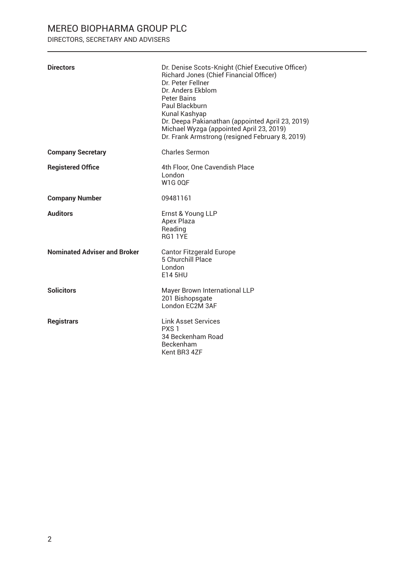## MEREO BIOPHARMA GROUP PLC

DIRECTORS, SECRETARY AND ADVISERS

| <b>Directors</b>                    | Dr. Denise Scots-Knight (Chief Executive Officer)<br>Richard Jones (Chief Financial Officer)<br>Dr. Peter Fellner<br>Dr. Anders Ekblom<br><b>Peter Bains</b><br>Paul Blackburn<br>Kunal Kashyap<br>Dr. Deepa Pakianathan (appointed April 23, 2019)<br>Michael Wyzga (appointed April 23, 2019)<br>Dr. Frank Armstrong (resigned February 8, 2019) |
|-------------------------------------|----------------------------------------------------------------------------------------------------------------------------------------------------------------------------------------------------------------------------------------------------------------------------------------------------------------------------------------------------|
| <b>Company Secretary</b>            | <b>Charles Sermon</b>                                                                                                                                                                                                                                                                                                                              |
| <b>Registered Office</b>            | 4th Floor, One Cavendish Place<br>London<br>W1G 0QF                                                                                                                                                                                                                                                                                                |
| <b>Company Number</b>               | 09481161                                                                                                                                                                                                                                                                                                                                           |
| <b>Auditors</b>                     | Ernst & Young LLP<br>Apex Plaza<br>Reading<br>RG1 1YE                                                                                                                                                                                                                                                                                              |
| <b>Nominated Adviser and Broker</b> | <b>Cantor Fitzgerald Europe</b><br>5 Churchill Place<br>London<br><b>E14 5HU</b>                                                                                                                                                                                                                                                                   |
| <b>Solicitors</b>                   | Mayer Brown International LLP<br>201 Bishopsgate<br>London EC2M 3AF                                                                                                                                                                                                                                                                                |
| <b>Registrars</b>                   | <b>Link Asset Services</b><br>PXS <sub>1</sub><br>34 Beckenham Road<br>Beckenham<br>Kent BR3 4ZF                                                                                                                                                                                                                                                   |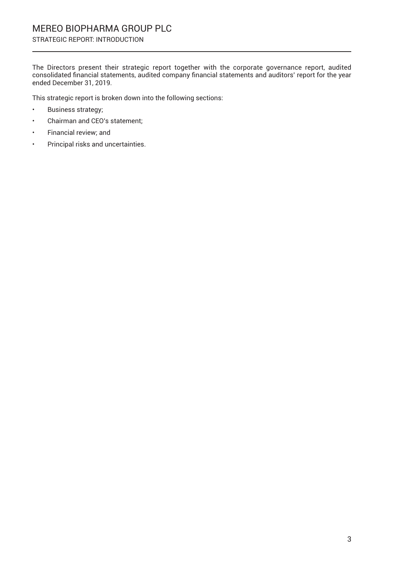The Directors present their strategic report together with the corporate governance report, audited consolidated financial statements, audited company financial statements and auditors' report for the year ended December 31, 2019.

This strategic report is broken down into the following sections:

- Business strategy;
- Chairman and CEO's statement;
- Financial review; and
- Principal risks and uncertainties.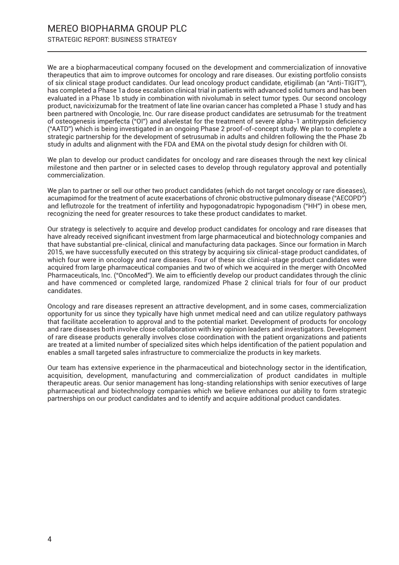We are a biopharmaceutical company focused on the development and commercialization of innovative therapeutics that aim to improve outcomes for oncology and rare diseases. Our existing portfolio consists of six clinical stage product candidates. Our lead oncology product candidate, etigilimab (an "Anti-TIGIT"), has completed a Phase 1a dose escalation clinical trial in patients with advanced solid tumors and has been evaluated in a Phase 1b study in combination with nivolumab in select tumor types. Our second oncology product, navicixizumab for the treatment of late line ovarian cancer has completed a Phase 1 study and has been partnered with Oncologie, Inc. Our rare disease product candidates are setrusumab for the treatment of osteogenesis imperfecta ("OI") and alvelestat for the treatment of severe alpha-1 antitrypsin deficiency ("AATD") which is being investigated in an ongoing Phase 2 proof-of-concept study. We plan to complete a strategic partnership for the development of setrusumab in adults and children following the the Phase 2b study in adults and alignment with the FDA and EMA on the pivotal study design for children with OI.

We plan to develop our product candidates for oncology and rare diseases through the next key clinical milestone and then partner or in selected cases to develop through regulatory approval and potentially commercialization.

We plan to partner or sell our other two product candidates (which do not target oncology or rare diseases), acumapimod for the treatment of acute exacerbations of chronic obstructive pulmonary disease ("AECOPD") and leflutrozole for the treatment of infertility and hypogonadatropic hypogonadism ("HH") in obese men, recognizing the need for greater resources to take these product candidates to market.

Our strategy is selectively to acquire and develop product candidates for oncology and rare diseases that have already received significant investment from large pharmaceutical and biotechnology companies and that have substantial pre-clinical, clinical and manufacturing data packages. Since our formation in March 2015, we have successfully executed on this strategy by acquiring six clinical-stage product candidates, of which four were in oncology and rare diseases. Four of these six clinical-stage product candidates were acquired from large pharmaceutical companies and two of which we acquired in the merger with OncoMed Pharmaceuticals, Inc. ("OncoMed"). We aim to efficiently develop our product candidates through the clinic and have commenced or completed large, randomized Phase 2 clinical trials for four of our product candidates.

Oncology and rare diseases represent an attractive development, and in some cases, commercialization opportunity for us since they typically have high unmet medical need and can utilize regulatory pathways that facilitate acceleration to approval and to the potential market. Development of products for oncology and rare diseases both involve close collaboration with key opinion leaders and investigators. Development of rare disease products generally involves close coordination with the patient organizations and patients are treated at a limited number of specialized sites which helps identification of the patient population and enables a small targeted sales infrastructure to commercialize the products in key markets.

Our team has extensive experience in the pharmaceutical and biotechnology sector in the identification, acquisition, development, manufacturing and commercialization of product candidates in multiple therapeutic areas. Our senior management has long-standing relationships with senior executives of large pharmaceutical and biotechnology companies which we believe enhances our ability to form strategic partnerships on our product candidates and to identify and acquire additional product candidates.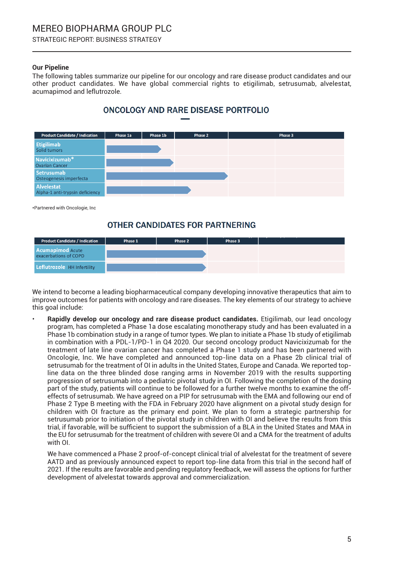### **Our Pipeline**

The following tables summarize our pipeline for our oncology and rare disease product candidates and our other product candidates. We have global commercial rights to etigilimab, setrusumab, alvelestat, acumapimod and leflutrozole.

**ONCOLOGY AND RARE DISEASE PORTFOLIO** 

#### **Product Candidate / Indication** Phase 1a Phase 1b Phase 2 Phase 3 **Etigilimab**<br>Solid tumors Navicixizumab<sup>\*</sup> **Ovarian Cancer Setrusumab** Osteogenesis imperfecta **Alvelestat** Alpha-1 anti-trypsin deficiency

\*Partnered with Oncologie, Inc

## **OTHER CANDIDATES FOR PARTNERING**

| <b>Product Candidate / Indication</b>            | Phase 1 | Phase 2 | Phase 3 |  |
|--------------------------------------------------|---------|---------|---------|--|
| <b>Acumapimod Acute</b><br>exacerbations of COPD |         |         |         |  |
| Leflutrozole HH Infertility                      |         |         |         |  |

We intend to become a leading biopharmaceutical company developing innovative therapeutics that aim to improve outcomes for patients with oncology and rare diseases. The key elements of our strategy to achieve this goal include:

• **Rapidly develop our oncology and rare disease product candidates.** Etigilimab, our lead oncology program, has completed a Phase 1a dose escalating monotherapy study and has been evaluated in a Phase 1b combination study in a range of tumor types. We plan to initiate a Phase 1b study of etigilimab in combination with a PDL-1/PD-1 in Q4 2020. Our second oncology product Navicixizumab for the treatment of late line ovarian cancer has completed a Phase 1 study and has been partnered with Oncologie, Inc. We have completed and announced top-line data on a Phase 2b clinical trial of setrusumab for the treatment of OI in adults in the United States, Europe and Canada. We reported topline data on the three blinded dose ranging arms in November 2019 with the results supporting progression of setrusumab into a pediatric pivotal study in OI. Following the completion of the dosing part of the study, patients will continue to be followed for a further twelve months to examine the offeffects of setrusumab. We have agreed on a PIP for setrusumab with the EMA and following our end of Phase 2 Type B meeting with the FDA in February 2020 have alignment on a pivotal study design for children with OI fracture as the primary end point. We plan to form a strategic partnership for setrusumab prior to initiation of the pivotal study in children with OI and believe the results from this trial, if favorable, will be sufficient to support the submission of a BLA in the United States and MAA in the EU for setrusumab for the treatment of children with severe OI and a CMA for the treatment of adults with OI.

We have commenced a Phase 2 proof-of-concept clinical trial of alvelestat for the treatment of severe AATD and as previously announced expect to report top-line data from this trial in the second half of 2021. If the results are favorable and pending regulatory feedback, we will assess the options for further development of alvelestat towards approval and commercialization.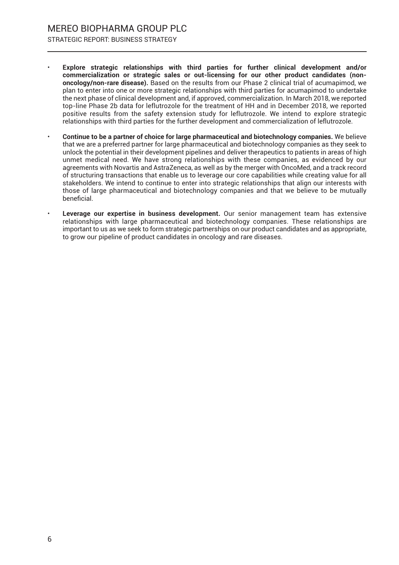- **Explore strategic relationships with third parties for further clinical development and/or commercialization or strategic sales or out-licensing for our other product candidates (nononcology/non-rare disease).** Based on the results from our Phase 2 clinical trial of acumapimod, we plan to enter into one or more strategic relationships with third parties for acumapimod to undertake the next phase of clinical development and, if approved, commercialization. In March 2018, we reported top-line Phase 2b data for leflutrozole for the treatment of HH and in December 2018, we reported positive results from the safety extension study for leflutrozole. We intend to explore strategic relationships with third parties for the further development and commercialization of leflutrozole.
- **Continue to be a partner of choice for large pharmaceutical and biotechnology companies.** We believe that we are a preferred partner for large pharmaceutical and biotechnology companies as they seek to unlock the potential in their development pipelines and deliver therapeutics to patients in areas of high unmet medical need. We have strong relationships with these companies, as evidenced by our agreements with Novartis and AstraZeneca, as well as by the merger with OncoMed, and a track record of structuring transactions that enable us to leverage our core capabilities while creating value for all stakeholders. We intend to continue to enter into strategic relationships that align our interests with those of large pharmaceutical and biotechnology companies and that we believe to be mutually beneficial.
- **Leverage our expertise in business development.** Our senior management team has extensive relationships with large pharmaceutical and biotechnology companies. These relationships are important to us as we seek to form strategic partnerships on our product candidates and as appropriate, to grow our pipeline of product candidates in oncology and rare diseases.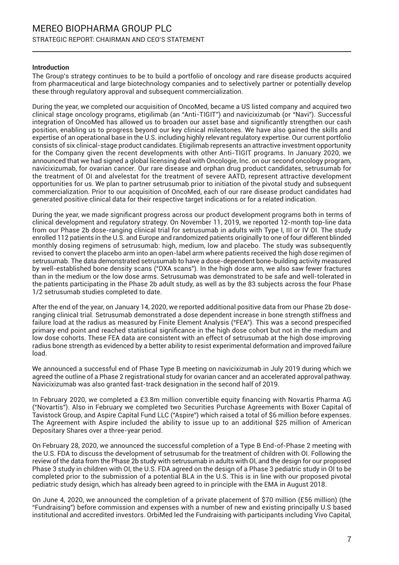### MEREO BIOPHARMA GROUP PLC STRATEGIC REPORT: CHAIRMAN AND CEO'S STATEMENT

### **Introduction**

The Group's strategy continues to be to build a portfolio of oncology and rare disease products acquired from pharmaceutical and large biotechnology companies and to selectively partner or potentially develop these through regulatory approval and subsequent commercialization.

During the year, we completed our acquisition of OncoMed, became a US listed company and acquired two clinical stage oncology programs, etigilimab (an "Anti-TIGIT") and navicixizumab (or "Navi"). Successful integration of OncoMed has allowed us to broaden our asset base and significantly strengthen our cash position, enabling us to progress beyond our key clinical milestones. We have also gained the skills and expertise of an operational base in the U.S. including highly relevant regulatory expertise. Our current portfolio consists of six clinical-stage product candidates. Etigilimab represents an attractive investment opportunity for the Company given the recent developments with other Anti-TIGIT programs. In January 2020, we announced that we had signed a global licensing deal with Oncologie, Inc. on our second oncology program, navicixizumab, for ovarian cancer. Our rare disease and orphan drug product candidates, setrusumab for the treatment of OI and alvelestat for the treatment of severe AATD, represent attractive development opportunities for us. We plan to partner setrusumab prior to initiation of the pivotal study and subsequent commercialization. Prior to our acquisition of OncoMed, each of our rare disease product candidates had generated positive clinical data for their respective target indications or for a related indication.

During the year, we made significant progress across our product development programs both in terms of clinical development and regulatory strategy. On November 11, 2019, we reported 12-month top-line data from our Phase 2b dose-ranging clinical trial for setrusumab in adults with Type I, III or IV OI. The study enrolled 112 patients in the U.S. and Europe and randomized patients originally to one of four different blinded monthly dosing regimens of setrusumab: high, medium, low and placebo. The study was subsequently revised to convert the placebo arm into an open-label arm where patients received the high dose regimen of setrusumab. The data demonstrated setrusumab to have a dose-dependent bone-building activity measured by well-established bone density scans ("DXA scans"). In the high dose arm, we also saw fewer fractures than in the medium or the low dose arms. Setrusumab was demonstrated to be safe and well-tolerated in the patients participating in the Phase 2b adult study, as well as by the 83 subjects across the four Phase 1/2 setrusumab studies completed to date.

After the end of the year, on January 14, 2020, we reported additional positive data from our Phase 2b doseranging clinical trial. Setrusumab demonstrated a dose dependent increase in bone strength stiffness and failure load at the radius as measured by Finite Element Analysis ("FEA"). This was a second prespecified primary end point and reached statistical significance in the high dose cohort but not in the medium and low dose cohorts. These FEA data are consistent with an effect of setrusumab at the high dose improving radius bone strength as evidenced by a better ability to resist experimental deformation and improved failure load.

We announced a successful end of Phase Type B meeting on navicixizumab in July 2019 during which we agreed the outline of a Phase 2 registrational study for ovarian cancer and an accelerated approval pathway. Navicixizumab was also granted fast-track designation in the second half of 2019.

In February 2020, we completed a £3.8m million convertible equity financing with Novartis Pharma AG ("Novartis"). Also in February we completed two Securities Purchase Agreements with Boxer Capital of Tavistock Group, and Aspire Capital Fund LLC ("Aspire") which raised a total of \$6 million before expenses. The Agreement with Aspire included the ability to issue up to an additional \$25 million of American Depositary Shares over a three-year period.

On February 28, 2020, we announced the successful completion of a Type B End-of-Phase 2 meeting with the U.S. FDA to discuss the development of setrusumab for the treatment of children with OI. Following the review of the data from the Phase 2b study with setrusumab in adults with OI, and the design for our proposed Phase 3 study in children with OI, the U.S. FDA agreed on the design of a Phase 3 pediatric study in OI to be completed prior to the submission of a potential BLA in the U.S. This is in line with our proposed pivotal pediatric study design, which has already been agreed to in principle with the EMA in August 2018.

On June 4, 2020, we announced the completion of a private placement of \$70 million (£56 million) (the "Fundraising") before commission and expenses with a number of new and existing principally U.S based institutional and accredited investors. OrbiMed led the Fundraising with participants including Vivo Capital,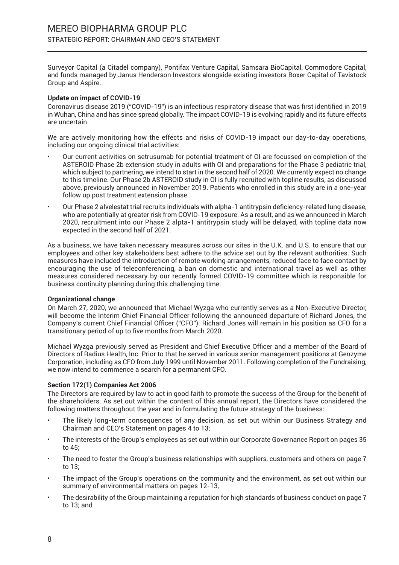Surveyor Capital (a Citadel company), Pontifax Venture Capital, Samsara BioCapital, Commodore Capital, and funds managed by Janus Henderson Investors alongside existing investors Boxer Capital of Tavistock Group and Aspire.

### **Update on impact of COVID-19**

Coronavirus disease 2019 ("COVID-19") is an infectious respiratory disease that was first identified in 2019 in Wuhan, China and has since spread globally. The impact COVID-19 is evolving rapidly and its future effects are uncertain.

We are actively monitoring how the effects and risks of COVID-19 impact our day-to-day operations, including our ongoing clinical trial activities:

- Our current activities on setrusumab for potential treatment of OI are focussed on completion of the ASTEROID Phase 2b extension study in adults with OI and preparations for the Phase 3 pediatric trial, which subject to partnering, we intend to start in the second half of 2020. We currently expect no change to this timeline. Our Phase 2b ASTEROID study in OI is fully recruited with topline results, as discussed above, previously announced in November 2019. Patients who enrolled in this study are in a one-year follow up post treatment extension phase.
- Our Phase 2 alvelestat trial recruits individuals with alpha-1 antitrypsin deficiency-related lung disease, who are potentially at greater risk from COVID-19 exposure. As a result, and as we announced in March 2020, recruitment into our Phase 2 alpta-1 antitrypsin study will be delayed, with topline data now expected in the second half of 2021.

As a business, we have taken necessary measures across our sites in the U.K. and U.S. to ensure that our employees and other key stakeholders best adhere to the advice set out by the relevant authorities. Such measures have included the introduction of remote working arrangements, reduced face to face contact by encouraging the use of teleconferencing, a ban on domestic and international travel as well as other measures considered necessary by our recently formed COVID-19 committee which is responsible for business continuity planning during this challenging time.

### **Organizational change**

On March 27, 2020, we announced that Michael Wyzga who currently serves as a Non-Executive Director, will become the Interim Chief Financial Officer following the announced departure of Richard Jones, the Company's current Chief Financial Officer ("CFO"). Richard Jones will remain in his position as CFO for a transitionary period of up to five months from March 2020.

Michael Wyzga previously served as President and Chief Executive Officer and a member of the Board of Directors of Radius Health, Inc. Prior to that he served in various senior management positions at Genzyme Corporation, including as CFO from July 1999 until November 2011. Following completion of the Fundraising, we now intend to commence a search for a permanent CFO.

### **Section 172(1) Companies Act 2006**

The Directors are required by law to act in good faith to promote the success of the Group for the benefit of the shareholders. As set out within the content of this annual report, the Directors have considered the following matters throughout the year and in formulating the future strategy of the business:

- The likely long-term consequences of any decision, as set out within our Business Strategy and Chairman and CEO's Statement on pages 4 to 13;
- The interests of the Group's employees as set out within our Corporate Governance Report on pages 35 to 45;
- The need to foster the Group's business relationships with suppliers, customers and others on page 7 to 13;
- The impact of the Group's operations on the community and the environment, as set out within our summary of environmental matters on pages 12-13,
- The desirability of the Group maintaining a reputation for high standards of business conduct on page 7 to 13; and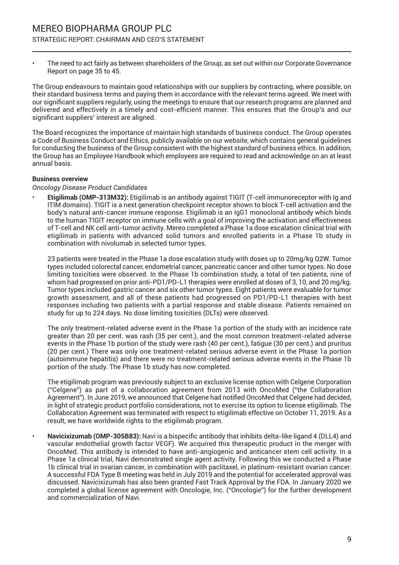• The need to act fairly as between shareholders of the Group, as set out within our Corporate Governance Report on page 35 to 45.

The Group endeavours to maintain good relationships with our suppliers by contracting, where possible, on their standard business terms and paying them in accordance with the relevant terms agreed. We meet with our significant suppliers regularly, using the meetings to ensure that our research programs are planned and delivered and effectively in a timely and cost-efficient manner. This ensures that the Group's and our significant suppliers' interest are aligned.

The Board recognizes the importance of maintain high standards of business conduct. The Group operates a Code of Business Conduct and Ethics, publicly available on our website, which contains general guidelines for conducting the business of the Group consistent with the highest standard of business ethics. In addition, the Group has an Employee Handbook which employees are required to read and acknowledge on an at least annual basis.

### **Business overview**

*Oncology Disease Product Candidates* 

• **Etigilimab (OMP-313M32):** Etigilimab is an antibody against TIGIT (T-cell immunoreceptor with Ig and ITIM domains). TIGIT is a next generation checkpoint receptor shown to block T-cell activation and the body's natural anti-cancer immune response. Etigilimab is an IgG1 monoclonal antibody which binds to the human TIGIT receptor on immune cells with a goal of improving the activation and effectiveness of T-cell and NK cell anti-tumor activity. Mereo completed a Phase 1a dose escalation clinical trial with etigilimab in patients with advanced solid tumors and enrolled patients in a Phase 1b study in combination with nivolumab in selected tumor types.

23 patients were treated in the Phase 1a dose escalation study with doses up to 20mg/kg Q2W. Tumor types included colorectal cancer, endometrial cancer, pancreatic cancer and other tumor types. No dose limiting toxicities were observed. In the Phase 1b combination study, a total of ten patients, nine of whom had progressed on prior anti-PD1/PD-L1 therapies were enrolled at doses of 3, 10, and 20 mg/kg. Tumor types included gastric cancer and six other tumor types. Eight patients were evaluable for tumor growth assessment, and all of these patients had progressed on PD1/PD-L1 therapies with best responses including two patients with a partial response and stable disease. Patients remained on study for up to 224 days. No dose limiting toxicities (DLTs) were observed.

The only treatment-related adverse event in the Phase 1a portion of the study with an incidence rate greater than 20 per cent. was rash (35 per cent.), and the most common treatment-related adverse events in the Phase 1b portion of the study were rash (40 per cent.), fatigue (30 per cent.) and pruritus (20 per cent.) There was only one treatment-related serious adverse event in the Phase 1a portion (autoimmune hepatitis) and there were no treatment-related serious adverse events in the Phase 1b portion of the study. The Phase 1b study has now completed.

The etigilimab program was previously subject to an exclusive license option with Celgene Corporation ("Celgene") as part of a collaboration agreement from 2013 with OncoMed ("the Collaboration Agreement"). In June 2019, we announced that Celgene had notified OncoMed that Celgene had decided, in light of strategic product portfolio considerations, not to exercise its option to license etigilimab. The Collaboration Agreement was terminated with respect to etigilimab effective on October 11, 2019. As a result, we have worldwide rights to the etigilimab program.

• **Navicixizumab (OMP-305B83):** Navi is a bispecific antibody that inhibits delta-like ligand 4 (DLL4) and vascular endothelial growth factor VEGF). We acquired this therapeutic product in the merger with OncoMed. This antibody is intended to have anti-angiogenic and anticancer stem cell activity. In a Phase 1a clinical trial, Navi demonstrated single agent activity. Following this we conducted a Phase 1b clinical trial in ovarian cancer, in combination with paclitaxel, in platinum-resistant ovarian cancer. A successful FDA Type B meeting was held in July 2019 and the potential for accelerated approval was discussed. Navicixizumab has also been granted Fast Track Approval by the FDA. In January 2020 we completed a global license agreement with Oncologie, Inc. ("Oncologie") for the further development and commercialization of Navi.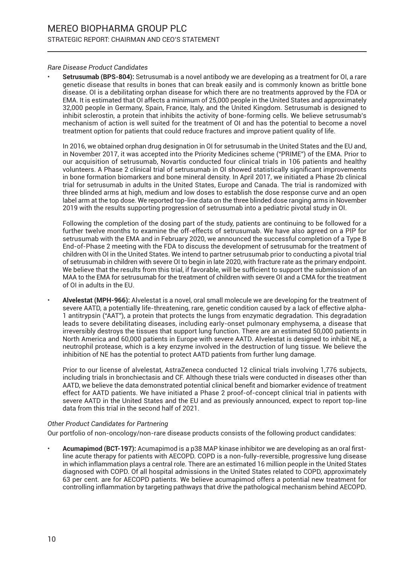### *Rare Disease Product Candidates*

• **Setrusumab (BPS-804):** Setrusumab is a novel antibody we are developing as a treatment for OI, a rare genetic disease that results in bones that can break easily and is commonly known as brittle bone disease. OI is a debilitating orphan disease for which there are no treatments approved by the FDA or EMA. It is estimated that OI affects a minimum of 25,000 people in the United States and approximately 32,000 people in Germany, Spain, France, Italy, and the United Kingdom. Setrusumab is designed to inhibit sclerostin, a protein that inhibits the activity of bone-forming cells. We believe setrusumab's mechanism of action is well suited for the treatment of OI and has the potential to become a novel treatment option for patients that could reduce fractures and improve patient quality of life.

In 2016, we obtained orphan drug designation in OI for setrusumab in the United States and the EU and, in November 2017, it was accepted into the Priority Medicines scheme ("PRIME") of the EMA. Prior to our acquisition of setrusumab, Novartis conducted four clinical trials in 106 patients and healthy volunteers. A Phase 2 clinical trial of setrusumab in OI showed statistically significant improvements in bone formation biomarkers and bone mineral density. In April 2017, we initiated a Phase 2b clinical trial for setrusumab in adults in the United States, Europe and Canada. The trial is randomized with three blinded arms at high, medium and low doses to establish the dose response curve and an open label arm at the top dose. We reported top-line data on the three blinded dose ranging arms in November 2019 with the results supporting progression of setrusumab into a pediatric pivotal study in OI.

Following the completion of the dosing part of the study, patients are continuing to be followed for a further twelve months to examine the off-effects of setrusumab. We have also agreed on a PIP for setrusumab with the EMA and in February 2020, we announced the successful completion of a Type B End-of-Phase 2 meeting with the FDA to discuss the development of setrusumab for the treatment of children with OI in the United States. We intend to partner setrusumab prior to conducting a pivotal trial of setrusumab in children with severe OI to begin in late 2020, with fracture rate as the primary endpoint. We believe that the results from this trial, if favorable, will be sufficient to support the submission of an MAA to the EMA for setrusumab for the treatment of children with severe OI and a CMA for the treatment of OI in adults in the EU.

• **Alvelestat (MPH-966):** Alvelestat is a novel, oral small molecule we are developing for the treatment of severe AATD, a potentially life-threatening, rare, genetic condition caused by a lack of effective alpha-1 antitrypsin ("AAT"), a protein that protects the lungs from enzymatic degradation. This degradation leads to severe debilitating diseases, including early-onset pulmonary emphysema, a disease that irreversibly destroys the tissues that support lung function. There are an estimated 50,000 patients in North America and 60,000 patients in Europe with severe AATD. Alvelestat is designed to inhibit NE, a neutrophil protease, which is a key enzyme involved in the destruction of lung tissue. We believe the inhibition of NE has the potential to protect AATD patients from further lung damage.

Prior to our license of alvelestat, AstraZeneca conducted 12 clinical trials involving 1,776 subjects, including trials in bronchiectasis and CF. Although these trials were conducted in diseases other than AATD, we believe the data demonstrated potential clinical benefit and biomarker evidence of treatment effect for AATD patients. We have initiated a Phase 2 proof-of-concept clinical trial in patients with severe AATD in the United States and the EU and as previously announced, expect to report top-line data from this trial in the second half of 2021.

### *Other Product Candidates for Partnering*

Our portfolio of non-oncology/non-rare disease products consists of the following product candidates:

• **Acumapimod (BCT-197):** Acumapimod is a p38 MAP kinase inhibitor we are developing as an oral firstline acute therapy for patients with AECOPD. COPD is a non-fully-reversible, progressive lung disease in which inflammation plays a central role. There are an estimated 16 million people in the United States diagnosed with COPD. Of all hospital admissions in the United States related to COPD, approximately 63 per cent. are for AECOPD patients. We believe acumapimod offers a potential new treatment for controlling inflammation by targeting pathways that drive the pathological mechanism behind AECOPD.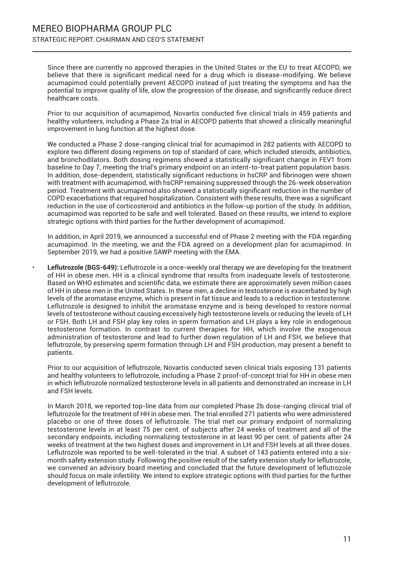## MEREO BIOPHARMA GROUP PLC STRATEGIC REPORT: CHAIRMAN AND CEO'S STATEMENT

Since there are currently no approved therapies in the United States or the EU to treat AECOPD, we believe that there is significant medical need for a drug which is disease-modifying. We believe acumapimod could potentially prevent AECOPD instead of just treating the symptoms and has the potential to improve quality of life, slow the progression of the disease, and significantly reduce direct healthcare costs.

Prior to our acquisition of acumapimod, Novartis conducted five clinical trials in 459 patients and healthy volunteers, including a Phase 2a trial in AECOPD patients that showed a clinically meaningful improvement in lung function at the highest dose.

We conducted a Phase 2 dose-ranging clinical trial for acumapimod in 282 patients with AECOPD to explore two different dosing regimens on top of standard of care, which included steroids, antibiotics, and bronchodilators. Both dosing regimens showed a statistically significant change in FEV1 from baseline to Day 7, meeting the trial's primary endpoint on an intent-to-treat patient population basis. In addition, dose-dependent, statistically significant reductions in hsCRP and fibrinogen were shown with treatment with acumapimod, with hsCRP remaining suppressed through the 26-week observation period. Treatment with acumapimod also showed a statistically significant reduction in the number of COPD exacerbations that required hospitalization. Consistent with these results, there was a significant reduction in the use of corticosteroid and antibiotics in the follow-up portion of the study. In addition, acumapimod was reported to be safe and well tolerated. Based on these results, we intend to explore strategic options with third parties for the further development of acumapimod.

In addition, in April 2019, we announced a successful end of Phase 2 meeting with the FDA regarding acumapimod. In the meeting, we and the FDA agreed on a development plan for acumapimod. In September 2019, we had a positive SAWP meeting with the EMA.

• **Leflutrozole (BGS-649):** Leflutrozole is a once-weekly oral therapy we are developing for the treatment of HH in obese men. HH is a clinical syndrome that results from inadequate levels of testosterone. Based on WHO estimates and scientific data, we estimate there are approximately seven million cases of HH in obese men in the United States. In these men, a decline in testosterone is exacerbated by high levels of the aromatase enzyme, which is present in fat tissue and leads to a reduction in testosterone. Leflutrozole is designed to inhibit the aromatase enzyme and is being developed to restore normal levels of testosterone without causing excessively high testosterone levels or reducing the levels of LH or FSH. Both LH and FSH play key roles in sperm formation and LH plays a key role in endogenous testosterone formation. In contrast to current therapies for HH, which involve the exogenous administration of testosterone and lead to further down regulation of LH and FSH, we believe that leflutrozole, by preserving sperm formation through LH and FSH production, may present a benefit to patients.

Prior to our acquisition of leflutrozole, Novartis conducted seven clinical trials exposing 131 patients and healthy volunteers to leflutrozole, including a Phase 2 proof-of-concept trial for HH in obese men in which leflutrozole normalized testosterone levels in all patients and demonstrated an increase in LH and FSH levels.

In March 2018, we reported top-line data from our completed Phase 2b dose-ranging clinical trial of leflutrozole for the treatment of HH in obese men. The trial enrolled 271 patients who were administered placebo or one of three doses of leflutrozole. The trial met our primary endpoint of normalizing testosterone levels in at least 75 per cent. of subjects after 24 weeks of treatment and all of the secondary endpoints, including normalizing testosterone in at least 90 per cent. of patients after 24 weeks of treatment at the two highest doses and improvement in LH and FSH levels at all three doses. Leflutrozole was reported to be well-tolerated in the trial. A subset of 143 patients entered into a sixmonth safety extension study. Following the positive result of the safety extension study for leflutrozole, we convened an advisory board meeting and concluded that the future development of leflutrozole should focus on male infertility. We intend to explore strategic options with third parties for the further development of leflutrozole.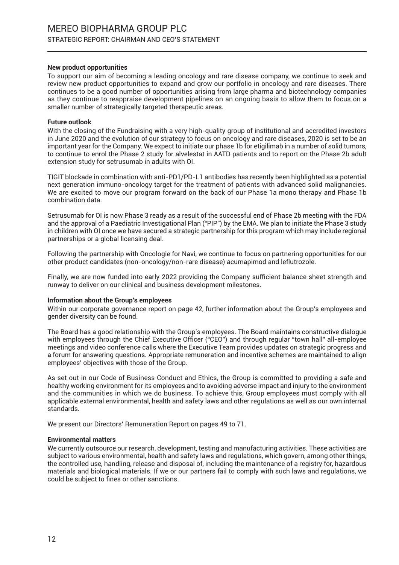### **New product opportunities**

To support our aim of becoming a leading oncology and rare disease company, we continue to seek and review new product opportunities to expand and grow our portfolio in oncology and rare diseases. There continues to be a good number of opportunities arising from large pharma and biotechnology companies as they continue to reappraise development pipelines on an ongoing basis to allow them to focus on a smaller number of strategically targeted therapeutic areas.

### **Future outlook**

With the closing of the Fundraising with a very high-quality group of institutional and accredited investors in June 2020 and the evolution of our strategy to focus on oncology and rare diseases, 2020 is set to be an important year for the Company. We expect to initiate our phase 1b for etigilimab in a number of solid tumors, to continue to enrol the Phase 2 study for alvelestat in AATD patients and to report on the Phase 2b adult extension study for setrusumab in adults with OI.

TIGIT blockade in combination with anti-PD1/PD-L1 antibodies has recently been highlighted as a potential next generation immuno-oncology target for the treatment of patients with advanced solid malignancies. We are excited to move our program forward on the back of our Phase 1a mono therapy and Phase 1b combination data.

Setrusumab for OI is now Phase 3 ready as a result of the successful end of Phase 2b meeting with the FDA and the approval of a Paediatric Investigational Plan ("PIP") by the EMA. We plan to initiate the Phase 3 study in children with OI once we have secured a strategic partnership for this program which may include regional partnerships or a global licensing deal.

Following the partnership with Oncologie for Navi, we continue to focus on partnering opportunities for our other product candidates (non-oncology/non-rare disease) acumapimod and leflutrozole.

Finally, we are now funded into early 2022 providing the Company sufficient balance sheet strength and runway to deliver on our clinical and business development milestones.

### **Information about the Group's employees**

Within our corporate governance report on page 42, further information about the Group's employees and gender diversity can be found.

The Board has a good relationship with the Group's employees. The Board maintains constructive dialogue with employees through the Chief Executive Officer ("CEO") and through regular "town hall" all-employee meetings and video conference calls where the Executive Team provides updates on strategic progress and a forum for answering questions. Appropriate remuneration and incentive schemes are maintained to align employees' objectives with those of the Group.

As set out in our Code of Business Conduct and Ethics, the Group is committed to providing a safe and healthy working environment for its employees and to avoiding adverse impact and injury to the environment and the communities in which we do business. To achieve this, Group employees must comply with all applicable external environmental, health and safety laws and other regulations as well as our own internal standards.

We present our Directors' Remuneration Report on pages 49 to 71.

### **Environmental matters**

We currently outsource our research, development, testing and manufacturing activities. These activities are subject to various environmental, health and safety laws and regulations, which govern, among other things, the controlled use, handling, release and disposal of, including the maintenance of a registry for, hazardous materials and biological materials. If we or our partners fail to comply with such laws and regulations, we could be subject to fines or other sanctions.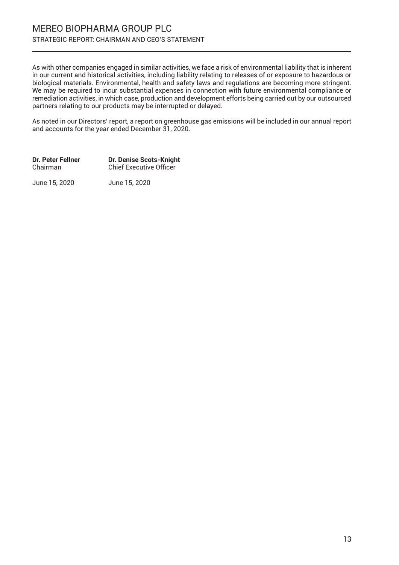## MEREO BIOPHARMA GROUP PLC STRATEGIC REPORT: CHAIRMAN AND CEO'S STATEMENT

As with other companies engaged in similar activities, we face a risk of environmental liability that is inherent in our current and historical activities, including liability relating to releases of or exposure to hazardous or biological materials. Environmental, health and safety laws and regulations are becoming more stringent. We may be required to incur substantial expenses in connection with future environmental compliance or remediation activities, in which case, production and development efforts being carried out by our outsourced partners relating to our products may be interrupted or delayed.

As noted in our Directors' report, a report on greenhouse gas emissions will be included in our annual report and accounts for the year ended December 31, 2020.

| Dr. Peter Fellner | <b>Dr. Denise Scots-Knight</b> |
|-------------------|--------------------------------|
| Chairman          | <b>Chief Executive Officer</b> |

June 15, 2020 June 15, 2020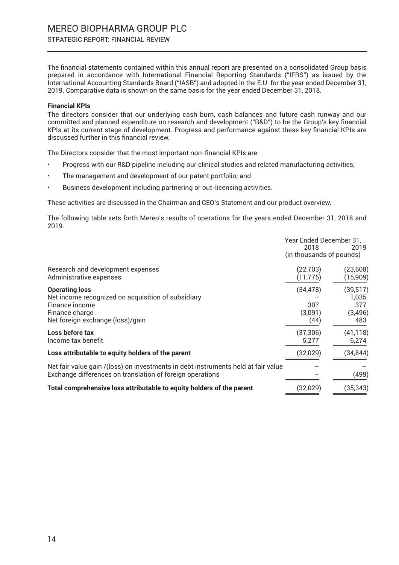The financial statements contained within this annual report are presented on a consolidated Group basis prepared in accordance with International Financial Reporting Standards ("IFRS") as issued by the International Accounting Standards Board ("IASB") and adopted in the E.U. for the year ended December 31, 2019. Comparative data is shown on the same basis for the year ended December 31, 2018.

### **Financial KPIs**

The directors consider that our underlying cash burn, cash balances and future cash runway and our committed and planned expenditure on research and development ("R&D") to be the Group's key financial KPIs at its current stage of development. Progress and performance against these key financial KPIs are discussed further in this financial review.

The Directors consider that the most important non-financial KPIs are:

- Progress with our R&D pipeline including our clinical studies and related manufacturing activities;
- The management and development of our patent portfolio; and
- Business development including partnering or out-licensing activities.

These activities are discussed in the Chairman and CEO's Statement and our product overview.

The following table sets forth Mereo's results of operations for the years ended December 31, 2018 and 2019.

|                                                                                                                                                     | Year Ended December 31,<br>2018<br>(in thousands of pounds) | 2019                                        |
|-----------------------------------------------------------------------------------------------------------------------------------------------------|-------------------------------------------------------------|---------------------------------------------|
| Research and development expenses<br>Administrative expenses                                                                                        | (22, 703)<br>(11, 775)                                      | (23,608)<br>(15,909)                        |
| <b>Operating loss</b><br>Net income recognized on acquisition of subsidiary<br>Finance income<br>Finance charge<br>Net foreign exchange (loss)/gain | (34, 478)<br>307<br>(3,091)<br>(44)                         | (39, 517)<br>1,035<br>377<br>(3,496)<br>483 |
| Loss before tax<br>Income tax benefit                                                                                                               | (37, 306)<br>5,277                                          | (41, 118)<br>6,274                          |
| Loss attributable to equity holders of the parent                                                                                                   | (32,029)                                                    | (34, 844)                                   |
| Net fair value gain /(loss) on investments in debt instruments held at fair value<br>Exchange differences on translation of foreign operations      |                                                             | (499)                                       |
| Total comprehensive loss attributable to equity holders of the parent                                                                               | (32,029)                                                    | (35, 343)                                   |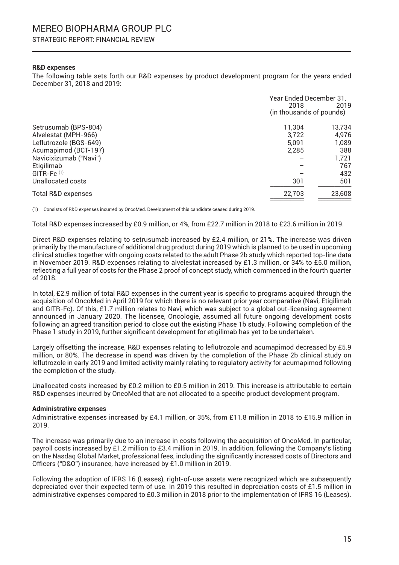## MEREO BIOPHARMA GROUP PLC

STRATEGIC REPORT: FINANCIAL REVIEW

### **R&D expenses**

The following table sets forth our R&D expenses by product development program for the years ended December 31, 2018 and 2019:

|                          | Year Ended December 31,<br>2018<br>(in thousands of pounds) | 2019   |
|--------------------------|-------------------------------------------------------------|--------|
| Setrusumab (BPS-804)     | 11,304                                                      | 13,734 |
| Alvelestat (MPH-966)     | 3,722                                                       | 4,976  |
| Leflutrozole (BGS-649)   | 5,091                                                       | 1,089  |
| Acumapimod (BCT-197)     | 2,285                                                       | 388    |
| Navicixizumab ("Navi")   |                                                             | 1,721  |
| Etigilimab               |                                                             | 767    |
| $GITR-FC$ <sup>(1)</sup> |                                                             | 432    |
| Unallocated costs        | 301                                                         | 501    |
| Total R&D expenses       | 22,703                                                      | 23,608 |

(1) Consists of R&D expenses incurred by OncoMed. Development of this candidate ceased during 2019.

Total R&D expenses increased by £0.9 million, or 4%, from £22.7 million in 2018 to £23.6 million in 2019.

Direct R&D expenses relating to setrusumab increased by £2.4 million, or 21%. The increase was driven primarily by the manufacture of additional drug product during 2019 which is planned to be used in upcoming clinical studies together with ongoing costs related to the adult Phase 2b study which reported top-line data in November 2019. R&D expenses relating to alvelestat increased by £1.3 million, or 34% to £5.0 million, reflecting a full year of costs for the Phase 2 proof of concept study, which commenced in the fourth quarter of 2018.

In total, £2.9 million of total R&D expenses in the current year is specific to programs acquired through the acquisition of OncoMed in April 2019 for which there is no relevant prior year comparative (Navi, Etigilimab and GITR-Fc). Of this, £1.7 million relates to Navi, which was subject to a global out-licensing agreement announced in January 2020. The licensee, Oncologie, assumed all future ongoing development costs following an agreed transition period to close out the existing Phase 1b study. Following completion of the Phase 1 study in 2019, further significant development for etigilimab has yet to be undertaken.

Largely offsetting the increase, R&D expenses relating to leflutrozole and acumapimod decreased by £5.9 million, or 80%. The decrease in spend was driven by the completion of the Phase 2b clinical study on leflutrozole in early 2019 and limited activity mainly relating to regulatory activity for acumapimod following the completion of the study.

Unallocated costs increased by £0.2 million to £0.5 million in 2019. This increase is attributable to certain R&D expenses incurred by OncoMed that are not allocated to a specific product development program.

### **Administrative expenses**

Administrative expenses increased by £4.1 million, or 35%, from £11.8 million in 2018 to £15.9 million in 2019.

The increase was primarily due to an increase in costs following the acquisition of OncoMed. In particular, payroll costs increased by £1.2 million to £3.4 million in 2019. In addition, following the Company's listing on the Nasdaq Global Market, professional fees, including the significantly increased costs of Directors and Officers ("D&O") insurance, have increased by £1.0 million in 2019.

Following the adoption of IFRS 16 (Leases), right-of-use assets were recognized which are subsequently depreciated over their expected term of use. In 2019 this resulted in depreciation costs of £1.5 million in administrative expenses compared to £0.3 million in 2018 prior to the implementation of IFRS 16 (Leases).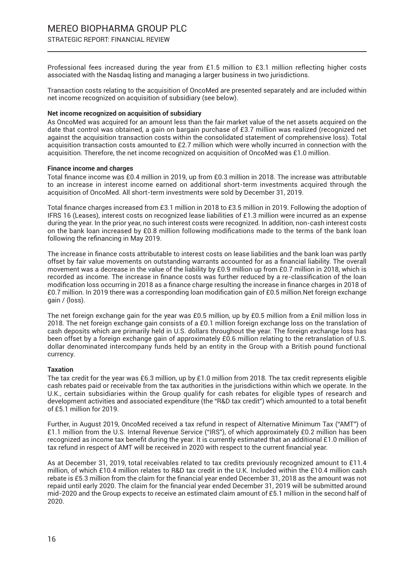Professional fees increased during the year from £1.5 million to £3.1 million reflecting higher costs associated with the Nasdaq listing and managing a larger business in two jurisdictions.

Transaction costs relating to the acquisition of OncoMed are presented separately and are included within net income recognized on acquisition of subsidiary (see below).

### **Net income recognized on acquisition of subsidiary**

As OncoMed was acquired for an amount less than the fair market value of the net assets acquired on the date that control was obtained, a gain on bargain purchase of £3.7 million was realized (recognized net against the acquisition transaction costs within the consolidated statement of comprehensive loss). Total acquisition transaction costs amounted to £2.7 million which were wholly incurred in connection with the acquisition. Therefore, the net income recognized on acquisition of OncoMed was £1.0 million.

### **Finance income and charges**

Total finance income was £0.4 million in 2019, up from £0.3 million in 2018. The increase was attributable to an increase in interest income earned on additional short-term investments acquired through the acquisition of OncoMed. All short-term investments were sold by December 31, 2019.

Total finance charges increased from £3.1 million in 2018 to £3.5 million in 2019. Following the adoption of IFRS 16 (Leases), interest costs on recognized lease liabilities of £1.3 million were incurred as an expense during the year. In the prior year, no such interest costs were recognized. In addition, non-cash interest costs on the bank loan increased by £0.8 million following modifications made to the terms of the bank loan following the refinancing in May 2019.

The increase in finance costs attributable to interest costs on lease liabilities and the bank loan was partly offset by fair value movements on outstanding warrants accounted for as a financial liability. The overall movement was a decrease in the value of the liability by £0.9 million up from £0.7 million in 2018, which is recorded as income. The increase in finance costs was further reduced by a re-classification of the loan modification loss occurring in 2018 as a finance charge resulting the increase in finance charges in 2018 of £0.7 million. In 2019 there was a corresponding loan modification gain of £0.5 million.Net foreign exchange gain / (loss).

The net foreign exchange gain for the year was £0.5 million, up by £0.5 million from a £nil million loss in 2018. The net foreign exchange gain consists of a £0.1 million foreign exchange loss on the translation of cash deposits which are primarily held in U.S. dollars throughout the year. The foreign exchange loss has been offset by a foreign exchange gain of approximately £0.6 million relating to the retranslation of U.S. dollar denominated intercompany funds held by an entity in the Group with a British pound functional currency.

### **Taxation**

The tax credit for the year was £6.3 million, up by £1.0 million from 2018. The tax credit represents eligible cash rebates paid or receivable from the tax authorities in the jurisdictions within which we operate. In the U.K., certain subsidiaries within the Group qualify for cash rebates for eligible types of research and development activities and associated expenditure (the "R&D tax credit") which amounted to a total benefit of £5.1 million for 2019.

Further, in August 2019, OncoMed received a tax refund in respect of Alternative Minimum Tax ("AMT") of £1.1 million from the U.S. Internal Revenue Service ("IRS"), of which approximately £0.2 million has been recognized as income tax benefit during the year. It is currently estimated that an additional £1.0 million of tax refund in respect of AMT will be received in 2020 with respect to the current financial year.

As at December 31, 2019, total receivables related to tax credits previously recognized amount to £11.4 million, of which £10.4 million relates to R&D tax credit in the U.K. Included within the £10.4 million cash rebate is £5.3 million from the claim for the financial year ended December 31, 2018 as the amount was not repaid until early 2020. The claim for the financial year ended December 31, 2019 will be submitted around mid-2020 and the Group expects to receive an estimated claim amount of £5.1 million in the second half of 2020.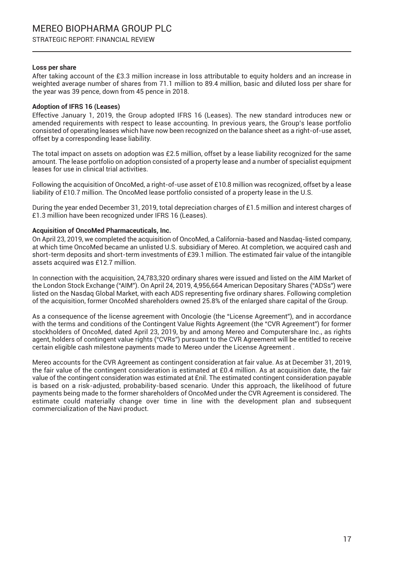### **Loss per share**

After taking account of the £3.3 million increase in loss attributable to equity holders and an increase in weighted average number of shares from 71.1 million to 89.4 million, basic and diluted loss per share for the year was 39 pence, down from 45 pence in 2018.

### **Adoption of IFRS 16 (Leases)**

Effective January 1, 2019, the Group adopted IFRS 16 (Leases). The new standard introduces new or amended requirements with respect to lease accounting. In previous years, the Group's lease portfolio consisted of operating leases which have now been recognized on the balance sheet as a right-of-use asset, offset by a corresponding lease liability.

The total impact on assets on adoption was £2.5 million, offset by a lease liability recognized for the same amount. The lease portfolio on adoption consisted of a property lease and a number of specialist equipment leases for use in clinical trial activities.

Following the acquisition of OncoMed, a right-of-use asset of £10.8 million was recognized, offset by a lease liability of £10.7 million. The OncoMed lease portfolio consisted of a property lease in the U.S.

During the year ended December 31, 2019, total depreciation charges of £1.5 million and interest charges of £1.3 million have been recognized under IFRS 16 (Leases).

### **Acquisition of OncoMed Pharmaceuticals, Inc.**

On April 23, 2019, we completed the acquisition of OncoMed, a California-based and Nasdaq-listed company, at which time OncoMed became an unlisted U.S. subsidiary of Mereo. At completion, we acquired cash and short-term deposits and short-term investments of £39.1 million. The estimated fair value of the intangible assets acquired was £12.7 million.

In connection with the acquisition, 24,783,320 ordinary shares were issued and listed on the AIM Market of the London Stock Exchange ("AIM"). On April 24, 2019, 4,956,664 American Depositary Shares ("ADSs") were listed on the Nasdaq Global Market, with each ADS representing five ordinary shares. Following completion of the acquisition, former OncoMed shareholders owned 25.8% of the enlarged share capital of the Group.

As a consequence of the license agreement with Oncologie (the "License Agreement"), and in accordance with the terms and conditions of the Contingent Value Rights Agreement (the "CVR Agreement") for former stockholders of OncoMed, dated April 23, 2019, by and among Mereo and Computershare Inc., as rights agent, holders of contingent value rights ("CVRs") pursuant to the CVR Agreement will be entitled to receive certain eligible cash milestone payments made to Mereo under the License Agreement .

Mereo accounts for the CVR Agreement as contingent consideration at fair value. As at December 31, 2019, the fair value of the contingent consideration is estimated at £0.4 million. As at acquisition date, the fair value of the contingent consideration was estimated at £nil. The estimated contingent consideration payable is based on a risk-adjusted, probability-based scenario. Under this approach, the likelihood of future payments being made to the former shareholders of OncoMed under the CVR Agreement is considered. The estimate could materially change over time in line with the development plan and subsequent commercialization of the Navi product.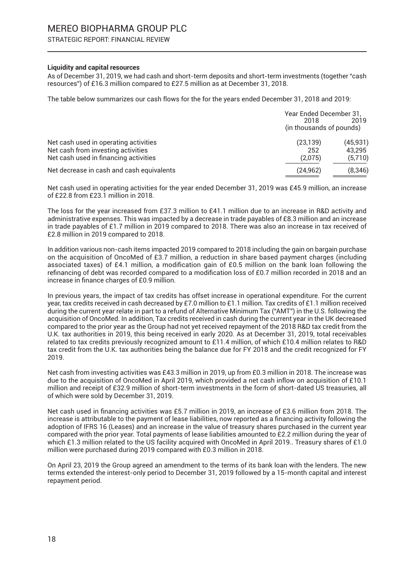## MEREO BIOPHARMA GROUP PLC

### STRATEGIC REPORT: FINANCIAL REVIEW

### **Liquidity and capital resources**

As of December 31, 2019, we had cash and short-term deposits and short-term investments (together "cash resources") of £16.3 million compared to £27.5 million as at December 31, 2018.

The table below summarizes our cash flows for the for the years ended December 31, 2018 and 2019:

|                                                                                                                      | Year Ended December 31,<br>2018<br>(in thousands of pounds) | 2019                           |
|----------------------------------------------------------------------------------------------------------------------|-------------------------------------------------------------|--------------------------------|
| Net cash used in operating activities<br>Net cash from investing activities<br>Net cash used in financing activities | (23, 139)<br>252<br>(2,075)                                 | (45, 931)<br>43,295<br>(5,710) |
| Net decrease in cash and cash equivalents                                                                            | (24, 962)                                                   | (8, 346)                       |

Net cash used in operating activities for the year ended December 31, 2019 was £45.9 million, an increase of £22.8 from £23.1 million in 2018.

The loss for the year increased from £37.3 million to £41.1 million due to an increase in R&D activity and administrative expenses. This was impacted by a decrease in trade payables of £8.3 million and an increase in trade payables of £1.7 million in 2019 compared to 2018. There was also an increase in tax received of £2.8 million in 2019 compared to 2018.

In addition various non-cash items impacted 2019 compared to 2018 including the gain on bargain purchase on the acquisition of OncoMed of £3.7 million, a reduction in share based payment charges (including associated taxes) of £4.1 million, a modification gain of £0.5 million on the bank loan following the refinancing of debt was recorded compared to a modification loss of £0.7 million recorded in 2018 and an increase in finance charges of £0.9 million.

In previous years, the impact of tax credits has offset increase in operational expenditure. For the current year, tax credits received in cash decreased by £7.0 million to £1.1 million. Tax credits of £1.1 million received during the current year relate in part to a refund of Alternative Minimum Tax ("AMT") in the U.S. following the acquisition of OncoMed. In addition, Tax credits received in cash during the current year in the UK decreased compared to the prior year as the Group had not yet received repayment of the 2018 R&D tax credit from the U.K. tax authorities in 2019, this being received in early 2020. As at December 31, 2019, total receivables related to tax credits previously recognized amount to £11.4 million, of which £10.4 million relates to R&D tax credit from the U.K. tax authorities being the balance due for FY 2018 and the credit recognized for FY 2019.

Net cash from investing activities was £43.3 million in 2019, up from £0.3 million in 2018. The increase was due to the acquisition of OncoMed in April 2019, which provided a net cash inflow on acquisition of £10.1 million and receipt of £32.9 million of short-term investments in the form of short-dated US treasuries, all of which were sold by December 31, 2019.

Net cash used in financing activities was £5.7 million in 2019, an increase of £3.6 million from 2018. The increase is attributable to the payment of lease liabilities, now reported as a financing activity following the adoption of IFRS 16 (Leases) and an increase in the value of treasury shares purchased in the current year compared with the prior year. Total payments of lease liabilities amounted to £2.2 million during the year of which £1.3 million related to the US facility acquired with OncoMed in April 2019. Treasury shares of £1.0 million were purchased during 2019 compared with £0.3 million in 2018.

On April 23, 2019 the Group agreed an amendment to the terms of its bank loan with the lenders. The new terms extended the interest-only period to December 31, 2019 followed by a 15-month capital and interest repayment period.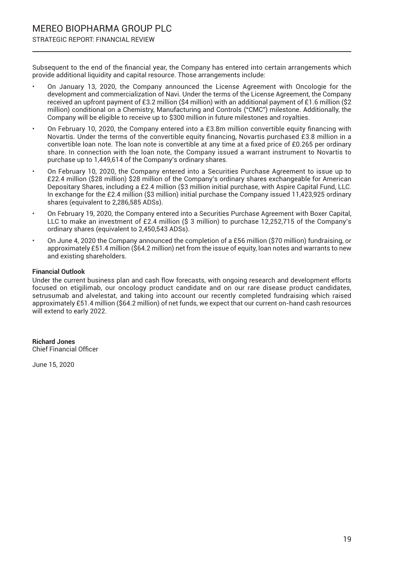Subsequent to the end of the financial year, the Company has entered into certain arrangements which provide additional liquidity and capital resource. Those arrangements include:

- On January 13, 2020, the Company announced the License Agreement with Oncologie for the development and commercialization of Navi. Under the terms of the License Agreement, the Company received an upfront payment of £3.2 million (\$4 million) with an additional payment of £1.6 million (\$2 million) conditional on a Chemistry, Manufacturing and Controls ("CMC") milestone. Additionally, the Company will be eligible to receive up to \$300 million in future milestones and royalties.
- On February 10, 2020, the Company entered into a £3.8m million convertible equity financing with Novartis. Under the terms of the convertible equity financing, Novartis purchased £3.8 million in a convertible loan note. The loan note is convertible at any time at a fixed price of £0.265 per ordinary share. In connection with the loan note, the Company issued a warrant instrument to Novartis to purchase up to 1,449,614 of the Company's ordinary shares.
- On February 10, 2020, the Company entered into a Securities Purchase Agreement to issue up to £22.4 million (\$28 million) \$28 million of the Company's ordinary shares exchangeable for American Depositary Shares, including a £2.4 million (\$3 million initial purchase, with Aspire Capital Fund, LLC. In exchange for the £2.4 million (\$3 million) initial purchase the Company issued 11,423,925 ordinary shares (equivalent to 2,286,585 ADSs).
- On February 19, 2020, the Company entered into a Securities Purchase Agreement with Boxer Capital, LLC to make an investment of £2.4 million (\$ 3 million) to purchase 12,252,715 of the Company's ordinary shares (equivalent to 2,450,543 ADSs).
- On June 4, 2020 the Company announced the completion of a £56 million (\$70 million) fundraising, or approximately £51.4 million (\$64.2 million) net from the issue of equity, loan notes and warrants to new and existing shareholders.

### **Financial Outlook**

Under the current business plan and cash flow forecasts, with ongoing research and development efforts focused on etigilimab, our oncology product candidate and on our rare disease product candidates, setrusumab and alvelestat, and taking into account our recently completed fundraising which raised approximately £51.4 million (\$64.2 million) of net funds, we expect that our current on-hand cash resources will extend to early 2022.

**Richard Jones**  Chief Financial Officer

June 15, 2020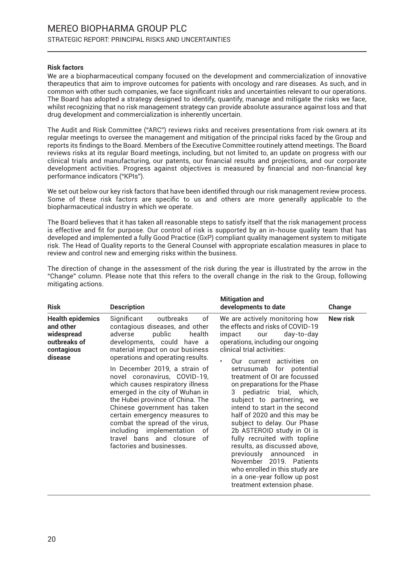### **Risk factors**

We are a biopharmaceutical company focused on the development and commercialization of innovative therapeutics that aim to improve outcomes for patients with oncology and rare diseases. As such, and in common with other such companies, we face significant risks and uncertainties relevant to our operations. The Board has adopted a strategy designed to identify, quantify, manage and mitigate the risks we face, whilst recognizing that no risk management strategy can provide absolute assurance against loss and that drug development and commercialization is inherently uncertain.

The Audit and Risk Committee ("ARC") reviews risks and receives presentations from risk owners at its regular meetings to oversee the management and mitigation of the principal risks faced by the Group and reports its findings to the Board. Members of the Executive Committee routinely attend meetings. The Board reviews risks at its regular Board meetings, including, but not limited to, an update on progress with our clinical trials and manufacturing, our patents, our financial results and projections, and our corporate development activities. Progress against objectives is measured by financial and non-financial key performance indicators ("KPIs").

We set out below our key risk factors that have been identified through our risk management review process. Some of these risk factors are specific to us and others are more generally applicable to the biopharmaceutical industry in which we operate.

The Board believes that it has taken all reasonable steps to satisfy itself that the risk management process is effective and fit for purpose. Our control of risk is supported by an in-house quality team that has developed and implemented a fully Good Practice (GxP) compliant quality management system to mitigate risk. The Head of Quality reports to the General Counsel with appropriate escalation measures in place to review and control new and emerging risks within the business.

The direction of change in the assessment of the risk during the year is illustrated by the arrow in the "Change" column. Please note that this refers to the overall change in the risk to the Group, following mitigating actions.

| <b>Risk</b>                                                                                 | <b>Description</b>                                                                                                                                                                                                                                                                                                                                                                                                                                                                                                                                                              | <b>Mitigation and</b><br>developments to date                                                                                                                                                                                                                                                                                                                                                                                                                                                                                                                                                                                                                                                                                 | Change          |
|---------------------------------------------------------------------------------------------|---------------------------------------------------------------------------------------------------------------------------------------------------------------------------------------------------------------------------------------------------------------------------------------------------------------------------------------------------------------------------------------------------------------------------------------------------------------------------------------------------------------------------------------------------------------------------------|-------------------------------------------------------------------------------------------------------------------------------------------------------------------------------------------------------------------------------------------------------------------------------------------------------------------------------------------------------------------------------------------------------------------------------------------------------------------------------------------------------------------------------------------------------------------------------------------------------------------------------------------------------------------------------------------------------------------------------|-----------------|
| <b>Health epidemics</b><br>and other<br>widespread<br>outbreaks of<br>contagious<br>disease | outbreaks<br>Significant<br>0f<br>contagious diseases, and other<br>public<br>adverse<br>health<br>developments, could have a<br>material impact on our business<br>operations and operating results.<br>In December 2019, a strain of<br>novel coronavirus, COVID-19,<br>which causes respiratory illness<br>emerged in the city of Wuhan in<br>the Hubei province of China. The<br>Chinese government has taken<br>certain emergency measures to<br>combat the spread of the virus,<br>including implementation of<br>travel bans and closure of<br>factories and businesses. | We are actively monitoring how<br>the effects and risks of COVID-19<br>day-to-day<br>impact<br>our<br>operations, including our ongoing<br>clinical trial activities:<br>Our current activities on<br>$\bullet$<br>setrusumab for potential<br>treatment of OI are focussed<br>on preparations for the Phase<br>pediatric trial, which,<br>3<br>subject to partnering, we<br>intend to start in the second<br>half of 2020 and this may be<br>subject to delay. Our Phase<br>2b ASTEROID study in OI is<br>fully recruited with topline<br>results, as discussed above,<br>previously announced in<br>November 2019. Patients<br>who enrolled in this study are<br>in a one-year follow up post<br>treatment extension phase. | <b>New risk</b> |
|                                                                                             |                                                                                                                                                                                                                                                                                                                                                                                                                                                                                                                                                                                 |                                                                                                                                                                                                                                                                                                                                                                                                                                                                                                                                                                                                                                                                                                                               |                 |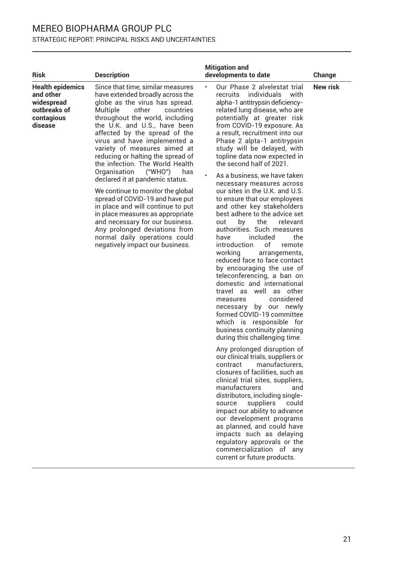| <b>Risk</b>                                                                                 | <b>Description</b>                                                                                                                                                                                                                                                                                                                                                                                                                                                                                                                                                                                                                                                                                                                                  | <b>Mitigation and</b><br>developments to date                                                                                                                                                                                                                                                                                                                                                                                                                                                                                                                                                                                                                                                                                                                                                                                                                                                                                                                                                                                                                                                                                                                                                                                                                                                                                                                                                                                                                                                                                                       | Change          |
|---------------------------------------------------------------------------------------------|-----------------------------------------------------------------------------------------------------------------------------------------------------------------------------------------------------------------------------------------------------------------------------------------------------------------------------------------------------------------------------------------------------------------------------------------------------------------------------------------------------------------------------------------------------------------------------------------------------------------------------------------------------------------------------------------------------------------------------------------------------|-----------------------------------------------------------------------------------------------------------------------------------------------------------------------------------------------------------------------------------------------------------------------------------------------------------------------------------------------------------------------------------------------------------------------------------------------------------------------------------------------------------------------------------------------------------------------------------------------------------------------------------------------------------------------------------------------------------------------------------------------------------------------------------------------------------------------------------------------------------------------------------------------------------------------------------------------------------------------------------------------------------------------------------------------------------------------------------------------------------------------------------------------------------------------------------------------------------------------------------------------------------------------------------------------------------------------------------------------------------------------------------------------------------------------------------------------------------------------------------------------------------------------------------------------------|-----------------|
| <b>Health epidemics</b><br>and other<br>widespread<br>outbreaks of<br>contagious<br>disease | Since that time, similar measures<br>have extended broadly across the<br>globe as the virus has spread.<br>Multiple<br>other<br>countries<br>throughout the world, including<br>the U.K. and U.S., have been<br>affected by the spread of the<br>virus and have implemented a<br>variety of measures aimed at<br>reducing or halting the spread of<br>the infection. The World Health<br>Organisation<br>("WHO")<br>has<br>declared it at pandemic status.<br>We continue to monitor the global<br>spread of COVID-19 and have put<br>in place and will continue to put<br>in place measures as appropriate<br>and necessary for our business.<br>Any prolonged deviations from<br>normal daily operations could<br>negatively impact our business. | Our Phase 2 alvelestat trial<br>$\bullet$<br>individuals<br>with<br>recruits<br>alpha-1 antitrypsin deficiency-<br>related lung disease, who are<br>potentially at greater risk<br>from COVID-19 exposure. As<br>a result, recruitment into our<br>Phase 2 alpta-1 antitrypsin<br>study will be delayed, with<br>topline data now expected in<br>the second half of 2021.<br>As a business, we have taken<br>necessary measures across<br>our sites in the U.K. and U.S.<br>to ensure that our employees<br>and other key stakeholders<br>best adhere to the advice set<br>the<br>out<br>by<br>relevant<br>authorities. Such measures<br>included<br>the<br>have<br>introduction<br>0f<br>remote<br>working<br>arrangements,<br>reduced face to face contact<br>by encouraging the use of<br>teleconferencing, a ban on<br>domestic and international<br>travel as well as other<br>considered<br>measures<br>necessary by our newly<br>formed COVID-19 committee<br>which is responsible for<br>business continuity planning<br>during this challenging time.<br>Any prolonged disruption of<br>our clinical trials, suppliers or<br>contract<br>manufacturers,<br>closures of facilities, such as<br>clinical trial sites, suppliers,<br>manufacturers<br>and<br>distributors, including single-<br>suppliers<br>source<br>could<br>impact our ability to advance<br>our development programs<br>as planned, and could have<br>impacts such as delaying<br>regulatory approvals or the<br>commercialization of any<br>current or future products. | <b>New risk</b> |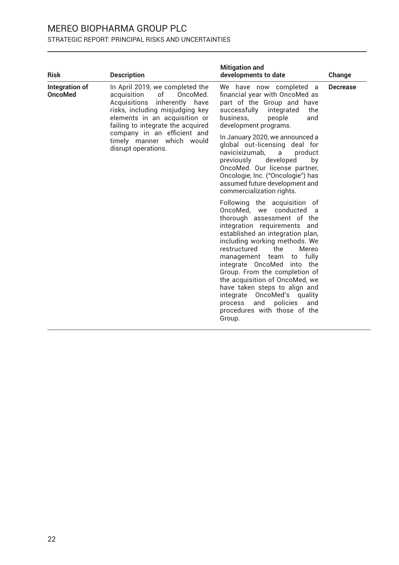| <b>Risk</b>                                                                                                                                                                                                                                                                                                                             | <b>Description</b>                                                                                                                                                                                                                                                       | <b>Mitigation and</b><br>developments to date                                                                                                                                                                                                                                                                                                                                                                                                                                                       | Change          |
|-----------------------------------------------------------------------------------------------------------------------------------------------------------------------------------------------------------------------------------------------------------------------------------------------------------------------------------------|--------------------------------------------------------------------------------------------------------------------------------------------------------------------------------------------------------------------------------------------------------------------------|-----------------------------------------------------------------------------------------------------------------------------------------------------------------------------------------------------------------------------------------------------------------------------------------------------------------------------------------------------------------------------------------------------------------------------------------------------------------------------------------------------|-----------------|
| <b>Integration of</b><br>In April 2019, we completed the<br>of<br><b>OncoMed</b><br>acquisition<br>OncoMed.<br>Acquisitions inherently have<br>risks, including misjudging key<br>elements in an acquisition or<br>failing to integrate the acquired<br>company in an efficient and<br>timely manner which would<br>disrupt operations. |                                                                                                                                                                                                                                                                          | We have now completed a<br>financial year with OncoMed as<br>part of the Group and have<br>successfully<br>integrated<br>the<br>business,<br>people<br>and<br>development programs.                                                                                                                                                                                                                                                                                                                 | <b>Decrease</b> |
|                                                                                                                                                                                                                                                                                                                                         | In January 2020, we announced a<br>global out-licensing deal for<br>navicixizumab,<br>product<br>a<br>developed<br>by<br>previously<br>OncoMed. Our license partner,<br>Oncologie, Inc. ("Oncologie") has<br>assumed future development and<br>commercialization rights. |                                                                                                                                                                                                                                                                                                                                                                                                                                                                                                     |                 |
|                                                                                                                                                                                                                                                                                                                                         |                                                                                                                                                                                                                                                                          | Following the acquisition of<br>OncoMed, we conducted a<br>thorough assessment of the<br>integration requirements and<br>established an integration plan,<br>including working methods. We<br>the<br>restructured<br>Mereo<br>management team to fully<br>integrate OncoMed into the<br>Group. From the completion of<br>the acquisition of OncoMed, we<br>have taken steps to align and<br>integrate OncoMed's quality<br>and policies<br>and<br>process<br>procedures with those of the<br>Group. |                 |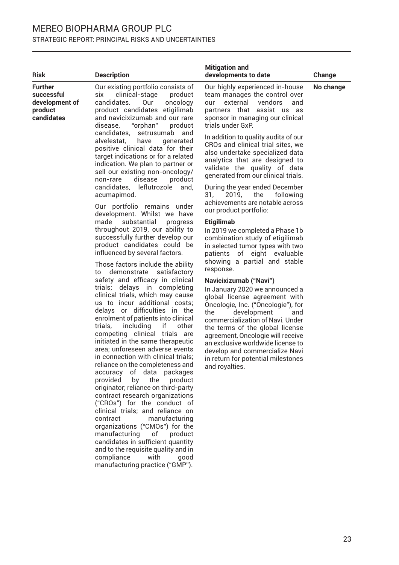| <b>Risk</b>                                                             | <b>Description</b>                                                                                                                                                                                                                                                                                                                                                                                                                                                                                                                                                                                                                                                                                                                                                                                                                                                                                                                                                                                                                                                                                                                                                                                                                                                                                                                                                                                                                                                                                                                                                                                                                                                                                                                                 | <b>Mitigation and</b><br>developments to date                                                                                                                                                                                                                                                                                                                                                                                                                                                                                                                                                                                                                                                                                                                                                                                                                                                                                                                                                                                                                                                                                                                                         | Change    |
|-------------------------------------------------------------------------|----------------------------------------------------------------------------------------------------------------------------------------------------------------------------------------------------------------------------------------------------------------------------------------------------------------------------------------------------------------------------------------------------------------------------------------------------------------------------------------------------------------------------------------------------------------------------------------------------------------------------------------------------------------------------------------------------------------------------------------------------------------------------------------------------------------------------------------------------------------------------------------------------------------------------------------------------------------------------------------------------------------------------------------------------------------------------------------------------------------------------------------------------------------------------------------------------------------------------------------------------------------------------------------------------------------------------------------------------------------------------------------------------------------------------------------------------------------------------------------------------------------------------------------------------------------------------------------------------------------------------------------------------------------------------------------------------------------------------------------------------|---------------------------------------------------------------------------------------------------------------------------------------------------------------------------------------------------------------------------------------------------------------------------------------------------------------------------------------------------------------------------------------------------------------------------------------------------------------------------------------------------------------------------------------------------------------------------------------------------------------------------------------------------------------------------------------------------------------------------------------------------------------------------------------------------------------------------------------------------------------------------------------------------------------------------------------------------------------------------------------------------------------------------------------------------------------------------------------------------------------------------------------------------------------------------------------|-----------|
| <b>Further</b><br>successful<br>development of<br>product<br>candidates | Our existing portfolio consists of<br>six<br>clinical-stage<br>product<br>candidates.<br>oncology<br>Our<br>product candidates etigilimab<br>and navicixizumab and our rare<br>"orphan"<br>product<br>disease,<br>candidates,<br>setrusumab<br>and<br>alvelestat,<br>have<br>generated<br>positive clinical data for their<br>target indications or for a related<br>indication. We plan to partner or<br>sell our existing non-oncology/<br>disease<br>product<br>non-rare<br>candidates, leflutrozole and,<br>acumapimod.<br>Our portfolio remains under<br>development. Whilst we have<br>made<br>substantial<br>progress<br>throughout 2019, our ability to<br>successfully further develop our<br>product candidates could be<br>influenced by several factors.<br>Those factors include the ability<br>demonstrate satisfactory<br>to<br>safety and efficacy in clinical<br>trials; delays in completing<br>clinical trials, which may cause<br>us to incur additional costs;<br>delays or difficulties in the<br>enrolment of patients into clinical<br>trials,<br>including<br>other<br>if<br>competing clinical trials are<br>initiated in the same therapeutic<br>area; unforeseen adverse events<br>in connection with clinical trials;<br>reliance on the completeness and<br>accuracy of data packages<br>provided<br>by<br>the<br>product<br>originator; reliance on third-party<br>contract research organizations<br>("CROs") for the conduct of<br>clinical trials; and reliance on<br>manufacturing<br>contract<br>organizations ("CMOs") for the<br>manufacturing<br>οf<br>product<br>candidates in sufficient quantity<br>and to the requisite quality and in<br>compliance<br>with<br>good<br>manufacturing practice ("GMP"). | Our highly experienced in-house<br>team manages the control over<br>external<br>vendors<br>and<br>our<br>partners that assist us as<br>sponsor in managing our clinical<br>trials under GxP.<br>In addition to quality audits of our<br>CROs and clinical trial sites, we<br>also undertake specialized data<br>analytics that are designed to<br>validate the quality of data<br>generated from our clinical trials.<br>During the year ended December<br>2019,<br>the<br>following<br>31,<br>achievements are notable across<br>our product portfolio:<br><b>Etigilimab</b><br>In 2019 we completed a Phase 1b<br>combination study of etigilimab<br>in selected tumor types with two<br>patients of eight evaluable<br>showing a partial and stable<br>response.<br><b>Navicixizumab ("Navi")</b><br>In January 2020 we announced a<br>global license agreement with<br>Oncologie, Inc. ("Oncologie"), for<br>development<br>the<br>and<br>commercialization of Navi. Under<br>the terms of the global license<br>agreement, Oncologie will receive<br>an exclusive worldwide license to<br>develop and commercialize Navi<br>in return for potential milestones<br>and royalties. | No change |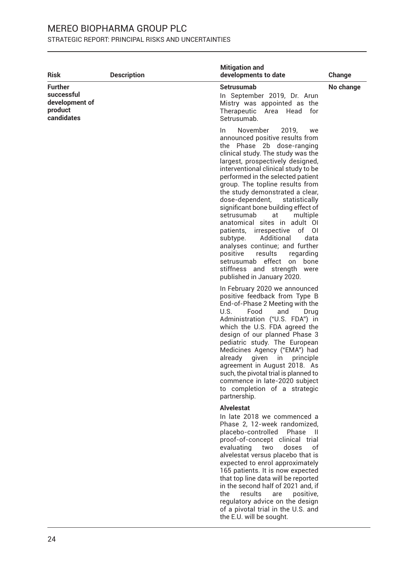| <b>Risk</b>                                                             | <b>Description</b> | <b>Mitigation and</b><br>developments to date                                                                                                                                                                                                                                                                                                                                                                                                                                                                                                                                                                                                                                                                               | Change    |
|-------------------------------------------------------------------------|--------------------|-----------------------------------------------------------------------------------------------------------------------------------------------------------------------------------------------------------------------------------------------------------------------------------------------------------------------------------------------------------------------------------------------------------------------------------------------------------------------------------------------------------------------------------------------------------------------------------------------------------------------------------------------------------------------------------------------------------------------------|-----------|
| <b>Further</b><br>successful<br>development of<br>product<br>candidates |                    | <b>Setrusumab</b><br>In September 2019, Dr. Arun<br>Mistry was appointed as the<br>Therapeutic Area Head<br>for<br>Setrusumab.                                                                                                                                                                                                                                                                                                                                                                                                                                                                                                                                                                                              | No change |
|                                                                         |                    | November<br>In.<br>2019,<br>we<br>announced positive results from<br>the Phase 2b dose-ranging<br>clinical study. The study was the<br>largest, prospectively designed,<br>interventional clinical study to be<br>performed in the selected patient<br>group. The topline results from<br>the study demonstrated a clear,<br>dose-dependent, statistically<br>significant bone building effect of<br>setrusumab<br>at<br>multiple<br>anatomical sites in adult OI<br>patients, irrespective<br>of<br>$\overline{O}$<br>Additional<br>subtype.<br>data<br>analyses continue; and further<br>positive<br>results<br>regarding<br>setrusumab effect<br>on<br>bone<br>stiffness and strength were<br>published in January 2020. |           |
|                                                                         |                    | In February 2020 we announced<br>positive feedback from Type B<br>End-of-Phase 2 Meeting with the<br>U.S.<br>Food<br>and<br>Drug<br>Administration ("U.S. FDA") in<br>which the U.S. FDA agreed the<br>design of our planned Phase 3<br>pediatric study. The European<br>Medicines Agency ("EMA") had<br>already<br>given<br>in<br>principle<br>agreement in August 2018. As<br>such, the pivotal trial is planned to<br>commence in late-2020 subject<br>to completion of a strategic<br>partnership.                                                                                                                                                                                                                      |           |
|                                                                         |                    | <b>Alvelestat</b><br>In late 2018 we commenced a<br>Phase 2, 12-week randomized,<br>placebo-controlled<br>Phase<br>H<br>proof-of-concept clinical trial<br>evaluating<br>two<br>doses<br>ot<br>alvelestat versus placebo that is<br>expected to enrol approximately<br>165 patients. It is now expected<br>that top line data will be reported<br>in the second half of 2021 and, if<br>the<br>results<br>positive,<br>are<br>regulatory advice on the design<br>of a pivotal trial in the U.S. and                                                                                                                                                                                                                         |           |

the E.U. will be sought.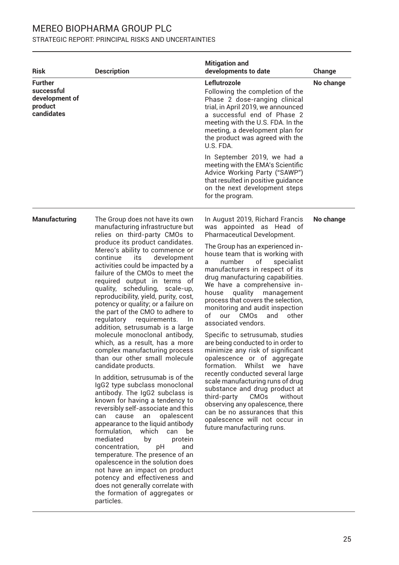## MEREO BIOPHARMA GROUP PLC

## STRATEGIC REPORT: PRINCIPAL RISKS AND UNCERTAINTIES

| <b>Risk</b>                                                             | <b>Description</b>                                                                                                                                                                                                                                                                                                                                                                                                                                                                                                                                                                                                                                                                                                                                                                                                                                                                                                                                                                                                                                                                                                                                                                                                                                                                                  | <b>Mitigation and</b><br>developments to date                                                                                                                                                                                                                                                                                                                                                                                                                                                                                                                                                                                                                                                                                                                                                                                                                                                                                           | Change    |
|-------------------------------------------------------------------------|-----------------------------------------------------------------------------------------------------------------------------------------------------------------------------------------------------------------------------------------------------------------------------------------------------------------------------------------------------------------------------------------------------------------------------------------------------------------------------------------------------------------------------------------------------------------------------------------------------------------------------------------------------------------------------------------------------------------------------------------------------------------------------------------------------------------------------------------------------------------------------------------------------------------------------------------------------------------------------------------------------------------------------------------------------------------------------------------------------------------------------------------------------------------------------------------------------------------------------------------------------------------------------------------------------|-----------------------------------------------------------------------------------------------------------------------------------------------------------------------------------------------------------------------------------------------------------------------------------------------------------------------------------------------------------------------------------------------------------------------------------------------------------------------------------------------------------------------------------------------------------------------------------------------------------------------------------------------------------------------------------------------------------------------------------------------------------------------------------------------------------------------------------------------------------------------------------------------------------------------------------------|-----------|
| <b>Further</b><br>successful<br>development of<br>product<br>candidates |                                                                                                                                                                                                                                                                                                                                                                                                                                                                                                                                                                                                                                                                                                                                                                                                                                                                                                                                                                                                                                                                                                                                                                                                                                                                                                     | Leflutrozole<br>Following the completion of the<br>Phase 2 dose-ranging clinical<br>trial, in April 2019, we announced<br>a successful end of Phase 2<br>meeting with the U.S. FDA. In the<br>meeting, a development plan for<br>the product was agreed with the<br>U.S. FDA.                                                                                                                                                                                                                                                                                                                                                                                                                                                                                                                                                                                                                                                           | No change |
|                                                                         |                                                                                                                                                                                                                                                                                                                                                                                                                                                                                                                                                                                                                                                                                                                                                                                                                                                                                                                                                                                                                                                                                                                                                                                                                                                                                                     | In September 2019, we had a<br>meeting with the EMA's Scientific<br>Advice Working Party ("SAWP")<br>that resulted in positive guidance<br>on the next development steps<br>for the program.                                                                                                                                                                                                                                                                                                                                                                                                                                                                                                                                                                                                                                                                                                                                            |           |
| <b>Manufacturing</b>                                                    | The Group does not have its own<br>manufacturing infrastructure but<br>relies on third-party CMOs to<br>produce its product candidates.<br>Mereo's ability to commence or<br>continue<br>its<br>development<br>activities could be impacted by a<br>failure of the CMOs to meet the<br>required output in terms of<br>quality, scheduling, scale-up,<br>reproducibility, yield, purity, cost,<br>potency or quality; or a failure on<br>the part of the CMO to adhere to<br>regulatory requirements.<br>In.<br>addition, setrusumab is a large<br>molecule monoclonal antibody,<br>which, as a result, has a more<br>complex manufacturing process<br>than our other small molecule<br>candidate products.<br>In addition, setrusumab is of the<br>IgG2 type subclass monoclonal<br>antibody. The IgG2 subclass is<br>known for having a tendency to<br>reversibly self-associate and this<br>opalescent<br>can<br>cause<br>an<br>appearance to the liquid antibody<br>which<br>formulation,<br>can<br>be<br>mediated<br>by<br>protein<br>concentration,<br>pH<br>and<br>temperature. The presence of an<br>opalescence in the solution does<br>not have an impact on product<br>potency and effectiveness and<br>does not generally correlate with<br>the formation of aggregates or<br>particles. | In August 2019, Richard Francis<br>was appointed as Head of<br>Pharmaceutical Development.<br>The Group has an experienced in-<br>house team that is working with<br>number<br>of<br>specialist<br>a<br>manufacturers in respect of its<br>drug manufacturing capabilities.<br>We have a comprehensive in-<br>house quality management<br>process that covers the selection,<br>monitoring and audit inspection<br>of<br>our CMOs<br>and<br>other<br>associated vendors.<br>Specific to setrusumab, studies<br>are being conducted to in order to<br>minimize any risk of significant<br>opalescence or of aggregate<br>formation.<br>Whilst we<br>have<br>recently conducted several large<br>scale manufacturing runs of drug<br>substance and drug product at<br>third-party<br>CMOs<br>without<br>observing any opalescence, there<br>can be no assurances that this<br>opalescence will not occur in<br>future manufacturing runs. | No change |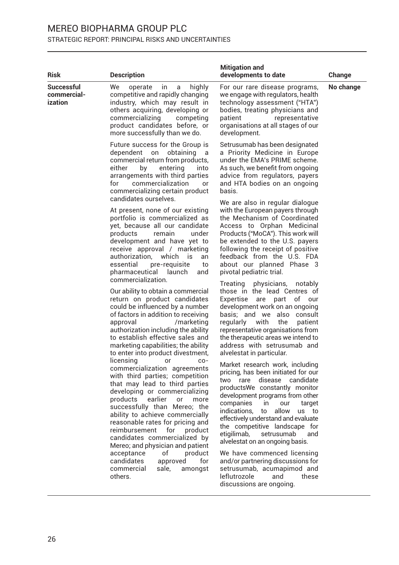| <b>Risk</b>                                 | <b>Description</b>                                                                                                                                                                                                                                                                                                                                                                                                                                                                                                                                                     | <b>Mitigation and</b><br>developments to date                                                                                                                                                                                                                                                                                                                                                                                                                                                                                                                               | Change    |
|---------------------------------------------|------------------------------------------------------------------------------------------------------------------------------------------------------------------------------------------------------------------------------------------------------------------------------------------------------------------------------------------------------------------------------------------------------------------------------------------------------------------------------------------------------------------------------------------------------------------------|-----------------------------------------------------------------------------------------------------------------------------------------------------------------------------------------------------------------------------------------------------------------------------------------------------------------------------------------------------------------------------------------------------------------------------------------------------------------------------------------------------------------------------------------------------------------------------|-----------|
| <b>Successful</b><br>commercial-<br>ization | We<br>highly<br>operate<br>in<br>a<br>competitive and rapidly changing<br>industry, which may result in<br>others acquiring, developing or<br>commercializing<br>competing<br>product candidates before, or<br>more successfully than we do.                                                                                                                                                                                                                                                                                                                           | For our rare disease programs,<br>we engage with regulators, health<br>technology assessment ("HTA")<br>bodies, treating physicians and<br>patient<br>representative<br>organisations at all stages of our<br>development.                                                                                                                                                                                                                                                                                                                                                  | No change |
|                                             | Future success for the Group is<br>dependent on obtaining<br>a<br>commercial return from products,<br>either<br>entering<br>into<br>by<br>arrangements with third parties<br>commercialization<br>for<br>or<br>commercializing certain product<br>candidates ourselves.                                                                                                                                                                                                                                                                                                | Setrusumab has been designated<br>a Priority Medicine in Europe<br>under the EMA's PRIME scheme.<br>As such, we benefit from ongoing<br>advice from regulators, payers<br>and HTA bodies on an ongoing<br>basis.<br>We are also in regular dialogue                                                                                                                                                                                                                                                                                                                         |           |
|                                             | At present, none of our existing<br>portfolio is commercialized as<br>yet, because all our candidate<br>products<br>remain<br>under<br>development and have yet to<br>receive approval / marketing<br>authorization, which<br>is:<br>an<br>pre-requisite<br>essential<br>to<br>pharmaceutical<br>launch<br>and<br>commercialization.                                                                                                                                                                                                                                   | with the European payers through<br>the Mechanism of Coordinated<br>Access to Orphan Medicinal<br>Products ("MoCA"). This work will<br>be extended to the U.S. payers<br>following the receipt of positive<br>feedback from the U.S. FDA<br>about our planned Phase 3<br>pivotal pediatric trial.<br>Treating<br>physicians,<br>notably                                                                                                                                                                                                                                     |           |
|                                             | Our ability to obtain a commercial<br>return on product candidates<br>could be influenced by a number<br>of factors in addition to receiving<br>/marketing<br>approval<br>authorization including the ability<br>to establish effective sales and<br>marketing capabilities; the ability<br>to enter into product divestment,<br>licensing or<br>co-<br>commercialization agreements<br>with third parties; competition<br>that may lead to third parties<br>developing or commercializing<br>products<br>earlier<br><b>or</b><br>more<br>successfully than Mereo; the | those in the lead Centres of<br>Expertise<br>of our<br>are part<br>development work on an ongoing<br>basis; and we also consult<br>regularly with<br>the<br>patient<br>representative organisations from<br>the therapeutic areas we intend to<br>address with setrusumab and<br>alvelestat in particular.<br>Market research work, including<br>pricing, has been initiated for our<br>rare<br>disease<br>candidate<br>two<br>productsWe constantly monitor<br>development programs from other<br>companies<br>in<br>our<br>target<br>indications,<br>to<br>allow<br>us to |           |
|                                             | ability to achieve commercially<br>reasonable rates for pricing and<br>reimbursement<br>for<br>product<br>candidates commercialized by<br>Mereo; and physician and patient<br>acceptance<br>οf<br>product<br>candidates<br>for<br>approved<br>commercial<br>sale,<br>amongst<br>others.                                                                                                                                                                                                                                                                                | effectively understand and evaluate<br>the competitive landscape for<br>etigilimab,<br>setrusumab<br>and<br>alvelestat on an ongoing basis.<br>We have commenced licensing<br>and/or partnering discussions for<br>setrusumab, acumapimod and<br>leflutrozole<br>and<br>these<br>discussions are ongoing.                                                                                                                                                                                                                                                                   |           |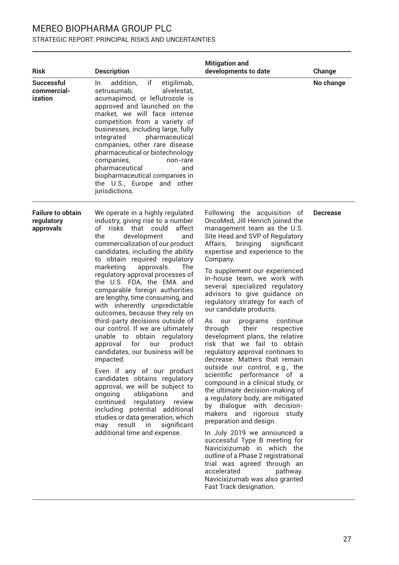| <b>Risk</b>                                         | <b>Description</b>                                                                                                                                                                                                                                                                                                                                                                                                                                                                                                                                                                                                                                                                                                                                                                                                                                                                                                                                                                               | <b>Mitigation and</b><br>developments to date                                                                                                                                                                                                                                                                                                                                                                                                                                                                                                                                                                                                                                                                                                                                                                                                                                                                                                                                                                                                                                                                                                                           | Change          |
|-----------------------------------------------------|--------------------------------------------------------------------------------------------------------------------------------------------------------------------------------------------------------------------------------------------------------------------------------------------------------------------------------------------------------------------------------------------------------------------------------------------------------------------------------------------------------------------------------------------------------------------------------------------------------------------------------------------------------------------------------------------------------------------------------------------------------------------------------------------------------------------------------------------------------------------------------------------------------------------------------------------------------------------------------------------------|-------------------------------------------------------------------------------------------------------------------------------------------------------------------------------------------------------------------------------------------------------------------------------------------------------------------------------------------------------------------------------------------------------------------------------------------------------------------------------------------------------------------------------------------------------------------------------------------------------------------------------------------------------------------------------------------------------------------------------------------------------------------------------------------------------------------------------------------------------------------------------------------------------------------------------------------------------------------------------------------------------------------------------------------------------------------------------------------------------------------------------------------------------------------------|-----------------|
| <b>Successful</b><br>commercial-<br>ization         | if<br>etigilimab,<br>addition,<br>In.<br>setrusumab,<br>alvelestat,<br>acumapimod, or leflutrozole is<br>approved and launched on the<br>market, we will face intense<br>competition from a variety of<br>businesses, including large, fully<br>pharmaceutical<br>integrated<br>companies, other rare disease<br>pharmaceutical or biotechnology<br>companies,<br>non-rare<br>pharmaceutical<br>and<br>biopharmaceutical companies in<br>the U.S., Europe and other<br>jurisdictions.                                                                                                                                                                                                                                                                                                                                                                                                                                                                                                            |                                                                                                                                                                                                                                                                                                                                                                                                                                                                                                                                                                                                                                                                                                                                                                                                                                                                                                                                                                                                                                                                                                                                                                         | No change       |
| <b>Failure to obtain</b><br>regulatory<br>approvals | We operate in a highly regulated<br>industry, giving rise to a number<br>of risks that could<br>affect<br>the<br>development<br>and<br>commercialization of our product<br>candidates, including the ability<br>to obtain required regulatory<br>marketing<br>approvals.<br>The<br>regulatory approval processes of<br>the U.S. FDA, the EMA and<br>comparable foreign authorities<br>are lengthy, time consuming, and<br>with inherently unpredictable<br>outcomes, because they rely on<br>third-party decisions outside of<br>our control. If we are ultimately<br>unable to obtain regulatory<br>for<br>approval<br>product<br>our<br>candidates, our business will be<br>impacted.<br>Even if any of our product<br>candidates obtains regulatory<br>approval, we will be subject to<br>obligations<br>ongoing<br>and<br>continued<br>regulatory review<br>including potential additional<br>studies or data generation, which<br>may result in significant<br>additional time and expense. | Following the acquisition of<br>OncoMed, Jill Henrich joined the<br>management team as the U.S.<br>Site Head and SVP of Regulatory<br>Affairs,<br>bringing<br>significant<br>expertise and experience to the<br>Company.<br>To supplement our experienced<br>in-house team, we work with<br>several specialized regulatory<br>advisors to give guidance on<br>regulatory strategy for each of<br>our candidate products.<br>continue<br>As<br>our<br>programs<br>their<br>through<br>respective<br>development plans, the relative<br>risk that we fail to obtain<br>regulatory approval continues to<br>decrease. Matters that remain<br>outside our control, e.g., the<br>scientific performance of a<br>compound in a clinical study, or<br>the ultimate decision-making of<br>a regulatory body, are mitigated<br>by dialogue with decision-<br>makers and rigorous<br>study<br>preparation and design.<br>In July 2019 we announced a<br>successful Type B meeting for<br>Navicixizumab in which the<br>outline of a Phase 2 registrational<br>trial was agreed through an<br>accelerated<br>pathway.<br>Navicixizumab was also granted<br>Fast Track designation. | <b>Decrease</b> |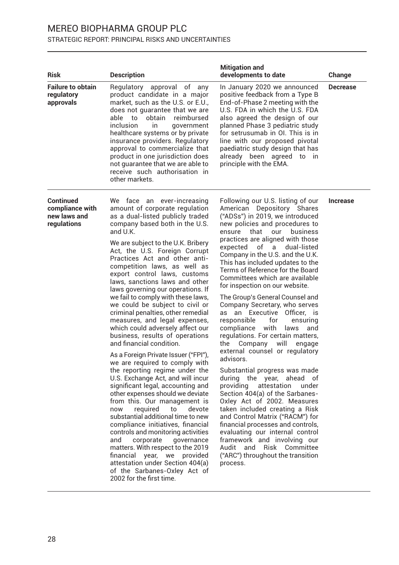| <b>Risk</b>                                                        | <b>Description</b>                                                                                                                                                                                                                                                                                                                                                                                                                                                                                                                                                                                                                                                                                                                                                                                                                                                                                                                                                                                                                                                                                                                                                                                                                                                   | <b>Mitigation and</b><br>developments to date                                                                                                                                                                                                                                                                                                                                                                                                                                                                                                                                                                                                                                                                                                                                                                                                                                                                                                                                                                                                                                                                                                              | Change          |
|--------------------------------------------------------------------|----------------------------------------------------------------------------------------------------------------------------------------------------------------------------------------------------------------------------------------------------------------------------------------------------------------------------------------------------------------------------------------------------------------------------------------------------------------------------------------------------------------------------------------------------------------------------------------------------------------------------------------------------------------------------------------------------------------------------------------------------------------------------------------------------------------------------------------------------------------------------------------------------------------------------------------------------------------------------------------------------------------------------------------------------------------------------------------------------------------------------------------------------------------------------------------------------------------------------------------------------------------------|------------------------------------------------------------------------------------------------------------------------------------------------------------------------------------------------------------------------------------------------------------------------------------------------------------------------------------------------------------------------------------------------------------------------------------------------------------------------------------------------------------------------------------------------------------------------------------------------------------------------------------------------------------------------------------------------------------------------------------------------------------------------------------------------------------------------------------------------------------------------------------------------------------------------------------------------------------------------------------------------------------------------------------------------------------------------------------------------------------------------------------------------------------|-----------------|
| <b>Failure to obtain</b><br>regulatory<br>approvals                | Regulatory approval of any<br>product candidate in a major<br>market, such as the U.S. or E.U.,<br>does not quarantee that we are<br>obtain<br>reimbursed<br>able<br>to<br>inclusion<br>in<br>government<br>healthcare systems or by private<br>insurance providers. Regulatory<br>approval to commercialize that<br>product in one jurisdiction does<br>not guarantee that we are able to<br>receive such authorisation in<br>other markets.                                                                                                                                                                                                                                                                                                                                                                                                                                                                                                                                                                                                                                                                                                                                                                                                                        | In January 2020 we announced<br>positive feedback from a Type B<br>End-of-Phase 2 meeting with the<br>U.S. FDA in which the U.S. FDA<br>also agreed the design of our<br>planned Phase 3 pediatric study<br>for setrusumab in OI. This is in<br>line with our proposed pivotal<br>paediatric study design that has<br>already been agreed to in<br>principle with the EMA.                                                                                                                                                                                                                                                                                                                                                                                                                                                                                                                                                                                                                                                                                                                                                                                 | <b>Decrease</b> |
| <b>Continued</b><br>compliance with<br>new laws and<br>regulations | We face an ever-increasing<br>amount of corporate regulation<br>as a dual-listed publicly traded<br>company based both in the U.S.<br>and U.K.<br>We are subject to the U.K. Bribery<br>Act, the U.S. Foreign Corrupt<br>Practices Act and other anti-<br>competition laws, as well as<br>export control laws, customs<br>laws, sanctions laws and other<br>laws governing our operations. If<br>we fail to comply with these laws,<br>we could be subject to civil or<br>criminal penalties, other remedial<br>measures, and legal expenses,<br>which could adversely affect our<br>business, results of operations<br>and financial condition.<br>As a Foreign Private Issuer ("FPI"),<br>we are required to comply with<br>the reporting regime under the<br>U.S. Exchange Act, and will incur<br>significant legal, accounting and<br>other expenses should we deviate<br>from this. Our management is<br>to<br>required<br>devote<br>now<br>substantial additional time to new<br>compliance initiatives, financial<br>controls and monitoring activities<br>corporate<br>and<br>qovernance<br>matters. With respect to the 2019<br>financial year, we provided<br>attestation under Section 404(a)<br>of the Sarbanes-Oxley Act of<br>2002 for the first time. | Following our U.S. listing of our<br>American Depository Shares<br>("ADSs") in 2019, we introduced<br>new policies and procedures to<br>that<br>business<br>our<br>ensure<br>practices are aligned with those<br>expected<br>of a<br>dual-listed<br>Company in the U.S. and the U.K.<br>This has included updates to the<br>Terms of Reference for the Board<br>Committees which are available<br>for inspection on our website.<br>The Group's General Counsel and<br>Company Secretary, who serves<br>as an Executive Officer, is<br>responsible<br>for<br>ensuring<br>compliance with<br>and<br>laws<br>regulations. For certain matters,<br>Company<br>will<br>the<br>engage<br>external counsel or regulatory<br>advisors.<br>Substantial progress was made<br>during the year, ahead of<br>providing attestation<br>under<br>Section 404(a) of the Sarbanes-<br>Oxley Act of 2002. Measures<br>taken included creating a Risk<br>and Control Matrix ("RACM") for<br>financial processes and controls,<br>evaluating our internal control<br>framework and involving our<br>Audit and Risk Committee<br>("ARC") throughout the transition<br>process. | <b>Increase</b> |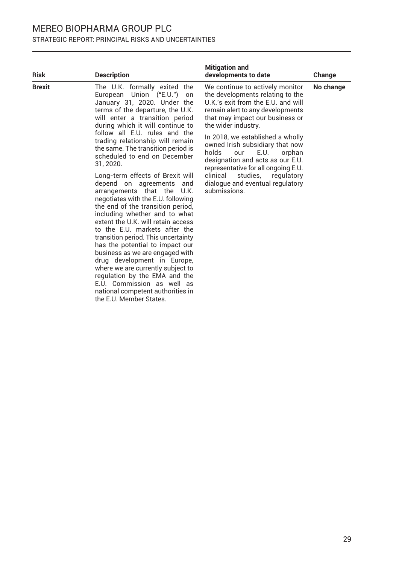| <b>Risk</b> | <b>Description</b>                                                                                                                                                                                                                                                                                                                                                                                                                                                                                                                                                                                                                                                                                                                                                                                                                                                                                                                                           | <b>Mitigation and</b><br>developments to date                                                                                                                                                                                                                                                                                                                                                                                                                                         | Change    |
|-------------|--------------------------------------------------------------------------------------------------------------------------------------------------------------------------------------------------------------------------------------------------------------------------------------------------------------------------------------------------------------------------------------------------------------------------------------------------------------------------------------------------------------------------------------------------------------------------------------------------------------------------------------------------------------------------------------------------------------------------------------------------------------------------------------------------------------------------------------------------------------------------------------------------------------------------------------------------------------|---------------------------------------------------------------------------------------------------------------------------------------------------------------------------------------------------------------------------------------------------------------------------------------------------------------------------------------------------------------------------------------------------------------------------------------------------------------------------------------|-----------|
| Brexit      | The U.K. formally exited the<br>European Union ("E.U.") on<br>January 31, 2020. Under the<br>terms of the departure, the U.K.<br>will enter a transition period<br>during which it will continue to<br>follow all E.U. rules and the<br>trading relationship will remain<br>the same. The transition period is<br>scheduled to end on December<br>31, 2020.<br>Long-term effects of Brexit will<br>depend on agreements and<br>arrangements that the U.K.<br>negotiates with the E.U. following<br>the end of the transition period,<br>including whether and to what<br>extent the U.K. will retain access<br>to the E.U. markets after the<br>transition period. This uncertainty<br>has the potential to impact our<br>business as we are engaged with<br>drug development in Europe,<br>where we are currently subject to<br>regulation by the EMA and the<br>E.U. Commission as well as<br>national competent authorities in<br>the E.U. Member States. | We continue to actively monitor<br>the developments relating to the<br>U.K.'s exit from the E.U. and will<br>remain alert to any developments<br>that may impact our business or<br>the wider industry.<br>In 2018, we established a wholly<br>owned Irish subsidiary that now<br>holds<br>E.U.<br>our<br>orphan<br>designation and acts as our E.U.<br>representative for all ongoing E.U.<br>clinical<br>studies,<br>regulatory<br>dialogue and eventual regulatory<br>submissions. | No change |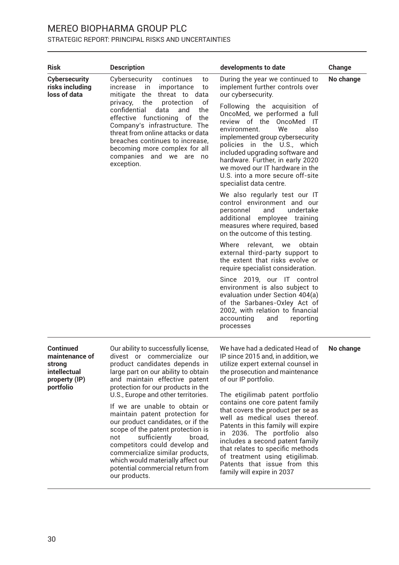| <b>Risk</b>                                                                                | <b>Description</b>                                                                                                                                                                                                                                                                                                                                                                                           | developments to date                                                                                                                                                                                                                                                                                                                                                                                                                                          | Change    |
|--------------------------------------------------------------------------------------------|--------------------------------------------------------------------------------------------------------------------------------------------------------------------------------------------------------------------------------------------------------------------------------------------------------------------------------------------------------------------------------------------------------------|---------------------------------------------------------------------------------------------------------------------------------------------------------------------------------------------------------------------------------------------------------------------------------------------------------------------------------------------------------------------------------------------------------------------------------------------------------------|-----------|
| <b>Cybersecurity</b><br>risks including<br>loss of data                                    | continues<br>Cybersecurity<br>to<br>increase<br>in<br>importance<br>to<br>mitigate the<br>threat to data<br>the<br>protection<br>of<br>privacy,<br>confidential<br>data<br>and<br>the<br>effective functioning of<br>the<br>Company's infrastructure. The<br>threat from online attacks or data<br>breaches continues to increase.<br>becoming more complex for all<br>companies and we are no<br>exception. | During the year we continued to<br>implement further controls over<br>our cybersecurity.<br>Following the acquisition of<br>OncoMed, we performed a full<br>review of the OncoMed IT<br>also<br>environment.<br>We<br>implemented group cybersecurity<br>policies in the U.S., which<br>included upgrading software and<br>hardware. Further, in early 2020<br>we moved our IT hardware in the<br>U.S. into a more secure off-site<br>specialist data centre. | No change |
|                                                                                            |                                                                                                                                                                                                                                                                                                                                                                                                              | We also regularly test our IT<br>control environment and our<br>personnel<br>and<br>undertake<br>additional<br>employee training<br>measures where required, based<br>on the outcome of this testing.                                                                                                                                                                                                                                                         |           |
|                                                                                            |                                                                                                                                                                                                                                                                                                                                                                                                              | Where<br>relevant,<br>obtain<br>we<br>external third-party support to<br>the extent that risks evolve or<br>require specialist consideration.                                                                                                                                                                                                                                                                                                                 |           |
|                                                                                            |                                                                                                                                                                                                                                                                                                                                                                                                              | Since 2019, our IT control<br>environment is also subject to<br>evaluation under Section 404(a)<br>of the Sarbanes-Oxley Act of<br>2002, with relation to financial<br>accounting<br>reporting<br>and<br>processes                                                                                                                                                                                                                                            |           |
| <b>Continued</b><br>maintenance of<br>strong<br>intellectual<br>property (IP)<br>portfolio | Our ability to successfully license,<br>divest or commercialize our<br>product candidates depends in<br>large part on our ability to obtain<br>and maintain effective patent<br>protection for our products in the<br>U.S., Europe and other territories.                                                                                                                                                    | We have had a dedicated Head of<br>IP since 2015 and, in addition, we<br>utilize expert external counsel in<br>the prosecution and maintenance<br>of our IP portfolio.<br>The etigilimab patent portfolio                                                                                                                                                                                                                                                     | No change |
|                                                                                            | If we are unable to obtain or<br>maintain patent protection for<br>our product candidates, or if the<br>scope of the patent protection is<br>sufficiently<br>broad,<br>not<br>competitors could develop and<br>commercialize similar products,<br>which would materially affect our<br>potential commercial return from<br>our products.                                                                     | contains one core patent family<br>that covers the product per se as<br>well as medical uses thereof.<br>Patents in this family will expire<br>in 2036. The portfolio also<br>includes a second patent family<br>that relates to specific methods<br>of treatment using etigilimab.<br>Patents that issue from this<br>family will expire in 2037                                                                                                             |           |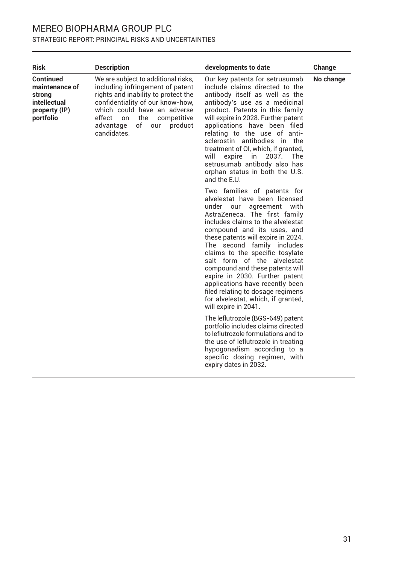| <b>Risk</b>                                                                                       | <b>Description</b>                                                                                                                                                                                                                                                          | developments to date                                                                                                                                                                                                                                                                                                                                                                                                                                                                                                                             | Change    |
|---------------------------------------------------------------------------------------------------|-----------------------------------------------------------------------------------------------------------------------------------------------------------------------------------------------------------------------------------------------------------------------------|--------------------------------------------------------------------------------------------------------------------------------------------------------------------------------------------------------------------------------------------------------------------------------------------------------------------------------------------------------------------------------------------------------------------------------------------------------------------------------------------------------------------------------------------------|-----------|
| <b>Continued</b><br>maintenance of<br>strong<br><b>intellectual</b><br>property (IP)<br>portfolio | We are subject to additional risks,<br>including infringement of patent<br>rights and inability to protect the<br>confidentiality of our know-how,<br>which could have an adverse<br>effect<br>the<br>on<br>competitive<br>οf<br>product<br>advantage<br>our<br>candidates. | Our key patents for setrusumab<br>include claims directed to the<br>antibody itself as well as the<br>antibody's use as a medicinal<br>product. Patents in this family<br>will expire in 2028. Further patent<br>applications have been filed<br>relating to the use of anti-<br>sclerostin antibodies in the<br>treatment of OI, which, if granted,<br>will<br>expire in 2037. The<br>setrusumab antibody also has<br>orphan status in both the U.S.<br>and the E.U.                                                                            | No change |
|                                                                                                   |                                                                                                                                                                                                                                                                             | Two families of patents for<br>alvelestat have been licensed<br>under our agreement<br>with<br>AstraZeneca. The first family<br>includes claims to the alvelestat<br>compound and its uses, and<br>these patents will expire in 2024.<br>The second family includes<br>claims to the specific tosylate<br>salt form of the alvelestat<br>compound and these patents will<br>expire in 2030. Further patent<br>applications have recently been<br>filed relating to dosage regimens<br>for alvelestat, which, if granted,<br>will expire in 2041. |           |
|                                                                                                   |                                                                                                                                                                                                                                                                             | The leflutrozole (BGS-649) patent<br>portfolio includes claims directed<br>to leflutrozole formulations and to<br>the use of leflutrozole in treating<br>hypogonadism according to a<br>specific dosing regimen, with<br>expiry dates in 2032.                                                                                                                                                                                                                                                                                                   |           |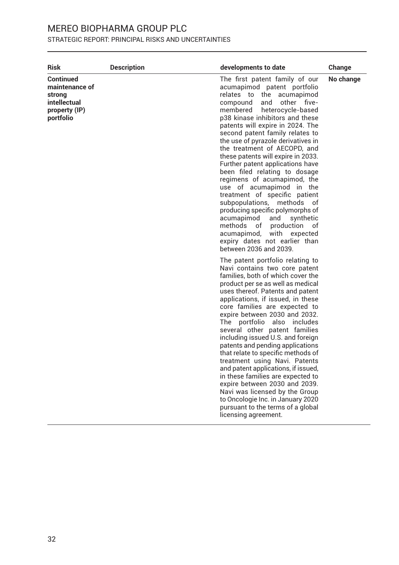| <b>Risk</b>                                                                                | <b>Description</b> | developments to date                                                                                                                                                                                                                                                                                                                                                                                                                                                                                                                                                                                                                                                                                                                                                            | Change    |
|--------------------------------------------------------------------------------------------|--------------------|---------------------------------------------------------------------------------------------------------------------------------------------------------------------------------------------------------------------------------------------------------------------------------------------------------------------------------------------------------------------------------------------------------------------------------------------------------------------------------------------------------------------------------------------------------------------------------------------------------------------------------------------------------------------------------------------------------------------------------------------------------------------------------|-----------|
| <b>Continued</b><br>maintenance of<br>strong<br>intellectual<br>property (IP)<br>portfolio |                    | The first patent family of our<br>acumapimod patent portfolio<br>relates to the acumapimod<br>compound<br>and other five-<br>membered<br>heterocycle-based<br>p38 kinase inhibitors and these<br>patents will expire in 2024. The<br>second patent family relates to<br>the use of pyrazole derivatives in<br>the treatment of AECOPD, and<br>these patents will expire in 2033.<br>Further patent applications have<br>been filed relating to dosage<br>regimens of acumapimod, the<br>use of acumapimod in the<br>treatment of specific patient<br>subpopulations, methods of<br>producing specific polymorphs of<br>acumapimod<br>and<br>synthetic<br>methods of<br>production of<br>acumapimod,<br>with expected<br>expiry dates not earlier than<br>between 2036 and 2039. | No change |
|                                                                                            |                    | The patent portfolio relating to<br>Navi contains two core patent<br>families, both of which cover the<br>product per se as well as medical<br>uses thereof. Patents and patent<br>applications, if issued, in these<br>core families are expected to<br>expire between 2030 and 2032.<br>The portfolio also includes<br>several other patent families<br>including issued U.S. and foreign<br>patents and pending applications<br>that relate to specific methods of<br>treatment using Navi. Patents<br>and patent applications, if issued,<br>in these families are expected to<br>expire between 2030 and 2039.<br>Navi was licensed by the Group<br>to Oncologie Inc. in January 2020<br>pursuant to the terms of a global<br>licensing agreement.                         |           |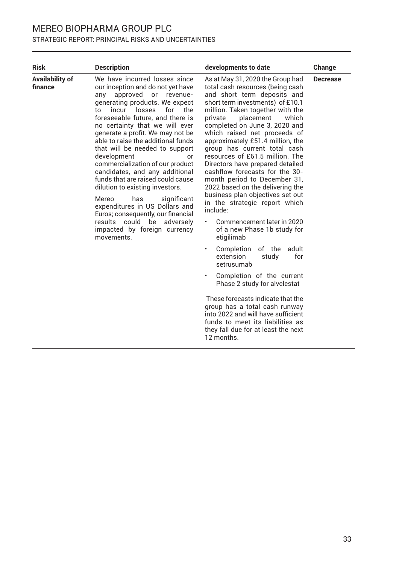| <b>Risk</b>                       | <b>Description</b>                                                                                                                                                                                                                                                                                                                                                                                                                                                                                                                                                                                                                                                                                              | developments to date                                                                                                                                                                                                                                                                                                                                                                                                                                                                                                                                                                                                                                                                                                                                                                                                                                                                                                                                                                                                                                               | Change          |
|-----------------------------------|-----------------------------------------------------------------------------------------------------------------------------------------------------------------------------------------------------------------------------------------------------------------------------------------------------------------------------------------------------------------------------------------------------------------------------------------------------------------------------------------------------------------------------------------------------------------------------------------------------------------------------------------------------------------------------------------------------------------|--------------------------------------------------------------------------------------------------------------------------------------------------------------------------------------------------------------------------------------------------------------------------------------------------------------------------------------------------------------------------------------------------------------------------------------------------------------------------------------------------------------------------------------------------------------------------------------------------------------------------------------------------------------------------------------------------------------------------------------------------------------------------------------------------------------------------------------------------------------------------------------------------------------------------------------------------------------------------------------------------------------------------------------------------------------------|-----------------|
| <b>Availability of</b><br>finance | We have incurred losses since<br>our inception and do not yet have<br>any approved or revenue-<br>generating products. We expect<br>losses<br>incur<br>for the<br>to<br>foreseeable future, and there is<br>no certainty that we will ever<br>generate a profit. We may not be<br>able to raise the additional funds<br>that will be needed to support<br>development<br>or<br>commercialization of our product<br>candidates, and any additional<br>funds that are raised could cause<br>dilution to existing investors.<br>Mereo<br>has<br>significant<br>expenditures in US Dollars and<br>Euros; consequently, our financial<br>results could be<br>adversely<br>impacted by foreign currency<br>movements. | As at May 31, 2020 the Group had<br>total cash resources (being cash<br>and short term deposits and<br>short term investments) of £10.1<br>million. Taken together with the<br>placement<br>private<br>which<br>completed on June 3, 2020 and<br>which raised net proceeds of<br>approximately £51.4 million, the<br>group has current total cash<br>resources of £61.5 million. The<br>Directors have prepared detailed<br>cashflow forecasts for the 30-<br>month period to December 31,<br>2022 based on the delivering the<br>business plan objectives set out<br>in the strategic report which<br>include:<br>Commencement later in 2020<br>of a new Phase 1b study for<br>etigilimab<br>Completion<br>of the<br>adult<br>$\bullet$<br>extension<br>for<br>study<br>setrusumab<br>Completion of the current<br>$\bullet$<br>Phase 2 study for alvelestat<br>These forecasts indicate that the<br>group has a total cash runway<br>into 2022 and will have sufficient<br>funds to meet its liabilities as<br>they fall due for at least the next<br>12 months. | <b>Decrease</b> |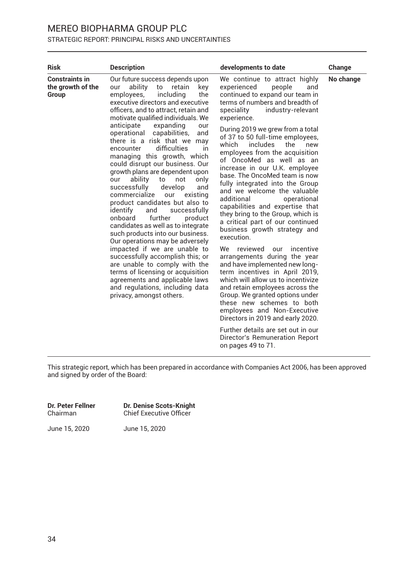| <b>Risk</b>                                         | <b>Description</b>                                                                                                                                                                                                                                                                                                                                                                                                                                                                                                                                                                                                                                                                                                                                                                                                                                                                                                                                                                                                                                        | developments to date                                                                                                                                                                                                                                                                                                                                                                                                                                                                                                                                                                                                                                                                                                                                                                                                                                                                                                                                                                                                                                                                                                                            | Change    |
|-----------------------------------------------------|-----------------------------------------------------------------------------------------------------------------------------------------------------------------------------------------------------------------------------------------------------------------------------------------------------------------------------------------------------------------------------------------------------------------------------------------------------------------------------------------------------------------------------------------------------------------------------------------------------------------------------------------------------------------------------------------------------------------------------------------------------------------------------------------------------------------------------------------------------------------------------------------------------------------------------------------------------------------------------------------------------------------------------------------------------------|-------------------------------------------------------------------------------------------------------------------------------------------------------------------------------------------------------------------------------------------------------------------------------------------------------------------------------------------------------------------------------------------------------------------------------------------------------------------------------------------------------------------------------------------------------------------------------------------------------------------------------------------------------------------------------------------------------------------------------------------------------------------------------------------------------------------------------------------------------------------------------------------------------------------------------------------------------------------------------------------------------------------------------------------------------------------------------------------------------------------------------------------------|-----------|
| <b>Constraints in</b><br>the growth of the<br>Group | Our future success depends upon<br>ability<br>retain<br>to<br>key<br>our<br>including<br>the<br>employees,<br>executive directors and executive<br>officers, and to attract, retain and<br>motivate qualified individuals. We<br>anticipate<br>expanding<br>our<br>operational<br>capabilities,<br>and<br>there is a risk that we may<br>difficulties<br>encounter<br>in.<br>managing this growth, which<br>could disrupt our business. Our<br>growth plans are dependent upon<br>ability<br>to<br>not<br>only<br>our<br>successfully<br>develop<br>and<br>commercialize<br>existing<br>our<br>product candidates but also to<br>identify<br>and<br>successfully<br>further<br>onboard<br>product<br>candidates as well as to integrate<br>such products into our business.<br>Our operations may be adversely<br>impacted if we are unable to<br>successfully accomplish this; or<br>are unable to comply with the<br>terms of licensing or acquisition<br>agreements and applicable laws<br>and regulations, including data<br>privacy, amongst others. | We continue to attract highly<br>experienced<br>people<br>and<br>continued to expand our team in<br>terms of numbers and breadth of<br>speciality<br>industry-relevant<br>experience.<br>During 2019 we grew from a total<br>of 37 to 50 full-time employees,<br>which<br>includes<br>the<br>new<br>employees from the acquisition<br>of OncoMed as well as an<br>increase in our U.K. employee<br>base. The OncoMed team is now<br>fully integrated into the Group<br>and we welcome the valuable<br>additional<br>operational<br>capabilities and expertise that<br>they bring to the Group, which is<br>a critical part of our continued<br>business growth strategy and<br>execution.<br>reviewed<br>incentive<br>We.<br>our<br>arrangements during the year<br>and have implemented new long-<br>term incentives in April 2019,<br>which will allow us to incentivize<br>and retain employees across the<br>Group. We granted options under<br>these new schemes to both<br>employees and Non-Executive<br>Directors in 2019 and early 2020.<br>Further details are set out in our<br>Director's Remuneration Report<br>on pages 49 to 71. | No change |

This strategic report, which has been prepared in accordance with Companies Act 2006, has been approved and signed by order of the Board:

**Dr. Peter Fellner Dr. Denise Scots-Knight<br>
Chairman Chief Executive Officer** 

Chief Executive Officer

June 15, 2020 June 15, 2020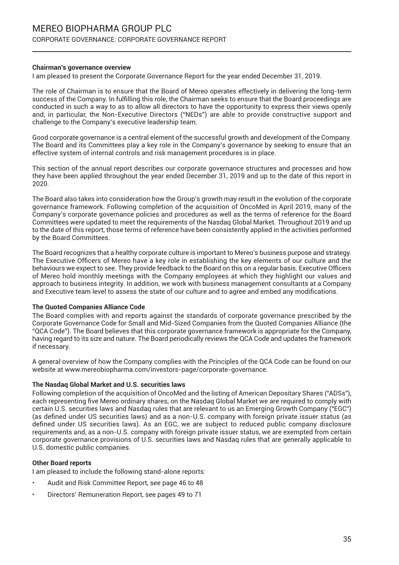### **Chairman's governance overview**

I am pleased to present the Corporate Governance Report for the year ended December 31, 2019.

The role of Chairman is to ensure that the Board of Mereo operates effectively in delivering the long-term success of the Company. In fulfilling this role, the Chairman seeks to ensure that the Board proceedings are conducted in such a way to as to allow all directors to have the opportunity to express their views openly and, in particular, the Non-Executive Directors ("NEDs") are able to provide constructive support and challenge to the Company's executive leadership team.

Good corporate governance is a central element of the successful growth and development of the Company. The Board and its Committees play a key role in the Company's governance by seeking to ensure that an effective system of internal controls and risk management procedures is in place.

This section of the annual report describes our corporate governance structures and processes and how they have been applied throughout the year ended December 31, 2019 and up to the date of this report in 2020.

The Board also takes into consideration how the Group's growth may result in the evolution of the corporate governance framework. Following completion of the acquisition of OncoMed in April 2019, many of the Company's corporate governance policies and procedures as well as the terms of reference for the Board Committees were updated to meet the requirements of the Nasdaq Global Market. Throughout 2019 and up to the date of this report, those terms of reference have been consistently applied in the activities performed by the Board Committees.

The Board recognizes that a healthy corporate culture is important to Mereo's business purpose and strategy. The Executive Officers of Mereo have a key role in establishing the key elements of our culture and the behaviours we expect to see. They provide feedback to the Board on this on a regular basis. Executive Officers of Mereo hold monthly meetings with the Company employees at which they highlight our values and approach to business integrity. In addition, we work with business management consultants at a Company and Executive team level to assess the state of our culture and to agree and embed any modifications.

### **The Quoted Companies Alliance Code**

The Board complies with and reports against the standards of corporate governance prescribed by the Corporate Governance Code for Small and Mid-Sized Companies from the Quoted Companies Alliance (the "QCA Code"). The Board believes that this corporate governance framework is appropriate for the Company, having regard to its size and nature. The Board periodically reviews the QCA Code and updates the framework if necessary.

A general overview of how the Company complies with the Principles of the QCA Code can be found on our website at www.mereobiopharma.com/investors-page/corporate-governance.

### **The Nasdaq Global Market and U.S. securities laws**

Following completion of the acquisition of OncoMed and the listing of American Depositary Shares ("ADSs"), each representing five Mereo ordinary shares, on the Nasdaq Global Market we are required to comply with certain U.S. securities laws and Nasdaq rules that are relevant to us an Emerging Growth Company ("EGC") (as defined under US securities laws) and as a non-U.S. company with foreign private issuer status (as defined under US securities laws). As an EGC, we are subject to reduced public company disclosure requirements and, as a non-U.S. company with foreign private issuer status, we are exempted from certain corporate governance provisions of U.S. securities laws and Nasdaq rules that are generally applicable to U.S. domestic public companies.

### **Other Board reports**

I am pleased to include the following stand-alone reports:

- Audit and Risk Committee Report, see page 46 to 48
- Directors' Remuneration Report, see pages 49 to 71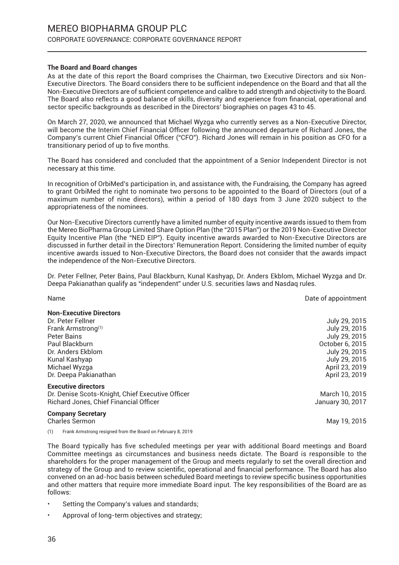### **The Board and Board changes**

As at the date of this report the Board comprises the Chairman, two Executive Directors and six Non-Executive Directors. The Board considers there to be sufficient independence on the Board and that all the Non-Executive Directors are of sufficient competence and calibre to add strength and objectivity to the Board. The Board also reflects a good balance of skills, diversity and experience from financial, operational and sector specific backgrounds as described in the Directors' biographies on pages 43 to 45.

On March 27, 2020, we announced that Michael Wyzga who currently serves as a Non-Executive Director, will become the Interim Chief Financial Officer following the announced departure of Richard Jones, the Company's current Chief Financial Officer ("CFO"). Richard Jones will remain in his position as CFO for a transitionary period of up to five months.

The Board has considered and concluded that the appointment of a Senior Independent Director is not necessary at this time.

In recognition of OrbiMed's participation in, and assistance with, the Fundraising, the Company has agreed to grant OrbiMed the right to nominate two persons to be appointed to the Board of Directors (out of a maximum number of nine directors), within a period of 180 days from 3 June 2020 subject to the appropriateness of the nominees.

Our Non-Executive Directors currently have a limited number of equity incentive awards issued to them from the Mereo BioPharma Group Limited Share Option Plan (the "2015 Plan") or the 2019 Non-Executive Director Equity Incentive Plan (the "NED EIP"). Equity incentive awards awarded to Non-Executive Directors are discussed in further detail in the Directors' Remuneration Report. Considering the limited number of equity incentive awards issued to Non-Executive Directors, the Board does not consider that the awards impact the independence of the Non-Executive Directors.

Dr. Peter Fellner, Peter Bains, Paul Blackburn, Kunal Kashyap, Dr. Anders Ekblom, Michael Wyzga and Dr. Deepa Pakianathan qualify as "independent" under U.S. securities laws and Nasdaq rules.

Name **Date of appointment** 

| <b>Non-Executive Directors</b>                   |                  |
|--------------------------------------------------|------------------|
| Dr. Peter Fellner                                | July 29, 2015    |
| Frank Armstrong <sup>(1)</sup>                   | July 29, 2015    |
| Peter Bains                                      | July 29, 2015    |
| Paul Blackburn                                   | October 6, 2015  |
| Dr. Anders Ekblom                                | July 29, 2015    |
| Kunal Kashyap                                    | July 29, 2015    |
| Michael Wyzga                                    | April 23, 2019   |
| Dr. Deepa Pakianathan                            | April 23, 2019   |
| <b>Executive directors</b>                       |                  |
| Dr. Denise Scots-Knight, Chief Executive Officer | March 10, 2015   |
| Richard Jones, Chief Financial Officer           | January 30, 2017 |
| <b>Company Secretary</b>                         |                  |
| <b>Charles Sermon</b>                            | May 19, 2015     |

(1) Frank Armstrong resigned from the Board on February 8, 2019

The Board typically has five scheduled meetings per year with additional Board meetings and Board Committee meetings as circumstances and business needs dictate. The Board is responsible to the shareholders for the proper management of the Group and meets regularly to set the overall direction and strategy of the Group and to review scientific, operational and financial performance. The Board has also convened on an ad-hoc basis between scheduled Board meetings to review specific business opportunities and other matters that require more immediate Board input. The key responsibilities of the Board are as follows:

- Setting the Company's values and standards;
- Approval of long-term objectives and strategy;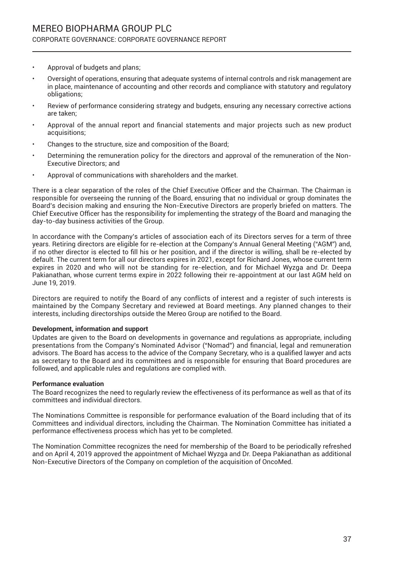## MEREO BIOPHARMA GROUP PLC CORPORATE GOVERNANCE: CORPORATE GOVERNANCE REPORT

- Approval of budgets and plans;
- Oversight of operations, ensuring that adequate systems of internal controls and risk management are in place, maintenance of accounting and other records and compliance with statutory and regulatory obligations;
- Review of performance considering strategy and budgets, ensuring any necessary corrective actions are taken;
- Approval of the annual report and financial statements and major projects such as new product acquisitions;
- Changes to the structure, size and composition of the Board;
- Determining the remuneration policy for the directors and approval of the remuneration of the Non-Executive Directors; and
- Approval of communications with shareholders and the market.

There is a clear separation of the roles of the Chief Executive Officer and the Chairman. The Chairman is responsible for overseeing the running of the Board, ensuring that no individual or group dominates the Board's decision making and ensuring the Non-Executive Directors are properly briefed on matters. The Chief Executive Officer has the responsibility for implementing the strategy of the Board and managing the day-to-day business activities of the Group.

In accordance with the Company's articles of association each of its Directors serves for a term of three years. Retiring directors are eligible for re-election at the Company's Annual General Meeting ("AGM") and, if no other director is elected to fill his or her position, and if the director is willing, shall be re-elected by default. The current term for all our directors expires in 2021, except for Richard Jones, whose current term expires in 2020 and who will not be standing for re-election, and for Michael Wyzga and Dr. Deepa Pakianathan, whose current terms expire in 2022 following their re-appointment at our last AGM held on June 19, 2019.

Directors are required to notify the Board of any conflicts of interest and a register of such interests is maintained by the Company Secretary and reviewed at Board meetings. Any planned changes to their interests, including directorships outside the Mereo Group are notified to the Board.

## **Development, information and support**

Updates are given to the Board on developments in governance and regulations as appropriate, including presentations from the Company's Nominated Advisor ("Nomad") and financial, legal and remuneration advisors. The Board has access to the advice of the Company Secretary, who is a qualified lawyer and acts as secretary to the Board and its committees and is responsible for ensuring that Board procedures are followed, and applicable rules and regulations are complied with.

## **Performance evaluation**

The Board recognizes the need to regularly review the effectiveness of its performance as well as that of its committees and individual directors.

The Nominations Committee is responsible for performance evaluation of the Board including that of its Committees and individual directors, including the Chairman. The Nomination Committee has initiated a performance effectiveness process which has yet to be completed.

The Nomination Committee recognizes the need for membership of the Board to be periodically refreshed and on April 4, 2019 approved the appointment of Michael Wyzga and Dr. Deepa Pakianathan as additional Non-Executive Directors of the Company on completion of the acquisition of OncoMed.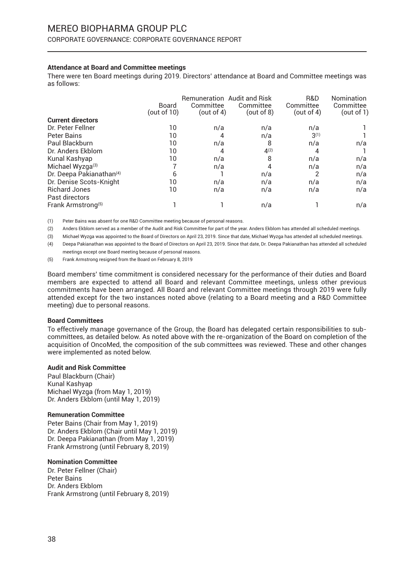## **Attendance at Board and Committee meetings**

There were ten Board meetings during 2019. Directors' attendance at Board and Committee meetings was as follows:

|                                      | Board<br>(out of $10$ ) | Remuneration Audit and Risk<br>Committee<br>(out of 4) | Committee<br>(out of $8$ ) | R&D<br>Committee<br>(out of 4) | Nomination<br>Committee<br>(out of $1$ ) |
|--------------------------------------|-------------------------|--------------------------------------------------------|----------------------------|--------------------------------|------------------------------------------|
| <b>Current directors</b>             |                         |                                                        |                            |                                |                                          |
| Dr. Peter Fellner                    | 10                      | n/a                                                    | n/a                        | n/a                            |                                          |
| Peter Bains                          | 10                      | 4                                                      | n/a                        | $3^{(1)}$                      |                                          |
| Paul Blackburn                       | 10                      | n/a                                                    | 8                          | n/a                            | n/a                                      |
| Dr. Anders Ekblom                    | 10                      | 4                                                      | $4^{(2)}$                  | 4                              |                                          |
| Kunal Kashyap                        | 10                      | n/a                                                    | 8                          | n/a                            | n/a                                      |
| Michael Wyzga(3)                     |                         | n/a                                                    | 4                          | n/a                            | n/a                                      |
| Dr. Deepa Pakianathan <sup>(4)</sup> | 6                       |                                                        | n/a                        | 2                              | n/a                                      |
| Dr. Denise Scots-Knight              | 10                      | n/a                                                    | n/a                        | n/a                            | n/a                                      |
| <b>Richard Jones</b>                 | 10                      | n/a                                                    | n/a                        | n/a                            | n/a                                      |
| Past directors                       |                         |                                                        |                            |                                |                                          |
| Frank Armstrong <sup>(5)</sup>       |                         |                                                        | n/a                        |                                | n/a                                      |

(1) Peter Bains was absent for one R&D Committee meeting because of personal reasons.

(2) Anders Ekblom served as a member of the Audit and Risk Committee for part of the year. Anders Ekblom has attended all scheduled meetings.

(3) Michael Wyzga was appointed to the Board of Directors on April 23, 2019. Since that date, Michael Wyzga has attended all scheduled meetings.

(4) Deepa Pakianathan was appointed to the Board of Directors on April 23, 2019. Since that date, Dr. Deepa Pakianathan has attended all scheduled meetings except one Board meeting because of personal reasons.

(5) Frank Armstrong resigned from the Board on February 8, 2019

Board members' time commitment is considered necessary for the performance of their duties and Board members are expected to attend all Board and relevant Committee meetings, unless other previous commitments have been arranged. All Board and relevant Committee meetings through 2019 were fully attended except for the two instances noted above (relating to a Board meeting and a R&D Committee meeting) due to personal reasons.

#### **Board Committees**

To effectively manage governance of the Group, the Board has delegated certain responsibilities to subcommittees, as detailed below. As noted above with the re-organization of the Board on completion of the acquisition of OncoMed, the composition of the sub committees was reviewed. These and other changes were implemented as noted below.

#### **Audit and Risk Committee**

Paul Blackburn (Chair) Kunal Kashyap Michael Wyzga (from May 1, 2019) Dr. Anders Ekblom (until May 1, 2019)

#### **Remuneration Committee**

Peter Bains (Chair from May 1, 2019) Dr. Anders Ekblom (Chair until May 1, 2019) Dr. Deepa Pakianathan (from May 1, 2019) Frank Armstrong (until February 8, 2019)

#### **Nomination Committee**

Dr. Peter Fellner (Chair) Peter Bains Dr. Anders Ekblom Frank Armstrong (until February 8, 2019)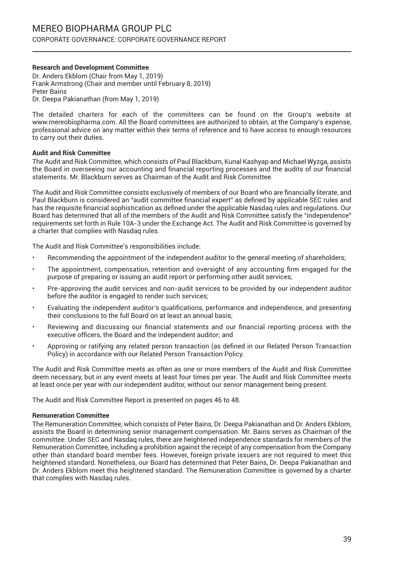## MEREO BIOPHARMA GROUP PLC CORPORATE GOVERNANCE: CORPORATE GOVERNANCE REPORT

## **Research and Development Committee**

Dr. Anders Ekblom (Chair from May 1, 2019) Frank Armstrong (Chair and member until February 8, 2019) Peter Bains Dr. Deepa Pakianathan (from May 1, 2019)

The detailed charters for each of the committees can be found on the Group's website at www.mereobiopharma.com. All the Board committees are authorized to obtain, at the Company's expense, professional advice on any matter within their terms of reference and to have access to enough resources to carry out their duties.

## **Audit and Risk Committee**

The Audit and Risk Committee, which consists of Paul Blackburn, Kunal Kashyap and Michael Wyzga, assists the Board in overseeing our accounting and financial reporting processes and the audits of our financial statements. Mr. Blackburn serves as Chairman of the Audit and Risk Committee.

The Audit and Risk Committee consists exclusively of members of our Board who are financially literate, and Paul Blackburn is considered an "audit committee financial expert" as defined by applicable SEC rules and has the requisite financial sophistication as defined under the applicable Nasdaq rules and regulations. Our Board has determined that all of the members of the Audit and Risk Committee satisfy the "independence" requirements set forth in Rule 10A-3 under the Exchange Act. The Audit and Risk Committee is governed by a charter that complies with Nasdaq rules.

The Audit and Risk Committee's responsibilities include:

- Recommending the appointment of the independent auditor to the general meeting of shareholders;
- The appointment, compensation, retention and oversight of any accounting firm engaged for the purpose of preparing or issuing an audit report or performing other audit services;
- Pre-approving the audit services and non-audit services to be provided by our independent auditor before the auditor is engaged to render such services;
- Evaluating the independent auditor's qualifications, performance and independence, and presenting their conclusions to the full Board on at least an annual basis;
- Reviewing and discussing our financial statements and our financial reporting process with the executive officers, the Board and the independent auditor; and
- Approving or ratifying any related person transaction (as defined in our Related Person Transaction Policy) in accordance with our Related Person Transaction Policy.

The Audit and Risk Committee meets as often as one or more members of the Audit and Risk Committee deem necessary, but in any event meets at least four times per year. The Audit and Risk Committee meets at least once per year with our independent auditor, without our senior management being present.

The Audit and Risk Committee Report is presented on pages 46 to 48.

## **Remuneration Committee**

The Remuneration Committee, which consists of Peter Bains, Dr. Deepa Pakianathan and Dr. Anders Ekblom, assists the Board in determining senior management compensation. Mr. Bains serves as Chairman of the committee. Under SEC and Nasdaq rules, there are heightened independence standards for members of the Remuneration Committee, including a prohibition against the receipt of any compensation from the Company other than standard board member fees. However, foreign private issuers are not required to meet this heightened standard. Nonetheless, our Board has determined that Peter Bains, Dr. Deepa Pakianathan and Dr. Anders Ekblom meet this heightened standard. The Remuneration Committee is governed by a charter that complies with Nasdaq rules.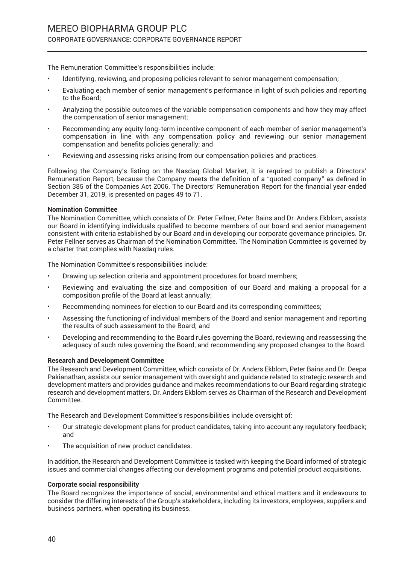The Remuneration Committee's responsibilities include:

- Identifying, reviewing, and proposing policies relevant to senior management compensation;
- Evaluating each member of senior management's performance in light of such policies and reporting to the Board;
- Analyzing the possible outcomes of the variable compensation components and how they may affect the compensation of senior management;
- Recommending any equity long-term incentive component of each member of senior management's compensation in line with any compensation policy and reviewing our senior management compensation and benefits policies generally; and
- Reviewing and assessing risks arising from our compensation policies and practices.

Following the Company's listing on the Nasdaq Global Market, it is required to publish a Directors' Remuneration Report, because the Company meets the definition of a "quoted company" as defined in Section 385 of the Companies Act 2006. The Directors' Remuneration Report for the financial year ended December 31, 2019, is presented on pages 49 to 71.

## **Nomination Committee**

The Nomination Committee, which consists of Dr. Peter Fellner, Peter Bains and Dr. Anders Ekblom, assists our Board in identifying individuals qualified to become members of our board and senior management consistent with criteria established by our Board and in developing our corporate governance principles. Dr. Peter Fellner serves as Chairman of the Nomination Committee. The Nomination Committee is governed by a charter that complies with Nasdaq rules.

The Nomination Committee's responsibilities include:

- Drawing up selection criteria and appointment procedures for board members;
- Reviewing and evaluating the size and composition of our Board and making a proposal for a composition profile of the Board at least annually;
- Recommending nominees for election to our Board and its corresponding committees;
- Assessing the functioning of individual members of the Board and senior management and reporting the results of such assessment to the Board; and
- Developing and recommending to the Board rules governing the Board, reviewing and reassessing the adequacy of such rules governing the Board, and recommending any proposed changes to the Board.

## **Research and Development Committee**

The Research and Development Committee, which consists of Dr. Anders Ekblom, Peter Bains and Dr. Deepa Pakianathan, assists our senior management with oversight and guidance related to strategic research and development matters and provides guidance and makes recommendations to our Board regarding strategic research and development matters. Dr. Anders Ekblom serves as Chairman of the Research and Development Committee.

The Research and Development Committee's responsibilities include oversight of:

- Our strategic development plans for product candidates, taking into account any regulatory feedback; and
- The acquisition of new product candidates.

In addition, the Research and Development Committee is tasked with keeping the Board informed of strategic issues and commercial changes affecting our development programs and potential product acquisitions.

## **Corporate social responsibility**

The Board recognizes the importance of social, environmental and ethical matters and it endeavours to consider the differing interests of the Group's stakeholders, including its investors, employees, suppliers and business partners, when operating its business.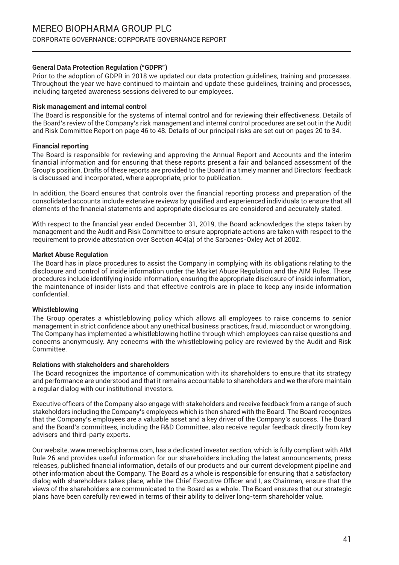## **General Data Protection Regulation ("GDPR")**

Prior to the adoption of GDPR in 2018 we updated our data protection guidelines, training and processes. Throughout the year we have continued to maintain and update these guidelines, training and processes, including targeted awareness sessions delivered to our employees.

## **Risk management and internal control**

The Board is responsible for the systems of internal control and for reviewing their effectiveness. Details of the Board's review of the Company's risk management and internal control procedures are set out in the Audit and Risk Committee Report on page 46 to 48. Details of our principal risks are set out on pages 20 to 34.

## **Financial reporting**

The Board is responsible for reviewing and approving the Annual Report and Accounts and the interim financial information and for ensuring that these reports present a fair and balanced assessment of the Group's position. Drafts of these reports are provided to the Board in a timely manner and Directors' feedback is discussed and incorporated, where appropriate, prior to publication.

In addition, the Board ensures that controls over the financial reporting process and preparation of the consolidated accounts include extensive reviews by qualified and experienced individuals to ensure that all elements of the financial statements and appropriate disclosures are considered and accurately stated.

With respect to the financial year ended December 31, 2019, the Board acknowledges the steps taken by management and the Audit and Risk Committee to ensure appropriate actions are taken with respect to the requirement to provide attestation over Section 404(a) of the Sarbanes-Oxley Act of 2002.

## **Market Abuse Regulation**

The Board has in place procedures to assist the Company in complying with its obligations relating to the disclosure and control of inside information under the Market Abuse Regulation and the AIM Rules. These procedures include identifying inside information, ensuring the appropriate disclosure of inside information, the maintenance of insider lists and that effective controls are in place to keep any inside information confidential.

## **Whistleblowing**

The Group operates a whistleblowing policy which allows all employees to raise concerns to senior management in strict confidence about any unethical business practices, fraud, misconduct or wrongdoing. The Company has implemented a whistleblowing hotline through which employees can raise questions and concerns anonymously. Any concerns with the whistleblowing policy are reviewed by the Audit and Risk Committee.

## **Relations with stakeholders and shareholders**

The Board recognizes the importance of communication with its shareholders to ensure that its strategy and performance are understood and that it remains accountable to shareholders and we therefore maintain a regular dialog with our institutional investors.

Executive officers of the Company also engage with stakeholders and receive feedback from a range of such stakeholders including the Company's employees which is then shared with the Board. The Board recognizes that the Company's employees are a valuable asset and a key driver of the Company's success. The Board and the Board's committees, including the R&D Committee, also receive regular feedback directly from key advisers and third-party experts.

Our website, www.mereobiopharma.com, has a dedicated investor section, which is fully compliant with AIM Rule 26 and provides useful information for our shareholders including the latest announcements, press releases, published financial information, details of our products and our current development pipeline and other information about the Company. The Board as a whole is responsible for ensuring that a satisfactory dialog with shareholders takes place, while the Chief Executive Officer and I, as Chairman, ensure that the views of the shareholders are communicated to the Board as a whole. The Board ensures that our strategic plans have been carefully reviewed in terms of their ability to deliver long-term shareholder value.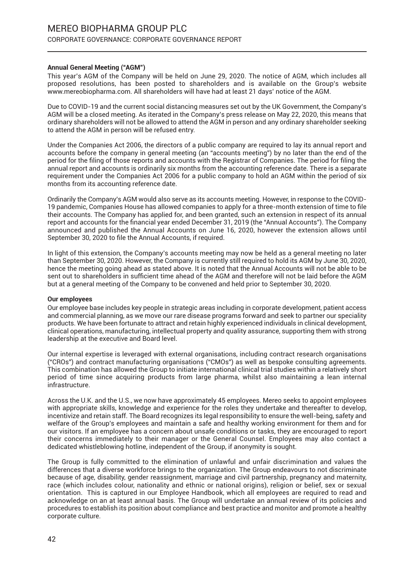## **Annual General Meeting ("AGM")**

This year's AGM of the Company will be held on June 29, 2020. The notice of AGM, which includes all proposed resolutions, has been posted to shareholders and is available on the Group's website www.mereobiopharma.com. All shareholders will have had at least 21 days' notice of the AGM.

Due to COVID-19 and the current social distancing measures set out by the UK Government, the Company's AGM will be a closed meeting. As iterated in the Company's press release on May 22, 2020, this means that ordinary shareholders will not be allowed to attend the AGM in person and any ordinary shareholder seeking to attend the AGM in person will be refused entry.

Under the Companies Act 2006, the directors of a public company are required to lay its annual report and accounts before the company in general meeting (an "accounts meeting") by no later than the end of the period for the filing of those reports and accounts with the Registrar of Companies. The period for filing the annual report and accounts is ordinarily six months from the accounting reference date. There is a separate requirement under the Companies Act 2006 for a public company to hold an AGM within the period of six months from its accounting reference date.

Ordinarily the Company's AGM would also serve as its accounts meeting. However, in response to the COVID-19 pandemic, Companies House has allowed companies to apply for a three-month extension of time to file their accounts. The Company has applied for, and been granted, such an extension in respect of its annual report and accounts for the financial year ended December 31, 2019 (the "Annual Accounts"). The Company announced and published the Annual Accounts on June 16, 2020, however the extension allows until September 30, 2020 to file the Annual Accounts, if required.

In light of this extension, the Company's accounts meeting may now be held as a general meeting no later than September 30, 2020. However, the Company is currently still required to hold its AGM by June 30, 2020, hence the meeting going ahead as stated above. It is noted that the Annual Accounts will not be able to be sent out to shareholders in sufficient time ahead of the AGM and therefore will not be laid before the AGM but at a general meeting of the Company to be convened and held prior to September 30, 2020.

## **Our employees**

Our employee base includes key people in strategic areas including in corporate development, patient access and commercial planning, as we move our rare disease programs forward and seek to partner our speciality products. We have been fortunate to attract and retain highly experienced individuals in clinical development, clinical operations, manufacturing, intellectual property and quality assurance, supporting them with strong leadership at the executive and Board level.

Our internal expertise is leveraged with external organisations, including contract research organisations ("CROs") and contract manufacturing organisations ("CMOs") as well as bespoke consulting agreements. This combination has allowed the Group to initiate international clinical trial studies within a relatively short period of time since acquiring products from large pharma, whilst also maintaining a lean internal infrastructure.

Across the U.K. and the U.S., we now have approximately 45 employees. Mereo seeks to appoint employees with appropriate skills, knowledge and experience for the roles they undertake and thereafter to develop, incentivize and retain staff. The Board recognizes its legal responsibility to ensure the well-being, safety and welfare of the Group's employees and maintain a safe and healthy working environment for them and for our visitors. If an employee has a concern about unsafe conditions or tasks, they are encouraged to report their concerns immediately to their manager or the General Counsel. Employees may also contact a dedicated whistleblowing hotline, independent of the Group, if anonymity is sought.

The Group is fully committed to the elimination of unlawful and unfair discrimination and values the differences that a diverse workforce brings to the organization. The Group endeavours to not discriminate because of age, disability, gender reassignment, marriage and civil partnership, pregnancy and maternity, race (which includes colour, nationality and ethnic or national origins), religion or belief, sex or sexual orientation. This is captured in our Employee Handbook, which all employees are required to read and acknowledge on an at least annual basis. The Group will undertake an annual review of its policies and procedures to establish its position about compliance and best practice and monitor and promote a healthy corporate culture.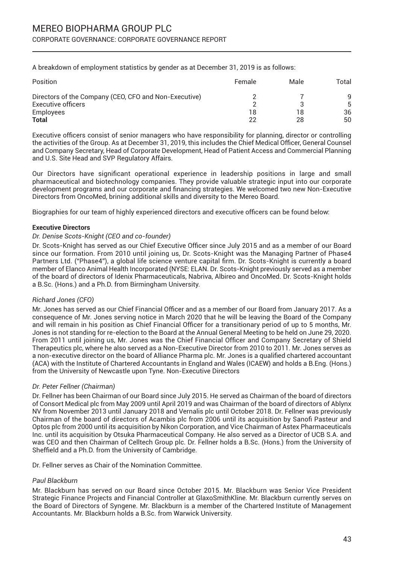A breakdown of employment statistics by gender as at December 31, 2019 is as follows:

| Position                                              | <b>Female</b> | Male | Total |
|-------------------------------------------------------|---------------|------|-------|
| Directors of the Company (CEO, CFO and Non-Executive) |               |      | q     |
| <b>Executive officers</b>                             |               |      | 5     |
| Employees                                             | 18            |      | 36    |
| Total                                                 | つつ            | 28   | 50    |

Executive officers consist of senior managers who have responsibility for planning, director or controlling the activities of the Group. As at December 31, 2019, this includes the Chief Medical Officer, General Counsel and Company Secretary, Head of Corporate Development, Head of Patient Access and Commercial Planning and U.S. Site Head and SVP Regulatory Affairs.

Our Directors have significant operational experience in leadership positions in large and small pharmaceutical and biotechnology companies. They provide valuable strategic input into our corporate development programs and our corporate and financing strategies. We welcomed two new Non-Executive Directors from OncoMed, brining additional skills and diversity to the Mereo Board.

Biographies for our team of highly experienced directors and executive officers can be found below:

## **Executive Directors**

## *Dr. Denise Scots-Knight (CEO and co-founder)*

Dr. Scots-Knight has served as our Chief Executive Officer since July 2015 and as a member of our Board since our formation. From 2010 until joining us, Dr. Scots-Knight was the Managing Partner of Phase4 Partners Ltd. ("Phase4"), a global life science venture capital firm. Dr. Scots-Knight is currently a board member of Elanco Animal Health Incorporated (NYSE: ELAN. Dr. Scots-Knight previously served as a member of the board of directors of Idenix Pharmaceuticals, Nabriva, Albireo and OncoMed. Dr. Scots-Knight holds a B.Sc. (Hons.) and a Ph.D. from Birmingham University.

## *Richard Jones (CFO)*

Mr. Jones has served as our Chief Financial Officer and as a member of our Board from January 2017. As a consequence of Mr. Jones serving notice in March 2020 that he will be leaving the Board of the Company and will remain in his position as Chief Financial Officer for a transitionary period of up to 5 months, Mr. Jones is not standing for re-election to the Board at the Annual General Meeting to be held on June 29, 2020. From 2011 until joining us, Mr. Jones was the Chief Financial Officer and Company Secretary of Shield Therapeutics plc, where he also served as a Non-Executive Director from 2010 to 2011. Mr. Jones serves as a non-executive director on the board of Alliance Pharma plc. Mr. Jones is a qualified chartered accountant (ACA) with the Institute of Chartered Accountants in England and Wales (ICAEW) and holds a B.Eng. (Hons.) from the University of Newcastle upon Tyne. Non-Executive Directors

## *Dr. Peter Fellner (Chairman)*

Dr. Fellner has been Chairman of our Board since July 2015. He served as Chairman of the board of directors of Consort Medical plc from May 2009 until April 2019 and was Chairman of the board of directors of Ablynx NV from November 2013 until January 2018 and Vernalis plc until October 2018. Dr. Fellner was previously Chairman of the board of directors of Acambis plc from 2006 until its acquisition by Sanofi Pasteur and Optos plc from 2000 until its acquisition by Nikon Corporation, and Vice Chairman of Astex Pharmaceuticals Inc. until its acquisition by Otsuka Pharmaceutical Company. He also served as a Director of UCB S.A. and was CEO and then Chairman of Celltech Group plc. Dr. Fellner holds a B.Sc. (Hons.) from the University of Sheffield and a Ph.D. from the University of Cambridge.

Dr. Fellner serves as Chair of the Nomination Committee.

## *Paul Blackburn*

Mr. Blackburn has served on our Board since October 2015. Mr. Blackburn was Senior Vice President Strategic Finance Projects and Financial Controller at GlaxoSmithKline. Mr. Blackburn currently serves on the Board of Directors of Syngene. Mr. Blackburn is a member of the Chartered Institute of Management Accountants. Mr. Blackburn holds a B.Sc. from Warwick University.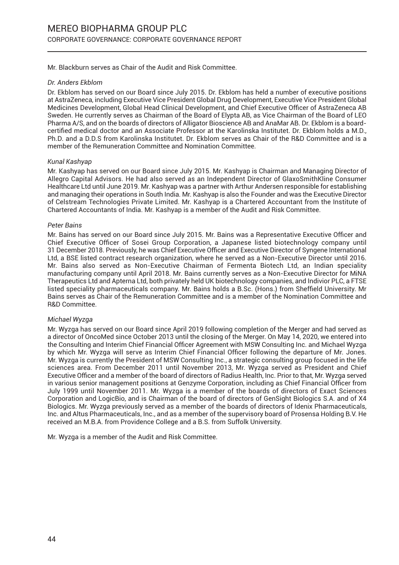Mr. Blackburn serves as Chair of the Audit and Risk Committee.

## *Dr. Anders Ekblom*

Dr. Ekblom has served on our Board since July 2015. Dr. Ekblom has held a number of executive positions at AstraZeneca, including Executive Vice President Global Drug Development, Executive Vice President Global Medicines Development, Global Head Clinical Development, and Chief Executive Officer of AstraZeneca AB Sweden. He currently serves as Chairman of the Board of Elypta AB, as Vice Chairman of the Board of LEO Pharma A/S, and on the boards of directors of Alligator Bioscience AB and AnaMar AB. Dr. Ekblom is a boardcertified medical doctor and an Associate Professor at the Karolinska Institutet. Dr. Ekblom holds a M.D., Ph.D. and a D.D.S from Karolinska Institutet. Dr. Ekblom serves as Chair of the R&D Committee and is a member of the Remuneration Committee and Nomination Committee.

## *Kunal Kashyap*

Mr. Kashyap has served on our Board since July 2015. Mr. Kashyap is Chairman and Managing Director of Allegro Capital Advisors. He had also served as an Independent Director of GlaxoSmithKline Consumer Healthcare Ltd until June 2019. Mr. Kashyap was a partner with Arthur Andersen responsible for establishing and managing their operations in South India. Mr. Kashyap is also the Founder and was the Executive Director of Celstream Technologies Private Limited. Mr. Kashyap is a Chartered Accountant from the Institute of Chartered Accountants of India. Mr. Kashyap is a member of the Audit and Risk Committee.

## *Peter Bains*

Mr. Bains has served on our Board since July 2015. Mr. Bains was a Representative Executive Officer and Chief Executive Officer of Sosei Group Corporation, a Japanese listed biotechnology company until 31 December 2018. Previously, he was Chief Executive Officer and Executive Director of Syngene International Ltd, a BSE listed contract research organization, where he served as a Non-Executive Director until 2016. Mr. Bains also served as Non-Executive Chairman of Fermenta Biotech Ltd, an Indian speciality manufacturing company until April 2018. Mr. Bains currently serves as a Non-Executive Director for MiNA Therapeutics Ltd and Apterna Ltd, both privately held UK biotechnology companies, and Indivior PLC, a FTSE listed speciality pharmaceuticals company. Mr. Bains holds a B.Sc. (Hons.) from Sheffield University. Mr Bains serves as Chair of the Remuneration Committee and is a member of the Nomination Committee and R&D Committee.

## *Michael Wyzga*

Mr. Wyzga has served on our Board since April 2019 following completion of the Merger and had served as a director of OncoMed since October 2013 until the closing of the Merger. On May 14, 2020, we entered into the Consulting and Interim Chief Financial Officer Agreement with MSW Consulting Inc. and Michael Wyzga by which Mr. Wyzga will serve as Interim Chief Financial Officer following the departure of Mr. Jones. Mr. Wyzga is currently the President of MSW Consulting Inc., a strategic consulting group focused in the life sciences area. From December 2011 until November 2013, Mr. Wyzga served as President and Chief Executive Officer and a member of the board of directors of Radius Health, Inc. Prior to that, Mr. Wyzga served in various senior management positions at Genzyme Corporation, including as Chief Financial Officer from July 1999 until November 2011. Mr. Wyzga is a member of the boards of directors of Exact Sciences Corporation and LogicBio, and is Chairman of the board of directors of GenSight Biologics S.A. and of X4 Biologics. Mr. Wyzga previously served as a member of the boards of directors of Idenix Pharmaceuticals, Inc. and Altus Pharmaceuticals, Inc., and as a member of the supervisory board of Prosensa Holding B.V. He received an M.B.A. from Providence College and a B.S. from Suffolk University.

Mr. Wyzga is a member of the Audit and Risk Committee.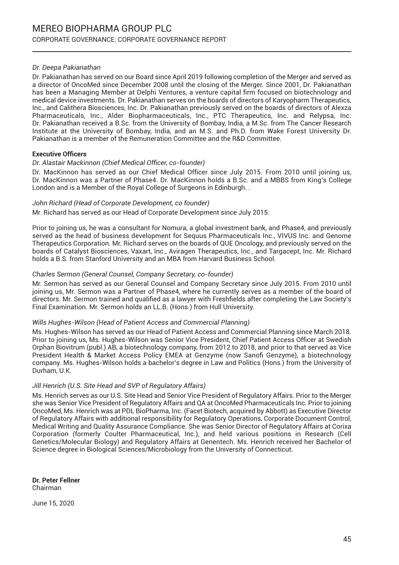## *Dr. Deepa Pakianathan*

Dr. Pakianathan has served on our Board since April 2019 following completion of the Merger and served as a director of OncoMed since December 2008 until the closing of the Merger. Since 2001, Dr. Pakianathan has been a Managing Member at Delphi Ventures, a venture capital firm focused on biotechnology and medical device investments. Dr. Pakianathan serves on the boards of directors of Karyopharm Therapeutics, Inc., and Calithera Biosciences, Inc. Dr. Pakianathan previously served on the boards of directors of Alexza Pharmaceuticals, Inc., Alder Biopharmaceuticals, Inc., PTC Therapeutics, Inc. and Relypsa, Inc. Dr. Pakianathan received a B.Sc. from the University of Bombay, India, a M.Sc. from The Cancer Research Institute at the University of Bombay, India, and an M.S. and Ph.D. from Wake Forest University Dr. Pakianathan is a member of the Remuneration Committee and the R&D Committee.

## **Executive Officers**

## *Dr. Alastair Mackinnon (Chief Medical Officer, co-founder)*

Dr. MacKinnon has served as our Chief Medical Officer since July 2015. From 2010 until joining us, Dr. MacKinnon was a Partner of Phase4. Dr. MacKinnon holds a B.Sc. and a MBBS from King's College London and is a Member of the Royal College of Surgeons in Edinburgh. .

## *John Richard (Head of Corporate Development, co founder)*

Mr. Richard has served as our Head of Corporate Development since July 2015.

Prior to joining us, he was a consultant for Nomura, a global investment bank, and Phase4, and previously served as the head of business development for Sequus Pharmaceuticals Inc., VIVUS Inc. and Genome Therapeutics Corporation. Mr. Richard serves on the boards of QUE Oncology, and previously served on the boards of Catalyst Biosciences, Vaxart, Inc., Aviragen Therapeutics, Inc., and Targacept, Inc. Mr. Richard holds a B.S. from Stanford University and an MBA from Harvard Business School.

## *Charles Sermon (General Counsel, Company Secretary, co-founder)*

Mr. Sermon has served as our General Counsel and Company Secretary since July 2015. From 2010 until joining us, Mr. Sermon was a Partner of Phase4, where he currently serves as a member of the board of directors. Mr. Sermon trained and qualified as a lawyer with Freshfields after completing the Law Society's Final Examination. Mr. Sermon holds an LL.B. (Hons.) from Hull University.

## *Wills Hughes-Wilson (Head of Patient Access and Commercial Planning)*

Ms. Hughes-Wilson has served as our Head of Patient Access and Commercial Planning since March 2018. Prior to joining us, Ms. Hughes-Wilson was Senior Vice President, Chief Patient Access Officer at Swedish Orphan Biovitrum (publ.) AB, a biotechnology company, from 2012 to 2018, and prior to that served as Vice President Health & Market Access Policy EMEA at Genzyme (now Sanofi Genzyme), a biotechnology company. Ms. Hughes-Wilson holds a bachelor's degree in Law and Politics (Hons.) from the University of Durham, U.K.

## *Jill Henrich (U.S. Site Head and SVP of Regulatory Affairs)*

Ms. Henrich serves as our U.S. Site Head and Senior Vice President of Regulatory Affairs. Prior to the Merger she was Senior Vice President of Regulatory Affairs and QA at OncoMed Pharmaceuticals Inc. Prior to joining OncoMed, Ms. Henrich was at PDL BioPharma, Inc. (Facet Biotech, acquired by Abbott) as Executive Director of Regulatory Affairs with additional responsibility for Regulatory Operations, Corporate Document Control, Medical Writing and Quality Assurance Compliance. She was Senior Director of Regulatory Affairs at Corixa Corporation (formerly Coulter Pharmaceutical, Inc.), and held various positions in Research (Cell Genetics/Molecular Biology) and Regulatory Affairs at Genentech. Ms. Henrich received her Bachelor of Science degree in Biological Sciences/Microbiology from the University of Connecticut.

**Dr. Peter Fellner**  Chairman

June 15, 2020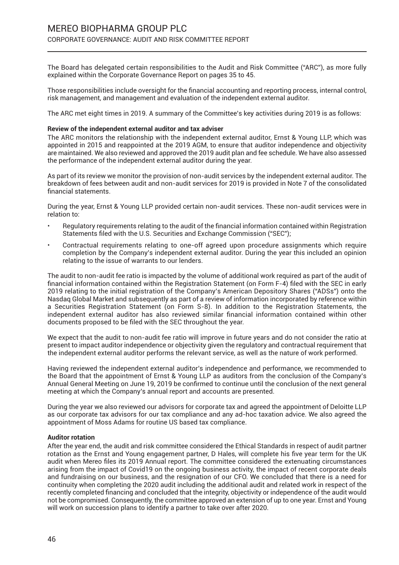The Board has delegated certain responsibilities to the Audit and Risk Committee ("ARC"), as more fully explained within the Corporate Governance Report on pages 35 to 45.

Those responsibilities include oversight for the financial accounting and reporting process, internal control, risk management, and management and evaluation of the independent external auditor.

The ARC met eight times in 2019. A summary of the Committee's key activities during 2019 is as follows:

#### **Review of the independent external auditor and tax adviser**

The ARC monitors the relationship with the independent external auditor, Ernst & Young LLP, which was appointed in 2015 and reappointed at the 2019 AGM, to ensure that auditor independence and objectivity are maintained. We also reviewed and approved the 2019 audit plan and fee schedule. We have also assessed the performance of the independent external auditor during the year.

As part of its review we monitor the provision of non-audit services by the independent external auditor. The breakdown of fees between audit and non-audit services for 2019 is provided in Note 7 of the consolidated financial statements.

During the year, Ernst & Young LLP provided certain non-audit services. These non-audit services were in relation to:

- Regulatory requirements relating to the audit of the financial information contained within Registration Statements filed with the U.S. Securities and Exchange Commission ("SEC");
- Contractual requirements relating to one-off agreed upon procedure assignments which require completion by the Company's independent external auditor. During the year this included an opinion relating to the issue of warrants to our lenders.

The audit to non-audit fee ratio is impacted by the volume of additional work required as part of the audit of financial information contained within the Registration Statement (on Form F-4) filed with the SEC in early 2019 relating to the initial registration of the Company's American Depository Shares ("ADSs") onto the Nasdaq Global Market and subsequently as part of a review of information incorporated by reference within a Securities Registration Statement (on Form S-8). In addition to the Registration Statements, the independent external auditor has also reviewed similar financial information contained within other documents proposed to be filed with the SEC throughout the year.

We expect that the audit to non-audit fee ratio will improve in future years and do not consider the ratio at present to impact auditor independence or objectivity given the regulatory and contractual requirement that the independent external auditor performs the relevant service, as well as the nature of work performed.

Having reviewed the independent external auditor's independence and performance, we recommended to the Board that the appointment of Ernst & Young LLP as auditors from the conclusion of the Company's Annual General Meeting on June 19, 2019 be confirmed to continue until the conclusion of the next general meeting at which the Company's annual report and accounts are presented.

During the year we also reviewed our advisors for corporate tax and agreed the appointment of Deloitte LLP as our corporate tax advisors for our tax compliance and any ad-hoc taxation advice. We also agreed the appointment of Moss Adams for routine US based tax compliance.

## **Auditor rotation**

After the year end, the audit and risk committee considered the Ethical Standards in respect of audit partner rotation as the Ernst and Young engagement partner, D Hales, will complete his five year term for the UK audit when Mereo files its 2019 Annual report. The committee considered the extenuating circumstances arising from the impact of Covid19 on the ongoing business activity, the impact of recent corporate deals and fundraising on our business, and the resignation of our CFO. We concluded that there is a need for continuity when completing the 2020 audit including the additional audit and related work in respect of the recently completed financing and concluded that the integrity, objectivity or independence of the audit would not be compromised. Consequently, the committee approved an extension of up to one year. Ernst and Young will work on succession plans to identify a partner to take over after 2020.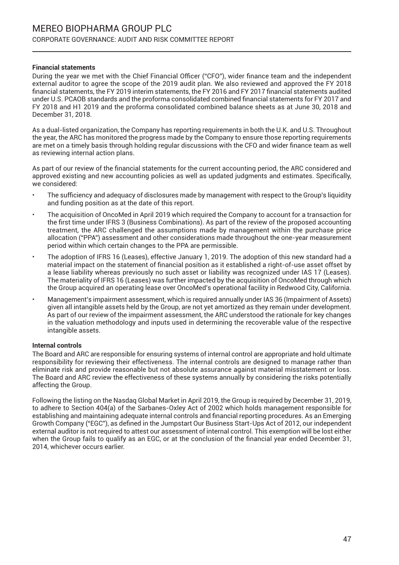## **Financial statements**

During the year we met with the Chief Financial Officer ("CFO"), wider finance team and the independent external auditor to agree the scope of the 2019 audit plan. We also reviewed and approved the FY 2018 financial statements, the FY 2019 interim statements, the FY 2016 and FY 2017 financial statements audited under U.S. PCAOB standards and the proforma consolidated combined financial statements for FY 2017 and FY 2018 and H1 2019 and the proforma consolidated combined balance sheets as at June 30, 2018 and December 31, 2018.

As a dual-listed organization, the Company has reporting requirements in both the U.K. and U.S. Throughout the year, the ARC has monitored the progress made by the Company to ensure those reporting requirements are met on a timely basis through holding regular discussions with the CFO and wider finance team as well as reviewing internal action plans.

As part of our review of the financial statements for the current accounting period, the ARC considered and approved existing and new accounting policies as well as updated judgments and estimates. Specifically, we considered:

- The sufficiency and adequacy of disclosures made by management with respect to the Group's liquidity and funding position as at the date of this report.
- The acquisition of OncoMed in April 2019 which required the Company to account for a transaction for the first time under IFRS 3 (Business Combinations). As part of the review of the proposed accounting treatment, the ARC challenged the assumptions made by management within the purchase price allocation ("PPA") assessment and other considerations made throughout the one-year measurement period within which certain changes to the PPA are permissible.
- The adoption of IFRS 16 (Leases), effective January 1, 2019. The adoption of this new standard had a material impact on the statement of financial position as it established a right-of-use asset offset by a lease liability whereas previously no such asset or liability was recognized under IAS 17 (Leases). The materiality of IFRS 16 (Leases) was further impacted by the acquisition of OncoMed through which the Group acquired an operating lease over OncoMed's operational facility in Redwood City, California.
- Management's impairment assessment, which is required annually under IAS 36 (Impairment of Assets) given all intangible assets held by the Group, are not yet amortized as they remain under development. As part of our review of the impairment assessment, the ARC understood the rationale for key changes in the valuation methodology and inputs used in determining the recoverable value of the respective intangible assets.

## **Internal controls**

The Board and ARC are responsible for ensuring systems of internal control are appropriate and hold ultimate responsibility for reviewing their effectiveness. The internal controls are designed to manage rather than eliminate risk and provide reasonable but not absolute assurance against material misstatement or loss. The Board and ARC review the effectiveness of these systems annually by considering the risks potentially affecting the Group.

Following the listing on the Nasdaq Global Market in April 2019, the Group is required by December 31, 2019, to adhere to Section 404(a) of the Sarbanes-Oxley Act of 2002 which holds management responsible for establishing and maintaining adequate internal controls and financial reporting procedures. As an Emerging Growth Company ("EGC"), as defined in the Jumpstart Our Business Start-Ups Act of 2012, our independent external auditor is not required to attest our assessment of internal control. This exemption will be lost either when the Group fails to qualify as an EGC, or at the conclusion of the financial year ended December 31, 2014, whichever occurs earlier.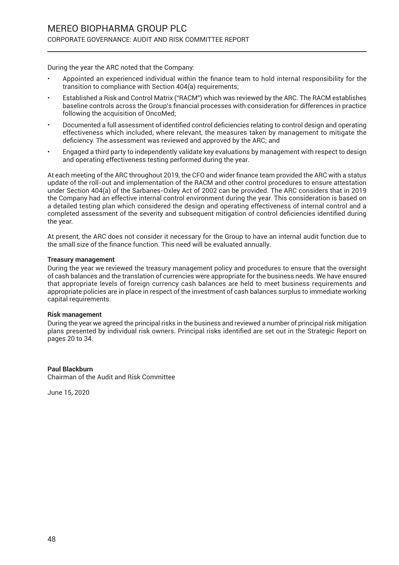During the year the ARC noted that the Company:

- Appointed an experienced individual within the finance team to hold internal responsibility for the transition to compliance with Section 404(a) requirements;
- Established a Risk and Control Matrix ("RACM") which was reviewed by the ARC. The RACM establishes baseline controls across the Group's financial processes with consideration for differences in practice following the acquisition of OncoMed;
- Documented a full assessment of identified control deficiencies relating to control design and operating effectiveness which included, where relevant, the measures taken by management to mitigate the deficiency. The assessment was reviewed and approved by the ARC; and
- Engaged a third party to independently validate key evaluations by management with respect to design and operating effectiveness testing performed during the year.

At each meeting of the ARC throughout 2019, the CFO and wider finance team provided the ARC with a status update of the roll-out and implementation of the RACM and other control procedures to ensure attestation under Section 404(a) of the Sarbanes-Oxley Act of 2002 can be provided. The ARC considers that in 2019 the Company had an effective internal control environment during the year. This consideration is based on a detailed testing plan which considered the design and operating effectiveness of internal control and a completed assessment of the severity and subsequent mitigation of control deficiencies identified during the year.

At present, the ARC does not consider it necessary for the Group to have an internal audit function due to the small size of the finance function. This need will be evaluated annually.

## **Treasury management**

During the year we reviewed the treasury management policy and procedures to ensure that the oversight of cash balances and the translation of currencies were appropriate for the business needs. We have ensured that appropriate levels of foreign currency cash balances are held to meet business requirements and appropriate policies are in place in respect of the investment of cash balances surplus to immediate working capital requirements.

## **Risk management**

During the year we agreed the principal risks in the business and reviewed a number of principal risk mitigation plans presented by individual risk owners. Principal risks identified are set out in the Strategic Report on pages 20 to 34.

## **Paul Blackburn**

Chairman of the Audit and Risk Committee

June 15, 2020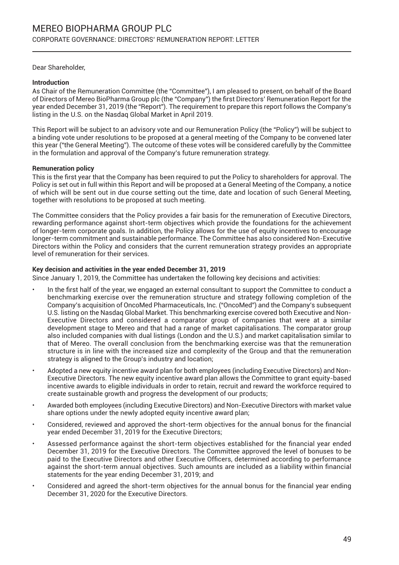Dear Shareholder,

## **Introduction**

As Chair of the Remuneration Committee (the "Committee"), I am pleased to present, on behalf of the Board of Directors of Mereo BioPharma Group plc (the "Company") the first Directors' Remuneration Report for the year ended December 31, 2019 (the "Report"). The requirement to prepare this report follows the Company's listing in the U.S. on the Nasdaq Global Market in April 2019.

This Report will be subject to an advisory vote and our Remuneration Policy (the "Policy") will be subject to a binding vote under resolutions to be proposed at a general meeting of the Company to be convened later this year ("the General Meeting"). The outcome of these votes will be considered carefully by the Committee in the formulation and approval of the Company's future remuneration strategy.

## **Remuneration policy**

This is the first year that the Company has been required to put the Policy to shareholders for approval. The Policy is set out in full within this Report and will be proposed at a General Meeting of the Company, a notice of which will be sent out in due course setting out the time, date and location of such General Meeting, together with resolutions to be proposed at such meeting.

The Committee considers that the Policy provides a fair basis for the remuneration of Executive Directors, rewarding performance against short-term objectives which provide the foundations for the achievement of longer-term corporate goals. In addition, the Policy allows for the use of equity incentives to encourage longer-term commitment and sustainable performance. The Committee has also considered Non-Executive Directors within the Policy and considers that the current remuneration strategy provides an appropriate level of remuneration for their services.

## **Key decision and activities in the year ended December 31, 2019**

Since January 1, 2019, the Committee has undertaken the following key decisions and activities:

- In the first half of the year, we engaged an external consultant to support the Committee to conduct a benchmarking exercise over the remuneration structure and strategy following completion of the Company's acquisition of OncoMed Pharmaceuticals, Inc. ("OncoMed") and the Company's subsequent U.S. listing on the Nasdaq Global Market. This benchmarking exercise covered both Executive and Non-Executive Directors and considered a comparator group of companies that were at a similar development stage to Mereo and that had a range of market capitalisations. The comparator group also included companies with dual listings (London and the U.S.) and market capitalisation similar to that of Mereo. The overall conclusion from the benchmarking exercise was that the remuneration structure is in line with the increased size and complexity of the Group and that the remuneration strategy is aligned to the Group's industry and location;
- Adopted a new equity incentive award plan for both employees (including Executive Directors) and Non-Executive Directors. The new equity incentive award plan allows the Committee to grant equity-based incentive awards to eligible individuals in order to retain, recruit and reward the workforce required to create sustainable growth and progress the development of our products;
- Awarded both employees (including Executive Directors) and Non-Executive Directors with market value share options under the newly adopted equity incentive award plan;
- Considered, reviewed and approved the short-term objectives for the annual bonus for the financial year ended December 31, 2019 for the Executive Directors;
- Assessed performance against the short-term objectives established for the financial year ended December 31, 2019 for the Executive Directors. The Committee approved the level of bonuses to be paid to the Executive Directors and other Executive Officers, determined according to performance against the short-term annual objectives. Such amounts are included as a liability within financial statements for the year ending December 31, 2019; and
- Considered and agreed the short-term objectives for the annual bonus for the financial year ending December 31, 2020 for the Executive Directors.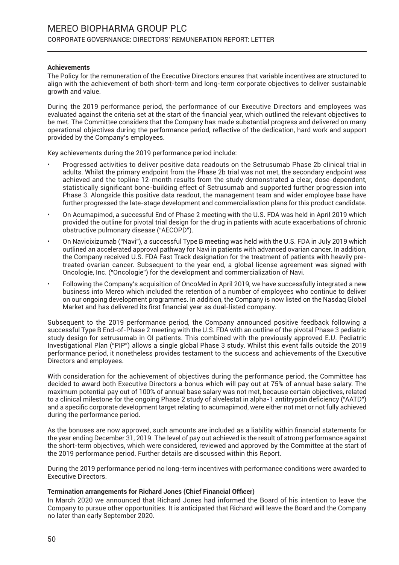### **Achievements**

The Policy for the remuneration of the Executive Directors ensures that variable incentives are structured to align with the achievement of both short-term and long-term corporate objectives to deliver sustainable growth and value.

During the 2019 performance period, the performance of our Executive Directors and employees was evaluated against the criteria set at the start of the financial year, which outlined the relevant objectives to be met. The Committee considers that the Company has made substantial progress and delivered on many operational objectives during the performance period, reflective of the dedication, hard work and support provided by the Company's employees.

Key achievements during the 2019 performance period include:

- Progressed activities to deliver positive data readouts on the Setrusumab Phase 2b clinical trial in adults. Whilst the primary endpoint from the Phase 2b trial was not met, the secondary endpoint was achieved and the topline 12-month results from the study demonstrated a clear, dose-dependent, statistically significant bone-building effect of Setrusumab and supported further progression into Phase 3. Alongside this positive data readout, the management team and wider employee base have further progressed the late-stage development and commercialisation plans for this product candidate.
- On Acumapimod, a successful End of Phase 2 meeting with the U.S. FDA was held in April 2019 which provided the outline for pivotal trial design for the drug in patients with acute exacerbations of chronic obstructive pulmonary disease ("AECOPD").
- On Navicixizumab ("Navi"), a successful Type B meeting was held with the U.S. FDA in July 2019 which outlined an accelerated approval pathway for Navi in patients with advanced ovarian cancer. In addition, the Company received U.S. FDA Fast Track designation for the treatment of patients with heavily pretreated ovarian cancer. Subsequent to the year end, a global license agreement was signed with Oncologie, Inc. ("Oncologie") for the development and commercialization of Navi.
- Following the Company's acquisition of OncoMed in April 2019, we have successfully integrated a new business into Mereo which included the retention of a number of employees who continue to deliver on our ongoing development programmes. In addition, the Company is now listed on the Nasdaq Global Market and has delivered its first financial year as dual-listed company.

Subsequent to the 2019 performance period, the Company announced positive feedback following a successful Type B End-of-Phase 2 meeting with the U.S. FDA with an outline of the pivotal Phase 3 pediatric study design for setrusumab in OI patients. This combined with the previously approved E.U. Pediatric Investigational Plan ("PIP") allows a single global Phase 3 study. Whilst this event falls outside the 2019 performance period, it nonetheless provides testament to the success and achievements of the Executive Directors and employees.

With consideration for the achievement of objectives during the performance period, the Committee has decided to award both Executive Directors a bonus which will pay out at 75% of annual base salary. The maximum potential pay out of 100% of annual base salary was not met, because certain objectives, related to a clinical milestone for the ongoing Phase 2 study of alvelestat in alpha-1 antitrypsin deficiency ("AATD") and a specific corporate development target relating to acumapimod, were either not met or not fully achieved during the performance period.

As the bonuses are now approved, such amounts are included as a liability within financial statements for the year ending December 31, 2019. The level of pay out achieved is the result of strong performance against the short-term objectives, which were considered, reviewed and approved by the Committee at the start of the 2019 performance period. Further details are discussed within this Report.

During the 2019 performance period no long-term incentives with performance conditions were awarded to Executive Directors.

## **Termination arrangements for Richard Jones (Chief Financial Officer)**

In March 2020 we announced that Richard Jones had informed the Board of his intention to leave the Company to pursue other opportunities. It is anticipated that Richard will leave the Board and the Company no later than early September 2020.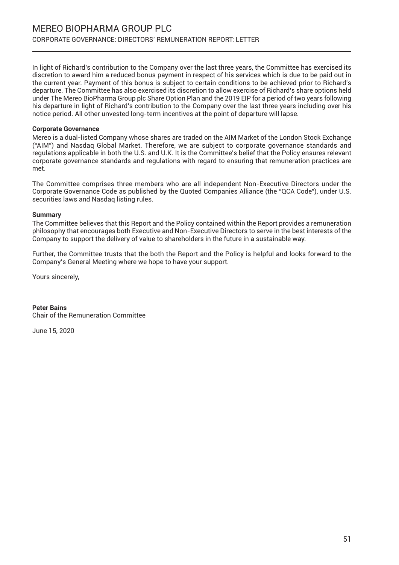In light of Richard's contribution to the Company over the last three years, the Committee has exercised its discretion to award him a reduced bonus payment in respect of his services which is due to be paid out in the current year. Payment of this bonus is subject to certain conditions to be achieved prior to Richard's departure. The Committee has also exercised its discretion to allow exercise of Richard's share options held under The Mereo BioPharma Group plc Share Option Plan and the 2019 EIP for a period of two years following his departure in light of Richard's contribution to the Company over the last three years including over his notice period. All other unvested long-term incentives at the point of departure will lapse.

### **Corporate Governance**

Mereo is a dual-listed Company whose shares are traded on the AIM Market of the London Stock Exchange ("AIM") and Nasdaq Global Market. Therefore, we are subject to corporate governance standards and regulations applicable in both the U.S. and U.K. It is the Committee's belief that the Policy ensures relevant corporate governance standards and regulations with regard to ensuring that remuneration practices are met.

The Committee comprises three members who are all independent Non-Executive Directors under the Corporate Governance Code as published by the Quoted Companies Alliance (the "QCA Code"), under U.S. securities laws and Nasdaq listing rules.

#### **Summary**

The Committee believes that this Report and the Policy contained within the Report provides a remuneration philosophy that encourages both Executive and Non-Executive Directors to serve in the best interests of the Company to support the delivery of value to shareholders in the future in a sustainable way.

Further, the Committee trusts that the both the Report and the Policy is helpful and looks forward to the Company's General Meeting where we hope to have your support.

Yours sincerely,

**Peter Bains**  Chair of the Remuneration Committee

June 15, 2020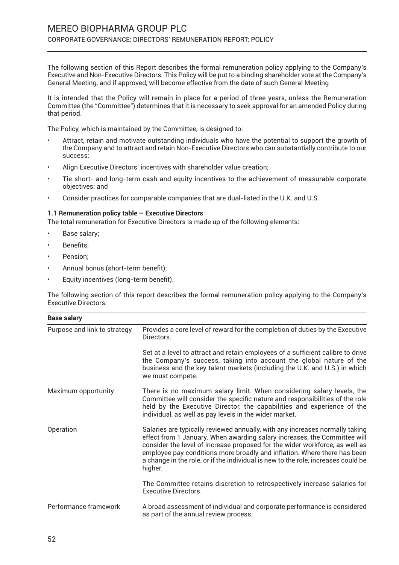The following section of this Report describes the formal remuneration policy applying to the Company's Executive and Non-Executive Directors. This Policy will be put to a binding shareholder vote at the Company's General Meeting, and if approved, will become effective from the date of such General Meeting

It is intended that the Policy will remain in place for a period of three years, unless the Remuneration Committee (the "Committee") determines that it is necessary to seek approval for an amended Policy during that period.

The Policy, which is maintained by the Committee, is designed to:

- Attract, retain and motivate outstanding individuals who have the potential to support the growth of the Company and to attract and retain Non-Executive Directors who can substantially contribute to our success;
- Align Executive Directors' incentives with shareholder value creation;
- Tie short- and long-term cash and equity incentives to the achievement of measurable corporate objectives; and
- Consider practices for comparable companies that are dual-listed in the U.K. and U.S.

#### **1.1 Remuneration policy table – Executive Directors**

The total remuneration for Executive Directors is made up of the following elements:

- Base salary;
- Benefits;
- Pension:
- Annual bonus (short-term benefit);
- Equity incentives (long-term benefit).

The following section of this report describes the formal remuneration policy applying to the Company's Executive Directors:

| <b>Base salary</b>           |                                                                                                                                                                                                                                                                                                                                                                                                                      |
|------------------------------|----------------------------------------------------------------------------------------------------------------------------------------------------------------------------------------------------------------------------------------------------------------------------------------------------------------------------------------------------------------------------------------------------------------------|
| Purpose and link to strategy | Provides a core level of reward for the completion of duties by the Executive<br>Directors.                                                                                                                                                                                                                                                                                                                          |
|                              | Set at a level to attract and retain employees of a sufficient calibre to drive<br>the Company's success, taking into account the global nature of the<br>business and the key talent markets (including the U.K. and U.S.) in which<br>we must compete.                                                                                                                                                             |
| Maximum opportunity          | There is no maximum salary limit. When considering salary levels, the<br>Committee will consider the specific nature and responsibilities of the role<br>held by the Executive Director, the capabilities and experience of the<br>individual, as well as pay levels in the wider market.                                                                                                                            |
| Operation                    | Salaries are typically reviewed annually, with any increases normally taking<br>effect from 1 January. When awarding salary increases, the Committee will<br>consider the level of increase proposed for the wider workforce, as well as<br>employee pay conditions more broadly and inflation. Where there has been<br>a change in the role, or if the individual is new to the role, increases could be<br>higher. |
|                              | The Committee retains discretion to retrospectively increase salaries for<br><b>Executive Directors.</b>                                                                                                                                                                                                                                                                                                             |
| Performance framework        | A broad assessment of individual and corporate performance is considered<br>as part of the annual review process.                                                                                                                                                                                                                                                                                                    |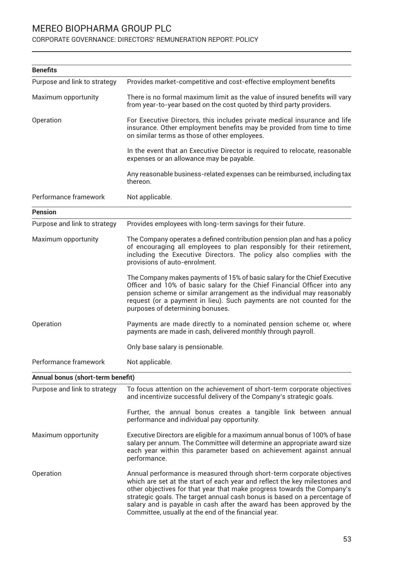# MEREO BIOPHARMA GROUP PLC

CORPORATE GOVERNANCE: DIRECTORS' REMUNERATION REPORT: POLICY

| <b>Benefits</b>                   |                                                                                                                                                                                                                                                                                                                                                                                                                                                |  |  |  |  |
|-----------------------------------|------------------------------------------------------------------------------------------------------------------------------------------------------------------------------------------------------------------------------------------------------------------------------------------------------------------------------------------------------------------------------------------------------------------------------------------------|--|--|--|--|
| Purpose and link to strategy      | Provides market-competitive and cost-effective employment benefits                                                                                                                                                                                                                                                                                                                                                                             |  |  |  |  |
| Maximum opportunity               | There is no formal maximum limit as the value of insured benefits will vary<br>from year-to-year based on the cost quoted by third party providers.                                                                                                                                                                                                                                                                                            |  |  |  |  |
| Operation                         | For Executive Directors, this includes private medical insurance and life<br>insurance. Other employment benefits may be provided from time to time<br>on similar terms as those of other employees.                                                                                                                                                                                                                                           |  |  |  |  |
|                                   | In the event that an Executive Director is required to relocate, reasonable<br>expenses or an allowance may be payable.                                                                                                                                                                                                                                                                                                                        |  |  |  |  |
|                                   | Any reasonable business-related expenses can be reimbursed, including tax<br>thereon.                                                                                                                                                                                                                                                                                                                                                          |  |  |  |  |
| Performance framework             | Not applicable.                                                                                                                                                                                                                                                                                                                                                                                                                                |  |  |  |  |
| <b>Pension</b>                    |                                                                                                                                                                                                                                                                                                                                                                                                                                                |  |  |  |  |
| Purpose and link to strategy      | Provides employees with long-term savings for their future.                                                                                                                                                                                                                                                                                                                                                                                    |  |  |  |  |
| Maximum opportunity               | The Company operates a defined contribution pension plan and has a policy<br>of encouraging all employees to plan responsibly for their retirement,<br>including the Executive Directors. The policy also complies with the<br>provisions of auto-enrolment.                                                                                                                                                                                   |  |  |  |  |
|                                   | The Company makes payments of 15% of basic salary for the Chief Executive<br>Officer and 10% of basic salary for the Chief Financial Officer into any<br>pension scheme or similar arrangement as the individual may reasonably<br>request (or a payment in lieu). Such payments are not counted for the<br>purposes of determining bonuses.                                                                                                   |  |  |  |  |
| Operation                         | Payments are made directly to a nominated pension scheme or, where<br>payments are made in cash, delivered monthly through payroll.                                                                                                                                                                                                                                                                                                            |  |  |  |  |
|                                   | Only base salary is pensionable.                                                                                                                                                                                                                                                                                                                                                                                                               |  |  |  |  |
| Performance framework             | Not applicable.                                                                                                                                                                                                                                                                                                                                                                                                                                |  |  |  |  |
| Annual bonus (short-term benefit) |                                                                                                                                                                                                                                                                                                                                                                                                                                                |  |  |  |  |
| Purpose and link to strategy      | To focus attention on the achievement of short-term corporate objectives<br>and incentivize successful delivery of the Company's strategic goals.                                                                                                                                                                                                                                                                                              |  |  |  |  |
|                                   | Further, the annual bonus creates a tangible link between annual<br>performance and individual pay opportunity.                                                                                                                                                                                                                                                                                                                                |  |  |  |  |
| Maximum opportunity               | Executive Directors are eligible for a maximum annual bonus of 100% of base<br>salary per annum. The Committee will determine an appropriate award size<br>each year within this parameter based on achievement against annual<br>performance.                                                                                                                                                                                                 |  |  |  |  |
| Operation                         | Annual performance is measured through short-term corporate objectives<br>which are set at the start of each year and reflect the key milestones and<br>other objectives for that year that make progress towards the Company's<br>strategic goals. The target annual cash bonus is based on a percentage of<br>salary and is payable in cash after the award has been approved by the<br>Committee, usually at the end of the financial year. |  |  |  |  |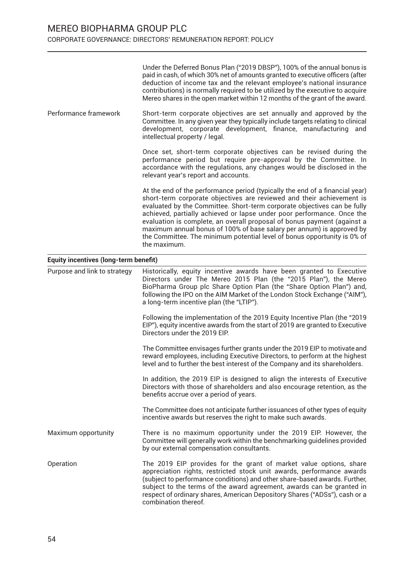|                                              | Under the Deferred Bonus Plan ("2019 DBSP"), 100% of the annual bonus is<br>paid in cash, of which 30% net of amounts granted to executive officers (after<br>deduction of income tax and the relevant employee's national insurance<br>contributions) is normally required to be utilized by the executive to acquire<br>Mereo shares in the open market within 12 months of the grant of the award.                                                                                                                                                       |
|----------------------------------------------|-------------------------------------------------------------------------------------------------------------------------------------------------------------------------------------------------------------------------------------------------------------------------------------------------------------------------------------------------------------------------------------------------------------------------------------------------------------------------------------------------------------------------------------------------------------|
| Performance framework                        | Short-term corporate objectives are set annually and approved by the<br>Committee. In any given year they typically include targets relating to clinical<br>development, corporate development, finance, manufacturing and<br>intellectual property / legal.                                                                                                                                                                                                                                                                                                |
|                                              | Once set, short-term corporate objectives can be revised during the<br>performance period but require pre-approval by the Committee. In<br>accordance with the regulations, any changes would be disclosed in the<br>relevant year's report and accounts.                                                                                                                                                                                                                                                                                                   |
|                                              | At the end of the performance period (typically the end of a financial year)<br>short-term corporate objectives are reviewed and their achievement is<br>evaluated by the Committee. Short-term corporate objectives can be fully<br>achieved, partially achieved or lapse under poor performance. Once the<br>evaluation is complete, an overall proposal of bonus payment (against a<br>maximum annual bonus of 100% of base salary per annum) is approved by<br>the Committee. The minimum potential level of bonus opportunity is 0% of<br>the maximum. |
| <b>Equity incentives (long-term benefit)</b> |                                                                                                                                                                                                                                                                                                                                                                                                                                                                                                                                                             |
| Purpose and link to strategy                 | Historically, equity incentive awards have been granted to Executive<br>Directors under The Mereo 2015 Plan (the "2015 Plan"), the Mereo<br>BioPharma Group plc Share Option Plan (the "Share Option Plan") and,<br>following the IPO on the AIM Market of the London Stock Exchange ("AIM"),<br>a long-term incentive plan (the "LTIP").                                                                                                                                                                                                                   |
|                                              | Following the implementation of the 2019 Equity Incentive Plan (the "2019<br>EIP"), equity incentive awards from the start of 2019 are granted to Executive<br>Directors under the 2019 EIP.                                                                                                                                                                                                                                                                                                                                                                |
|                                              | The Committee envisages further grants under the 2019 EIP to motivate and<br>reward employees, including Executive Directors, to perform at the highest<br>level and to further the best interest of the Company and its shareholders.                                                                                                                                                                                                                                                                                                                      |
|                                              | In addition, the 2019 EIP is designed to align the interests of Executive<br>Directors with those of shareholders and also encourage retention, as the<br>benefits accrue over a period of years.                                                                                                                                                                                                                                                                                                                                                           |
|                                              | The Committee does not anticipate further issuances of other types of equity<br>incentive awards but reserves the right to make such awards.                                                                                                                                                                                                                                                                                                                                                                                                                |
| Maximum opportunity                          | There is no maximum opportunity under the 2019 EIP. However, the<br>Committee will generally work within the benchmarking guidelines provided<br>by our external compensation consultants.                                                                                                                                                                                                                                                                                                                                                                  |
| Operation                                    | The 2019 EIP provides for the grant of market value options, share<br>appreciation rights, restricted stock unit awards, performance awards<br>(subject to performance conditions) and other share-based awards. Further,<br>subject to the terms of the award agreement, awards can be granted in<br>respect of ordinary shares, American Depository Shares ("ADSs"), cash or a<br>combination thereof.                                                                                                                                                    |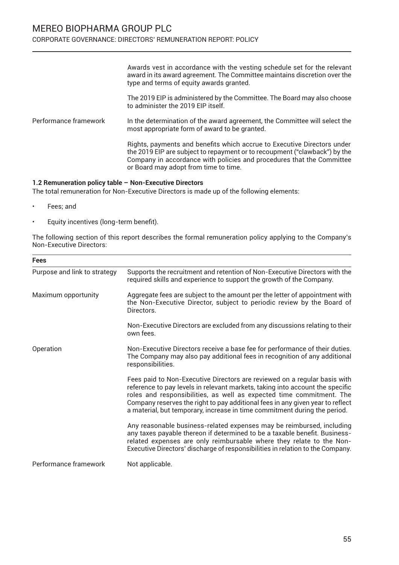|                       | Awards vest in accordance with the vesting schedule set for the relevant<br>award in its award agreement. The Committee maintains discretion over the<br>type and terms of equity awards granted.                                                                       |
|-----------------------|-------------------------------------------------------------------------------------------------------------------------------------------------------------------------------------------------------------------------------------------------------------------------|
|                       | The 2019 EIP is administered by the Committee. The Board may also choose<br>to administer the 2019 EIP itself.                                                                                                                                                          |
| Performance framework | In the determination of the award agreement, the Committee will select the<br>most appropriate form of award to be granted.                                                                                                                                             |
|                       | Rights, payments and benefits which accrue to Executive Directors under<br>the 2019 EIP are subject to repayment or to recoupment ("clawback") by the<br>Company in accordance with policies and procedures that the Committee<br>or Board may adopt from time to time. |

## **1.2 Remuneration policy table – Non-Executive Directors**

The total remuneration for Non-Executive Directors is made up of the following elements:

- Fees; and
- Equity incentives (long-term benefit).

The following section of this report describes the formal remuneration policy applying to the Company's Non-Executive Directors:

| <b>Fees</b>                  |                                                                                                                                                                                                                                                                                                                                                                                                   |
|------------------------------|---------------------------------------------------------------------------------------------------------------------------------------------------------------------------------------------------------------------------------------------------------------------------------------------------------------------------------------------------------------------------------------------------|
| Purpose and link to strategy | Supports the recruitment and retention of Non-Executive Directors with the<br>required skills and experience to support the growth of the Company.                                                                                                                                                                                                                                                |
| Maximum opportunity          | Aggregate fees are subject to the amount per the letter of appointment with<br>the Non-Executive Director, subject to periodic review by the Board of<br>Directors.                                                                                                                                                                                                                               |
|                              | Non-Executive Directors are excluded from any discussions relating to their<br>own fees.                                                                                                                                                                                                                                                                                                          |
| Operation                    | Non-Executive Directors receive a base fee for performance of their duties.<br>The Company may also pay additional fees in recognition of any additional<br>responsibilities.                                                                                                                                                                                                                     |
|                              | Fees paid to Non-Executive Directors are reviewed on a regular basis with<br>reference to pay levels in relevant markets, taking into account the specific<br>roles and responsibilities, as well as expected time commitment. The<br>Company reserves the right to pay additional fees in any given year to reflect<br>a material, but temporary, increase in time commitment during the period. |
|                              | Any reasonable business-related expenses may be reimbursed, including<br>any taxes payable thereon if determined to be a taxable benefit. Business-<br>related expenses are only reimbursable where they relate to the Non-<br>Executive Directors' discharge of responsibilities in relation to the Company.                                                                                     |
| Performance framework        | Not applicable.                                                                                                                                                                                                                                                                                                                                                                                   |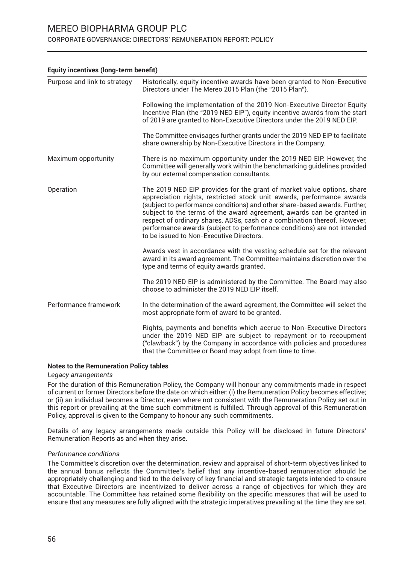# MEREO BIOPHARMA GROUP PLC

CORPORATE GOVERNANCE: DIRECTORS' REMUNERATION REPORT: POLICY

| <b>Equity incentives (long-term benefit)</b> |                                                                                                                                                                                                                                                                                                                                                                                                                                                                                                            |  |  |  |  |
|----------------------------------------------|------------------------------------------------------------------------------------------------------------------------------------------------------------------------------------------------------------------------------------------------------------------------------------------------------------------------------------------------------------------------------------------------------------------------------------------------------------------------------------------------------------|--|--|--|--|
| Purpose and link to strategy                 | Historically, equity incentive awards have been granted to Non-Executive<br>Directors under The Mereo 2015 Plan (the "2015 Plan").                                                                                                                                                                                                                                                                                                                                                                         |  |  |  |  |
|                                              | Following the implementation of the 2019 Non-Executive Director Equity<br>Incentive Plan (the "2019 NED EIP"), equity incentive awards from the start<br>of 2019 are granted to Non-Executive Directors under the 2019 NED EIP.                                                                                                                                                                                                                                                                            |  |  |  |  |
|                                              | The Committee envisages further grants under the 2019 NED EIP to facilitate<br>share ownership by Non-Executive Directors in the Company.                                                                                                                                                                                                                                                                                                                                                                  |  |  |  |  |
| Maximum opportunity                          | There is no maximum opportunity under the 2019 NED EIP. However, the<br>Committee will generally work within the benchmarking guidelines provided<br>by our external compensation consultants.                                                                                                                                                                                                                                                                                                             |  |  |  |  |
| Operation                                    | The 2019 NED EIP provides for the grant of market value options, share<br>appreciation rights, restricted stock unit awards, performance awards<br>(subject to performance conditions) and other share-based awards. Further,<br>subject to the terms of the award agreement, awards can be granted in<br>respect of ordinary shares, ADSs, cash or a combination thereof. However,<br>performance awards (subject to performance conditions) are not intended<br>to be issued to Non-Executive Directors. |  |  |  |  |
|                                              | Awards vest in accordance with the vesting schedule set for the relevant<br>award in its award agreement. The Committee maintains discretion over the<br>type and terms of equity awards granted.                                                                                                                                                                                                                                                                                                          |  |  |  |  |
|                                              | The 2019 NED EIP is administered by the Committee. The Board may also<br>choose to administer the 2019 NED EIP itself.                                                                                                                                                                                                                                                                                                                                                                                     |  |  |  |  |
| Performance framework                        | In the determination of the award agreement, the Committee will select the<br>most appropriate form of award to be granted.                                                                                                                                                                                                                                                                                                                                                                                |  |  |  |  |
|                                              | Rights, payments and benefits which accrue to Non-Executive Directors<br>under the 2019 NED EIP are subject to repayment or to recoupment<br>("clawback") by the Company in accordance with policies and procedures<br>that the Committee or Board may adopt from time to time.                                                                                                                                                                                                                            |  |  |  |  |

## **Notes to the Remuneration Policy tables**

#### *Legacy arrangements*

For the duration of this Remuneration Policy, the Company will honour any commitments made in respect of current or former Directors before the date on which either: (i) the Remuneration Policy becomes effective; or (ii) an individual becomes a Director, even where not consistent with the Remuneration Policy set out in this report or prevailing at the time such commitment is fulfilled. Through approval of this Remuneration Policy, approval is given to the Company to honour any such commitments.

Details of any legacy arrangements made outside this Policy will be disclosed in future Directors' Remuneration Reports as and when they arise.

#### *Performance conditions*

The Committee's discretion over the determination, review and appraisal of short-term objectives linked to the annual bonus reflects the Committee's belief that any incentive-based remuneration should be appropriately challenging and tied to the delivery of key financial and strategic targets intended to ensure that Executive Directors are incentivized to deliver across a range of objectives for which they are accountable. The Committee has retained some flexibility on the specific measures that will be used to ensure that any measures are fully aligned with the strategic imperatives prevailing at the time they are set.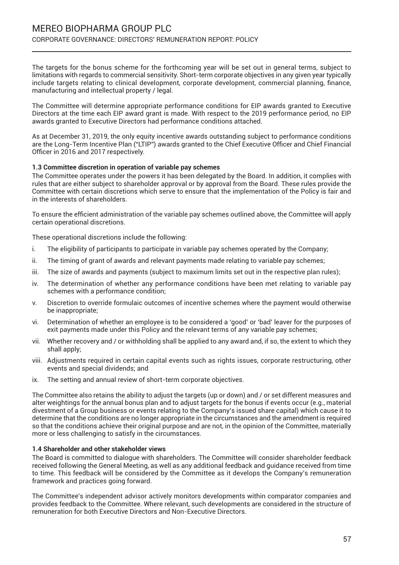The targets for the bonus scheme for the forthcoming year will be set out in general terms, subject to limitations with regards to commercial sensitivity. Short-term corporate objectives in any given year typically include targets relating to clinical development, corporate development, commercial planning, finance, manufacturing and intellectual property / legal.

The Committee will determine appropriate performance conditions for EIP awards granted to Executive Directors at the time each EIP award grant is made. With respect to the 2019 performance period, no EIP awards granted to Executive Directors had performance conditions attached.

As at December 31, 2019, the only equity incentive awards outstanding subject to performance conditions are the Long-Term Incentive Plan ("LTIP") awards granted to the Chief Executive Officer and Chief Financial Officer in 2016 and 2017 respectively.

## **1.3 Committee discretion in operation of variable pay schemes**

The Committee operates under the powers it has been delegated by the Board. In addition, it complies with rules that are either subject to shareholder approval or by approval from the Board. These rules provide the Committee with certain discretions which serve to ensure that the implementation of the Policy is fair and in the interests of shareholders.

To ensure the efficient administration of the variable pay schemes outlined above, the Committee will apply certain operational discretions.

These operational discretions include the following:

- i. The eligibility of participants to participate in variable pay schemes operated by the Company;
- ii. The timing of grant of awards and relevant payments made relating to variable pay schemes;
- iii. The size of awards and payments (subject to maximum limits set out in the respective plan rules);
- iv. The determination of whether any performance conditions have been met relating to variable pay schemes with a performance condition;
- v. Discretion to override formulaic outcomes of incentive schemes where the payment would otherwise be inappropriate;
- vi. Determination of whether an employee is to be considered a 'good' or 'bad' leaver for the purposes of exit payments made under this Policy and the relevant terms of any variable pay schemes;
- vii. Whether recovery and / or withholding shall be applied to any award and, if so, the extent to which they shall apply;
- viii. Adjustments required in certain capital events such as rights issues, corporate restructuring, other events and special dividends; and
- ix. The setting and annual review of short-term corporate objectives.

The Committee also retains the ability to adjust the targets (up or down) and / or set different measures and alter weightings for the annual bonus plan and to adjust targets for the bonus if events occur (e.g., material divestment of a Group business or events relating to the Company's issued share capital) which cause it to determine that the conditions are no longer appropriate in the circumstances and the amendment is required so that the conditions achieve their original purpose and are not, in the opinion of the Committee, materially more or less challenging to satisfy in the circumstances.

## **1.4 Shareholder and other stakeholder views**

The Board is committed to dialogue with shareholders. The Committee will consider shareholder feedback received following the General Meeting, as well as any additional feedback and guidance received from time to time. This feedback will be considered by the Committee as it develops the Company's remuneration framework and practices going forward.

The Committee's independent advisor actively monitors developments within comparator companies and provides feedback to the Committee. Where relevant, such developments are considered in the structure of remuneration for both Executive Directors and Non-Executive Directors.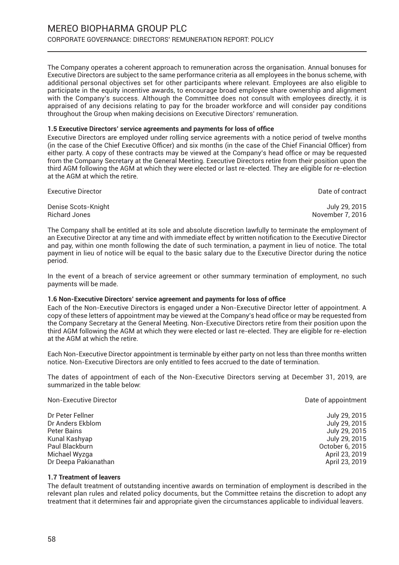## MEREO BIOPHARMA GROUP PLC CORPORATE GOVERNANCE: DIRECTORS' REMUNERATION REPORT: POLICY

The Company operates a coherent approach to remuneration across the organisation. Annual bonuses for Executive Directors are subject to the same performance criteria as all employees in the bonus scheme, with additional personal objectives set for other participants where relevant. Employees are also eligible to participate in the equity incentive awards, to encourage broad employee share ownership and alignment with the Company's success. Although the Committee does not consult with employees directly, it is appraised of any decisions relating to pay for the broader workforce and will consider pay conditions throughout the Group when making decisions on Executive Directors' remuneration.

#### **1.5 Executive Directors' service agreements and payments for loss of office**

Executive Directors are employed under rolling service agreements with a notice period of twelve months (in the case of the Chief Executive Officer) and six months (in the case of the Chief Financial Officer) from either party. A copy of these contracts may be viewed at the Company's head office or may be requested from the Company Secretary at the General Meeting. Executive Directors retire from their position upon the third AGM following the AGM at which they were elected or last re-elected. They are eligible for re-election at the AGM at which the retire.

The Company shall be entitled at its sole and absolute discretion lawfully to terminate the employment of an Executive Director at any time and with immediate effect by written notification to the Executive Director and pay, within one month following the date of such termination, a payment in lieu of notice. The total payment in lieu of notice will be equal to the basic salary due to the Executive Director during the notice period.

In the event of a breach of service agreement or other summary termination of employment, no such payments will be made.

#### **1.6 Non-Executive Directors' service agreement and payments for loss of office**

Each of the Non-Executive Directors is engaged under a Non-Executive Director letter of appointment. A copy of these letters of appointment may be viewed at the Company's head office or may be requested from the Company Secretary at the General Meeting. Non-Executive Directors retire from their position upon the third AGM following the AGM at which they were elected or last re-elected. They are eligible for re-election at the AGM at which the retire.

Each Non-Executive Director appointment is terminable by either party on not less than three months written notice. Non-Executive Directors are only entitled to fees accrued to the date of termination.

The dates of appointment of each of the Non-Executive Directors serving at December 31, 2019, are summarized in the table below:

Non-Executive Director **Date of appointment Non-Executive Director**  $\blacksquare$ 

| Dr Peter Fellner     | July 29, 2015   |
|----------------------|-----------------|
| Dr Anders Ekblom     | July 29, 2015   |
| Peter Bains          | July 29, 2015   |
| Kunal Kashyap        | July 29, 2015   |
| Paul Blackburn       | October 6, 2015 |
| Michael Wyzga        | April 23, 2019  |
| Dr Deepa Pakianathan | April 23, 2019  |
|                      |                 |

#### **1.7 Treatment of leavers**

The default treatment of outstanding incentive awards on termination of employment is described in the relevant plan rules and related policy documents, but the Committee retains the discretion to adopt any treatment that it determines fair and appropriate given the circumstances applicable to individual leavers.

Executive Director **Executive Director**  $\blacksquare$ 

Denise Scots-Knight July 29, 2015 November 7, 2016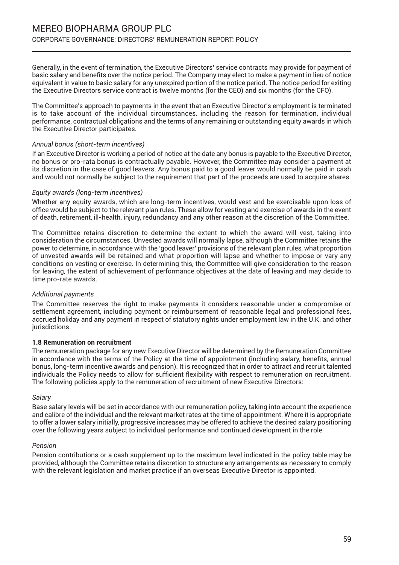Generally, in the event of termination, the Executive Directors' service contracts may provide for payment of basic salary and benefits over the notice period. The Company may elect to make a payment in lieu of notice equivalent in value to basic salary for any unexpired portion of the notice period. The notice period for exiting the Executive Directors service contract is twelve months (for the CEO) and six months (for the CFO).

The Committee's approach to payments in the event that an Executive Director's employment is terminated is to take account of the individual circumstances, including the reason for termination, individual performance, contractual obligations and the terms of any remaining or outstanding equity awards in which the Executive Director participates.

## *Annual bonus (short-term incentives)*

If an Executive Director is working a period of notice at the date any bonus is payable to the Executive Director, no bonus or pro-rata bonus is contractually payable. However, the Committee may consider a payment at its discretion in the case of good leavers. Any bonus paid to a good leaver would normally be paid in cash and would not normally be subject to the requirement that part of the proceeds are used to acquire shares.

## *Equity awards (long-term incentives)*

Whether any equity awards, which are long-term incentives, would vest and be exercisable upon loss of office would be subject to the relevant plan rules. These allow for vesting and exercise of awards in the event of death, retirement, ill-health, injury, redundancy and any other reason at the discretion of the Committee.

The Committee retains discretion to determine the extent to which the award will vest, taking into consideration the circumstances. Unvested awards will normally lapse, although the Committee retains the power to determine, in accordance with the 'good leaver' provisions of the relevant plan rules, what proportion of unvested awards will be retained and what proportion will lapse and whether to impose or vary any conditions on vesting or exercise. In determining this, the Committee will give consideration to the reason for leaving, the extent of achievement of performance objectives at the date of leaving and may decide to time pro-rate awards.

## *Additional payments*

The Committee reserves the right to make payments it considers reasonable under a compromise or settlement agreement, including payment or reimbursement of reasonable legal and professional fees, accrued holiday and any payment in respect of statutory rights under employment law in the U.K. and other jurisdictions.

## **1.8 Remuneration on recruitment**

The remuneration package for any new Executive Director will be determined by the Remuneration Committee in accordance with the terms of the Policy at the time of appointment (including salary, benefits, annual bonus, long-term incentive awards and pension). It is recognized that in order to attract and recruit talented individuals the Policy needs to allow for sufficient flexibility with respect to remuneration on recruitment. The following policies apply to the remuneration of recruitment of new Executive Directors:

## *Salary*

Base salary levels will be set in accordance with our remuneration policy, taking into account the experience and calibre of the individual and the relevant market rates at the time of appointment. Where it is appropriate to offer a lower salary initially, progressive increases may be offered to achieve the desired salary positioning over the following years subject to individual performance and continued development in the role.

## *Pension*

Pension contributions or a cash supplement up to the maximum level indicated in the policy table may be provided, although the Committee retains discretion to structure any arrangements as necessary to comply with the relevant legislation and market practice if an overseas Executive Director is appointed.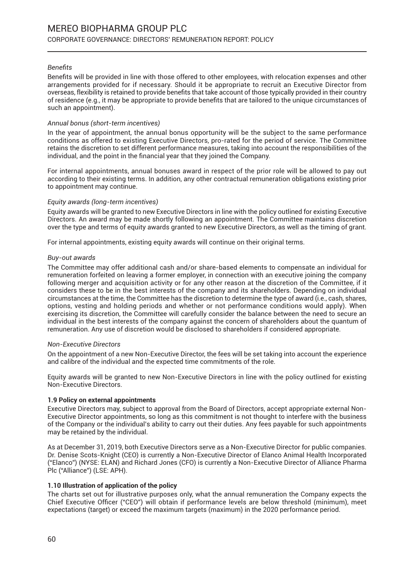## MEREO BIOPHARMA GROUP PLC CORPORATE GOVERNANCE: DIRECTORS' REMUNERATION REPORT: POLICY

## *Benefits*

Benefits will be provided in line with those offered to other employees, with relocation expenses and other arrangements provided for if necessary. Should it be appropriate to recruit an Executive Director from overseas, flexibility is retained to provide benefits that take account of those typically provided in their country of residence (e.g., it may be appropriate to provide benefits that are tailored to the unique circumstances of such an appointment).

### *Annual bonus (short-term incentives)*

In the year of appointment, the annual bonus opportunity will be the subject to the same performance conditions as offered to existing Executive Directors, pro-rated for the period of service. The Committee retains the discretion to set different performance measures, taking into account the responsibilities of the individual, and the point in the financial year that they joined the Company.

For internal appointments, annual bonuses award in respect of the prior role will be allowed to pay out according to their existing terms. In addition, any other contractual remuneration obligations existing prior to appointment may continue.

## *Equity awards (long-term incentives)*

Equity awards will be granted to new Executive Directors in line with the policy outlined for existing Executive Directors. An award may be made shortly following an appointment. The Committee maintains discretion over the type and terms of equity awards granted to new Executive Directors, as well as the timing of grant.

For internal appointments, existing equity awards will continue on their original terms.

#### *Buy-out awards*

The Committee may offer additional cash and/or share-based elements to compensate an individual for remuneration forfeited on leaving a former employer, in connection with an executive joining the company following merger and acquisition activity or for any other reason at the discretion of the Committee, if it considers these to be in the best interests of the company and its shareholders. Depending on individual circumstances at the time, the Committee has the discretion to determine the type of award (i.e., cash, shares, options, vesting and holding periods and whether or not performance conditions would apply). When exercising its discretion, the Committee will carefully consider the balance between the need to secure an individual in the best interests of the company against the concern of shareholders about the quantum of remuneration. Any use of discretion would be disclosed to shareholders if considered appropriate.

#### *Non-Executive Directors*

On the appointment of a new Non-Executive Director, the fees will be set taking into account the experience and calibre of the individual and the expected time commitments of the role.

Equity awards will be granted to new Non-Executive Directors in line with the policy outlined for existing Non-Executive Directors.

#### **1.9 Policy on external appointments**

Executive Directors may, subject to approval from the Board of Directors, accept appropriate external Non-Executive Director appointments, so long as this commitment is not thought to interfere with the business of the Company or the individual's ability to carry out their duties. Any fees payable for such appointments may be retained by the individual.

As at December 31, 2019, both Executive Directors serve as a Non-Executive Director for public companies. Dr. Denise Scots-Knight (CEO) is currently a Non-Executive Director of Elanco Animal Health Incorporated ("Elanco") (NYSE: ELAN) and Richard Jones (CFO) is currently a Non-Executive Director of Alliance Pharma Plc ("Alliance") (LSE: APH).

## **1.10 Illustration of application of the policy**

The charts set out for illustrative purposes only, what the annual remuneration the Company expects the Chief Executive Officer ("CEO") will obtain if performance levels are below threshold (minimum), meet expectations (target) or exceed the maximum targets (maximum) in the 2020 performance period.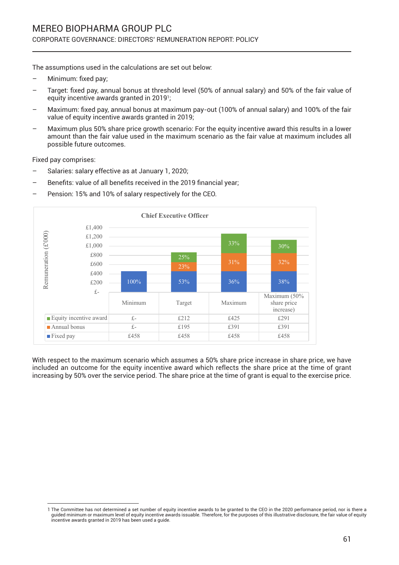The assumptions used in the calculations are set out below:

- Minimum: fixed pay;
- Target: fixed pay, annual bonus at threshold level (50% of annual salary) and 50% of the fair value of equity incentive awards granted in 2019<sup>1</sup>;
- Maximum: fixed pay, annual bonus at maximum pay-out (100% of annual salary) and 100% of the fair value of equity incentive awards granted in 2019;
- Maximum plus 50% share price growth scenario: For the equity incentive award this results in a lower amount than the fair value used in the maximum scenario as the fair value at maximum includes all possible future outcomes.

Fixed pay comprises:

- Salaries: salary effective as at January 1, 2020;
- Benefits: value of all benefits received in the 2019 financial year;
- Pension: 15% and 10% of salary respectively for the CEO.



With respect to the maximum scenario which assumes a 50% share price increase in share price, we have included an outcome for the equity incentive award which reflects the share price at the time of grant increasing by 50% over the service period. The share price at the time of grant is equal to the exercise price.

<sup>1</sup> The Committee has not determined a set number of equity incentive awards to be granted to the CEO in the 2020 performance period, nor is there a guided minimum or maximum level of equity incentive awards issuable. Therefore, for the purposes of this illustrative disclosure, the fair value of equity incentive awards granted in 2019 has been used a guide.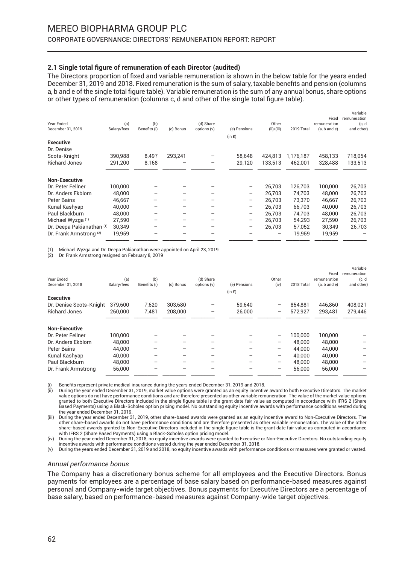## **2.1 Single total figure of remuneration of each Director (audited)**

The Directors proportion of fixed and variable remuneration is shown in the below table for the years ended December 31, 2019 and 2018. Fixed remuneration is the sum of salary, taxable benefits and pension (columns a, b and e of the single total figure table). Variable remuneration is the sum of any annual bonus, share options or other types of remuneration (columns c, d and other of the single total figure table).

| $(in \epsilon)$<br>58,648<br>29,120 | 424,813<br>133.513 | 1,176,187<br>462.001                                                                                                        | 458,133<br>328.488 | 718,054<br>133,513                                        |
|-------------------------------------|--------------------|-----------------------------------------------------------------------------------------------------------------------------|--------------------|-----------------------------------------------------------|
|                                     |                    |                                                                                                                             |                    |                                                           |
|                                     |                    |                                                                                                                             |                    |                                                           |
|                                     |                    |                                                                                                                             |                    |                                                           |
|                                     |                    |                                                                                                                             |                    |                                                           |
|                                     |                    |                                                                                                                             |                    |                                                           |
|                                     |                    |                                                                                                                             |                    |                                                           |
|                                     | 26,703             |                                                                                                                             | 100,000            | 26,703                                                    |
|                                     | 26,703             |                                                                                                                             | 48,000             | 26,703                                                    |
|                                     | 26,703             |                                                                                                                             | 46,667             | 26,703                                                    |
|                                     | 26,703             |                                                                                                                             | 40.000             | 26,703                                                    |
|                                     | 26,703             | 74,703                                                                                                                      | 48,000             | 26,703                                                    |
|                                     | 26,703             |                                                                                                                             | 27,590             | 26,703                                                    |
|                                     | 26,703             |                                                                                                                             | 30,349             | 26,703                                                    |
|                                     |                    | 19,959                                                                                                                      | 19,959             |                                                           |
|                                     |                    | —<br>$\qquad \qquad$<br>$\qquad \qquad -$<br>$\qquad \qquad -$<br>$\qquad \qquad -$<br>$\qquad \qquad -$<br>$\qquad \qquad$ |                    | 126,703<br>74,703<br>73,370<br>66,703<br>54,293<br>57,052 |

(1) Michael Wyzga and Dr. Deepa Pakianathan were appointed on April 23, 2019

Dr. Frank Armstrong resigned on February 8, 2019

| Year Ended<br>December 31, 2018 | (a)<br>Salary/fees | (b)<br>Benefits (i) | (c) Bonus | (d) Share<br>options (v) | (e) Pensions<br>(in f) | Other<br>(iv)            | 2018 Total | Fixed<br>remuneration<br>(a, b, and e) | Variable<br>remuneration<br>(c, d)<br>and other) |
|---------------------------------|--------------------|---------------------|-----------|--------------------------|------------------------|--------------------------|------------|----------------------------------------|--------------------------------------------------|
| <b>Executive</b>                |                    |                     |           |                          |                        |                          |            |                                        |                                                  |
| Dr. Denise Scots-Knight         | 379,600            | 7.620               | 303.680   |                          | 59,640                 |                          | 854.881    | 446.860                                | 408,021                                          |
| <b>Richard Jones</b>            | 260,000            | 7.481               | 208,000   |                          | 26,000                 | —                        | 572,927    | 293.481                                | 279,446                                          |
| <b>Non-Executive</b>            |                    |                     |           |                          |                        |                          |            |                                        |                                                  |
| Dr. Peter Fellner               | 100,000            |                     |           |                          |                        | —                        | 100,000    | 100,000                                |                                                  |
| Dr. Anders Ekblom               | 48,000             |                     |           |                          |                        | —                        | 48.000     | 48.000                                 |                                                  |
| Peter Bains                     | 44.000             |                     |           |                          |                        | -                        | 44.000     | 44.000                                 |                                                  |
| Kunal Kashyap                   | 40,000             |                     |           |                          |                        | -                        | 40.000     | 40,000                                 |                                                  |
| Paul Blackburn                  | 48,000             |                     |           |                          |                        | $\overline{\phantom{0}}$ | 48,000     | 48,000                                 |                                                  |
| Dr. Frank Armstrong             | 56,000             |                     |           |                          |                        | —                        | 56,000     | 56,000                                 |                                                  |
|                                 |                    |                     |           |                          |                        |                          |            |                                        |                                                  |

Benefits represent private medical insurance during the years ended December 31, 2019 and 2018.

(ii) During the year ended December 31, 2019, market value options were granted as an equity incentive award to both Executive Directors. The market value options do not have performance conditions and are therefore presented as other variable remuneration. The value of the market value options granted to both Executive Directors included in the single figure table is the grant date fair value as computed in accordance with IFRS 2 (Share Based Payments) using a Black-Scholes option pricing model. No outstanding equity incentive awards with performance conditions vested during the year ended December 31, 2019.

(iii) During the year ended December 31, 2019, other share-based awards were granted as an equity incentive award to Non-Executive Directors. The other share-based awards do not have performance conditions and are therefore presented as other variable remuneration. The value of the other share-based awards granted to Non-Executive Directors included in the single figure table is the grant date fair value as computed in accordance with IFRS 2 (Share Based Payments) using a Black-Scholes option pricing model.

(iv) During the year ended December 31, 2018, no equity incentive awards were granted to Executive or Non-Executive Directors. No outstanding equity incentive awards with performance conditions vested during the year ended December 31, 2018.

(v) During the years ended December 31, 2019 and 2018, no equity incentive awards with performance conditions or measures were granted or vested.

## *Annual performance bonus*

The Company has a discretionary bonus scheme for all employees and the Executive Directors. Bonus payments for employees are a percentage of base salary based on performance-based measures against personal and Company-wide target objectives. Bonus payments for Executive Directors are a percentage of base salary, based on performance-based measures against Company-wide target objectives.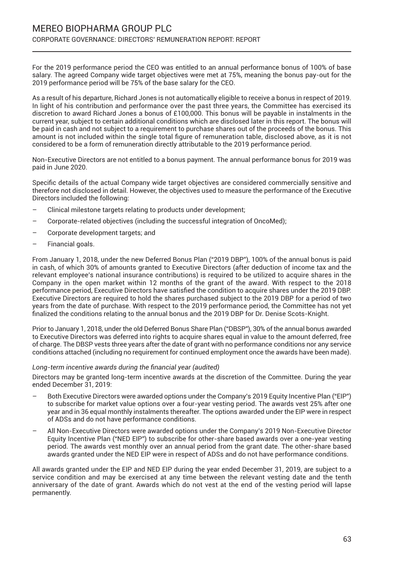## MEREO BIOPHARMA GROUP PLC CORPORATE GOVERNANCE: DIRECTORS' REMUNERATION REPORT: REPORT

For the 2019 performance period the CEO was entitled to an annual performance bonus of 100% of base salary. The agreed Company wide target objectives were met at 75%, meaning the bonus pay-out for the 2019 performance period will be 75% of the base salary for the CEO.

As a result of his departure, Richard Jones is not automatically eligible to receive a bonus in respect of 2019. In light of his contribution and performance over the past three years, the Committee has exercised its discretion to award Richard Jones a bonus of £100,000. This bonus will be payable in instalments in the current year, subject to certain additional conditions which are disclosed later in this report. The bonus will be paid in cash and not subject to a requirement to purchase shares out of the proceeds of the bonus. This amount is not included within the single total figure of remuneration table, disclosed above, as it is not considered to be a form of remuneration directly attributable to the 2019 performance period.

Non-Executive Directors are not entitled to a bonus payment. The annual performance bonus for 2019 was paid in June 2020.

Specific details of the actual Company wide target objectives are considered commercially sensitive and therefore not disclosed in detail. However, the objectives used to measure the performance of the Executive Directors included the following:

- Clinical milestone targets relating to products under development;
- Corporate-related objectives (including the successful integration of OncoMed);
- Corporate development targets; and
- Financial goals.

From January 1, 2018, under the new Deferred Bonus Plan ("2019 DBP"), 100% of the annual bonus is paid in cash, of which 30% of amounts granted to Executive Directors (after deduction of income tax and the relevant employee's national insurance contributions) is required to be utilized to acquire shares in the Company in the open market within 12 months of the grant of the award. With respect to the 2018 performance period, Executive Directors have satisfied the condition to acquire shares under the 2019 DBP. Executive Directors are required to hold the shares purchased subject to the 2019 DBP for a period of two years from the date of purchase. With respect to the 2019 performance period, the Committee has not yet finalized the conditions relating to the annual bonus and the 2019 DBP for Dr. Denise Scots-Knight.

Prior to January 1, 2018, under the old Deferred Bonus Share Plan ("DBSP"), 30% of the annual bonus awarded to Executive Directors was deferred into rights to acquire shares equal in value to the amount deferred, free of charge. The DBSP vests three years after the date of grant with no performance conditions nor any service conditions attached (including no requirement for continued employment once the awards have been made).

## *Long-term incentive awards during the financial year (audited)*

Directors may be granted long-term incentive awards at the discretion of the Committee. During the year ended December 31, 2019:

- Both Executive Directors were awarded options under the Company's 2019 Equity Incentive Plan ("EIP") to subscribe for market value options over a four-year vesting period. The awards vest 25% after one year and in 36 equal monthly instalments thereafter. The options awarded under the EIP were in respect of ADSs and do not have performance conditions.
- All Non-Executive Directors were awarded options under the Company's 2019 Non-Executive Director Equity Incentive Plan ("NED EIP") to subscribe for other-share based awards over a one-year vesting period. The awards vest monthly over an annual period from the grant date. The other-share based awards granted under the NED EIP were in respect of ADSs and do not have performance conditions.

All awards granted under the EIP and NED EIP during the year ended December 31, 2019, are subject to a service condition and may be exercised at any time between the relevant vesting date and the tenth anniversary of the date of grant. Awards which do not vest at the end of the vesting period will lapse permanently.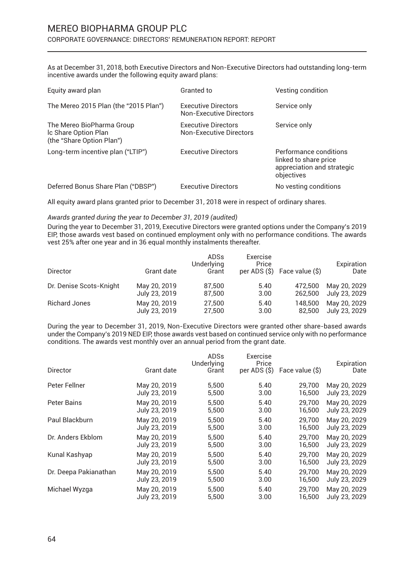As at December 31, 2018, both Executive Directors and Non-Executive Directors had outstanding long-term incentive awards under the following equity award plans:

| Equity award plan                                                              | Granted to                                                   | Vesting condition                                                                           |
|--------------------------------------------------------------------------------|--------------------------------------------------------------|---------------------------------------------------------------------------------------------|
| The Mereo 2015 Plan (the "2015 Plan")                                          | <b>Executive Directors</b><br><b>Non-Executive Directors</b> | Service only                                                                                |
| The Mereo BioPharma Group<br>Ic Share Option Plan<br>(the "Share Option Plan") | <b>Executive Directors</b><br><b>Non-Executive Directors</b> | Service only                                                                                |
| Long-term incentive plan ("LTIP")                                              | <b>Executive Directors</b>                                   | Performance conditions<br>linked to share price<br>appreciation and strategic<br>objectives |
| Deferred Bonus Share Plan ("DBSP")                                             | <b>Executive Directors</b>                                   | No vesting conditions                                                                       |

All equity award plans granted prior to December 31, 2018 were in respect of ordinary shares.

## *Awards granted during the year to December 31, 2019 (audited)*

During the year to December 31, 2019, Executive Directors were granted options under the Company's 2019 EIP, those awards vest based on continued employment only with no performance conditions. The awards vest 25% after one year and in 36 equal monthly instalments thereafter.

| <b>Director</b>         | Grant date                    | <b>ADSs</b><br>Underlying<br>Grant | Exercise<br>Price<br>per ADS (\$) | Face value (\$)    | Expiration<br>Date            |
|-------------------------|-------------------------------|------------------------------------|-----------------------------------|--------------------|-------------------------------|
| Dr. Denise Scots-Knight | May 20, 2019                  | 87.500                             | 5.40                              | 472.500            | May 20, 2029                  |
| <b>Richard Jones</b>    | July 23, 2019<br>May 20, 2019 | 87,500<br>27,500                   | 3.00<br>5.40                      | 262,500<br>148,500 | July 23, 2029<br>May 20, 2029 |
|                         | July 23, 2019                 | 27,500                             | 3.00                              | 82,500             | July 23, 2029                 |

During the year to December 31, 2019, Non-Executive Directors were granted other share-based awards under the Company's 2019 NED EIP, those awards vest based on continued service only with no performance conditions. The awards vest monthly over an annual period from the grant date.

| <b>Director</b>       | Grant date    | <b>ADSs</b><br>Underlying<br>Grant | Exercise<br>Price<br>per ADS (\$) | Face value $(\$)$ | Expiration<br>Date |
|-----------------------|---------------|------------------------------------|-----------------------------------|-------------------|--------------------|
| Peter Fellner         | May 20, 2019  | 5,500                              | 5.40                              | 29,700            | May 20, 2029       |
|                       | July 23, 2019 | 5,500                              | 3.00                              | 16,500            | July 23, 2029      |
| <b>Peter Bains</b>    | May 20, 2019  | 5,500                              | 5.40                              | 29,700            | May 20, 2029       |
|                       | July 23, 2019 | 5,500                              | 3.00                              | 16,500            | July 23, 2029      |
| Paul Blackburn        | May 20, 2019  | 5,500                              | 5.40                              | 29,700            | May 20, 2029       |
|                       | July 23, 2019 | 5,500                              | 3.00                              | 16,500            | July 23, 2029      |
| Dr. Anders Ekblom     | May 20, 2019  | 5,500                              | 5.40                              | 29,700            | May 20, 2029       |
|                       | July 23, 2019 | 5,500                              | 3.00                              | 16,500            | July 23, 2029      |
| Kunal Kashyap         | May 20, 2019  | 5,500                              | 5.40                              | 29,700            | May 20, 2029       |
|                       | July 23, 2019 | 5,500                              | 3.00                              | 16,500            | July 23, 2029      |
| Dr. Deepa Pakianathan | May 20, 2019  | 5,500                              | 5.40                              | 29,700            | May 20, 2029       |
|                       | July 23, 2019 | 5,500                              | 3.00                              | 16,500            | July 23, 2029      |
| Michael Wyzga         | May 20, 2019  | 5,500                              | 5.40                              | 29,700            | May 20, 2029       |
|                       | July 23, 2019 | 5,500                              | 3.00                              | 16,500            | July 23, 2029      |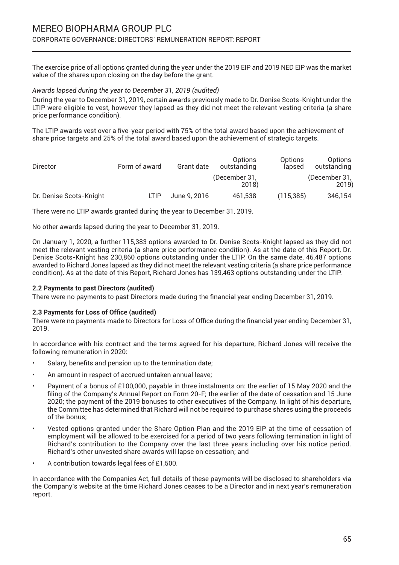## MEREO BIOPHARMA GROUP PLC CORPORATE GOVERNANCE: DIRECTORS' REMUNERATION REPORT: REPORT

The exercise price of all options granted during the year under the 2019 EIP and 2019 NED EIP was the market value of the shares upon closing on the day before the grant.

### *Awards lapsed during the year to December 31, 2019 (audited)*

During the year to December 31, 2019, certain awards previously made to Dr. Denise Scots-Knight under the LTIP were eligible to vest, however they lapsed as they did not meet the relevant vesting criteria (a share price performance condition).

The LTIP awards vest over a five-year period with 75% of the total award based upon the achievement of share price targets and 25% of the total award based upon the achievement of strategic targets.

| <b>Director</b>         | Form of award | Grant date   | Options<br>outstanding | Options<br>lapsed | Options<br>outstanding |
|-------------------------|---------------|--------------|------------------------|-------------------|------------------------|
|                         |               |              | (December 31,<br>2018) |                   | (December 31,<br>2019) |
| Dr. Denise Scots-Knight | I TIP         | June 9, 2016 | 461,538                | (115, 385)        | 346,154                |

There were no LTIP awards granted during the year to December 31, 2019.

No other awards lapsed during the year to December 31, 2019.

On January 1, 2020, a further 115,383 options awarded to Dr. Denise Scots-Knight lapsed as they did not meet the relevant vesting criteria (a share price performance condition). As at the date of this Report, Dr. Denise Scots-Knight has 230,860 options outstanding under the LTIP. On the same date, 46,487 options awarded to Richard Jones lapsed as they did not meet the relevant vesting criteria (a share price performance condition). As at the date of this Report, Richard Jones has 139,463 options outstanding under the LTIP.

## **2.2 Payments to past Directors (audited)**

There were no payments to past Directors made during the financial year ending December 31, 2019.

## **2.3 Payments for Loss of Office (audited)**

There were no payments made to Directors for Loss of Office during the financial year ending December 31, 2019.

In accordance with his contract and the terms agreed for his departure, Richard Jones will receive the following remuneration in 2020:

- Salary, benefits and pension up to the termination date;
- An amount in respect of accrued untaken annual leave;
- Payment of a bonus of £100,000, payable in three instalments on: the earlier of 15 May 2020 and the filing of the Company's Annual Report on Form 20-F; the earlier of the date of cessation and 15 June 2020; the payment of the 2019 bonuses to other executives of the Company. In light of his departure, the Committee has determined that Richard will not be required to purchase shares using the proceeds of the bonus;
- Vested options granted under the Share Option Plan and the 2019 EIP at the time of cessation of employment will be allowed to be exercised for a period of two years following termination in light of Richard's contribution to the Company over the last three years including over his notice period. Richard's other unvested share awards will lapse on cessation; and
- A contribution towards legal fees of £1,500.

In accordance with the Companies Act, full details of these payments will be disclosed to shareholders via the Company's website at the time Richard Jones ceases to be a Director and in next year's remuneration report.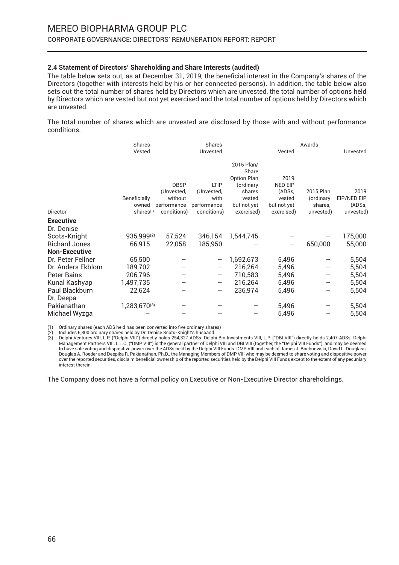## **2.4 Statement of Directors' Shareholding and Share Interests (audited)**

The table below sets out, as at December 31, 2019, the beneficial interest in the Company's shares of the Directors (together with interests held by his or her connected persons). In addition, the table below also sets out the total number of shares held by Directors which are unvested, the total number of options held by Directors which are vested but not yet exercised and the total number of options held by Directors which are unvested.

The total number of shares which are unvested are disclosed by those with and without performance conditions.

|                      | Shares<br>Vested                               |                                                                    | Shares<br>Unvested                                       |                                                                                                  | Vested                                                                  | Awards                                         | Unvested                                   |
|----------------------|------------------------------------------------|--------------------------------------------------------------------|----------------------------------------------------------|--------------------------------------------------------------------------------------------------|-------------------------------------------------------------------------|------------------------------------------------|--------------------------------------------|
| Director             | Beneficially<br>owned<br>shares <sup>(1)</sup> | <b>DBSP</b><br>(Unvested,<br>without<br>performance<br>conditions) | LTIP<br>(Unvested,<br>with<br>performance<br>conditions) | 2015 Plan/<br>Share<br>Option Plan<br>(ordinary<br>shares<br>vested<br>but not yet<br>exercised) | 2019<br><b>NED EIP</b><br>(ADSs,<br>vested<br>but not yet<br>exercised) | 2015 Plan<br>(ordinary<br>shares,<br>unvested) | 2019<br>EIP/NED EIP<br>(ADSs,<br>unvested) |
| <b>Executive</b>     |                                                |                                                                    |                                                          |                                                                                                  |                                                                         |                                                |                                            |
| Dr. Denise           |                                                |                                                                    |                                                          |                                                                                                  |                                                                         |                                                |                                            |
| Scots-Knight         | 935,999(2)                                     | 57,524                                                             | 346,154                                                  | 1,544,745                                                                                        |                                                                         |                                                | 175,000                                    |
| <b>Richard Jones</b> | 66,915                                         | 22,058                                                             | 185,950                                                  |                                                                                                  |                                                                         | 650,000                                        | 55,000                                     |
| <b>Non-Executive</b> |                                                |                                                                    |                                                          |                                                                                                  |                                                                         |                                                |                                            |
| Dr. Peter Fellner    | 65,500                                         |                                                                    |                                                          | 1,692,673                                                                                        | 5,496                                                                   |                                                | 5,504                                      |
| Dr. Anders Ekblom    | 189,702                                        |                                                                    |                                                          | 216,264                                                                                          | 5,496                                                                   |                                                | 5,504                                      |
| <b>Peter Bains</b>   | 206,796                                        |                                                                    |                                                          | 710,583                                                                                          | 5,496                                                                   |                                                | 5,504                                      |
| Kunal Kashyap        | 1,497,735                                      |                                                                    | -                                                        | 216,264                                                                                          | 5,496                                                                   |                                                | 5,504                                      |
| Paul Blackburn       | 22,624                                         |                                                                    | -                                                        | 236,974                                                                                          | 5,496                                                                   |                                                | 5,504                                      |
| Dr. Deepa            |                                                |                                                                    |                                                          |                                                                                                  |                                                                         |                                                |                                            |
| Pakianathan          | 1,283,670(3)                                   |                                                                    |                                                          |                                                                                                  | 5,496                                                                   |                                                | 5,504                                      |
| Michael Wyzga        |                                                |                                                                    |                                                          |                                                                                                  | 5,496                                                                   |                                                | 5,504                                      |

(1) Ordinary shares (each ADS held has been converted into five ordinary shares)

(2) Includes 6,300 ordinary shares held by Dr. Denise Scots-Knight's husband.

(3) Delphi Ventures VIII, L.P. ("Delphi VIII") directly holds 254,327 ADSs. Delphi Bio Investments VIII, L.P. ("DBI VIII") directly holds 2,407 ADSs. Delphi Management Partners VIII, L.L.C. ("DMP VIII") is the general partner of Delphi VIII and DBI VIII (together, the "Delphi VIII Funds"), and may be deemed to have sole voting and dispositive power over the ADSs held by the Delphi VIII Funds. DMP VIII and each of James J. Bochnowski, David L. Douglass, Douglas A. Roeder and Deepika R. Pakianathan, Ph.D., the Managing Members of DMP VIII who may be deemed to share voting and dispositive power over the reported securities, disclaim beneficial ownership of the reported securities held by the Delphi VIII Funds except to the extent of any pecuniary interest therein.

The Company does not have a formal policy on Executive or Non-Executive Director shareholdings.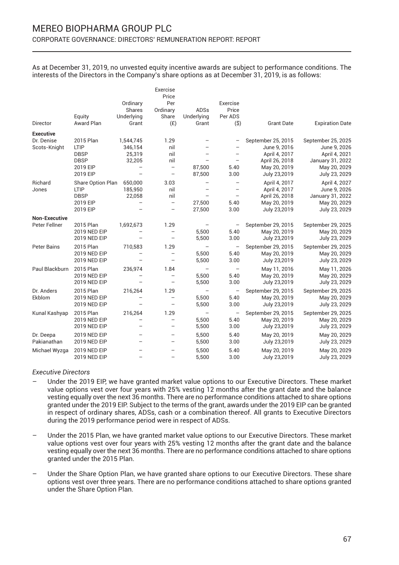## MEREO BIOPHARMA GROUP PLC CORPORATE GOVERNANCE: DIRECTORS' REMUNERATION REPORT: REPORT

As at December 31, 2019, no unvested equity incentive awards are subject to performance conditions. The interests of the Directors in the Company's share options as at December 31, 2019, is as follows:

|                      |                     | Ordinary                 | Exercise<br>Price<br>Per |                          | Exercise                 |                    |                        |
|----------------------|---------------------|--------------------------|--------------------------|--------------------------|--------------------------|--------------------|------------------------|
|                      |                     | Shares                   | Ordinary                 | <b>ADSs</b>              | Price                    |                    |                        |
|                      | Equity              | Underlying               | Share                    | Underlying               | Per ADS                  |                    |                        |
| Director             | Award Plan          | Grant                    | (E)                      | Grant                    | (5)                      | <b>Grant Date</b>  | <b>Expiration Date</b> |
| <b>Executive</b>     |                     |                          |                          |                          |                          |                    |                        |
| Dr. Denise           | 2015 Plan           | 1,544,745                | 1.29                     |                          | <u>—</u>                 | September 25, 2015 | September 25, 2025     |
| Scots-Knight         | <b>LTIP</b>         | 346,154                  | nil                      | $\overline{\phantom{0}}$ | $\overline{\phantom{0}}$ | June 9, 2016       | June 9, 2026           |
|                      | <b>DBSP</b>         | 25,319                   | nil                      | $\qquad \qquad$          | $\qquad \qquad$          | April 4, 2017      | April 4, 2021          |
|                      | <b>DBSP</b>         | 32,205                   | nil                      |                          | $\overline{\phantom{m}}$ | April 26, 2018     | January 31, 2022       |
|                      | 2019 EIP            |                          | $\qquad \qquad -$        | 87,500                   | 5.40                     | May 20, 2019       | May 20, 2029           |
|                      | 2019 EIP            | $\overline{\phantom{0}}$ | $\qquad \qquad -$        | 87,500                   | 3.00                     | July 23,2019       | July 23, 2029          |
| Richard              | Share Option Plan   | 650,000                  | 3.03                     | $\overline{\phantom{0}}$ |                          | April 4, 2017      | April 4, 2027          |
| Jones                | <b>LTIP</b>         | 185,950                  | nil                      | $\overline{\phantom{0}}$ |                          | April 4, 2017      | June 9, 2026           |
|                      | <b>DBSP</b>         | 22,058                   | nil                      | $\overline{\phantom{0}}$ | $\overline{\phantom{0}}$ | April 26, 2018     | January 31, 2022       |
|                      | 2019 EIP            |                          | $\qquad \qquad -$        | 27,500                   | 5.40                     | May 20, 2019       | May 20, 2029           |
|                      | 2019 EIP            |                          | $\overline{\phantom{0}}$ | 27,500                   | 3.00                     | July 23,2019       | July 23, 2029          |
| <b>Non-Executive</b> |                     |                          |                          |                          |                          |                    |                        |
| Peter Fellner        | 2015 Plan           | 1,692,673                | 1.29                     | $\qquad \qquad -$        |                          | September 29, 2015 | September 29, 2025     |
|                      | <b>2019 NED EIP</b> |                          | $\overline{\phantom{0}}$ | 5,500                    | 5.40                     | May 20, 2019       | May 20, 2029           |
|                      | <b>2019 NED EIP</b> |                          | $\overline{\phantom{0}}$ | 5,500                    | 3.00                     | July 23,2019       | July 23, 2029          |
| <b>Peter Bains</b>   | 2015 Plan           | 710,583                  | 1.29                     | $\qquad \qquad -$        | $\qquad \qquad -$        | September 29, 2015 | September 29, 2025     |
|                      | <b>2019 NED EIP</b> | $\overline{\phantom{0}}$ | $\overline{\phantom{0}}$ | 5,500                    | 5.40                     | May 20, 2019       | May 20, 2029           |
|                      | <b>2019 NED EIP</b> | $\overline{\phantom{0}}$ | $\overline{\phantom{0}}$ | 5,500                    | 3.00                     | July 23,2019       | July 23, 2029          |
| Paul Blackburn       | 2015 Plan           | 236,974                  | 1.84                     | $\overline{\phantom{0}}$ | $\qquad \qquad -$        | May 11, 2016       | May 11, 2026           |
|                      | <b>2019 NED EIP</b> |                          | $\overline{\phantom{0}}$ | 5,500                    | 5.40                     | May 20, 2019       | May 20, 2029           |
|                      | <b>2019 NED EIP</b> | $\overline{\phantom{0}}$ | $\overline{\phantom{0}}$ | 5,500                    | 3.00                     | July 23,2019       | July 23, 2029          |
| Dr. Anders           | 2015 Plan           | 216,264                  | 1.29                     | $\overline{\phantom{0}}$ | $\qquad \qquad -$        | September 29, 2015 | September 29, 2025     |
| Ekblom               | <b>2019 NED EIP</b> |                          |                          | 5,500                    | 5.40                     | May 20, 2019       | May 20, 2029           |
|                      | <b>2019 NED EIP</b> | $\overline{\phantom{0}}$ | $\overline{\phantom{0}}$ | 5,500                    | 3.00                     | July 23,2019       | July 23, 2029          |
| Kunal Kashyap        | 2015 Plan           | 216,264                  | 1.29                     | $\overline{\phantom{0}}$ | $\qquad \qquad -$        | September 29, 2015 | September 29, 2025     |
|                      | <b>2019 NED EIP</b> | $\overline{\phantom{0}}$ | $\overline{\phantom{0}}$ | 5,500                    | 5.40                     | May 20, 2019       | May 20, 2029           |
|                      | <b>2019 NED EIP</b> | $\overline{\phantom{0}}$ | $\overline{\phantom{0}}$ | 5,500                    | 3.00                     | July 23,2019       | July 23, 2029          |
| Dr. Deepa            | <b>2019 NED EIP</b> | $\overline{\phantom{0}}$ | $\overline{\phantom{0}}$ | 5,500                    | 5.40                     | May 20, 2019       | May 20, 2029           |
| Pakianathan          | <b>2019 NED EIP</b> |                          |                          | 5,500                    | 3.00                     | July 23,2019       | July 23, 2029          |
| Michael Wyzga        | <b>2019 NED EIP</b> | $\overline{\phantom{0}}$ | $\overline{\phantom{0}}$ | 5,500                    | 5.40                     | May 20, 2019       | May 20, 2029           |
|                      | <b>2019 NED EIP</b> | $\overline{\phantom{0}}$ | $\overline{\phantom{0}}$ | 5,500                    | 3.00                     | July 23,2019       | July 23, 2029          |

## *Executive Directors*

– Under the 2019 EIP, we have granted market value options to our Executive Directors. These market value options vest over four years with 25% vesting 12 months after the grant date and the balance vesting equally over the next 36 months. There are no performance conditions attached to share options granted under the 2019 EIP. Subject to the terms of the grant, awards under the 2019 EIP can be granted in respect of ordinary shares, ADSs, cash or a combination thereof. All grants to Executive Directors during the 2019 performance period were in respect of ADSs.

- Under the 2015 Plan, we have granted market value options to our Executive Directors. These market value options vest over four years with 25% vesting 12 months after the grant date and the balance vesting equally over the next 36 months. There are no performance conditions attached to share options granted under the 2015 Plan.
- Under the Share Option Plan, we have granted share options to our Executive Directors. These share options vest over three years. There are no performance conditions attached to share options granted under the Share Option Plan.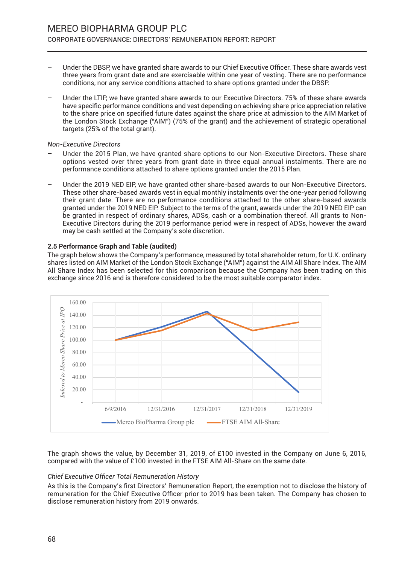- Under the DBSP, we have granted share awards to our Chief Executive Officer. These share awards vest three years from grant date and are exercisable within one year of vesting. There are no performance conditions, nor any service conditions attached to share options granted under the DBSP.
- Under the LTIP, we have granted share awards to our Executive Directors. 75% of these share awards have specific performance conditions and vest depending on achieving share price appreciation relative to the share price on specified future dates against the share price at admission to the AIM Market of the London Stock Exchange ("AIM") (75% of the grant) and the achievement of strategic operational targets (25% of the total grant).

### *Non-Executive Directors*

- Under the 2015 Plan, we have granted share options to our Non-Executive Directors. These share options vested over three years from grant date in three equal annual instalments. There are no performance conditions attached to share options granted under the 2015 Plan.
- Under the 2019 NED EIP, we have granted other share-based awards to our Non-Executive Directors. These other share-based awards vest in equal monthly instalments over the one-year period following their grant date. There are no performance conditions attached to the other share-based awards granted under the 2019 NED EIP. Subject to the terms of the grant, awards under the 2019 NED EIP can be granted in respect of ordinary shares, ADSs, cash or a combination thereof. All grants to Non-Executive Directors during the 2019 performance period were in respect of ADSs, however the award may be cash settled at the Company's sole discretion.

## **2.5 Performance Graph and Table (audited)**

The graph below shows the Company's performance, measured by total shareholder return, for U.K. ordinary shares listed on AIM Market of the London Stock Exchange ("AIM") against the AIM All Share Index. The AIM All Share Index has been selected for this comparison because the Company has been trading on this exchange since 2016 and is therefore considered to be the most suitable comparator index.



The graph shows the value, by December 31, 2019, of £100 invested in the Company on June 6, 2016, compared with the value of £100 invested in the FTSE AIM All-Share on the same date.

## *Chief Executive Officer Total Remuneration History*

As this is the Company's first Directors' Remuneration Report, the exemption not to disclose the history of remuneration for the Chief Executive Officer prior to 2019 has been taken. The Company has chosen to disclose remuneration history from 2019 onwards.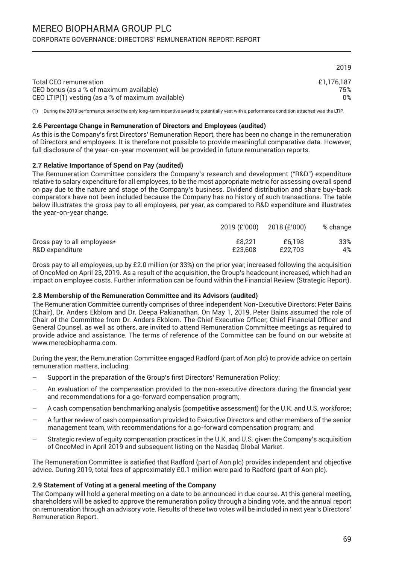## MEREO BIOPHARMA GROUP PLC CORPORATE GOVERNANCE: DIRECTORS' REMUNERATION REPORT: REPORT

2019 Total CEO remuneration **E1,176,187** CEO bonus (as a % of maximum available) 75% CEO LTIP(1) vesting (as a % of maximum available) 0% or the state of the state of  $\sim 0\%$ 

(1) During the 2019 performance period the only long-term incentive award to potentially vest with a performance condition attached was the LTIP.

## **2.6 Percentage Change in Remuneration of Directors and Employees (audited)**

As this is the Company's first Directors' Remuneration Report, there has been no change in the remuneration of Directors and employees. It is therefore not possible to provide meaningful comparative data. However, full disclosure of the year-on-year movement will be provided in future remuneration reports.

## **2.7 Relative Importance of Spend on Pay (audited)**

The Remuneration Committee considers the Company's research and development ("R&D") expenditure relative to salary expenditure for all employees, to be the most appropriate metric for assessing overall spend on pay due to the nature and stage of the Company's business. Dividend distribution and share buy-back comparators have not been included because the Company has no history of such transactions. The table below illustrates the gross pay to all employees, per year, as compared to R&D expenditure and illustrates the year-on-year change.

|                             |         | 2019 (£'000) 2018 (£'000) | % change |
|-----------------------------|---------|---------------------------|----------|
| Gross pay to all employees* | £8.221  | £6.198                    | 33%      |
| R&D expenditure             | £23.608 | £22.703                   | 4%       |

Gross pay to all employees, up by £2.0 million (or 33%) on the prior year, increased following the acquisition of OncoMed on April 23, 2019. As a result of the acquisition, the Group's headcount increased, which had an impact on employee costs. Further information can be found within the Financial Review (Strategic Report).

## **2.8 Membership of the Remuneration Committee and its Advisors (audited)**

The Remuneration Committee currently comprises of three independent Non-Executive Directors: Peter Bains (Chair), Dr. Anders Ekblom and Dr. Deepa Pakianathan. On May 1, 2019, Peter Bains assumed the role of Chair of the Committee from Dr. Anders Ekblom. The Chief Executive Officer, Chief Financial Officer and General Counsel, as well as others, are invited to attend Remuneration Committee meetings as required to provide advice and assistance. The terms of reference of the Committee can be found on our website at www.mereobiopharma.com.

During the year, the Remuneration Committee engaged Radford (part of Aon plc) to provide advice on certain remuneration matters, including:

- Support in the preparation of the Group's first Directors' Remuneration Policy;
- An evaluation of the compensation provided to the non-executive directors during the financial year and recommendations for a go-forward compensation program;
- A cash compensation benchmarking analysis (competitive assessment) for the U.K. and U.S. workforce;
- A further review of cash compensation provided to Executive Directors and other members of the senior management team, with recommendations for a go-forward compensation program; and
- Strategic review of equity compensation practices in the U.K. and U.S. given the Company's acquisition of OncoMed in April 2019 and subsequent listing on the Nasdaq Global Market.

The Remuneration Committee is satisfied that Radford (part of Aon plc) provides independent and objective advice. During 2019, total fees of approximately £0.1 million were paid to Radford (part of Aon plc).

## **2.9 Statement of Voting at a general meeting of the Company**

The Company will hold a general meeting on a date to be announced in due course. At this general meeting, shareholders will be asked to approve the remuneration policy through a binding vote, and the annual report on remuneration through an advisory vote. Results of these two votes will be included in next year's Directors' Remuneration Report.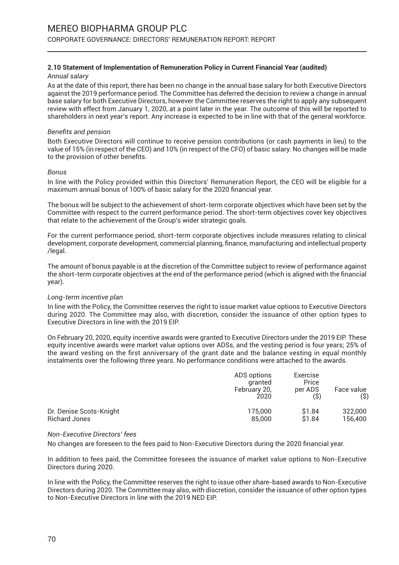## **2.10 Statement of Implementation of Remuneration Policy in Current Financial Year (audited)**

### *Annual salary*

As at the date of this report, there has been no change in the annual base salary for both Executive Directors against the 2019 performance period. The Committee has deferred the decision to review a change in annual base salary for both Executive Directors, however the Committee reserves the right to apply any subsequent review with effect from January 1, 2020, at a point later in the year. The outcome of this will be reported to shareholders in next year's report. Any increase is expected to be in line with that of the general workforce.

### *Benefits and pension*

Both Executive Directors will continue to receive pension contributions (or cash payments in lieu) to the value of 15% (in respect of the CEO) and 10% (in respect of the CFO) of basic salary. No changes will be made to the provision of other benefits.

### *Bonus*

In line with the Policy provided within this Directors' Remuneration Report, the CEO will be eligible for a maximum annual bonus of 100% of basic salary for the 2020 financial year.

The bonus will be subject to the achievement of short-term corporate objectives which have been set by the Committee with respect to the current performance period. The short-term objectives cover key objectives that relate to the achievement of the Group's wider strategic goals.

For the current performance period, short-term corporate objectives include measures relating to clinical development, corporate development, commercial planning, finance, manufacturing and intellectual property /legal.

The amount of bonus payable is at the discretion of the Committee subject to review of performance against the short-term corporate objectives at the end of the performance period (which is aligned with the financial year).

## *Long-term incentive plan*

In line with the Policy, the Committee reserves the right to issue market value options to Executive Directors during 2020. The Committee may also, with discretion, consider the issuance of other option types to Executive Directors in line with the 2019 EIP.

On February 20, 2020, equity incentive awards were granted to Executive Directors under the 2019 EIP. These equity incentive awards were market value options over ADSs, and the vesting period is four years; 25% of the award vesting on the first anniversary of the grant date and the balance vesting in equal monthly instalments over the following three years. No performance conditions were attached to the awards.

|                         | ADS options<br>granted<br>February 20,<br>2020 | Exercise<br>Price<br>per ADS<br>(\$) | Face value<br>(\$) |
|-------------------------|------------------------------------------------|--------------------------------------|--------------------|
| Dr. Denise Scots-Knight | 175,000                                        | \$1.84                               | 322,000            |
| <b>Richard Jones</b>    | 85,000                                         | \$1.84                               | 156.400            |

#### *Non-Executive Directors' fees*

No changes are foreseen to the fees paid to Non-Executive Directors during the 2020 financial year.

In addition to fees paid, the Committee foresees the issuance of market value options to Non-Executive Directors during 2020.

In line with the Policy, the Committee reserves the right to issue other share-based awards to Non-Executive Directors during 2020. The Committee may also, with discretion, consider the issuance of other option types to Non-Executive Directors in line with the 2019 NED EIP.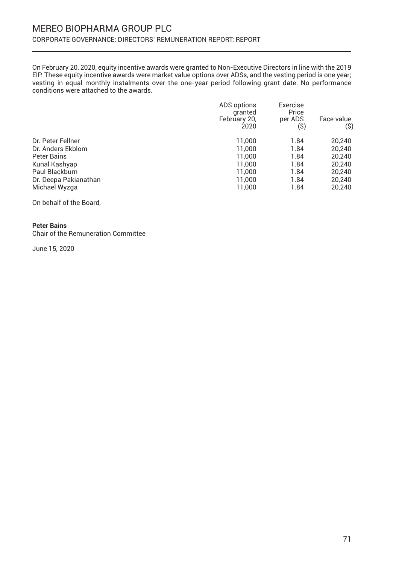On February 20, 2020, equity incentive awards were granted to Non-Executive Directors in line with the 2019 EIP. These equity incentive awards were market value options over ADSs, and the vesting period is one year; vesting in equal monthly instalments over the one-year period following grant date. No performance conditions were attached to the awards.

|                       | ADS options<br>granted<br>February 20, | Exercise<br>Price<br>per ADS | Face value |
|-----------------------|----------------------------------------|------------------------------|------------|
|                       | 2020                                   | $(\$)$                       | (\$)       |
| Dr. Peter Fellner     | 11,000                                 | 1.84                         | 20,240     |
| Dr. Anders Ekblom     | 11.000                                 | 1.84                         | 20,240     |
| <b>Peter Bains</b>    | 11.000                                 | 1.84                         | 20,240     |
| Kunal Kashyap         | 11,000                                 | 1.84                         | 20,240     |
| Paul Blackburn        | 11,000                                 | 1.84                         | 20,240     |
| Dr. Deepa Pakianathan | 11.000                                 | 1.84                         | 20,240     |
| Michael Wyzga         | 11,000                                 | 1.84                         | 20,240     |
|                       |                                        |                              |            |

On behalf of the Board,

## **Peter Bains**

Chair of the Remuneration Committee

June 15, 2020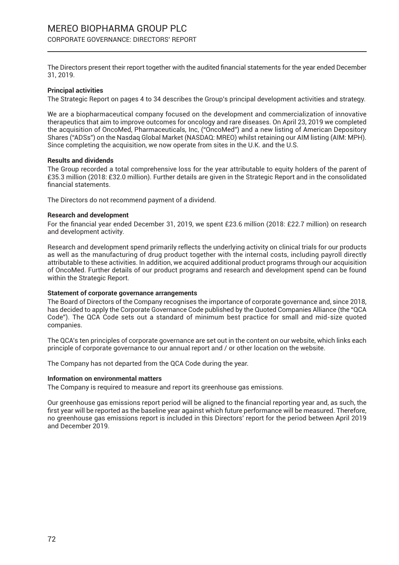The Directors present their report together with the audited financial statements for the year ended December 31, 2019.

# **Principal activities**

The Strategic Report on pages 4 to 34 describes the Group's principal development activities and strategy.

We are a biopharmaceutical company focused on the development and commercialization of innovative therapeutics that aim to improve outcomes for oncology and rare diseases. On April 23, 2019 we completed the acquisition of OncoMed, Pharmaceuticals, Inc, ("OncoMed") and a new listing of American Depository Shares ("ADSs") on the Nasdaq Global Market (NASDAQ: MREO) whilst retaining our AIM listing (AIM: MPH). Since completing the acquisition, we now operate from sites in the U.K. and the U.S.

#### **Results and dividends**

The Group recorded a total comprehensive loss for the year attributable to equity holders of the parent of £35.3 million (2018: £32.0 million). Further details are given in the Strategic Report and in the consolidated financial statements.

The Directors do not recommend payment of a dividend.

#### **Research and development**

For the financial year ended December 31, 2019, we spent £23.6 million (2018: £22.7 million) on research and development activity.

Research and development spend primarily reflects the underlying activity on clinical trials for our products as well as the manufacturing of drug product together with the internal costs, including payroll directly attributable to these activities. In addition, we acquired additional product programs through our acquisition of OncoMed. Further details of our product programs and research and development spend can be found within the Strategic Report.

# **Statement of corporate governance arrangements**

The Board of Directors of the Company recognises the importance of corporate governance and, since 2018, has decided to apply the Corporate Governance Code published by the Quoted Companies Alliance (the "QCA Code"). The QCA Code sets out a standard of minimum best practice for small and mid-size quoted companies.

The QCA's ten principles of corporate governance are set out in the content on our website, which links each principle of corporate governance to our annual report and / or other location on the website.

The Company has not departed from the QCA Code during the year.

# **Information on environmental matters**

The Company is required to measure and report its greenhouse gas emissions.

Our greenhouse gas emissions report period will be aligned to the financial reporting year and, as such, the first year will be reported as the baseline year against which future performance will be measured. Therefore, no greenhouse gas emissions report is included in this Directors' report for the period between April 2019 and December 2019.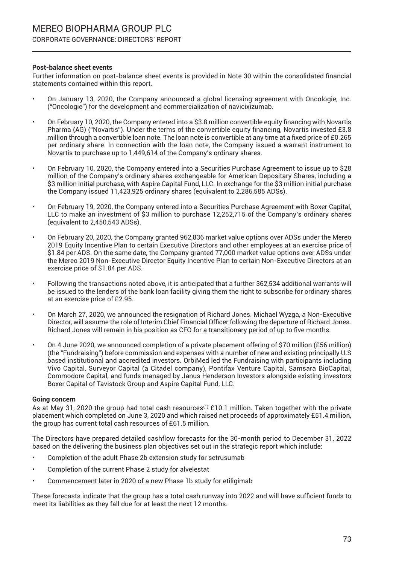#### **Post-balance sheet events**

Further information on post-balance sheet events is provided in Note 30 within the consolidated financial statements contained within this report.

- On January 13, 2020, the Company announced a global licensing agreement with Oncologie, Inc. ("Oncologie") for the development and commercialization of navicixizumab.
- On February 10, 2020, the Company entered into a \$3.8 million convertible equity financing with Novartis Pharma (AG) ("Novartis"). Under the terms of the convertible equity financing, Novartis invested £3.8 million through a convertible loan note. The loan note is convertible at any time at a fixed price of £0.265 per ordinary share. In connection with the loan note, the Company issued a warrant instrument to Novartis to purchase up to 1,449,614 of the Company's ordinary shares.
- On February 10, 2020, the Company entered into a Securities Purchase Agreement to issue up to \$28 million of the Company's ordinary shares exchangeable for American Depositary Shares, including a \$3 million initial purchase, with Aspire Capital Fund, LLC. In exchange for the \$3 million initial purchase the Company issued 11,423,925 ordinary shares (equivalent to 2,286,585 ADSs).
- On February 19, 2020, the Company entered into a Securities Purchase Agreement with Boxer Capital, LLC to make an investment of \$3 million to purchase 12,252,715 of the Company's ordinary shares (equivalent to 2,450,543 ADSs).
- On February 20, 2020, the Company granted 962,836 market value options over ADSs under the Mereo 2019 Equity Incentive Plan to certain Executive Directors and other employees at an exercise price of \$1.84 per ADS. On the same date, the Company granted 77,000 market value options over ADSs under the Mereo 2019 Non-Executive Director Equity Incentive Plan to certain Non-Executive Directors at an exercise price of \$1.84 per ADS.
- Following the transactions noted above, it is anticipated that a further 362,534 additional warrants will be issued to the lenders of the bank loan facility giving them the right to subscribe for ordinary shares at an exercise price of £2.95.
- On March 27, 2020, we announced the resignation of Richard Jones. Michael Wyzga, a Non-Executive Director, will assume the role of Interim Chief Financial Officer following the departure of Richard Jones. Richard Jones will remain in his position as CFO for a transitionary period of up to five months.
- On 4 June 2020, we announced completion of a private placement offering of \$70 million (£56 million) (the "Fundraising") before commission and expenses with a number of new and existing principally U.S based institutional and accredited investors. OrbiMed led the Fundraising with participants including Vivo Capital, Surveyor Capital (a Citadel company), Pontifax Venture Capital, Samsara BioCapital, Commodore Capital, and funds managed by Janus Henderson Investors alongside existing investors Boxer Capital of Tavistock Group and Aspire Capital Fund, LLC.

#### **Going concern**

As at May 31, 2020 the group had total cash resources<sup>(1)</sup> £10.1 million. Taken together with the private placement which completed on June 3, 2020 and which raised net proceeds of approximately £51.4 million, the group has current total cash resources of £61.5 million.

The Directors have prepared detailed cashflow forecasts for the 30-month period to December 31, 2022 based on the delivering the business plan objectives set out in the strategic report which include:

- Completion of the adult Phase 2b extension study for setrusumab
- Completion of the current Phase 2 study for alvelestat
- Commencement later in 2020 of a new Phase 1b study for etiligimab

These forecasts indicate that the group has a total cash runway into 2022 and will have sufficient funds to meet its liabilities as they fall due for at least the next 12 months.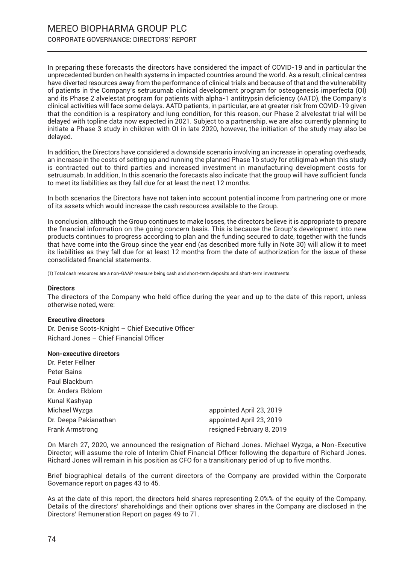In preparing these forecasts the directors have considered the impact of COVID-19 and in particular the unprecedented burden on health systems in impacted countries around the world. As a result, clinical centres have diverted resources away from the performance of clinical trials and because of that and the vulnerability of patients in the Company's setrusumab clinical development program for osteogenesis imperfecta (OI) and its Phase 2 alvelestat program for patients with alpha-1 antitrypsin deficiency (AATD), the Company's clinical activities will face some delays. AATD patients, in particular, are at greater risk from COVID-19 given that the condition is a respiratory and lung condition, for this reason, our Phase 2 alvelestat trial will be delayed with topline data now expected in 2021. Subject to a partnership, we are also currently planning to initiate a Phase 3 study in children with OI in late 2020, however, the initiation of the study may also be delayed.

In addition, the Directors have considered a downside scenario involving an increase in operating overheads, an increase in the costs of setting up and running the planned Phase 1b study for etiligimab when this study is contracted out to third parties and increased investment in manufacturing development costs for setrusumab. In addition, In this scenario the forecasts also indicate that the group will have sufficient funds to meet its liabilities as they fall due for at least the next 12 months.

In both scenarios the Directors have not taken into account potential income from partnering one or more of its assets which would increase the cash resources available to the Group.

In conclusion, although the Group continues to make losses, the directors believe it is appropriate to prepare the financial information on the going concern basis. This is because the Group's development into new products continues to progress according to plan and the funding secured to date, together with the funds that have come into the Group since the year end (as described more fully in Note 30) will allow it to meet its liabilities as they fall due for at least 12 months from the date of authorization for the issue of these consolidated financial statements.

(1) Total cash resources are a non-GAAP measure being cash and short-term deposits and short-term investments.

#### **Directors**

The directors of the Company who held office during the year and up to the date of this report, unless otherwise noted, were:

#### **Executive directors**

Dr. Denise Scots-Knight – Chief Executive Officer Richard Jones – Chief Financial Officer

#### **Non-executive directors**

| Dr. Peter Fellner     |                           |
|-----------------------|---------------------------|
| <b>Peter Bains</b>    |                           |
| Paul Blackburn        |                           |
| Dr. Anders Ekblom     |                           |
| Kunal Kashyap         |                           |
| Michael Wyzga         | appointed April 23, 2019  |
| Dr. Deepa Pakianathan | appointed April 23, 2019  |
| Frank Armstrong       | resigned February 8, 2019 |

On March 27, 2020, we announced the resignation of Richard Jones. Michael Wyzga, a Non-Executive Director, will assume the role of Interim Chief Financial Officer following the departure of Richard Jones. Richard Jones will remain in his position as CFO for a transitionary period of up to five months.

Brief biographical details of the current directors of the Company are provided within the Corporate Governance report on pages 43 to 45.

As at the date of this report, the directors held shares representing 2.0%% of the equity of the Company. Details of the directors' shareholdings and their options over shares in the Company are disclosed in the Directors' Remuneration Report on pages 49 to 71.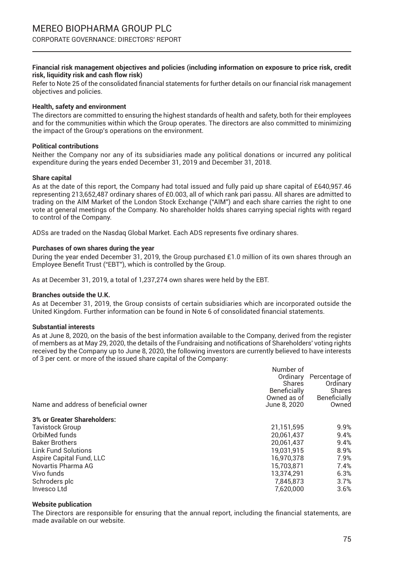#### **Financial risk management objectives and policies (including information on exposure to price risk, credit risk, liquidity risk and cash flow risk)**

Refer to Note 25 of the consolidated financial statements for further details on our financial risk management objectives and policies.

#### **Health, safety and environment**

The directors are committed to ensuring the highest standards of health and safety, both for their employees and for the communities within which the Group operates. The directors are also committed to minimizing the impact of the Group's operations on the environment.

#### **Political contributions**

Neither the Company nor any of its subsidiaries made any political donations or incurred any political expenditure during the years ended December 31, 2019 and December 31, 2018.

#### **Share capital**

As at the date of this report, the Company had total issued and fully paid up share capital of £640,957.46 representing 213,652,487 ordinary shares of £0.003, all of which rank pari passu. All shares are admitted to trading on the AIM Market of the London Stock Exchange ("AIM") and each share carries the right to one vote at general meetings of the Company. No shareholder holds shares carrying special rights with regard to control of the Company.

ADSs are traded on the Nasdaq Global Market. Each ADS represents five ordinary shares.

#### **Purchases of own shares during the year**

During the year ended December 31, 2019, the Group purchased £1.0 million of its own shares through an Employee Benefit Trust ("EBT"), which is controlled by the Group.

As at December 31, 2019, a total of 1,237,274 own shares were held by the EBT.

# **Branches outside the U.K.**

As at December 31, 2019, the Group consists of certain subsidiaries which are incorporated outside the United Kingdom. Further information can be found in Note 6 of consolidated financial statements.

#### **Substantial interests**

As at June 8, 2020, on the basis of the best information available to the Company, derived from the register of members as at May 29, 2020, the details of the Fundraising and notifications of Shareholders' voting rights received by the Company up to June 8, 2020, the following investors are currently believed to have interests of 3 per cent. or more of the issued share capital of the Company:

| Percentage of<br>Ordinary<br><b>Shares</b><br>Beneficially<br>Owned |
|---------------------------------------------------------------------|
|                                                                     |
| 9.9%                                                                |
| 9.4%                                                                |
| 9.4%                                                                |
| 8.9%                                                                |
| 7.9%                                                                |
| 7.4%                                                                |
| 6.3%                                                                |
| 3.7%                                                                |
| 3.6%                                                                |
|                                                                     |

#### **Website publication**

The Directors are responsible for ensuring that the annual report, including the financial statements, are made available on our website.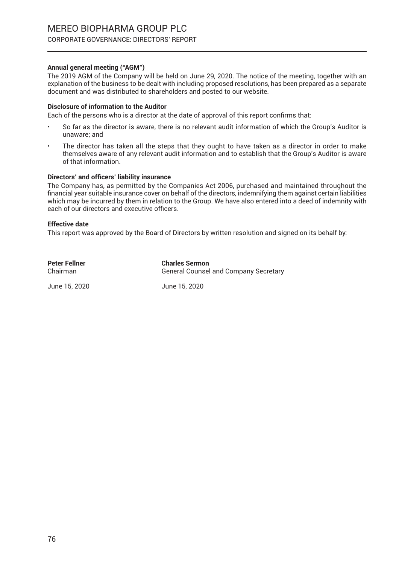# **Annual general meeting ("AGM")**

The 2019 AGM of the Company will be held on June 29, 2020. The notice of the meeting, together with an explanation of the business to be dealt with including proposed resolutions, has been prepared as a separate document and was distributed to shareholders and posted to our website.

# **Disclosure of information to the Auditor**

Each of the persons who is a director at the date of approval of this report confirms that:

- So far as the director is aware, there is no relevant audit information of which the Group's Auditor is unaware; and
- The director has taken all the steps that they ought to have taken as a director in order to make themselves aware of any relevant audit information and to establish that the Group's Auditor is aware of that information.

# **Directors' and officers' liability insurance**

The Company has, as permitted by the Companies Act 2006, purchased and maintained throughout the financial year suitable insurance cover on behalf of the directors, indemnifying them against certain liabilities which may be incurred by them in relation to the Group. We have also entered into a deed of indemnity with each of our directors and executive officers.

# **Effective date**

This report was approved by the Board of Directors by written resolution and signed on its behalf by:

| <b>Peter Fellner</b> | <b>Charles Sermon</b>                        |
|----------------------|----------------------------------------------|
| Chairman             | <b>General Counsel and Company Secretary</b> |
| June 15, 2020        | June 15, 2020                                |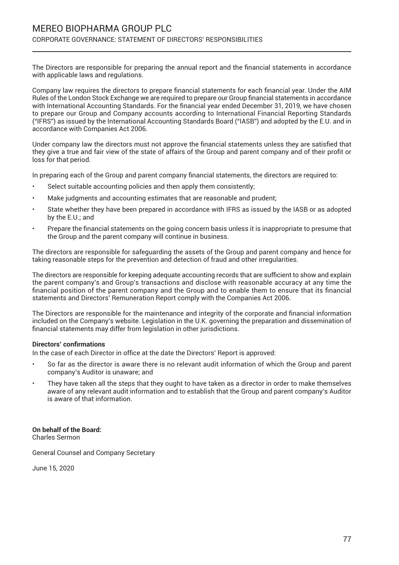The Directors are responsible for preparing the annual report and the financial statements in accordance with applicable laws and regulations.

Company law requires the directors to prepare financial statements for each financial year. Under the AIM Rules of the London Stock Exchange we are required to prepare our Group financial statements in accordance with International Accounting Standards. For the financial year ended December 31, 2019, we have chosen to prepare our Group and Company accounts according to International Financial Reporting Standards ("IFRS") as issued by the International Accounting Standards Board ("IASB") and adopted by the E.U. and in accordance with Companies Act 2006.

Under company law the directors must not approve the financial statements unless they are satisfied that they give a true and fair view of the state of affairs of the Group and parent company and of their profit or loss for that period.

In preparing each of the Group and parent company financial statements, the directors are required to:

- Select suitable accounting policies and then apply them consistently;
- Make judgments and accounting estimates that are reasonable and prudent;
- State whether they have been prepared in accordance with IFRS as issued by the IASB or as adopted by the E.U.; and
- Prepare the financial statements on the going concern basis unless it is inappropriate to presume that the Group and the parent company will continue in business.

The directors are responsible for safeguarding the assets of the Group and parent company and hence for taking reasonable steps for the prevention and detection of fraud and other irregularities.

The directors are responsible for keeping adequate accounting records that are sufficient to show and explain the parent company's and Group's transactions and disclose with reasonable accuracy at any time the financial position of the parent company and the Group and to enable them to ensure that its financial statements and Directors' Remuneration Report comply with the Companies Act 2006.

The Directors are responsible for the maintenance and integrity of the corporate and financial information included on the Company's website. Legislation in the U.K. governing the preparation and dissemination of financial statements may differ from legislation in other jurisdictions.

#### **Directors' confirmations**

In the case of each Director in office at the date the Directors' Report is approved:

- So far as the director is aware there is no relevant audit information of which the Group and parent company's Auditor is unaware; and
- They have taken all the steps that they ought to have taken as a director in order to make themselves aware of any relevant audit information and to establish that the Group and parent company's Auditor is aware of that information.

**On behalf of the Board:**  Charles Sermon

General Counsel and Company Secretary

June 15, 2020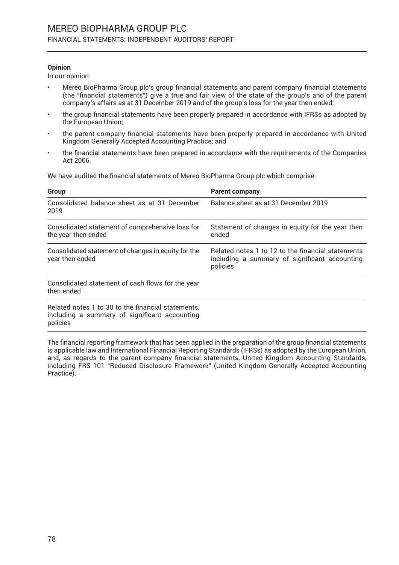# **Opinion**

In our opinion:

- Mereo BioPharma Group plc's group financial statements and parent company financial statements (the "financial statements") give a true and fair view of the state of the group's and of the parent company's affairs as at 31 December 2019 and of the group's loss for the year then ended;
- the group financial statements have been properly prepared in accordance with IFRSs as adopted by the European Union;
- the parent company financial statements have been properly prepared in accordance with United Kingdom Generally Accepted Accounting Practice; and
- the financial statements have been prepared in accordance with the requirements of the Companies Act 2006.

We have audited the financial statements of Mereo BioPharma Group plc which comprise:

| Group                                                                                                           | <b>Parent company</b>                                                                                          |
|-----------------------------------------------------------------------------------------------------------------|----------------------------------------------------------------------------------------------------------------|
| Consolidated balance sheet as at 31 December<br>2019                                                            | Balance sheet as at 31 December 2019                                                                           |
| Consolidated statement of comprehensive loss for<br>the year then ended                                         | Statement of changes in equity for the year then<br>ended                                                      |
| Consolidated statement of changes in equity for the<br>year then ended                                          | Related notes 1 to 12 to the financial statements<br>including a summary of significant accounting<br>policies |
| Consolidated statement of cash flows for the year<br>then ended                                                 |                                                                                                                |
| Related notes 1 to 30 to the financial statements,<br>including a summary of significant accounting<br>policies |                                                                                                                |

The financial reporting framework that has been applied in the preparation of the group financial statements is applicable law and International Financial Reporting Standards (IFRSs) as adopted by the European Union, and, as regards to the parent company financial statements, United Kingdom Accounting Standards, including FRS 101 "Reduced Disclosure Framework" (United Kingdom Generally Accepted Accounting Practice).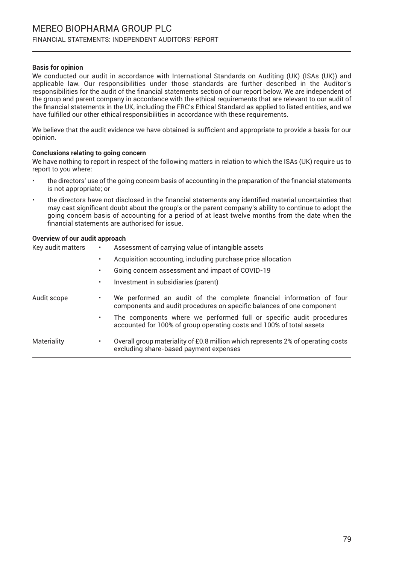# MEREO BIOPHARMA GROUP PLC FINANCIAL STATEMENTS: INDEPENDENT AUDITORS' REPORT

# **Basis for opinion**

We conducted our audit in accordance with International Standards on Auditing (UK) (ISAs (UK)) and applicable law. Our responsibilities under those standards are further described in the Auditor's responsibilities for the audit of the financial statements section of our report below. We are independent of the group and parent company in accordance with the ethical requirements that are relevant to our audit of the financial statements in the UK, including the FRC's Ethical Standard as applied to listed entities, and we have fulfilled our other ethical responsibilities in accordance with these requirements.

We believe that the audit evidence we have obtained is sufficient and appropriate to provide a basis for our opinion.

# **Conclusions relating to going concern**

We have nothing to report in respect of the following matters in relation to which the ISAs (UK) require us to report to you where:

- the directors' use of the going concern basis of accounting in the preparation of the financial statements is not appropriate; or
- the directors have not disclosed in the financial statements any identified material uncertainties that may cast significant doubt about the group's or the parent company's ability to continue to adopt the going concern basis of accounting for a period of at least twelve months from the date when the financial statements are authorised for issue.

# **Overview of our audit approach**

| Key audit matters |           | Assessment of carrying value of intangible assets                                                                                            |  |
|-------------------|-----------|----------------------------------------------------------------------------------------------------------------------------------------------|--|
|                   |           | Acquisition accounting, including purchase price allocation                                                                                  |  |
|                   | $\bullet$ | Going concern assessment and impact of COVID-19                                                                                              |  |
|                   |           | Investment in subsidiaries (parent)                                                                                                          |  |
| Audit scope       |           | We performed an audit of the complete financial information of four<br>components and audit procedures on specific balances of one component |  |
|                   |           | The components where we performed full or specific audit procedures<br>accounted for 100% of group operating costs and 100% of total assets  |  |
| Materiality       |           | Overall group materiality of £0.8 million which represents 2% of operating costs<br>excluding share-based payment expenses                   |  |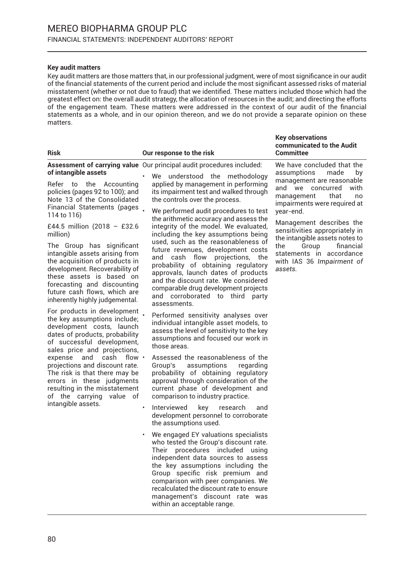#### **Key audit matters**

Key audit matters are those matters that, in our professional judgment, were of most significance in our audit of the financial statements of the current period and include the most significant assessed risks of material misstatement (whether or not due to fraud) that we identified. These matters included those which had the greatest effect on: the overall audit strategy, the allocation of resources in the audit; and directing the efforts of the engagement team. These matters were addressed in the context of our audit of the financial statements as a whole, and in our opinion thereon, and we do not provide a separate opinion on these matters.

| <b>Risk</b>                                                                                                                                                                                                                                                                                                                                                                                                  | Our response to the risk                                                                                                                                                                                                                                                                                                                           | <b>Key observations</b><br>communicated to the Audit<br><b>Committee</b>                      |
|--------------------------------------------------------------------------------------------------------------------------------------------------------------------------------------------------------------------------------------------------------------------------------------------------------------------------------------------------------------------------------------------------------------|----------------------------------------------------------------------------------------------------------------------------------------------------------------------------------------------------------------------------------------------------------------------------------------------------------------------------------------------------|-----------------------------------------------------------------------------------------------|
| of intangible assets                                                                                                                                                                                                                                                                                                                                                                                         | Assessment of carrying value Our principal audit procedures included:<br>We understood the methodology                                                                                                                                                                                                                                             | We have concluded that the<br>made<br>assumptions<br>by<br>management are reasonable          |
| Refer to the Accounting<br>policies (pages 92 to 100); and<br>Note 13 of the Consolidated<br>Financial Statements (pages                                                                                                                                                                                                                                                                                     | applied by management in performing<br>its impairment test and walked through<br>the controls over the process.                                                                                                                                                                                                                                    | and we concurred<br>with<br>that<br>management<br>no<br>impairments were required at          |
| 114 to 116)                                                                                                                                                                                                                                                                                                                                                                                                  | We performed audit procedures to test<br>the arithmetic accuracy and assess the                                                                                                                                                                                                                                                                    | year-end.                                                                                     |
| £44.5 million (2018 - £32.6<br>million)                                                                                                                                                                                                                                                                                                                                                                      | integrity of the model. We evaluated,<br>including the key assumptions being                                                                                                                                                                                                                                                                       | Management describes the<br>sensitivities appropriately in<br>the intangible assets notes to  |
| The Group has significant<br>intangible assets arising from<br>the acquisition of products in<br>development. Recoverability of<br>these assets is based on<br>forecasting and discounting<br>future cash flows, which are<br>inherently highly judgemental.                                                                                                                                                 | used, such as the reasonableness of<br>future revenues, development costs<br>cash flow projections, the<br>and<br>probability of obtaining regulatory<br>approvals, launch dates of products<br>and the discount rate. We considered<br>comparable drug development projects<br>and corroborated to third party<br>assessments.                    | financial<br>the<br>Group<br>statements in accordance<br>with IAS 36 Impairment of<br>assets. |
| For products in development<br>the key assumptions include;<br>development costs, launch<br>dates of products, probability<br>of successful development,<br>sales price and projections,<br>expense and<br>cash<br>flow •<br>projections and discount rate.<br>The risk is that there may be<br>errors in these judgments<br>resulting in the misstatement<br>of the carrying value of<br>intangible assets. | Performed sensitivity analyses over<br>individual intangible asset models, to<br>assess the level of sensitivity to the key<br>assumptions and focused our work in<br>those areas.                                                                                                                                                                 |                                                                                               |
|                                                                                                                                                                                                                                                                                                                                                                                                              | Assessed the reasonableness of the<br>assumptions<br>Group's<br>regarding<br>probability of obtaining regulatory<br>approval through consideration of the<br>current phase of development and<br>comparison to industry practice.                                                                                                                  |                                                                                               |
|                                                                                                                                                                                                                                                                                                                                                                                                              | Interviewed<br>key<br>research<br>and<br>development personnel to corroborate<br>the assumptions used.                                                                                                                                                                                                                                             |                                                                                               |
|                                                                                                                                                                                                                                                                                                                                                                                                              | We engaged EY valuations specialists<br>who tested the Group's discount rate.<br>Their procedures included using<br>independent data sources to assess<br>the key assumptions including the<br>Group specific risk premium and<br>comparison with peer companies. We<br>recalculated the discount rate to ensure<br>management's discount rate was |                                                                                               |

within an acceptable range.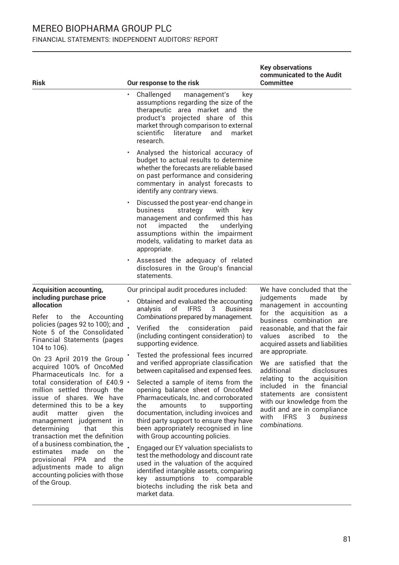# MEREO BIOPHARMA GROUP PLC FINANCIAL STATEMENTS: INDEPENDENT AUDITORS' REPORT

| <b>Risk</b>                                                                                                                                                                                                                                                                                                                                                                                                                                                                                                                       | Our response to the risk                                                                                                                                                                                                                                                                                                                                                                                                                                                                                                                                                                                                                                                          | <b>Key observations</b><br>communicated to the Audit<br><b>Committee</b>                                                                                                                                                                                               |
|-----------------------------------------------------------------------------------------------------------------------------------------------------------------------------------------------------------------------------------------------------------------------------------------------------------------------------------------------------------------------------------------------------------------------------------------------------------------------------------------------------------------------------------|-----------------------------------------------------------------------------------------------------------------------------------------------------------------------------------------------------------------------------------------------------------------------------------------------------------------------------------------------------------------------------------------------------------------------------------------------------------------------------------------------------------------------------------------------------------------------------------------------------------------------------------------------------------------------------------|------------------------------------------------------------------------------------------------------------------------------------------------------------------------------------------------------------------------------------------------------------------------|
|                                                                                                                                                                                                                                                                                                                                                                                                                                                                                                                                   | Challenged<br>management's<br>$\bullet$<br>key<br>assumptions regarding the size of the<br>therapeutic area market and the<br>product's projected share of this<br>market through comparison to external<br>scientific<br>literature<br>and<br>market<br>research.                                                                                                                                                                                                                                                                                                                                                                                                                |                                                                                                                                                                                                                                                                        |
|                                                                                                                                                                                                                                                                                                                                                                                                                                                                                                                                   | Analysed the historical accuracy of<br>٠<br>budget to actual results to determine<br>whether the forecasts are reliable based<br>on past performance and considering<br>commentary in analyst forecasts to<br>identify any contrary views.                                                                                                                                                                                                                                                                                                                                                                                                                                        |                                                                                                                                                                                                                                                                        |
|                                                                                                                                                                                                                                                                                                                                                                                                                                                                                                                                   | Discussed the post year-end change in<br>٠<br><b>business</b><br>strategy<br>with<br>key<br>management and confirmed this has<br>impacted<br>the<br>underlying<br>not<br>assumptions within the impairment<br>models, validating to market data as<br>appropriate.                                                                                                                                                                                                                                                                                                                                                                                                                |                                                                                                                                                                                                                                                                        |
|                                                                                                                                                                                                                                                                                                                                                                                                                                                                                                                                   | Assessed the adequacy of related<br>٠<br>disclosures in the Group's financial<br>statements.                                                                                                                                                                                                                                                                                                                                                                                                                                                                                                                                                                                      |                                                                                                                                                                                                                                                                        |
| <b>Acquisition accounting,</b><br>including purchase price<br>allocation<br>Refer to the Accounting<br>policies (pages 92 to 100); and<br>Note 5 of the Consolidated<br>Financial Statements (pages<br>104 to 106).                                                                                                                                                                                                                                                                                                               | Our principal audit procedures included:<br>Obtained and evaluated the accounting<br>analysis<br>of IFRS<br>3<br><b>Business</b><br>Combinations prepared by management.<br>Verified<br>the<br>consideration<br>paid<br>(including contingent consideration) to<br>supporting evidence.<br>Tested the professional fees incurred                                                                                                                                                                                                                                                                                                                                                  | We have concluded that the<br>judgements<br>made<br>by<br>management in accounting<br>for the acquisition as a<br>business combination are<br>reasonable, and that the fair<br>values<br>ascribed<br>to<br>the<br>acquired assets and liabilities<br>are appropriate.  |
| On 23 April 2019 the Group<br>acquired 100% of OncoMed<br>Pharmaceuticals Inc. for a<br>total consideration of £40.9 .<br>million settled through the<br>issue of shares. We have<br>determined this to be a key<br>audit<br>matter given<br>the<br>management judgement in<br>determining<br>that<br>this<br>transaction met the definition<br>of a business combination, the<br>estimates<br>made<br>the<br>on<br>provisional PPA<br>the<br>and<br>adjustments made to align<br>accounting policies with those<br>of the Group. | and verified appropriate classification<br>between capitalised and expensed fees.<br>Selected a sample of items from the<br>opening balance sheet of OncoMed<br>Pharmaceuticals, Inc. and corroborated<br>the<br>amounts<br>to<br>supporting<br>documentation, including invoices and<br>third party support to ensure they have<br>been appropriately recognised in line<br>with Group accounting policies.<br>Engaged our EY valuation specialists to<br>test the methodology and discount rate<br>used in the valuation of the acquired<br>identified intangible assets, comparing<br>assumptions to comparable<br>key<br>biotechs including the risk beta and<br>market data. | We are satisfied that the<br>additional<br>disclosures<br>relating to the acquisition<br>included in the financial<br>statements are consistent<br>with our knowledge from the<br>audit and are in compliance<br><b>IFRS</b><br>with<br>3<br>business<br>combinations. |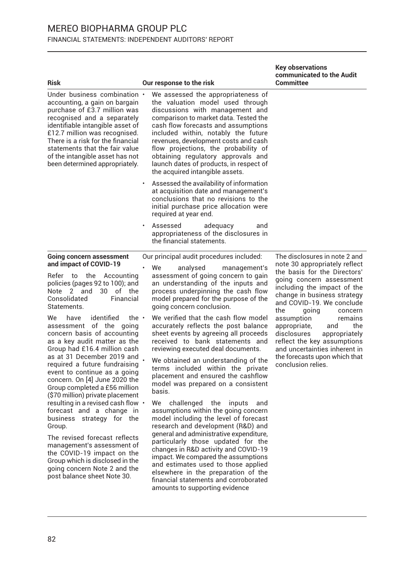# MEREO BIOPHARMA GROUP PLC FINANCIAL STATEMENTS: INDEPENDENT AUDITORS' REPORT

| <b>Risk</b>                                                                                                                                                                                                                                                                                                                                   | Our response to the risk                                                                                                                                                                                                                                                                                                                                                                                                             | <b>Key observations</b><br>communicated to the Audit<br><b>Committee</b>                                                                                                                                                              |
|-----------------------------------------------------------------------------------------------------------------------------------------------------------------------------------------------------------------------------------------------------------------------------------------------------------------------------------------------|--------------------------------------------------------------------------------------------------------------------------------------------------------------------------------------------------------------------------------------------------------------------------------------------------------------------------------------------------------------------------------------------------------------------------------------|---------------------------------------------------------------------------------------------------------------------------------------------------------------------------------------------------------------------------------------|
| Under business combination •<br>accounting, a gain on bargain<br>purchase of £3.7 million was<br>recognised and a separately<br>identifiable intangible asset of<br>£12.7 million was recognised.<br>There is a risk for the financial<br>statements that the fair value<br>of the intangible asset has not<br>been determined appropriately. | We assessed the appropriateness of<br>the valuation model used through<br>discussions with management and<br>comparison to market data. Tested the<br>cash flow forecasts and assumptions<br>included within, notably the future<br>revenues, development costs and cash<br>flow projections, the probability of<br>obtaining regulatory approvals and<br>launch dates of products, in respect of<br>the acquired intangible assets. |                                                                                                                                                                                                                                       |
|                                                                                                                                                                                                                                                                                                                                               | Assessed the availability of information<br>$\bullet$<br>at acquisition date and management's<br>conclusions that no revisions to the<br>initial purchase price allocation were<br>required at year end.                                                                                                                                                                                                                             |                                                                                                                                                                                                                                       |
|                                                                                                                                                                                                                                                                                                                                               | Assessed<br>adequacy<br>and<br>appropriateness of the disclosures in<br>the financial statements.                                                                                                                                                                                                                                                                                                                                    |                                                                                                                                                                                                                                       |
| <b>Going concern assessment</b><br>and impact of COVID-19<br>Refer to the Accounting<br>policies (pages 92 to 100); and<br>30 <sup>2</sup><br>of the<br>Note 2 and<br>Consolidated<br>Financial<br>Statements.                                                                                                                                | Our principal audit procedures included:<br>We<br>$\bullet$<br>analysed<br>management's<br>assessment of going concern to gain<br>an understanding of the inputs and<br>process underpinning the cash flow<br>model prepared for the purpose of the<br>going concern conclusion.                                                                                                                                                     | The disclosures in note 2 and<br>note 30 appropriately reflect<br>the basis for the Directors'<br>going concern assessment<br>including the impact of the<br>change in business strategy<br>and COVID-19. We conclude                 |
| identified<br>the $\cdot$<br>We.<br>have<br>assessment of the going<br>concern basis of accounting<br>as a key audit matter as the<br>Group had £16.4 million cash<br>as at 31 December 2019 and<br>required a future fundraising<br>event to continue as a going<br>concern. On [4] June 2020 the<br>Group completed a £56 million           | We verified that the cash flow model<br>accurately reflects the post balance<br>sheet events by agreeing all proceeds<br>received to bank statements and<br>reviewing executed deal documents.<br>We obtained an understanding of the<br>terms included within the private<br>placement and ensured the cashflow<br>model was prepared on a consistent<br>basis.                                                                     | the<br>going<br>concern<br>assumption<br>remains<br>appropriate,<br>the<br>and<br>disclosures<br>appropriately<br>reflect the key assumptions<br>and uncertainties inherent in<br>the forecasts upon which that<br>conclusion relies. |
| (\$70 million) private placement<br>resulting in a revised cash flow .<br>forecast and a change in<br>business strategy for the<br>Group.<br>The revised forecast reflects<br>management's assessment of<br>the COVID-19 impact on the<br>Group which is disclosed in the<br>going concern Note 2 and the                                     | challenged the inputs<br>We.<br>and<br>assumptions within the going concern<br>model including the level of forecast<br>research and development (R&D) and<br>general and administrative expenditure,<br>particularly those updated for the<br>changes in R&D activity and COVID-19<br>impact. We compared the assumptions<br>and estimates used to those applied<br>elsewhere in the preparation of the                             |                                                                                                                                                                                                                                       |

financial statements and corroborated amounts to supporting evidence

post balance sheet Note 30.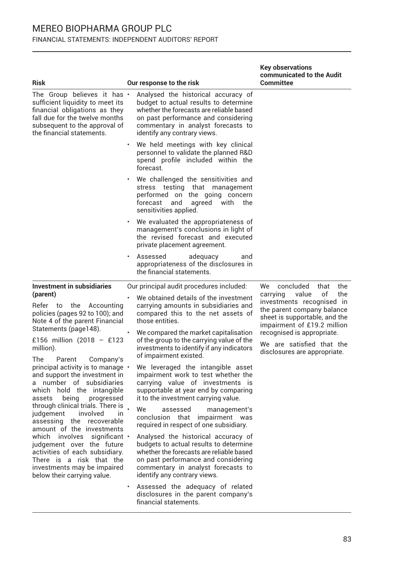# MEREO BIOPHARMA GROUP PLC FINANCIAL STATEMENTS: INDEPENDENT AUDITORS' REPORT

| <b>Risk</b>                                                                                                                                                                                            |           | Our response to the risk                                                                                                                                                                                                               | <b>Key observations</b><br>communicated to the Audit<br><b>Committee</b>                                                                                  |
|--------------------------------------------------------------------------------------------------------------------------------------------------------------------------------------------------------|-----------|----------------------------------------------------------------------------------------------------------------------------------------------------------------------------------------------------------------------------------------|-----------------------------------------------------------------------------------------------------------------------------------------------------------|
| The Group believes it has $\cdot$<br>sufficient liquidity to meet its<br>financial obligations as they<br>fall due for the twelve months<br>subsequent to the approval of<br>the financial statements. |           | Analysed the historical accuracy of<br>budget to actual results to determine<br>whether the forecasts are reliable based<br>on past performance and considering<br>commentary in analyst forecasts to<br>identify any contrary views.  |                                                                                                                                                           |
|                                                                                                                                                                                                        |           | We held meetings with key clinical<br>personnel to validate the planned R&D<br>spend profile included within the<br>forecast.                                                                                                          |                                                                                                                                                           |
|                                                                                                                                                                                                        |           | We challenged the sensitivities and<br>stress testing that management<br>performed on the going concern<br>agreed with<br>forecast<br>and<br>the<br>sensitivities applied.                                                             |                                                                                                                                                           |
|                                                                                                                                                                                                        | $\bullet$ | We evaluated the appropriateness of<br>management's conclusions in light of<br>the revised forecast and executed<br>private placement agreement.                                                                                       |                                                                                                                                                           |
|                                                                                                                                                                                                        | $\bullet$ | Assessed<br>adequacy<br>and<br>appropriateness of the disclosures in<br>the financial statements.                                                                                                                                      |                                                                                                                                                           |
| <b>Investment in subsidiaries</b>                                                                                                                                                                      |           | Our principal audit procedures included:                                                                                                                                                                                               | We concluded<br>the<br>that                                                                                                                               |
| (parent)<br>Refer to the Accounting<br>policies (pages 92 to 100); and<br>Note 4 of the parent Financial<br>Statements (page148).                                                                      |           | We obtained details of the investment<br>carrying amounts in subsidiaries and<br>compared this to the net assets of<br>those entities.                                                                                                 | of<br>the<br>carrying<br>value<br>investments recognised in<br>the parent company balance<br>sheet is supportable, and the<br>impairment of £19.2 million |
| £156 million $(2018 - E123)$<br>million).                                                                                                                                                              |           | We compared the market capitalisation<br>of the group to the carrying value of the<br>investments to identify if any indicators<br>of impairment existed.                                                                              | recognised is appropriate.<br>We are satisfied that the<br>disclosures are appropriate.                                                                   |
| The<br>Parent<br>Company's<br>principal activity is to manage .<br>and support the investment in<br>a number of subsidiaries<br>which hold the intangible<br>being<br>progressed<br>assets             |           | We leveraged the intangible asset<br>impairment work to test whether the<br>carrying value of investments is<br>supportable at year end by comparing<br>it to the investment carrying value.                                           |                                                                                                                                                           |
| through clinical trials. There is<br>judgement<br>involved<br>in.<br>assessing the recoverable<br>amount of the investments                                                                            |           | We<br>assessed<br>management's<br>conclusion that<br>impairment was<br>required in respect of one subsidiary.                                                                                                                          |                                                                                                                                                           |
| which involves<br>significant •<br>judgement over the future<br>activities of each subsidiary.<br>There is a risk that the<br>investments may be impaired<br>below their carrying value.               |           | Analysed the historical accuracy of<br>budgets to actual results to determine<br>whether the forecasts are reliable based<br>on past performance and considering<br>commentary in analyst forecasts to<br>identify any contrary views. |                                                                                                                                                           |
|                                                                                                                                                                                                        |           | Assessed the adequacy of related<br>disclosures in the parent company's<br>financial statements.                                                                                                                                       |                                                                                                                                                           |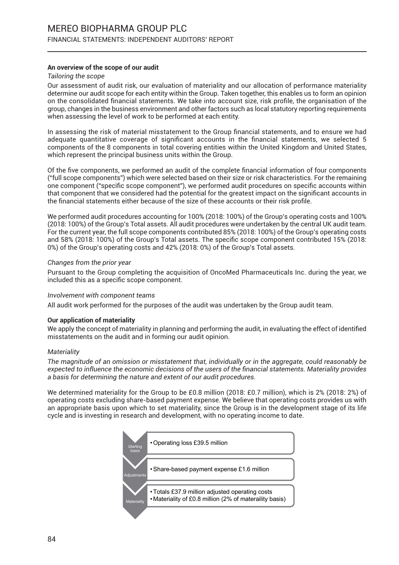# **An overview of the scope of our audit**

#### *Tailoring the scope*

Our assessment of audit risk, our evaluation of materiality and our allocation of performance materiality determine our audit scope for each entity within the Group. Taken together, this enables us to form an opinion on the consolidated financial statements. We take into account size, risk profile, the organisation of the group, changes in the business environment and other factors such as local statutory reporting requirements when assessing the level of work to be performed at each entity.

In assessing the risk of material misstatement to the Group financial statements, and to ensure we had adequate quantitative coverage of significant accounts in the financial statements, we selected 5 components of the 8 components in total covering entities within the United Kingdom and United States, which represent the principal business units within the Group.

Of the five components, we performed an audit of the complete financial information of four components ("full scope components") which were selected based on their size or risk characteristics. For the remaining one component ("specific scope component"), we performed audit procedures on specific accounts within that component that we considered had the potential for the greatest impact on the significant accounts in the financial statements either because of the size of these accounts or their risk profile.

We performed audit procedures accounting for 100% (2018: 100%) of the Group's operating costs and 100% (2018: 100%) of the Group's Total assets. All audit procedures were undertaken by the central UK audit team. For the current year, the full scope components contributed 85% (2018: 100%) of the Group's operating costs and 58% (2018: 100%) of the Group's Total assets. The specific scope component contributed 15% (2018: 0%) of the Group's operating costs and 42% (2018: 0%) of the Group's Total assets.

# *Changes from the prior year*

Pursuant to the Group completing the acquisition of OncoMed Pharmaceuticals Inc. during the year, we included this as a specific scope component.

# *Involvement with component teams*

All audit work performed for the purposes of the audit was undertaken by the Group audit team.

# **Our application of materiality**

We apply the concept of materiality in planning and performing the audit, in evaluating the effect of identified misstatements on the audit and in forming our audit opinion.

#### *Materiality*

*The magnitude of an omission or misstatement that, individually or in the aggregate, could reasonably be expected to influence the economic decisions of the users of the financial statements. Materiality provides a basis for determining the nature and extent of our audit procedures.*

We determined materiality for the Group to be £0.8 million (2018: £0.7 million), which is 2% (2018: 2%) of operating costs excluding share-based payment expense. We believe that operating costs provides us with an appropriate basis upon which to set materiality, since the Group is in the development stage of its life cycle and is investing in research and development, with no operating income to date.

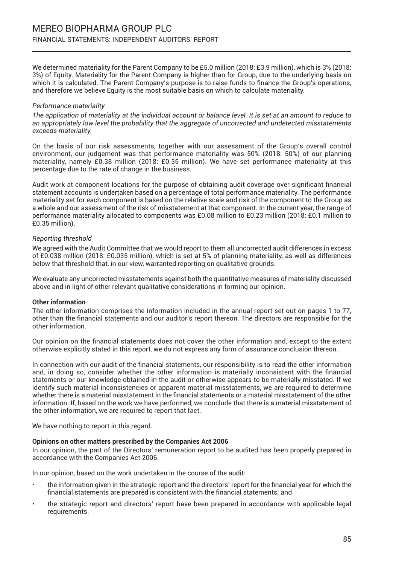We determined materiality for the Parent Company to be £5.0 million (2018: £3.9 million), which is 3% (2018: 3%) of Equity. Materiality for the Parent Company is higher than for Group, due to the underlying basis on which it is calculated. The Parent Company's purpose is to raise funds to finance the Group's operations, and therefore we believe Equity is the most suitable basis on which to calculate materiality.

# *Performance materiality*

*The application of materiality at the individual account or balance level. It is set at an amount to reduce to an appropriately low level the probability that the aggregate of uncorrected and undetected misstatements exceeds materiality.* 

On the basis of our risk assessments, together with our assessment of the Group's overall control environment, our judgement was that performance materiality was 50% (2018: 50%) of our planning materiality, namely £0.38 million (2018: £0.35 million). We have set performance materiality at this percentage due to the rate of change in the business.

Audit work at component locations for the purpose of obtaining audit coverage over significant financial statement accounts is undertaken based on a percentage of total performance materiality. The performance materiality set for each component is based on the relative scale and risk of the component to the Group as a whole and our assessment of the risk of misstatement at that component. In the current year, the range of performance materiality allocated to components was £0.08 million to £0.23 million (2018: £0.1 million to £0.35 million).

# *Reporting threshold*

We agreed with the Audit Committee that we would report to them all uncorrected audit differences in excess of £0.038 million (2018: £0.035 million), which is set at 5% of planning materiality, as well as differences below that threshold that, in our view, warranted reporting on qualitative grounds.

We evaluate any uncorrected misstatements against both the quantitative measures of materiality discussed above and in light of other relevant qualitative considerations in forming our opinion.

# **Other information**

The other information comprises the information included in the annual report set out on pages 1 to 77, other than the financial statements and our auditor's report thereon. The directors are responsible for the other information.

Our opinion on the financial statements does not cover the other information and, except to the extent otherwise explicitly stated in this report, we do not express any form of assurance conclusion thereon.

In connection with our audit of the financial statements, our responsibility is to read the other information and, in doing so, consider whether the other information is materially inconsistent with the financial statements or our knowledge obtained in the audit or otherwise appears to be materially misstated. If we identify such material inconsistencies or apparent material misstatements, we are required to determine whether there is a material misstatement in the financial statements or a material misstatement of the other information. If, based on the work we have performed, we conclude that there is a material misstatement of the other information, we are required to report that fact.

We have nothing to report in this regard.

# **Opinions on other matters prescribed by the Companies Act 2006**

In our opinion, the part of the Directors' remuneration report to be audited has been properly prepared in accordance with the Companies Act 2006.

In our opinion, based on the work undertaken in the course of the audit:

- the information given in the strategic report and the directors' report for the financial year for which the financial statements are prepared is consistent with the financial statements; and
- the strategic report and directors' report have been prepared in accordance with applicable legal requirements.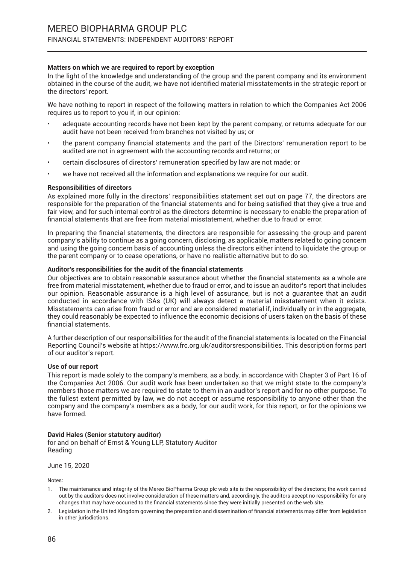# **Matters on which we are required to report by exception**

In the light of the knowledge and understanding of the group and the parent company and its environment obtained in the course of the audit, we have not identified material misstatements in the strategic report or the directors' report.

We have nothing to report in respect of the following matters in relation to which the Companies Act 2006 requires us to report to you if, in our opinion:

- adequate accounting records have not been kept by the parent company, or returns adequate for our audit have not been received from branches not visited by us; or
- the parent company financial statements and the part of the Directors' remuneration report to be audited are not in agreement with the accounting records and returns; or
- certain disclosures of directors' remuneration specified by law are not made; or
- we have not received all the information and explanations we require for our audit.

#### **Responsibilities of directors**

As explained more fully in the directors' responsibilities statement set out on page 77, the directors are responsible for the preparation of the financial statements and for being satisfied that they give a true and fair view, and for such internal control as the directors determine is necessary to enable the preparation of financial statements that are free from material misstatement, whether due to fraud or error.

In preparing the financial statements, the directors are responsible for assessing the group and parent company's ability to continue as a going concern, disclosing, as applicable, matters related to going concern and using the going concern basis of accounting unless the directors either intend to liquidate the group or the parent company or to cease operations, or have no realistic alternative but to do so.

#### **Auditor's responsibilities for the audit of the financial statements**

Our objectives are to obtain reasonable assurance about whether the financial statements as a whole are free from material misstatement, whether due to fraud or error, and to issue an auditor's report that includes our opinion. Reasonable assurance is a high level of assurance, but is not a guarantee that an audit conducted in accordance with ISAs (UK) will always detect a material misstatement when it exists. Misstatements can arise from fraud or error and are considered material if, individually or in the aggregate, they could reasonably be expected to influence the economic decisions of users taken on the basis of these financial statements.

A further description of our responsibilities for the audit of the financial statements is located on the Financial Reporting Council's website at https://www.frc.org.uk/auditorsresponsibilities. This description forms part of our auditor's report.

#### **Use of our report**

This report is made solely to the company's members, as a body, in accordance with Chapter 3 of Part 16 of the Companies Act 2006. Our audit work has been undertaken so that we might state to the company's members those matters we are required to state to them in an auditor's report and for no other purpose. To the fullest extent permitted by law, we do not accept or assume responsibility to anyone other than the company and the company's members as a body, for our audit work, for this report, or for the opinions we have formed.

# **David Hales (Senior statutory auditor)**

for and on behalf of Ernst & Young LLP, Statutory Auditor Reading

June 15, 2020

Notes:

- 1. The maintenance and integrity of the Mereo BioPharma Group plc web site is the responsibility of the directors; the work carried out by the auditors does not involve consideration of these matters and, accordingly, the auditors accept no responsibility for any changes that may have occurred to the financial statements since they were initially presented on the web site.
- 2. Legislation in the United Kingdom governing the preparation and dissemination of financial statements may differ from legislation in other jurisdictions.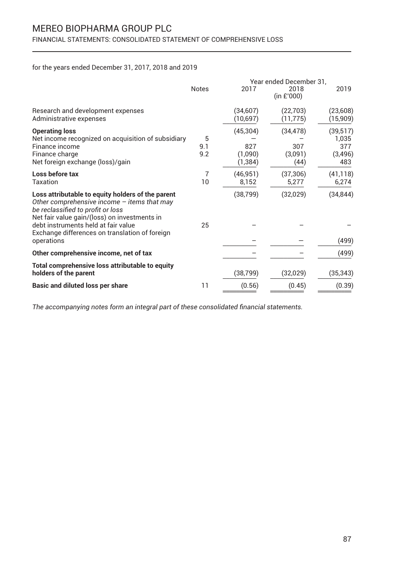# MEREO BIOPHARMA GROUP PLC

FINANCIAL STATEMENTS: CONSOLIDATED STATEMENT OF COMPREHENSIVE LOSS

# for the years ended December 31, 2017, 2018 and 2019

|                                                                                                                                                                                         | <b>Notes</b>    | 2017                                    | Year ended December 31,<br>2018<br>(in £'000) | 2019                                         |
|-----------------------------------------------------------------------------------------------------------------------------------------------------------------------------------------|-----------------|-----------------------------------------|-----------------------------------------------|----------------------------------------------|
| Research and development expenses<br>Administrative expenses                                                                                                                            |                 | (34, 607)<br>(10, 697)                  | (22, 703)<br>(11, 775)                        | (23,608)<br>(15, 909)                        |
| <b>Operating loss</b><br>Net income recognized on acquisition of subsidiary<br>Finance income<br>Finance charge<br>Net foreign exchange (loss)/gain                                     | 5<br>9.1<br>9.2 | (45, 304)<br>827<br>(1,090)<br>(1, 384) | (34, 478)<br>307<br>(3,091)<br>(44)           | (39, 517)<br>1,035<br>377<br>(3, 496)<br>483 |
| Loss before tax<br>Taxation                                                                                                                                                             | 7<br>10         | (46, 951)<br>8,152                      | (37, 306)<br>5,277                            | (41, 118)<br>6,274                           |
| Loss attributable to equity holders of the parent<br>Other comprehensive income $-$ items that may<br>be reclassified to profit or loss<br>Net fair value gain/(loss) on investments in |                 | (38, 799)                               | (32,029)                                      | (34, 844)                                    |
| debt instruments held at fair value<br>Exchange differences on translation of foreign<br>operations                                                                                     | 25              |                                         |                                               | (499)                                        |
| Other comprehensive income, net of tax                                                                                                                                                  |                 |                                         |                                               | (499)                                        |
| Total comprehensive loss attributable to equity<br>holders of the parent                                                                                                                |                 | (38,799)                                | (32,029)                                      | (35, 343)                                    |
| <b>Basic and diluted loss per share</b>                                                                                                                                                 | 11              | (0.56)                                  | (0.45)                                        | (0.39)                                       |

*The accompanying notes form an integral part of these consolidated financial statements.*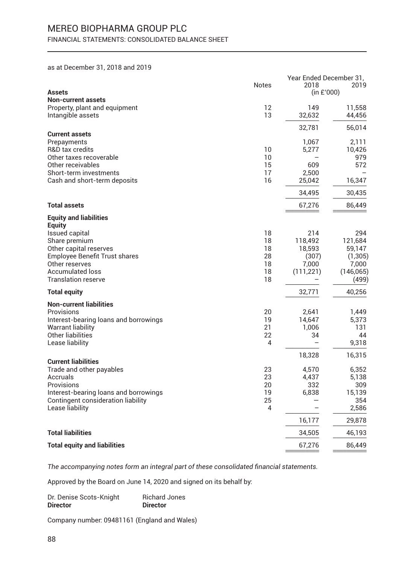# MEREO BIOPHARMA GROUP PLC

FINANCIAL STATEMENTS: CONSOLIDATED BALANCE SHEET

as at December 31, 2018 and 2019

| <b>Assets</b>                                                                                                                                              | <b>Notes</b>                     | Year Ended December 31,<br>2018<br>(in £'000)      | 2019                                                         |
|------------------------------------------------------------------------------------------------------------------------------------------------------------|----------------------------------|----------------------------------------------------|--------------------------------------------------------------|
| <b>Non-current assets</b><br>Property, plant and equipment<br>Intangible assets                                                                            | 12<br>13                         | 149<br>32,632                                      | 11,558<br>44,456                                             |
| <b>Current assets</b>                                                                                                                                      |                                  | 32,781                                             | 56,014                                                       |
| Prepayments<br><b>R&amp;D tax credits</b><br>Other taxes recoverable<br>Other receivables<br>Short-term investments<br>Cash and short-term deposits        | 10<br>10<br>15<br>17<br>16       | 1,067<br>5,277<br>609<br>2,500<br>25,042<br>34,495 | 2,111<br>10,426<br>979<br>572<br>16,347<br>30,435            |
| <b>Total assets</b>                                                                                                                                        |                                  | 67,276                                             | 86,449                                                       |
| <b>Equity and liabilities</b><br><b>Equity</b><br><b>Issued capital</b>                                                                                    | 18                               | 214                                                | 294                                                          |
| Share premium<br>Other capital reserves<br><b>Employee Benefit Trust shares</b><br>Other reserves<br><b>Accumulated loss</b><br><b>Translation reserve</b> | 18<br>18<br>28<br>18<br>18<br>18 | 118,492<br>18,593<br>(307)<br>7,000<br>(111, 221)  | 121,684<br>59,147<br>(1, 305)<br>7,000<br>(146,065)<br>(499) |
| <b>Total equity</b>                                                                                                                                        |                                  | 32,771                                             | 40,256                                                       |
| <b>Non-current liabilities</b><br>Provisions<br>Interest-bearing loans and borrowings<br><b>Warrant liability</b><br>Other liabilities<br>Lease liability  | 20<br>19<br>21<br>22<br>4        | 2,641<br>14,647<br>1,006<br>34                     | 1,449<br>5,373<br>131<br>44<br>9,318                         |
| <b>Current liabilities</b>                                                                                                                                 |                                  | 18,328                                             | 16,315                                                       |
| Trade and other payables<br>Accruals<br>Provisions<br>Interest-bearing loans and borrowings<br>Contingent consideration liability<br>Lease liability       | 23<br>23<br>20<br>19<br>25<br>4  | 4,570<br>4,437<br>332<br>6,838                     | 6,352<br>5,138<br>309<br>15,139<br>354<br>2,586              |
|                                                                                                                                                            |                                  | 16,177                                             | 29,878                                                       |
| <b>Total liabilities</b>                                                                                                                                   |                                  | 34,505                                             | 46,193                                                       |
| <b>Total equity and liabilities</b>                                                                                                                        |                                  | 67,276                                             | 86,449                                                       |

*The accompanying notes form an integral part of these consolidated financial statements.* 

Approved by the Board on June 14, 2020 and signed on its behalf by:

| Dr. Denise Scots-Knight | <b>Richard Jones</b> |
|-------------------------|----------------------|
| <b>Director</b>         | <b>Director</b>      |

Company number: 09481161 (England and Wales)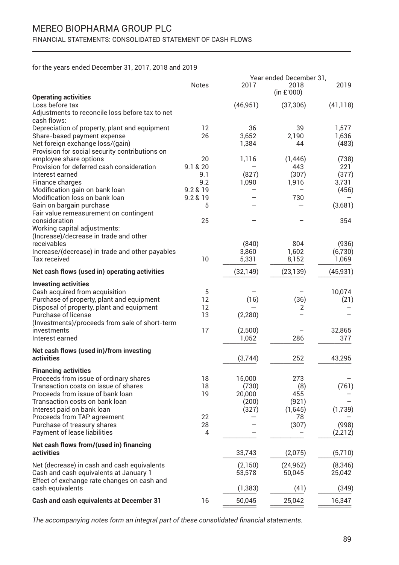# MEREO BIOPHARMA GROUP PLC

FINANCIAL STATEMENTS: CONSOLIDATED STATEMENT OF CASH FLOWS

# for the years ended December 31, 2017, 2018 and 2019

|                                                                        |              |                | Year ended December 31, |                |
|------------------------------------------------------------------------|--------------|----------------|-------------------------|----------------|
|                                                                        | <b>Notes</b> | 2017           | 2018                    | 2019           |
| <b>Operating activities</b>                                            |              |                | (in £'000)              |                |
| Loss before tax                                                        |              | (46, 951)      | (37, 306)               | (41, 118)      |
| Adjustments to reconcile loss before tax to net                        |              |                |                         |                |
| cash flows:                                                            |              |                |                         |                |
| Depreciation of property, plant and equipment                          | 12           | 36             | 39                      | 1,577          |
| Share-based payment expense<br>Net foreign exchange loss/(gain)        | 26           | 3,652<br>1,384 | 2,190<br>44             | 1,636<br>(483) |
| Provision for social security contributions on                         |              |                |                         |                |
| employee share options                                                 | 20           | 1,116          | (1, 446)                | (738)          |
| Provision for deferred cash consideration                              | 9.1 & 20     |                | 443                     | 221            |
| Interest earned                                                        | 9.1          | (827)          | (307)                   | (377)          |
| Finance charges                                                        | 9.2          | 1,090          | 1,916                   | 3,731          |
| Modification gain on bank loan                                         | 9.2 & 19     |                |                         | (456)          |
| Modification loss on bank loan                                         | 9.2 & 19     |                | 730                     |                |
| Gain on bargain purchase                                               | 5            |                |                         | (3,681)        |
| Fair value remeasurement on contingent                                 |              |                |                         |                |
| consideration                                                          | 25           |                |                         | 354            |
| Working capital adjustments:                                           |              |                |                         |                |
| (Increase)/decrease in trade and other                                 |              |                |                         |                |
| receivables                                                            |              | (840)          | 804                     | (936)          |
| Increase/(decrease) in trade and other payables<br><b>Tax received</b> | 10           | 3,860          | 1,602                   | (6, 730)       |
|                                                                        |              | 5,331          | 8,152                   | 1,069          |
| Net cash flows (used in) operating activities                          |              | (32,149)       | (23, 139)               | (45, 931)      |
| <b>Investing activities</b>                                            |              |                |                         |                |
| Cash acquired from acquisition                                         | 5            |                |                         | 10,074         |
| Purchase of property, plant and equipment                              | 12           | (16)           | (36)                    | (21)           |
| Disposal of property, plant and equipment                              | 12           |                | 2                       |                |
| Purchase of license                                                    | 13           | (2, 280)       |                         |                |
| (Investments)/proceeds from sale of short-term                         |              |                |                         |                |
| investments                                                            | 17           | (2,500)        |                         | 32,865         |
| Interest earned                                                        |              | 1,052          | 286                     | 377            |
| Net cash flows (used in)/from investing                                |              |                |                         |                |
| activities                                                             |              | (3,744)        | 252                     | 43,295         |
| <b>Financing activities</b>                                            |              |                |                         |                |
| Proceeds from issue of ordinary shares                                 | 18           | 15,000         | 273                     |                |
| Transaction costs on issue of shares                                   | 18           | (730)          | (8)                     | (761)          |
| Proceeds from issue of bank loan                                       | 19           | 20,000         | 455                     |                |
| Transaction costs on bank loan                                         |              | (200)          | (921)                   |                |
| Interest paid on bank loan                                             |              | (327)          | (1,645)                 | (1, 739)       |
| Proceeds from TAP agreement                                            | 22           |                | 78                      |                |
| Purchase of treasury shares                                            | 28           |                | (307)                   | (998)          |
| Payment of lease liabilities                                           | 4            |                |                         | (2, 212)       |
| Net cash flows from/(used in) financing                                |              |                |                         |                |
| activities                                                             |              | 33,743         | (2,075)                 | (5,710)        |
| Net (decrease) in cash and cash equivalents                            |              | (2,150)        | (24, 962)               | (8, 346)       |
| Cash and cash equivalents at January 1                                 |              | 53,578         | 50,045                  | 25,042         |
| Effect of exchange rate changes on cash and                            |              |                |                         |                |
| cash equivalents                                                       |              | (1, 383)       | (41)                    | (349)          |
| <b>Cash and cash equivalents at December 31</b>                        | 16           | 50,045         | 25,042                  | 16,347         |

*The accompanying notes form an integral part of these consolidated financial statements.*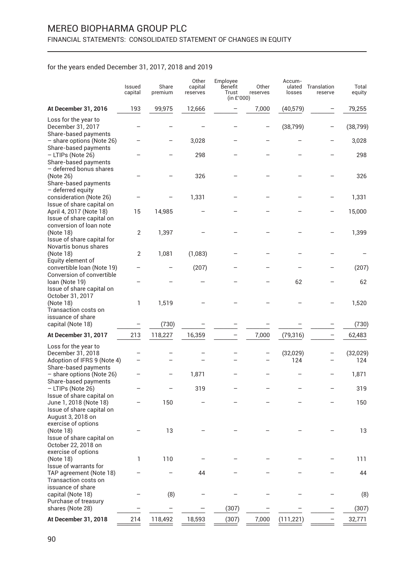# MEREO BIOPHARMA GROUP PLC FINANCIAL STATEMENTS: CONSOLIDATED STATEMENT OF CHANGES IN EQUITY

# for the years ended December 31, 2017, 2018 and 2019

|                                                                                                       | Issued<br>capital | Share<br>premium | Other<br>capital<br>reserves | Employee<br>Benefit<br>Trust<br>(in £'000) | Other<br>reserves | Accum-<br>ulated<br>losses | Translation<br>reserve | Total<br>equity |
|-------------------------------------------------------------------------------------------------------|-------------------|------------------|------------------------------|--------------------------------------------|-------------------|----------------------------|------------------------|-----------------|
| At December 31, 2016                                                                                  | 193               | 99,975           | 12,666                       |                                            | 7,000             | (40, 579)                  |                        | 79,255          |
| Loss for the year to<br>December 31, 2017<br>Share-based payments                                     |                   |                  |                              |                                            |                   | (38, 799)                  | -                      | (38, 799)       |
| - share options (Note 26)<br>Share-based payments                                                     |                   |                  | 3,028                        |                                            |                   |                            |                        | 3,028           |
| - LTIPs (Note 26)<br>Share-based payments<br>- deferred bonus shares                                  |                   |                  | 298                          |                                            |                   |                            |                        | 298             |
| (Note 26)<br>Share-based payments<br>- deferred equity                                                |                   |                  | 326                          |                                            |                   |                            |                        | 326             |
| consideration (Note 26)<br>Issue of share capital on                                                  |                   |                  | 1,331                        |                                            |                   |                            |                        | 1,331           |
| April 4, 2017 (Note 18)<br>Issue of share capital on<br>conversion of loan note                       | 15                | 14,985           |                              |                                            |                   |                            |                        | 15,000          |
| (Note 18)<br>Issue of share capital for<br>Novartis bonus shares                                      | 2                 | 1,397            |                              |                                            |                   |                            |                        | 1,399           |
| (Note 18)<br>Equity element of                                                                        | 2                 | 1,081            | (1,083)                      |                                            |                   |                            |                        |                 |
| convertible Ioan (Note 19)<br>Conversion of convertible                                               |                   |                  | (207)                        |                                            |                   |                            |                        | (207)           |
| loan (Note 19)<br>Issue of share capital on                                                           |                   |                  |                              |                                            |                   | 62                         |                        | 62              |
| October 31, 2017<br>(Note 18)<br>Transaction costs on                                                 | 1                 | 1,519            |                              |                                            |                   |                            |                        | 1,520           |
| issuance of share<br>capital (Note 18)                                                                |                   | (730)            |                              |                                            |                   |                            |                        | (730)           |
| At December 31, 2017                                                                                  | 213               | 118,227          | 16,359                       |                                            | 7,000             | (79, 316)                  |                        | 62,483          |
| Loss for the year to<br>December 31, 2018<br>Adoption of IFRS 9 (Note 4)                              |                   |                  |                              |                                            |                   | (32,029)<br>124            |                        | (32,029)<br>124 |
| Share-based payments<br>- share options (Note 26)                                                     |                   |                  | 1,871                        |                                            |                   |                            |                        | 1,871           |
| Share-based payments<br>- LTIPs (Note 26)                                                             |                   |                  | 319                          |                                            |                   |                            |                        | 319             |
| Issue of share capital on<br>June 1, 2018 (Note 18)<br>Issue of share capital on<br>August 3, 2018 on |                   | 150              |                              |                                            |                   |                            |                        | 150             |
| exercise of options<br>(Note 18)<br>Issue of share capital on<br>October 22, 2018 on                  |                   | 13               |                              |                                            |                   |                            |                        | 13              |
| exercise of options<br>(Note 18)                                                                      | 1                 | 110              |                              |                                            |                   |                            |                        | 111             |
| Issue of warrants for<br>TAP agreement (Note 18)<br>Transaction costs on                              |                   |                  | 44                           |                                            |                   |                            |                        | 44              |
| issuance of share<br>capital (Note 18)                                                                |                   | (8)              |                              |                                            |                   |                            |                        | (8)             |
| Purchase of treasury<br>shares (Note 28)                                                              |                   |                  |                              | (307)                                      |                   |                            |                        | (307)           |
| At December 31, 2018                                                                                  | 214               | 118,492          | 18,593                       | (307)                                      | 7,000             | (111, 221)                 |                        | 32,771          |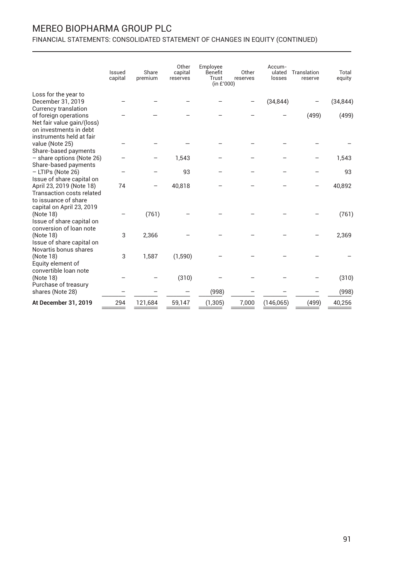# MEREO BIOPHARMA GROUP PLC FINANCIAL STATEMENTS: CONSOLIDATED STATEMENT OF CHANGES IN EQUITY (CONTINUED)

|                                                                          | Issued<br>capital | Share<br>premium | Other<br>capital<br>reserves | Employee<br>Benefit<br>Trust<br>(in £'000) | Other<br>reserves | Accum-<br>ulated<br>losses | Translation<br>reserve | Total<br>equity |
|--------------------------------------------------------------------------|-------------------|------------------|------------------------------|--------------------------------------------|-------------------|----------------------------|------------------------|-----------------|
| Loss for the year to<br>December 31, 2019<br><b>Currency translation</b> |                   |                  |                              |                                            |                   | (34, 844)                  |                        | (34, 844)       |
| of foreign operations                                                    |                   |                  |                              |                                            |                   |                            | (499)                  | (499)           |
| Net fair value gain/(loss)<br>on investments in debt                     |                   |                  |                              |                                            |                   |                            |                        |                 |
| instruments held at fair<br>value (Note 25)                              |                   |                  |                              |                                            |                   |                            |                        |                 |
| Share-based payments                                                     |                   |                  |                              |                                            |                   |                            |                        |                 |
| - share options (Note 26)                                                |                   |                  | 1,543                        |                                            |                   |                            |                        | 1,543           |
| Share-based payments<br>- LTIPs (Note 26)                                |                   |                  | 93                           |                                            |                   |                            |                        | 93              |
| Issue of share capital on                                                |                   |                  |                              |                                            |                   |                            |                        |                 |
| April 23, 2019 (Note 18)<br><b>Transaction costs related</b>             | 74                |                  | 40,818                       |                                            |                   |                            |                        | 40,892          |
| to issuance of share                                                     |                   |                  |                              |                                            |                   |                            |                        |                 |
| capital on April 23, 2019                                                |                   |                  |                              |                                            |                   |                            |                        |                 |
| (Note 18)                                                                |                   | (761)            |                              |                                            |                   |                            |                        | (761)           |
| Issue of share capital on<br>conversion of loan note                     |                   |                  |                              |                                            |                   |                            |                        |                 |
| (Note 18)                                                                | 3                 | 2,366            |                              |                                            |                   |                            |                        | 2,369           |
| Issue of share capital on                                                |                   |                  |                              |                                            |                   |                            |                        |                 |
| Novartis bonus shares                                                    |                   |                  |                              |                                            |                   |                            |                        |                 |
| (Note 18)<br>Equity element of                                           | 3                 | 1,587            | (1, 590)                     |                                            |                   |                            |                        |                 |
| convertible loan note                                                    |                   |                  |                              |                                            |                   |                            |                        |                 |
| (Note 18)                                                                |                   |                  | (310)                        |                                            |                   |                            |                        | (310)           |
| Purchase of treasury                                                     |                   |                  |                              |                                            |                   |                            |                        |                 |
| shares (Note 28)                                                         |                   |                  |                              | (998)                                      |                   |                            |                        | (998)           |
| At December 31, 2019                                                     | 294               | 121,684          | 59,147                       | (1, 305)                                   | 7,000             | (146, 065)                 | (499)                  | 40,256          |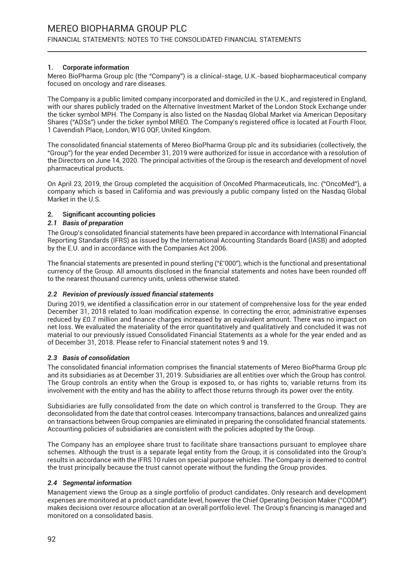# **1. Corporate information**

Mereo BioPharma Group plc (the "Company") is a clinical-stage, U.K.-based biopharmaceutical company focused on oncology and rare diseases.

The Company is a public limited company incorporated and domiciled in the U.K., and registered in England, with our shares publicly traded on the Alternative Investment Market of the London Stock Exchange under the ticker symbol MPH. The Company is also listed on the Nasdaq Global Market via American Depositary Shares ("ADSs") under the ticker symbol MREO. The Company's registered office is located at Fourth Floor, 1 Cavendish Place, London, W1G 0QF, United Kingdom.

The consolidated financial statements of Mereo BioPharma Group plc and its subsidiaries (collectively, the "Group") for the year ended December 31, 2019 were authorized for issue in accordance with a resolution of the Directors on June 14, 2020. The principal activities of the Group is the research and development of novel pharmaceutical products.

On April 23, 2019, the Group completed the acquisition of OncoMed Pharmaceuticals, Inc. ("OncoMed"), a company which is based in California and was previously a public company listed on the Nasdaq Global Market in the U.S.

# **2. Significant accounting policies**

# *2.1 Basis of preparation*

The Group's consolidated financial statements have been prepared in accordance with International Financial Reporting Standards (IFRS) as issued by the International Accounting Standards Board (IASB) and adopted by the E.U. and in accordance with the Companies Act 2006.

The financial statements are presented in pound sterling ("£'000"), which is the functional and presentational currency of the Group. All amounts disclosed in the financial statements and notes have been rounded off to the nearest thousand currency units, unless otherwise stated.

# *2.2 Revision of previously issued financial statements*

During 2019, we identified a classification error in our statement of comprehensive loss for the year ended December 31, 2018 related to loan modification expense. In correcting the error, administrative expenses reduced by £0.7 million and finance charges increased by an equivalent amount. There was no impact on net loss. We evaluated the materiality of the error quantitatively and qualitatively and concluded it was not material to our previously issued Consolidated Financial Statements as a whole for the year ended and as of December 31, 2018. Please refer to Financial statement notes 9 and 19.

# *2.3 Basis of consolidation*

The consolidated financial information comprises the financial statements of Mereo BioPharma Group plc and its subsidiaries as at December 31, 2019. Subsidiaries are all entities over which the Group has control. The Group controls an entity when the Group is exposed to, or has rights to, variable returns from its involvement with the entity and has the ability to affect those returns through its power over the entity.

Subsidiaries are fully consolidated from the date on which control is transferred to the Group. They are deconsolidated from the date that control ceases. Intercompany transactions, balances and unrealized gains on transactions between Group companies are eliminated in preparing the consolidated financial statements. Accounting policies of subsidiaries are consistent with the policies adopted by the Group.

The Company has an employee share trust to facilitate share transactions pursuant to employee share schemes. Although the trust is a separate legal entity from the Group, it is consolidated into the Group's results in accordance with the IFRS 10 rules on special purpose vehicles. The Company is deemed to control the trust principally because the trust cannot operate without the funding the Group provides.

# *2.4 Segmental information*

Management views the Group as a single portfolio of product candidates. Only research and development expenses are monitored at a product candidate level, however the Chief Operating Decision Maker ("CODM") makes decisions over resource allocation at an overall portfolio level. The Group's financing is managed and monitored on a consolidated basis.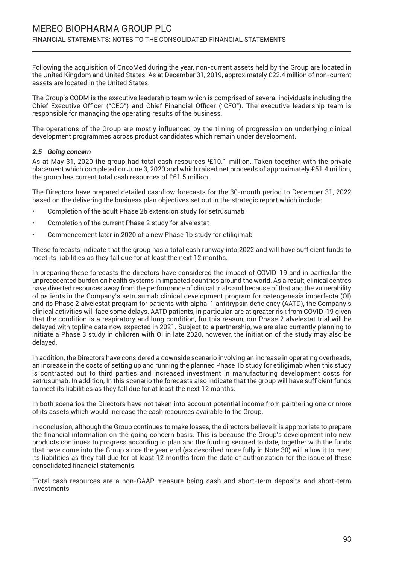Following the acquisition of OncoMed during the year, non-current assets held by the Group are located in the United Kingdom and United States. As at December 31, 2019, approximately £22.4 million of non-current assets are located in the United States.

The Group's CODM is the executive leadership team which is comprised of several individuals including the Chief Executive Officer ("CEO") and Chief Financial Officer ("CFO"). The executive leadership team is responsible for managing the operating results of the business.

The operations of the Group are mostly influenced by the timing of progression on underlying clinical development programmes across product candidates which remain under development.

# *2.5 Going concern*

As at May 31, 2020 the group had total cash resources  $E10.1$  million. Taken together with the private placement which completed on June 3, 2020 and which raised net proceeds of approximately £51.4 million, the group has current total cash resources of £61.5 million.

The Directors have prepared detailed cashflow forecasts for the 30-month period to December 31, 2022 based on the delivering the business plan objectives set out in the strategic report which include:

- Completion of the adult Phase 2b extension study for setrusumab
- Completion of the current Phase 2 study for alvelestat
- Commencement later in 2020 of a new Phase 1b study for etiligimab

These forecasts indicate that the group has a total cash runway into 2022 and will have sufficient funds to meet its liabilities as they fall due for at least the next 12 months.

In preparing these forecasts the directors have considered the impact of COVID-19 and in particular the unprecedented burden on health systems in impacted countries around the world. As a result, clinical centres have diverted resources away from the performance of clinical trials and because of that and the vulnerability of patients in the Company's setrusumab clinical development program for osteogenesis imperfecta (OI) and its Phase 2 alvelestat program for patients with alpha-1 antitrypsin deficiency (AATD), the Company's clinical activities will face some delays. AATD patients, in particular, are at greater risk from COVID-19 given that the condition is a respiratory and lung condition, for this reason, our Phase 2 alvelestat trial will be delayed with topline data now expected in 2021. Subject to a partnership, we are also currently planning to initiate a Phase 3 study in children with OI in late 2020, however, the initiation of the study may also be delayed.

In addition, the Directors have considered a downside scenario involving an increase in operating overheads, an increase in the costs of setting up and running the planned Phase 1b study for etiligimab when this study is contracted out to third parties and increased investment in manufacturing development costs for setrusumab. In addition, In this scenario the forecasts also indicate that the group will have sufficient funds to meet its liabilities as they fall due for at least the next 12 months.

In both scenarios the Directors have not taken into account potential income from partnering one or more of its assets which would increase the cash resources available to the Group.

In conclusion, although the Group continues to make losses, the directors believe it is appropriate to prepare the financial information on the going concern basis. This is because the Group's development into new products continues to progress according to plan and the funding secured to date, together with the funds that have come into the Group since the year end (as described more fully in Note 30) will allow it to meet its liabilities as they fall due for at least 12 months from the date of authorization for the issue of these consolidated financial statements.

Total cash resources are a non-GAAP measure being cash and short-term deposits and short-term investments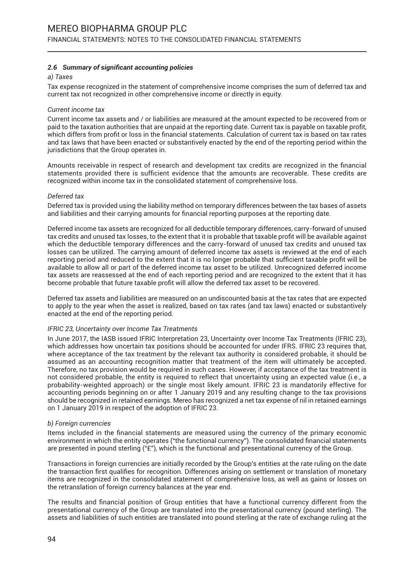# *2.6 Summary of significant accounting policies*

#### *a) Taxes*

Tax expense recognized in the statement of comprehensive income comprises the sum of deferred tax and current tax not recognized in other comprehensive income or directly in equity.

#### *Current income tax*

Current income tax assets and / or liabilities are measured at the amount expected to be recovered from or paid to the taxation authorities that are unpaid at the reporting date. Current tax is payable on taxable profit, which differs from profit or loss in the financial statements. Calculation of current tax is based on tax rates and tax laws that have been enacted or substantively enacted by the end of the reporting period within the jurisdictions that the Group operates in.

Amounts receivable in respect of research and development tax credits are recognized in the financial statements provided there is sufficient evidence that the amounts are recoverable. These credits are recognized within income tax in the consolidated statement of comprehensive loss.

#### *Deferred tax*

Deferred tax is provided using the liability method on temporary differences between the tax bases of assets and liabilities and their carrying amounts for financial reporting purposes at the reporting date.

Deferred income tax assets are recognized for all deductible temporary differences, carry-forward of unused tax credits and unused tax losses, to the extent that it is probable that taxable profit will be available against which the deductible temporary differences and the carry-forward of unused tax credits and unused tax losses can be utilized. The carrying amount of deferred income tax assets is reviewed at the end of each reporting period and reduced to the extent that it is no longer probable that sufficient taxable profit will be available to allow all or part of the deferred income tax asset to be utilized. Unrecognized deferred income tax assets are reassessed at the end of each reporting period and are recognized to the extent that it has become probable that future taxable profit will allow the deferred tax asset to be recovered.

Deferred tax assets and liabilities are measured on an undiscounted basis at the tax rates that are expected to apply to the year when the asset is realized, based on tax rates (and tax laws) enacted or substantively enacted at the end of the reporting period.

# *IFRIC 23, Uncertainty over Income Tax Treatments*

In June 2017, the IASB issued IFRIC Interpretation 23, Uncertainty over Income Tax Treatments (IFRIC 23), which addresses how uncertain tax positions should be accounted for under IFRS. IFRIC 23 requires that, where acceptance of the tax treatment by the relevant tax authority is considered probable, it should be assumed as an accounting recognition matter that treatment of the item will ultimately be accepted. Therefore, no tax provision would be required in such cases. However, if acceptance of the tax treatment is not considered probable, the entity is required to reflect that uncertainty using an expected value (i.e., a probability-weighted approach) or the single most likely amount. IFRIC 23 is mandatorily effective for accounting periods beginning on or after 1 January 2019 and any resulting change to the tax provisions should be recognized in retained earnings. Mereo has recognized a net tax expense of nil in retained earnings on 1 January 2019 in respect of the adoption of IFRIC 23.

#### *b) Foreign currencies*

Items included in the financial statements are measured using the currency of the primary economic environment in which the entity operates ("the functional currency"). The consolidated financial statements are presented in pound sterling (" $E$ "), which is the functional and presentational currency of the Group.

Transactions in foreign currencies are initially recorded by the Group's entities at the rate ruling on the date the transaction first qualifies for recognition. Differences arising on settlement or translation of monetary items are recognized in the consolidated statement of comprehensive loss, as well as gains or losses on the retranslation of foreign currency balances at the year end.

The results and financial position of Group entities that have a functional currency different from the presentational currency of the Group are translated into the presentational currency (pound sterling). The assets and liabilities of such entities are translated into pound sterling at the rate of exchange ruling at the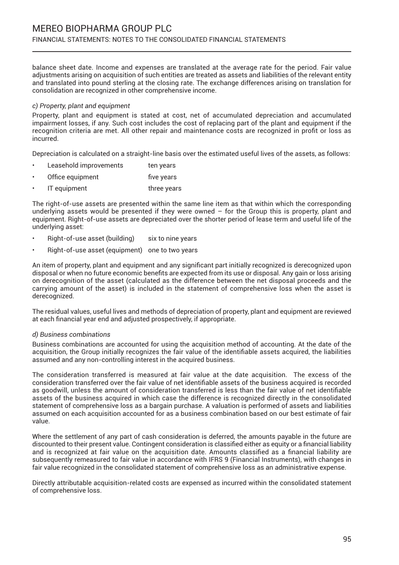balance sheet date. Income and expenses are translated at the average rate for the period. Fair value adjustments arising on acquisition of such entities are treated as assets and liabilities of the relevant entity and translated into pound sterling at the closing rate. The exchange differences arising on translation for consolidation are recognized in other comprehensive income.

# *c) Property, plant and equipment*

Property, plant and equipment is stated at cost, net of accumulated depreciation and accumulated impairment losses, if any. Such cost includes the cost of replacing part of the plant and equipment if the recognition criteria are met. All other repair and maintenance costs are recognized in profit or loss as incurred.

Depreciation is calculated on a straight-line basis over the estimated useful lives of the assets, as follows:

- Leasehold improvements ten years
- Office equipment five years
- IT equipment three years

The right-of-use assets are presented within the same line item as that within which the corresponding underlying assets would be presented if they were owned  $-$  for the Group this is property, plant and equipment. Right-of-use assets are depreciated over the shorter period of lease term and useful life of the underlying asset:

- Right-of-use asset (building) six to nine years
- Right-of-use asset (equipment) one to two years

An item of property, plant and equipment and any significant part initially recognized is derecognized upon disposal or when no future economic benefits are expected from its use or disposal. Any gain or loss arising on derecognition of the asset (calculated as the difference between the net disposal proceeds and the carrying amount of the asset) is included in the statement of comprehensive loss when the asset is derecognized.

The residual values, useful lives and methods of depreciation of property, plant and equipment are reviewed at each financial year end and adjusted prospectively, if appropriate.

# *d) Business combinations*

Business combinations are accounted for using the acquisition method of accounting. At the date of the acquisition, the Group initially recognizes the fair value of the identifiable assets acquired, the liabilities assumed and any non-controlling interest in the acquired business.

The consideration transferred is measured at fair value at the date acquisition. The excess of the consideration transferred over the fair value of net identifiable assets of the business acquired is recorded as goodwill, unless the amount of consideration transferred is less than the fair value of net identifiable assets of the business acquired in which case the difference is recognized directly in the consolidated statement of comprehensive loss as a bargain purchase. A valuation is performed of assets and liabilities assumed on each acquisition accounted for as a business combination based on our best estimate of fair value.

Where the settlement of any part of cash consideration is deferred, the amounts payable in the future are discounted to their present value. Contingent consideration is classified either as equity or a financial liability and is recognized at fair value on the acquisition date. Amounts classified as a financial liability are subsequently remeasured to fair value in accordance with IFRS 9 (Financial Instruments), with changes in fair value recognized in the consolidated statement of comprehensive loss as an administrative expense.

Directly attributable acquisition-related costs are expensed as incurred within the consolidated statement of comprehensive loss.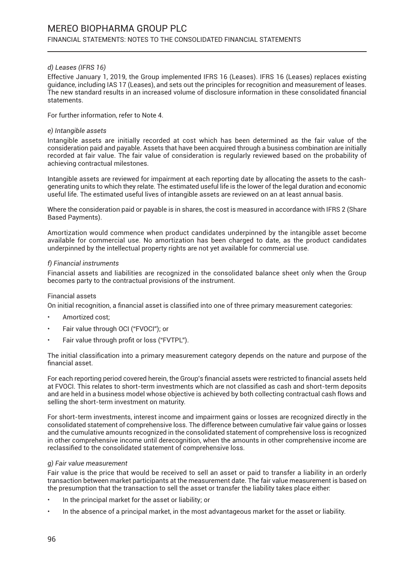# *d) Leases (IFRS 16)*

Effective January 1, 2019, the Group implemented IFRS 16 (Leases). IFRS 16 (Leases) replaces existing guidance, including IAS 17 (Leases), and sets out the principles for recognition and measurement of leases. The new standard results in an increased volume of disclosure information in these consolidated financial statements.

For further information, refer to Note 4.

#### *e) Intangible assets*

Intangible assets are initially recorded at cost which has been determined as the fair value of the consideration paid and payable. Assets that have been acquired through a business combination are initially recorded at fair value. The fair value of consideration is regularly reviewed based on the probability of achieving contractual milestones.

Intangible assets are reviewed for impairment at each reporting date by allocating the assets to the cashgenerating units to which they relate. The estimated useful life is the lower of the legal duration and economic useful life. The estimated useful lives of intangible assets are reviewed on an at least annual basis.

Where the consideration paid or payable is in shares, the cost is measured in accordance with IFRS 2 (Share Based Payments).

Amortization would commence when product candidates underpinned by the intangible asset become available for commercial use. No amortization has been charged to date, as the product candidates underpinned by the intellectual property rights are not yet available for commercial use.

#### *f) Financial instruments*

Financial assets and liabilities are recognized in the consolidated balance sheet only when the Group becomes party to the contractual provisions of the instrument.

# Financial assets

On initial recognition, a financial asset is classified into one of three primary measurement categories:

- Amortized cost;
- Fair value through OCI ("FVOCI"); or
- Fair value through profit or loss ("FVTPL").

The initial classification into a primary measurement category depends on the nature and purpose of the financial asset.

For each reporting period covered herein, the Group's financial assets were restricted to financial assets held at FVOCI. This relates to short-term investments which are not classified as cash and short-term deposits and are held in a business model whose objective is achieved by both collecting contractual cash flows and selling the short-term investment on maturity.

For short-term investments, interest income and impairment gains or losses are recognized directly in the consolidated statement of comprehensive loss. The difference between cumulative fair value gains or losses and the cumulative amounts recognized in the consolidated statement of comprehensive loss is recognized in other comprehensive income until derecognition, when the amounts in other comprehensive income are reclassified to the consolidated statement of comprehensive loss.

#### *g) Fair value measurement*

Fair value is the price that would be received to sell an asset or paid to transfer a liability in an orderly transaction between market participants at the measurement date. The fair value measurement is based on the presumption that the transaction to sell the asset or transfer the liability takes place either:

- In the principal market for the asset or liability; or
- In the absence of a principal market, in the most advantageous market for the asset or liability.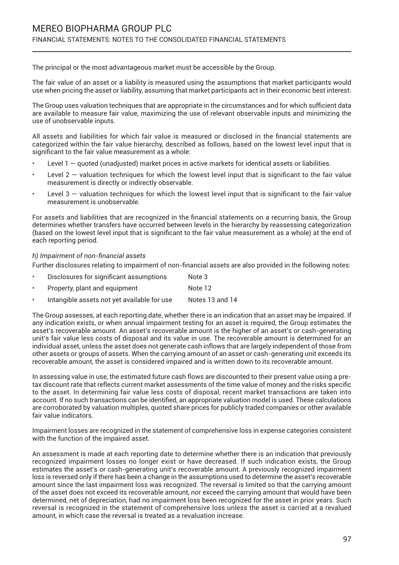The principal or the most advantageous market must be accessible by the Group.

The fair value of an asset or a liability is measured using the assumptions that market participants would use when pricing the asset or liability, assuming that market participants act in their economic best interest.

The Group uses valuation techniques that are appropriate in the circumstances and for which sufficient data are available to measure fair value, maximizing the use of relevant observable inputs and minimizing the use of unobservable inputs.

All assets and liabilities for which fair value is measured or disclosed in the financial statements are categorized within the fair value hierarchy, described as follows, based on the lowest level input that is significant to the fair value measurement as a whole:

- Level 1 quoted (unadjusted) market prices in active markets for identical assets or liabilities.
- Level  $2$  valuation techniques for which the lowest level input that is significant to the fair value measurement is directly or indirectly observable.
- Level  $3$  valuation techniques for which the lowest level input that is significant to the fair value measurement is unobservable.

For assets and liabilities that are recognized in the financial statements on a recurring basis, the Group determines whether transfers have occurred between levels in the hierarchy by reassessing categorization (based on the lowest level input that is significant to the fair value measurement as a whole) at the end of each reporting period.

# *h) Impairment of non-financial assets*

Further disclosures relating to impairment of non-financial assets are also provided in the following notes:

| $\bullet$ | Disclosures for significant assumptions     | Note 3          |
|-----------|---------------------------------------------|-----------------|
| $\bullet$ | Property, plant and equipment               | Note 12         |
| $\bullet$ | Intangible assets not yet available for use | Notes 13 and 14 |

The Group assesses, at each reporting date, whether there is an indication that an asset may be impaired. If any indication exists, or when annual impairment testing for an asset is required, the Group estimates the asset's recoverable amount. An asset's recoverable amount is the higher of an asset's or cash-generating unit's fair value less costs of disposal and its value in use. The recoverable amount is determined for an individual asset, unless the asset does not generate cash inflows that are largely independent of those from other assets or groups of assets. When the carrying amount of an asset or cash-generating unit exceeds its recoverable amount, the asset is considered impaired and is written down to its recoverable amount.

In assessing value in use, the estimated future cash flows are discounted to their present value using a pretax discount rate that reflects current market assessments of the time value of money and the risks specific to the asset. In determining fair value less costs of disposal, recent market transactions are taken into account. If no such transactions can be identified, an appropriate valuation model is used. These calculations are corroborated by valuation multiples, quoted share prices for publicly traded companies or other available fair value indicators.

Impairment losses are recognized in the statement of comprehensive loss in expense categories consistent with the function of the impaired asset.

An assessment is made at each reporting date to determine whether there is an indication that previously recognized impairment losses no longer exist or have decreased. If such indication exists, the Group estimates the asset's or cash-generating unit's recoverable amount. A previously recognized impairment loss is reversed only if there has been a change in the assumptions used to determine the asset's recoverable amount since the last impairment loss was recognized. The reversal is limited so that the carrying amount of the asset does not exceed its recoverable amount, nor exceed the carrying amount that would have been determined, net of depreciation, had no impairment loss been recognized for the asset in prior years. Such reversal is recognized in the statement of comprehensive loss unless the asset is carried at a revalued amount, in which case the reversal is treated as a revaluation increase.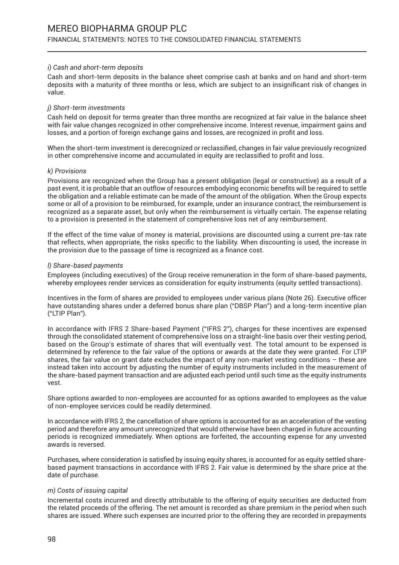# *i) Cash and short-term deposits*

Cash and short-term deposits in the balance sheet comprise cash at banks and on hand and short-term deposits with a maturity of three months or less, which are subject to an insignificant risk of changes in value.

#### *j) Short-term investments*

Cash held on deposit for terms greater than three months are recognized at fair value in the balance sheet with fair value changes recognized in other comprehensive income. Interest revenue, impairment gains and losses, and a portion of foreign exchange gains and losses, are recognized in profit and loss.

When the short-term investment is derecognized or reclassified, changes in fair value previously recognized in other comprehensive income and accumulated in equity are reclassified to profit and loss.

#### *k) Provisions*

Provisions are recognized when the Group has a present obligation (legal or constructive) as a result of a past event, it is probable that an outflow of resources embodying economic benefits will be required to settle the obligation and a reliable estimate can be made of the amount of the obligation. When the Group expects some or all of a provision to be reimbursed, for example, under an insurance contract, the reimbursement is recognized as a separate asset, but only when the reimbursement is virtually certain. The expense relating to a provision is presented in the statement of comprehensive loss net of any reimbursement.

If the effect of the time value of money is material, provisions are discounted using a current pre-tax rate that reflects, when appropriate, the risks specific to the liability. When discounting is used, the increase in the provision due to the passage of time is recognized as a finance cost.

#### *l) Share-based payments*

Employees (including executives) of the Group receive remuneration in the form of share-based payments, whereby employees render services as consideration for equity instruments (equity settled transactions).

Incentives in the form of shares are provided to employees under various plans (Note 26). Executive officer have outstanding shares under a deferred bonus share plan ("DBSP Plan") and a long-term incentive plan ("LTIP Plan").

In accordance with IFRS 2 Share-based Payment ("IFRS 2"), charges for these incentives are expensed through the consolidated statement of comprehensive loss on a straight-line basis over their vesting period, based on the Group's estimate of shares that will eventually vest. The total amount to be expensed is determined by reference to the fair value of the options or awards at the date they were granted. For LTIP shares, the fair value on grant date excludes the impact of any non-market vesting conditions – these are instead taken into account by adjusting the number of equity instruments included in the measurement of the share-based payment transaction and are adjusted each period until such time as the equity instruments vest.

Share options awarded to non-employees are accounted for as options awarded to employees as the value of non-employee services could be readily determined.

In accordance with IFRS 2, the cancellation of share options is accounted for as an acceleration of the vesting period and therefore any amount unrecognized that would otherwise have been charged in future accounting periods is recognized immediately. When options are forfeited, the accounting expense for any unvested awards is reversed.

Purchases, where consideration is satisfied by issuing equity shares, is accounted for as equity settled sharebased payment transactions in accordance with IFRS 2. Fair value is determined by the share price at the date of purchase.

# *m) Costs of issuing capital*

Incremental costs incurred and directly attributable to the offering of equity securities are deducted from the related proceeds of the offering. The net amount is recorded as share premium in the period when such shares are issued. Where such expenses are incurred prior to the offering they are recorded in prepayments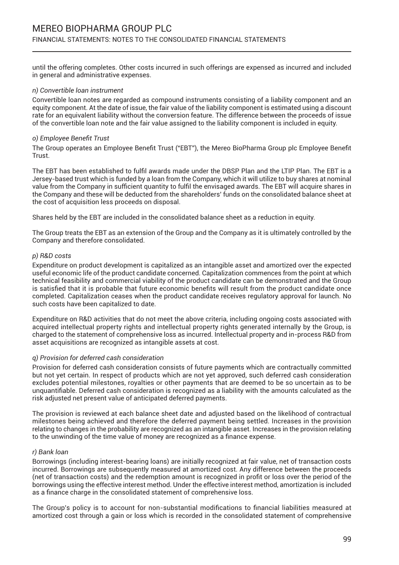until the offering completes. Other costs incurred in such offerings are expensed as incurred and included in general and administrative expenses.

# *n) Convertible loan instrument*

Convertible loan notes are regarded as compound instruments consisting of a liability component and an equity component. At the date of issue, the fair value of the liability component is estimated using a discount rate for an equivalent liability without the conversion feature. The difference between the proceeds of issue of the convertible loan note and the fair value assigned to the liability component is included in equity.

#### *o) Employee Benefit Trust*

The Group operates an Employee Benefit Trust ("EBT"), the Mereo BioPharma Group plc Employee Benefit Trust.

The EBT has been established to fulfil awards made under the DBSP Plan and the LTIP Plan. The EBT is a Jersey-based trust which is funded by a loan from the Company, which it will utilize to buy shares at nominal value from the Company in sufficient quantity to fulfil the envisaged awards. The EBT will acquire shares in the Company and these will be deducted from the shareholders' funds on the consolidated balance sheet at the cost of acquisition less proceeds on disposal.

Shares held by the EBT are included in the consolidated balance sheet as a reduction in equity.

The Group treats the EBT as an extension of the Group and the Company as it is ultimately controlled by the Company and therefore consolidated.

#### *p) R&D costs*

Expenditure on product development is capitalized as an intangible asset and amortized over the expected useful economic life of the product candidate concerned. Capitalization commences from the point at which technical feasibility and commercial viability of the product candidate can be demonstrated and the Group is satisfied that it is probable that future economic benefits will result from the product candidate once completed. Capitalization ceases when the product candidate receives regulatory approval for launch. No such costs have been capitalized to date.

Expenditure on R&D activities that do not meet the above criteria, including ongoing costs associated with acquired intellectual property rights and intellectual property rights generated internally by the Group, is charged to the statement of comprehensive loss as incurred. Intellectual property and in-process R&D from asset acquisitions are recognized as intangible assets at cost.

# *q) Provision for deferred cash consideration*

Provision for deferred cash consideration consists of future payments which are contractually committed but not yet certain. In respect of products which are not yet approved, such deferred cash consideration excludes potential milestones, royalties or other payments that are deemed to be so uncertain as to be unquantifiable. Deferred cash consideration is recognized as a liability with the amounts calculated as the risk adjusted net present value of anticipated deferred payments.

The provision is reviewed at each balance sheet date and adjusted based on the likelihood of contractual milestones being achieved and therefore the deferred payment being settled. Increases in the provision relating to changes in the probability are recognized as an intangible asset. Increases in the provision relating to the unwinding of the time value of money are recognized as a finance expense.

# *r) Bank loan*

Borrowings (including interest-bearing loans) are initially recognized at fair value, net of transaction costs incurred. Borrowings are subsequently measured at amortized cost. Any difference between the proceeds (net of transaction costs) and the redemption amount is recognized in profit or loss over the period of the borrowings using the effective interest method. Under the effective interest method, amortization is included as a finance charge in the consolidated statement of comprehensive loss.

The Group's policy is to account for non-substantial modifications to financial liabilities measured at amortized cost through a gain or loss which is recorded in the consolidated statement of comprehensive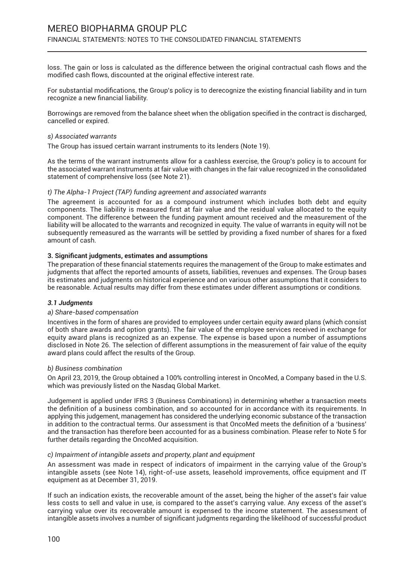loss. The gain or loss is calculated as the difference between the original contractual cash flows and the modified cash flows, discounted at the original effective interest rate.

For substantial modifications, the Group's policy is to derecognize the existing financial liability and in turn recognize a new financial liability.

Borrowings are removed from the balance sheet when the obligation specified in the contract is discharged, cancelled or expired.

#### *s) Associated warrants*

The Group has issued certain warrant instruments to its lenders (Note 19).

As the terms of the warrant instruments allow for a cashless exercise, the Group's policy is to account for the associated warrant instruments at fair value with changes in the fair value recognized in the consolidated statement of comprehensive loss (see Note 21).

#### *t) The Alpha-1 Project (TAP) funding agreement and associated warrants*

The agreement is accounted for as a compound instrument which includes both debt and equity components. The liability is measured first at fair value and the residual value allocated to the equity component. The difference between the funding payment amount received and the measurement of the liability will be allocated to the warrants and recognized in equity. The value of warrants in equity will not be subsequently remeasured as the warrants will be settled by providing a fixed number of shares for a fixed amount of cash.

#### **3. Significant judgments, estimates and assumptions**

The preparation of these financial statements requires the management of the Group to make estimates and judgments that affect the reported amounts of assets, liabilities, revenues and expenses. The Group bases its estimates and judgments on historical experience and on various other assumptions that it considers to be reasonable. Actual results may differ from these estimates under different assumptions or conditions.

# *3.1 Judgments*

#### *a) Share-based compensation*

Incentives in the form of shares are provided to employees under certain equity award plans (which consist of both share awards and option grants). The fair value of the employee services received in exchange for equity award plans is recognized as an expense. The expense is based upon a number of assumptions disclosed in Note 26. The selection of different assumptions in the measurement of fair value of the equity award plans could affect the results of the Group.

#### *b) Business combination*

On April 23, 2019, the Group obtained a 100% controlling interest in OncoMed, a Company based in the U.S. which was previously listed on the Nasdaq Global Market.

Judgement is applied under IFRS 3 (Business Combinations) in determining whether a transaction meets the definition of a business combination, and so accounted for in accordance with its requirements. In applying this judgement, management has considered the underlying economic substance of the transaction in addition to the contractual terms. Our assessment is that OncoMed meets the definition of a 'business' and the transaction has therefore been accounted for as a business combination. Please refer to Note 5 for further details regarding the OncoMed acquisition.

#### *c) Impairment of intangible assets and property, plant and equipment*

An assessment was made in respect of indicators of impairment in the carrying value of the Group's intangible assets (see Note 14), right-of-use assets, leasehold improvements, office equipment and IT equipment as at December 31, 2019.

If such an indication exists, the recoverable amount of the asset, being the higher of the asset's fair value less costs to sell and value in use, is compared to the asset's carrying value. Any excess of the asset's carrying value over its recoverable amount is expensed to the income statement. The assessment of intangible assets involves a number of significant judgments regarding the likelihood of successful product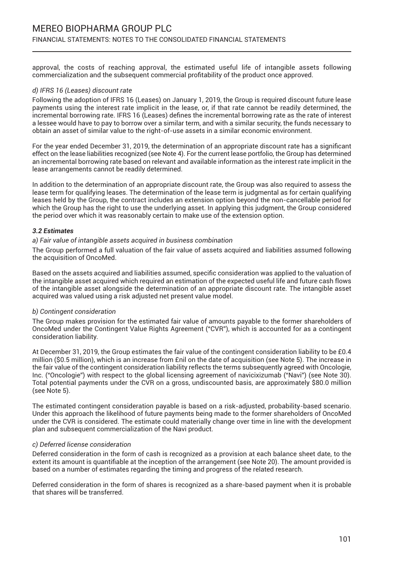# MEREO BIOPHARMA GROUP PLC FINANCIAL STATEMENTS: NOTES TO THE CONSOLIDATED FINANCIAL STATEMENTS

approval, the costs of reaching approval, the estimated useful life of intangible assets following commercialization and the subsequent commercial profitability of the product once approved.

# *d) IFRS 16 (Leases) discount rate*

Following the adoption of IFRS 16 (Leases) on January 1, 2019, the Group is required discount future lease payments using the interest rate implicit in the lease, or, if that rate cannot be readily determined, the incremental borrowing rate. IFRS 16 (Leases) defines the incremental borrowing rate as the rate of interest a lessee would have to pay to borrow over a similar term, and with a similar security, the funds necessary to obtain an asset of similar value to the right-of-use assets in a similar economic environment.

For the year ended December 31, 2019, the determination of an appropriate discount rate has a significant effect on the lease liabilities recognized (see Note 4). For the current lease portfolio, the Group has determined an incremental borrowing rate based on relevant and available information as the interest rate implicit in the lease arrangements cannot be readily determined.

In addition to the determination of an appropriate discount rate, the Group was also required to assess the lease term for qualifying leases. The determination of the lease term is judgmental as for certain qualifying leases held by the Group, the contract includes an extension option beyond the non-cancellable period for which the Group has the right to use the underlying asset. In applying this judgment, the Group considered the period over which it was reasonably certain to make use of the extension option.

# *3.2 Estimates*

# *a) Fair value of intangible assets acquired in business combination*

The Group performed a full valuation of the fair value of assets acquired and liabilities assumed following the acquisition of OncoMed.

Based on the assets acquired and liabilities assumed, specific consideration was applied to the valuation of the intangible asset acquired which required an estimation of the expected useful life and future cash flows of the intangible asset alongside the determination of an appropriate discount rate. The intangible asset acquired was valued using a risk adjusted net present value model.

# *b) Contingent consideration*

The Group makes provision for the estimated fair value of amounts payable to the former shareholders of OncoMed under the Contingent Value Rights Agreement ("CVR"), which is accounted for as a contingent consideration liability.

At December 31, 2019, the Group estimates the fair value of the contingent consideration liability to be £0.4 million (\$0.5 million), which is an increase from £nil on the date of acquisition (see Note 5). The increase in the fair value of the contingent consideration liability reflects the terms subsequently agreed with Oncologie, Inc. ("Oncologie") with respect to the global licensing agreement of navicixizumab ("Navi") (see Note 30). Total potential payments under the CVR on a gross, undiscounted basis, are approximately \$80.0 million (see Note 5).

The estimated contingent consideration payable is based on a risk-adjusted, probability-based scenario. Under this approach the likelihood of future payments being made to the former shareholders of OncoMed under the CVR is considered. The estimate could materially change over time in line with the development plan and subsequent commercialization of the Navi product.

# *c) Deferred license consideration*

Deferred consideration in the form of cash is recognized as a provision at each balance sheet date, to the extent its amount is quantifiable at the inception of the arrangement (see Note 20). The amount provided is based on a number of estimates regarding the timing and progress of the related research.

Deferred consideration in the form of shares is recognized as a share-based payment when it is probable that shares will be transferred.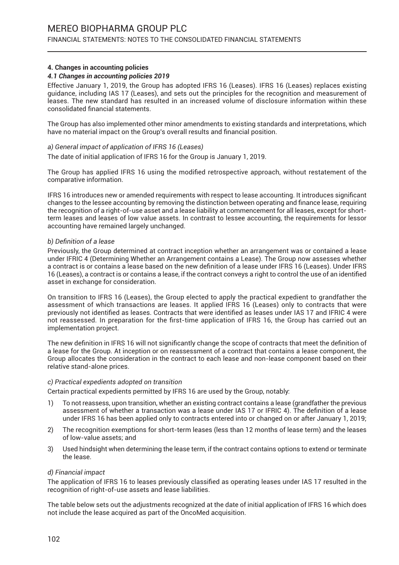# **4. Changes in accounting policies**

# *4.1 Changes in accounting policies 2019*

Effective January 1, 2019, the Group has adopted IFRS 16 (Leases). IFRS 16 (Leases) replaces existing guidance, including IAS 17 (Leases), and sets out the principles for the recognition and measurement of leases. The new standard has resulted in an increased volume of disclosure information within these consolidated financial statements.

The Group has also implemented other minor amendments to existing standards and interpretations, which have no material impact on the Group's overall results and financial position.

#### *a) General impact of application of IFRS 16 (Leases)*

The date of initial application of IFRS 16 for the Group is January 1, 2019.

The Group has applied IFRS 16 using the modified retrospective approach, without restatement of the comparative information.

IFRS 16 introduces new or amended requirements with respect to lease accounting. It introduces significant changes to the lessee accounting by removing the distinction between operating and finance lease, requiring the recognition of a right-of-use asset and a lease liability at commencement for all leases, except for shortterm leases and leases of low value assets. In contrast to lessee accounting, the requirements for lessor accounting have remained largely unchanged.

#### *b) Definition of a lease*

Previously, the Group determined at contract inception whether an arrangement was or contained a lease under IFRIC 4 (Determining Whether an Arrangement contains a Lease). The Group now assesses whether a contract is or contains a lease based on the new definition of a lease under IFRS 16 (Leases). Under IFRS 16 (Leases), a contract is or contains a lease, if the contract conveys a right to control the use of an identified asset in exchange for consideration.

On transition to IFRS 16 (Leases), the Group elected to apply the practical expedient to grandfather the assessment of which transactions are leases. It applied IFRS 16 (Leases) only to contracts that were previously not identified as leases. Contracts that were identified as leases under IAS 17 and IFRIC 4 were not reassessed. In preparation for the first-time application of IFRS 16, the Group has carried out an implementation project.

The new definition in IFRS 16 will not significantly change the scope of contracts that meet the definition of a lease for the Group. At inception or on reassessment of a contract that contains a lease component, the Group allocates the consideration in the contract to each lease and non-lease component based on their relative stand-alone prices.

#### *c) Practical expedients adopted on transition*

Certain practical expedients permitted by IFRS 16 are used by the Group, notably:

- 1) To not reassess, upon transition, whether an existing contract contains a lease (grandfather the previous assessment of whether a transaction was a lease under IAS 17 or IFRIC 4). The definition of a lease under IFRS 16 has been applied only to contracts entered into or changed on or after January 1, 2019;
- 2) The recognition exemptions for short-term leases (less than 12 months of lease term) and the leases of low-value assets; and
- 3) Used hindsight when determining the lease term, if the contract contains options to extend or terminate the lease.

#### *d) Financial impact*

The application of IFRS 16 to leases previously classified as operating leases under IAS 17 resulted in the recognition of right-of-use assets and lease liabilities.

The table below sets out the adjustments recognized at the date of initial application of IFRS 16 which does not include the lease acquired as part of the OncoMed acquisition.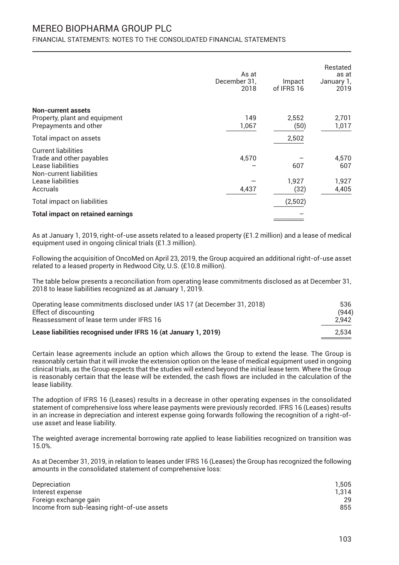# MEREO BIOPHARMA GROUP PLC FINANCIAL STATEMENTS: NOTES TO THE CONSOLIDATED FINANCIAL STATEMENTS

|                                                                                                                                         | As at<br>December 31,<br>2018 | Impact<br>of IFRS 16 | Restated<br>as at<br>January 1,<br>2019 |
|-----------------------------------------------------------------------------------------------------------------------------------------|-------------------------------|----------------------|-----------------------------------------|
| <b>Non-current assets</b><br>Property, plant and equipment<br>Prepayments and other                                                     | 149<br>1,067                  | 2,552<br>(50)        | 2,701<br>1,017                          |
| Total impact on assets                                                                                                                  |                               | 2,502                |                                         |
| <b>Current liabilities</b><br>Trade and other payables<br>Lease liabilities<br>Non-current liabilities<br>Lease liabilities<br>Accruals | 4,570<br>4,437                | 607<br>1,927<br>(32) | 4,570<br>607<br>1,927<br>4,405          |
| Total impact on liabilities                                                                                                             |                               | (2,502)              |                                         |
| <b>Total impact on retained earnings</b>                                                                                                |                               |                      |                                         |

As at January 1, 2019, right-of-use assets related to a leased property (£1.2 million) and a lease of medical equipment used in ongoing clinical trials (£1.3 million).

Following the acquisition of OncoMed on April 23, 2019, the Group acquired an additional right-of-use asset related to a leased property in Redwood City, U.S. (£10.8 million).

The table below presents a reconciliation from operating lease commitments disclosed as at December 31, 2018 to lease liabilities recognized as at January 1, 2019.

| Operating lease commitments disclosed under IAS 17 (at December 31, 2018) | 536   |
|---------------------------------------------------------------------------|-------|
| Effect of discounting                                                     | (944) |
| Reassessment of lease term under IFRS 16                                  | 2.942 |
| Lease liabilities recognised under IFRS 16 (at January 1, 2019)           | 2.534 |

Certain lease agreements include an option which allows the Group to extend the lease. The Group is reasonably certain that it will invoke the extension option on the lease of medical equipment used in ongoing clinical trials, as the Group expects that the studies will extend beyond the initial lease term. Where the Group is reasonably certain that the lease will be extended, the cash flows are included in the calculation of the lease liability.

The adoption of IFRS 16 (Leases) results in a decrease in other operating expenses in the consolidated statement of comprehensive loss where lease payments were previously recorded. IFRS 16 (Leases) results in an increase in depreciation and interest expense going forwards following the recognition of a right-ofuse asset and lease liability.

The weighted average incremental borrowing rate applied to lease liabilities recognized on transition was 15.0%.

As at December 31, 2019, in relation to leases under IFRS 16 (Leases) the Group has recognized the following amounts in the consolidated statement of comprehensive loss:

| Depreciation                                | 1.505 |
|---------------------------------------------|-------|
| Interest expense                            | 1.314 |
| Foreign exchange gain                       | 29    |
| Income from sub-leasing right-of-use assets | 855   |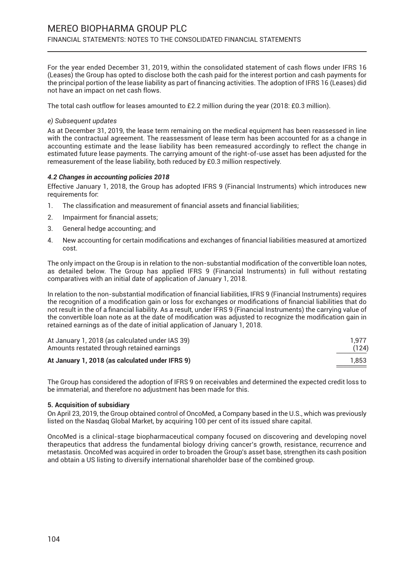For the year ended December 31, 2019, within the consolidated statement of cash flows under IFRS 16 (Leases) the Group has opted to disclose both the cash paid for the interest portion and cash payments for the principal portion of the lease liability as part of financing activities. The adoption of IFRS 16 (Leases) did not have an impact on net cash flows.

The total cash outflow for leases amounted to £2.2 million during the year (2018: £0.3 million).

#### *e) Subsequent updates*

As at December 31, 2019, the lease term remaining on the medical equipment has been reassessed in line with the contractual agreement. The reassessment of lease term has been accounted for as a change in accounting estimate and the lease liability has been remeasured accordingly to reflect the change in estimated future lease payments. The carrying amount of the right-of-use asset has been adjusted for the remeasurement of the lease liability, both reduced by £0.3 million respectively.

#### *4.2 Changes in accounting policies 2018*

Effective January 1, 2018, the Group has adopted IFRS 9 (Financial Instruments) which introduces new requirements for:

- 1. The classification and measurement of financial assets and financial liabilities;
- 2. Impairment for financial assets;
- 3. General hedge accounting; and
- 4. New accounting for certain modifications and exchanges of financial liabilities measured at amortized cost.

The only impact on the Group is in relation to the non-substantial modification of the convertible loan notes, as detailed below. The Group has applied IFRS 9 (Financial Instruments) in full without restating comparatives with an initial date of application of January 1, 2018.

In relation to the non-substantial modification of financial liabilities, IFRS 9 (Financial Instruments) requires the recognition of a modification gain or loss for exchanges or modifications of financial liabilities that do not result in the of a financial liability. As a result, under IFRS 9 (Financial Instruments) the carrying value of the convertible loan note as at the date of modification was adjusted to recognize the modification gain in retained earnings as of the date of initial application of January 1, 2018.

| At January 1, 2018 (as calculated under IAS 39) | 1.977 |
|-------------------------------------------------|-------|
| Amounts restated through retained earnings      | (124) |
| At January 1, 2018 (as calculated under IFRS 9) | 1.853 |

The Group has considered the adoption of IFRS 9 on receivables and determined the expected credit loss to be immaterial, and therefore no adjustment has been made for this.

# **5. Acquisition of subsidiary**

On April 23, 2019, the Group obtained control of OncoMed, a Company based in the U.S., which was previously listed on the Nasdaq Global Market, by acquiring 100 per cent of its issued share capital.

OncoMed is a clinical-stage biopharmaceutical company focused on discovering and developing novel therapeutics that address the fundamental biology driving cancer's growth, resistance, recurrence and metastasis. OncoMed was acquired in order to broaden the Group's asset base, strengthen its cash position and obtain a US listing to diversify international shareholder base of the combined group.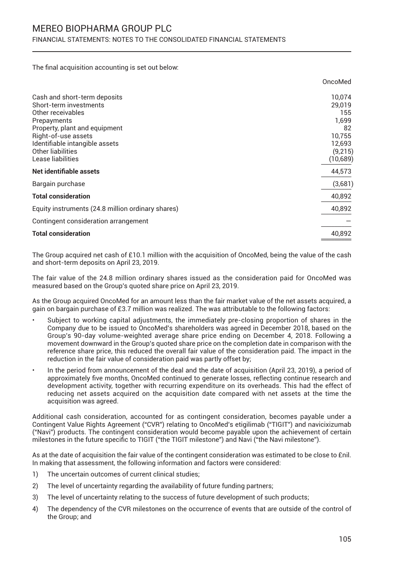The final acquisition accounting is set out below:

|                                                                                                                                                                                                                                | OncoMed                                                                           |
|--------------------------------------------------------------------------------------------------------------------------------------------------------------------------------------------------------------------------------|-----------------------------------------------------------------------------------|
| Cash and short-term deposits<br>Short-term investments<br>Other receivables<br>Prepayments<br>Property, plant and equipment<br>Right-of-use assets<br>Identifiable intangible assets<br>Other liabilities<br>Lease liabilities | 10,074<br>29,019<br>155<br>1,699<br>82<br>10,755<br>12,693<br>(9,215)<br>(10,689) |
| Net identifiable assets                                                                                                                                                                                                        | 44,573                                                                            |
| Bargain purchase                                                                                                                                                                                                               | (3,681)                                                                           |
| <b>Total consideration</b>                                                                                                                                                                                                     | 40,892                                                                            |
| Equity instruments (24.8 million ordinary shares)                                                                                                                                                                              | 40,892                                                                            |
| Contingent consideration arrangement                                                                                                                                                                                           |                                                                                   |
| <b>Total consideration</b>                                                                                                                                                                                                     | 40,892                                                                            |
|                                                                                                                                                                                                                                |                                                                                   |

The Group acquired net cash of £10.1 million with the acquisition of OncoMed, being the value of the cash and short-term deposits on April 23, 2019.

The fair value of the 24.8 million ordinary shares issued as the consideration paid for OncoMed was measured based on the Group's quoted share price on April 23, 2019.

As the Group acquired OncoMed for an amount less than the fair market value of the net assets acquired, a gain on bargain purchase of £3.7 million was realized. The was attributable to the following factors:

- Subject to working capital adjustments, the immediately pre-closing proportion of shares in the Company due to be issued to OncoMed's shareholders was agreed in December 2018, based on the Group's 90-day volume-weighted average share price ending on December 4, 2018. Following a movement downward in the Group's quoted share price on the completion date in comparison with the reference share price, this reduced the overall fair value of the consideration paid. The impact in the reduction in the fair value of consideration paid was partly offset by;
- In the period from announcement of the deal and the date of acquisition (April 23, 2019), a period of approximately five months, OncoMed continued to generate losses, reflecting continue research and development activity, together with recurring expenditure on its overheads. This had the effect of reducing net assets acquired on the acquisition date compared with net assets at the time the acquisition was agreed.

Additional cash consideration, accounted for as contingent consideration, becomes payable under a Contingent Value Rights Agreement ("CVR") relating to OncoMed's etigilimab ("TIGIT") and navicixizumab ("Navi") products. The contingent consideration would become payable upon the achievement of certain milestones in the future specific to TIGIT ("the TIGIT milestone") and Navi ("the Navi milestone").

As at the date of acquisition the fair value of the contingent consideration was estimated to be close to £nil. In making that assessment, the following information and factors were considered:

- 1) The uncertain outcomes of current clinical studies;
- 2) The level of uncertainty regarding the availability of future funding partners;
- 3) The level of uncertainty relating to the success of future development of such products;
- 4) The dependency of the CVR milestones on the occurrence of events that are outside of the control of the Group; and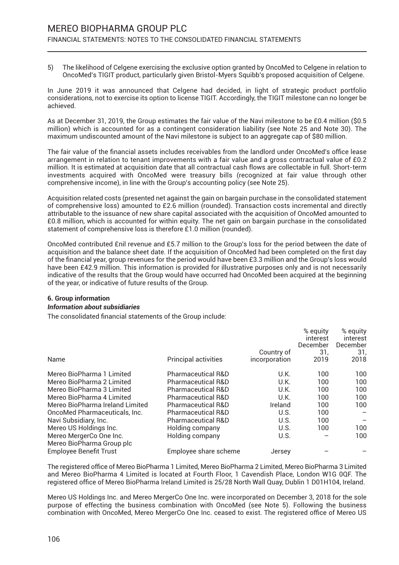# MEREO BIOPHARMA GROUP PLC FINANCIAL STATEMENTS: NOTES TO THE CONSOLIDATED FINANCIAL STATEMENTS

5) The likelihood of Celgene exercising the exclusive option granted by OncoMed to Celgene in relation to OncoMed's TIGIT product, particularly given Bristol-Myers Squibb's proposed acquisition of Celgene.

In June 2019 it was announced that Celgene had decided, in light of strategic product portfolio considerations, not to exercise its option to license TIGIT. Accordingly, the TIGIT milestone can no longer be achieved.

As at December 31, 2019, the Group estimates the fair value of the Navi milestone to be £0.4 million (\$0.5 million) which is accounted for as a contingent consideration liability (see Note 25 and Note 30). The maximum undiscounted amount of the Navi milestone is subject to an aggregate cap of \$80 million.

The fair value of the financial assets includes receivables from the landlord under OncoMed's office lease arrangement in relation to tenant improvements with a fair value and a gross contractual value of £0.2 million. It is estimated at acquisition date that all contractual cash flows are collectable in full. Short-term investments acquired with OncoMed were treasury bills (recognized at fair value through other comprehensive income), in line with the Group's accounting policy (see Note 25).

Acquisition related costs (presented net against the gain on bargain purchase in the consolidated statement of comprehensive loss) amounted to £2.6 million (rounded). Transaction costs incremental and directly attributable to the issuance of new share capital associated with the acquisition of OncoMed amounted to £0.8 million, which is accounted for within equity. The net gain on bargain purchase in the consolidated statement of comprehensive loss is therefore £1.0 million (rounded).

OncoMed contributed £nil revenue and £5.7 million to the Group's loss for the period between the date of acquisition and the balance sheet date. If the acquisition of OncoMed had been completed on the first day of the financial year, group revenues for the period would have been £3.3 million and the Group's loss would have been £42.9 million. This information is provided for illustrative purposes only and is not necessarily indicative of the results that the Group would have occurred had OncoMed been acquired at the beginning of the year, or indicative of future results of the Group.

#### **6. Group information**

#### *Information about subsidiaries*

The consolidated financial statements of the Group include:

|                                 |                               | Country of    | % equity<br>interest<br>December<br>31. | % equity<br>interest<br>December<br>31, |
|---------------------------------|-------------------------------|---------------|-----------------------------------------|-----------------------------------------|
| Name                            | Principal activities          | incorporation | 2019                                    | 2018                                    |
| Mereo BioPharma 1 Limited       | <b>Pharmaceutical R&amp;D</b> | U.K.          | 100                                     | 100                                     |
| Mereo BioPharma 2 Limited       | Pharmaceutical R&D            | U.K.          | 100                                     | 100                                     |
| Mereo BioPharma 3 Limited       | <b>Pharmaceutical R&amp;D</b> | U.K.          | 100                                     | 100                                     |
| Mereo BioPharma 4 Limited       | <b>Pharmaceutical R&amp;D</b> | U.K.          | 100                                     | 100                                     |
| Mereo BioPharma Ireland Limited | <b>Pharmaceutical R&amp;D</b> | Ireland       | 100                                     | 100                                     |
| OncoMed Pharmaceuticals, Inc.   | <b>Pharmaceutical R&amp;D</b> | U.S.          | 100                                     |                                         |
| Navi Subsidiary, Inc.           | <b>Pharmaceutical R&amp;D</b> | U.S.          | 100                                     |                                         |
| Mereo US Holdings Inc.          | Holding company               | U.S.          | 100                                     | 100                                     |
| Mereo MergerCo One Inc.         | Holding company               | U.S.          |                                         | 100                                     |
| Mereo BioPharma Group plc       |                               |               |                                         |                                         |
| <b>Employee Benefit Trust</b>   | Employee share scheme         | Jersey        |                                         |                                         |

The registered office of Mereo BioPharma 1 Limited, Mereo BioPharma 2 Limited, Mereo BioPharma 3 Limited and Mereo BioPharma 4 Limited is located at Fourth Floor, 1 Cavendish Place, London W1G 0QF. The registered office of Mereo BioPharma Ireland Limited is 25/28 North Wall Quay, Dublin 1 D01H104, Ireland.

Mereo US Holdings Inc. and Mereo MergerCo One Inc. were incorporated on December 3, 2018 for the sole purpose of effecting the business combination with OncoMed (see Note 5). Following the business combination with OncoMed, Mereo MergerCo One Inc. ceased to exist. The registered office of Mereo US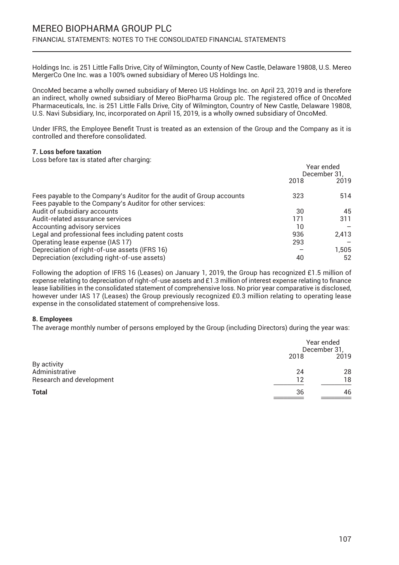Holdings Inc. is 251 Little Falls Drive, City of Wilmington, County of New Castle, Delaware 19808, U.S. Mereo MergerCo One Inc. was a 100% owned subsidiary of Mereo US Holdings Inc.

OncoMed became a wholly owned subsidiary of Mereo US Holdings Inc. on April 23, 2019 and is therefore an indirect, wholly owned subsidiary of Mereo BioPharma Group plc. The registered office of OncoMed Pharmaceuticals, Inc. is 251 Little Falls Drive, City of Wilmington, Country of New Castle, Delaware 19808, U.S. Navi Subsidiary, Inc, incorporated on April 15, 2019, is a wholly owned subsidiary of OncoMed.

Under IFRS, the Employee Benefit Trust is treated as an extension of the Group and the Company as it is controlled and therefore consolidated.

#### **7. Loss before taxation**

Loss before tax is stated after charging:

|                                                                       | Year ended<br>December 31, |       |
|-----------------------------------------------------------------------|----------------------------|-------|
|                                                                       | 2018                       | 2019  |
| Fees payable to the Company's Auditor for the audit of Group accounts | 323                        | 514   |
| Fees payable to the Company's Auditor for other services:             |                            |       |
| Audit of subsidiary accounts                                          | 30                         | 45    |
| Audit-related assurance services                                      | 171                        | 311   |
| Accounting advisory services                                          | 10                         |       |
| Legal and professional fees including patent costs                    | 936                        | 2,413 |
| Operating lease expense (IAS 17)                                      | 293                        |       |
| Depreciation of right-of-use assets (IFRS 16)                         |                            | 1.505 |
| Depreciation (excluding right-of-use assets)                          | 40                         | 52    |

Following the adoption of IFRS 16 (Leases) on January 1, 2019, the Group has recognized £1.5 million of expense relating to depreciation of right-of-use assets and £1.3 million of interest expense relating to finance lease liabilities in the consolidated statement of comprehensive loss. No prior year comparative is disclosed, however under IAS 17 (Leases) the Group previously recognized £0.3 million relating to operating lease expense in the consolidated statement of comprehensive loss.

# **8. Employees**

The average monthly number of persons employed by the Group (including Directors) during the year was:

|                          |      | Year ended<br>December 31, |
|--------------------------|------|----------------------------|
|                          | 2018 | 2019                       |
| By activity              |      |                            |
| Administrative           | 24   | 28                         |
| Research and development | 12   | 18                         |
| <b>Total</b>             | 36   | 46                         |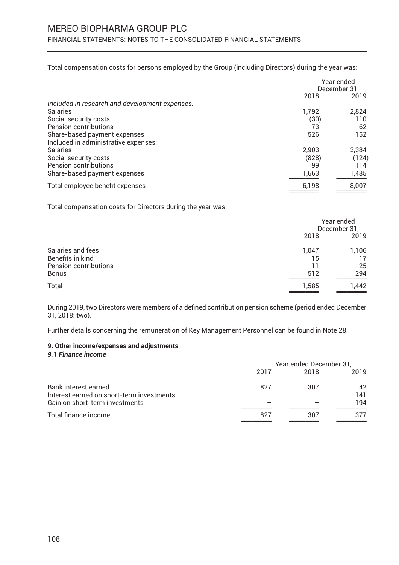Total compensation costs for persons employed by the Group (including Directors) during the year was:

|                                                | Year ended<br>December 31, |       |
|------------------------------------------------|----------------------------|-------|
|                                                | 2018                       | 2019  |
| Included in research and development expenses: |                            |       |
| <b>Salaries</b>                                | 1,792                      | 2,824 |
| Social security costs                          | (30)                       | 110   |
| <b>Pension contributions</b>                   | 73                         | 62    |
| Share-based payment expenses                   | 526                        | 152   |
| Included in administrative expenses:           |                            |       |
| <b>Salaries</b>                                | 2.903                      | 3,384 |
| Social security costs                          | (828)                      | (124) |
| <b>Pension contributions</b>                   | 99                         | 114   |
| Share-based payment expenses                   | 1,663                      | 1,485 |
| Total employee benefit expenses                | 6,198                      | 8,007 |

Total compensation costs for Directors during the year was:

|                                                                                |                          | Year ended<br>December 31, |
|--------------------------------------------------------------------------------|--------------------------|----------------------------|
|                                                                                | 2018                     | 2019                       |
| Salaries and fees<br>Benefits in kind<br>Pension contributions<br><b>Bonus</b> | 1,047<br>15<br>11<br>512 | 1,106<br>17<br>25<br>294   |
| Total                                                                          | 1,585                    | 1,442                      |

During 2019, two Directors were members of a defined contribution pension scheme (period ended December 31, 2018: two).

Further details concerning the remuneration of Key Management Personnel can be found in Note 28.

# **9. Other income/expenses and adjustments**

# *9.1 Finance income*

|                                           | Year ended December 31, |      |      |
|-------------------------------------------|-------------------------|------|------|
|                                           | 2017                    | 2018 | 2019 |
| Bank interest earned                      | 827                     | 307  | 42   |
| Interest earned on short-term investments |                         |      | 141  |
| Gain on short-term investments            |                         |      | 194  |
| Total finance income                      | 827                     | 307  | 377  |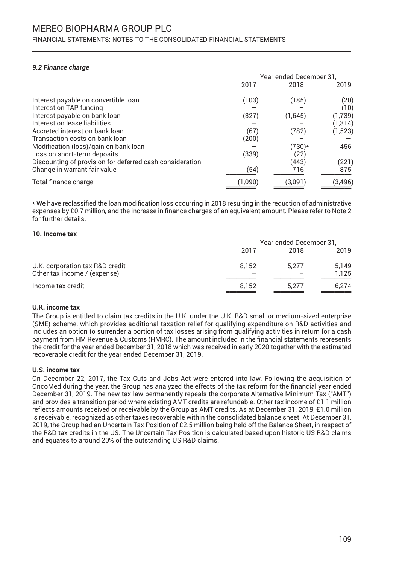# *9.2 Finance charge*

|                                                          | Year ended December 31, |          |          |
|----------------------------------------------------------|-------------------------|----------|----------|
|                                                          | 2017                    | 2018     | 2019     |
| Interest payable on convertible loan                     | (103)                   | (185)    | (20)     |
| Interest on TAP funding                                  |                         |          | (10)     |
| Interest payable on bank loan                            | (327)                   | (1,645)  | (1,739)  |
| Interest on lease liabilities                            |                         |          | (1, 314) |
| Accreted interest on bank loan                           | (67)                    | (782)    | (1, 523) |
| Transaction costs on bank loan                           | (200)                   |          |          |
| Modification (loss)/gain on bank loan                    |                         | $(730)*$ | 456      |
| Loss on short-term deposits                              | (339)                   | (22)     |          |
| Discounting of provision for deferred cash consideration |                         | (443)    | (221)    |
| Change in warrant fair value                             | (54)                    | 716      | 875      |
| Total finance charge                                     | (1,090)                 | (3,091)  | (3, 496) |

\* We have reclassified the loan modification loss occurring in 2018 resulting in the reduction of administrative expenses by £0.7 million, and the increase in finance charges of an equivalent amount. Please refer to Note 2 for further details.

### **10. Income tax**

|                                                                 | Year ended December 31, |       |                |
|-----------------------------------------------------------------|-------------------------|-------|----------------|
|                                                                 | 2017                    | 2018  | 2019           |
| U.K. corporation tax R&D credit<br>Other tax income / (expense) | 8.152                   | 5.277 | 5,149<br>1,125 |
| Income tax credit                                               | 8.152                   | 5.277 | 6.274          |

# **U.K. income tax**

The Group is entitled to claim tax credits in the U.K. under the U.K. R&D small or medium-sized enterprise (SME) scheme, which provides additional taxation relief for qualifying expenditure on R&D activities and includes an option to surrender a portion of tax losses arising from qualifying activities in return for a cash payment from HM Revenue & Customs (HMRC). The amount included in the financial statements represents the credit for the year ended December 31, 2018 which was received in early 2020 together with the estimated recoverable credit for the year ended December 31, 2019.

#### **U.S. income tax**

On December 22, 2017, the Tax Cuts and Jobs Act were entered into law. Following the acquisition of OncoMed during the year, the Group has analyzed the effects of the tax reform for the financial year ended December 31, 2019. The new tax law permanently repeals the corporate Alternative Minimum Tax ("AMT") and provides a transition period where existing AMT credits are refundable. Other tax income of £1.1 million reflects amounts received or receivable by the Group as AMT credits. As at December 31, 2019, £1.0 million is receivable, recognized as other taxes recoverable within the consolidated balance sheet. At December 31, 2019, the Group had an Uncertain Tax Position of £2.5 million being held off the Balance Sheet, in respect of the R&D tax credits in the US. The Uncertain Tax Position is calculated based upon historic US R&D claims and equates to around 20% of the outstanding US R&D claims.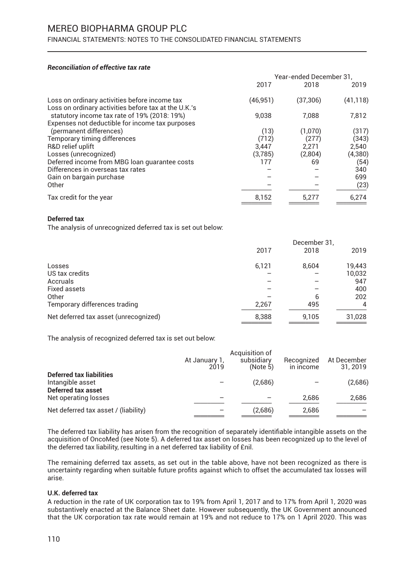### *Reconciliation of effective tax rate*

|                                                                                                       | Year-ended December 31, |           |           |
|-------------------------------------------------------------------------------------------------------|-------------------------|-----------|-----------|
|                                                                                                       | 2017                    | 2018      | 2019      |
| Loss on ordinary activities before income tax<br>Loss on ordinary activities before tax at the U.K.'s | (46, 951)               | (37, 306) | (41, 118) |
| statutory income tax rate of 19% (2018: 19%)                                                          | 9,038                   | 7.088     | 7,812     |
| Expenses not deductible for income tax purposes                                                       |                         |           |           |
| (permanent differences)                                                                               | (13)                    | (1,070)   | (317)     |
| Temporary timing differences                                                                          | (712)                   | (277)     | (343)     |
| R&D relief uplift                                                                                     | 3,447                   | 2,271     | 2,540     |
| Losses (unrecognized)                                                                                 | (3,785)                 | (2,804)   | (4,380)   |
| Deferred income from MBG loan quarantee costs                                                         | 177                     | 69        | (54)      |
| Differences in overseas tax rates                                                                     |                         |           | 340       |
| Gain on bargain purchase                                                                              |                         |           | 699       |
| Other                                                                                                 |                         |           | (23)      |
| Tax credit for the year                                                                               | 8,152                   | 5,277     | 6,274     |
|                                                                                                       |                         |           |           |

### **Deferred tax**

The analysis of unrecognized deferred tax is set out below:

|                                       |       | December 31, |        |
|---------------------------------------|-------|--------------|--------|
|                                       | 2017  | 2018         | 2019   |
| Losses                                | 6,121 | 8,604        | 19,443 |
| US tax credits                        |       |              | 10,032 |
| Accruals                              |       |              | 947    |
| <b>Fixed assets</b>                   |       |              | 400    |
| Other                                 |       | 6            | 202    |
| Temporary differences trading         | 2,267 | 495          | 4      |
| Net deferred tax asset (unrecognized) | 8,388 | 9,105        | 31,028 |

The analysis of recognized deferred tax is set out below:

| At January 1,<br>2019 | Acquisition of<br>subsidiary<br>(Note 5) | Recognized<br>in income | At December<br>31, 2019 |
|-----------------------|------------------------------------------|-------------------------|-------------------------|
|                       |                                          |                         |                         |
|                       | (2,686)                                  |                         | (2,686)                 |
|                       |                                          |                         |                         |
|                       |                                          | 2.686                   | 2,686                   |
|                       | (2,686)                                  | 2,686                   |                         |
|                       |                                          |                         |                         |

The deferred tax liability has arisen from the recognition of separately identifiable intangible assets on the acquisition of OncoMed (see Note 5). A deferred tax asset on losses has been recognized up to the level of the deferred tax liability, resulting in a net deferred tax liability of £nil.

The remaining deferred tax assets, as set out in the table above, have not been recognized as there is uncertainty regarding when suitable future profits against which to offset the accumulated tax losses will arise.

# **U.K. deferred tax**

A reduction in the rate of UK corporation tax to 19% from April 1, 2017 and to 17% from April 1, 2020 was substantively enacted at the Balance Sheet date. However subsequently, the UK Government announced that the UK corporation tax rate would remain at 19% and not reduce to 17% on 1 April 2020. This was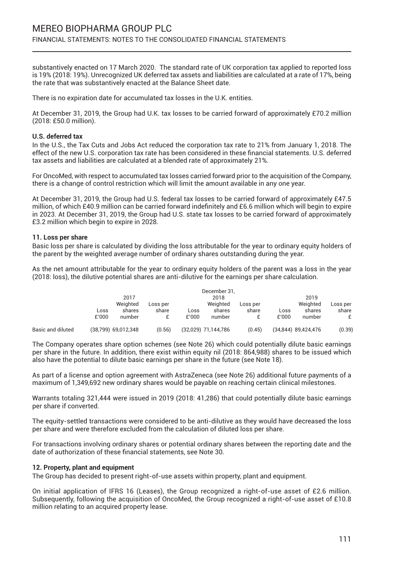substantively enacted on 17 March 2020. The standard rate of UK corporation tax applied to reported loss is 19% (2018: 19%). Unrecognized UK deferred tax assets and liabilities are calculated at a rate of 17%, being the rate that was substantively enacted at the Balance Sheet date.

There is no expiration date for accumulated tax losses in the U.K. entities.

At December 31, 2019, the Group had U.K. tax losses to be carried forward of approximately £70.2 million (2018: £50.0 million).

### **U.S. deferred tax**

In the U.S., the Tax Cuts and Jobs Act reduced the corporation tax rate to 21% from January 1, 2018. The effect of the new U.S. corporation tax rate has been considered in these financial statements. U.S. deferred tax assets and liabilities are calculated at a blended rate of approximately 21%.

For OncoMed, with respect to accumulated tax losses carried forward prior to the acquisition of the Company, there is a change of control restriction which will limit the amount available in any one year.

At December 31, 2019, the Group had U.S. federal tax losses to be carried forward of approximately £47.5 million, of which £40.9 million can be carried forward indefinitely and £6.6 million which will begin to expire in 2023. At December 31, 2019, the Group had U.S. state tax losses to be carried forward of approximately £3.2 million which begin to expire in 2028.

### **11. Loss per share**

Basic loss per share is calculated by dividing the loss attributable for the year to ordinary equity holders of the parent by the weighted average number of ordinary shares outstanding during the year.

As the net amount attributable for the year to ordinary equity holders of the parent was a loss in the year (2018: loss), the dilutive potential shares are anti-dilutive for the earnings per share calculation.

|                   | December 31, |                     |          |       |                     |          |       |                       |          |
|-------------------|--------------|---------------------|----------|-------|---------------------|----------|-------|-----------------------|----------|
|                   | 2017         |                     | 2018     |       |                     |          | 2019  |                       |          |
|                   |              | Weighted            | Loss per |       | Weighted            | LOSS per |       | Weighted              | Loss per |
|                   | Loss         | shares              | share    | Loss  | shares              | share    | LOSS  | shares                | share    |
|                   | £'000        | number              |          | £'000 | number              |          | £'000 | number                |          |
| Basic and diluted |              | (38,799) 69,012,348 | (0.56)   |       | (32,029) 71,144,786 | (0.45)   |       | $(34,844)$ 89,424,476 | (0.39)   |

The Company operates share option schemes (see Note 26) which could potentially dilute basic earnings per share in the future. In addition, there exist within equity nil (2018: 864,988) shares to be issued which also have the potential to dilute basic earnings per share in the future (see Note 18).

As part of a license and option agreement with AstraZeneca (see Note 26) additional future payments of a maximum of 1,349,692 new ordinary shares would be payable on reaching certain clinical milestones.

Warrants totaling 321,444 were issued in 2019 (2018: 41,286) that could potentially dilute basic earnings per share if converted.

The equity-settled transactions were considered to be anti-dilutive as they would have decreased the loss per share and were therefore excluded from the calculation of diluted loss per share.

For transactions involving ordinary shares or potential ordinary shares between the reporting date and the date of authorization of these financial statements, see Note 30.

# **12. Property, plant and equipment**

The Group has decided to present right-of-use assets within property, plant and equipment.

On initial application of IFRS 16 (Leases), the Group recognized a right-of-use asset of £2.6 million. Subsequently, following the acquisition of OncoMed, the Group recognized a right-of-use asset of £10.8 million relating to an acquired property lease.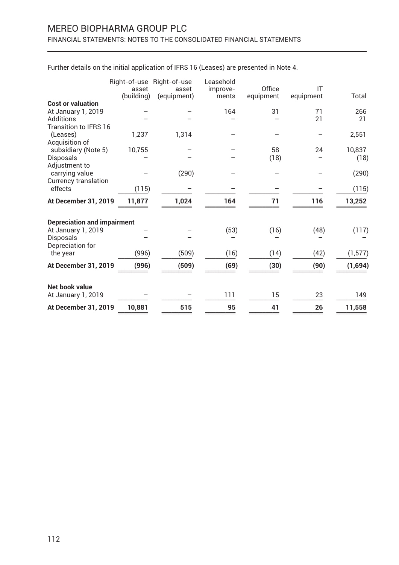|                                                                              | Right-of-use Right-of-use<br>asset<br>(building) | asset<br>(equipment) | Leasehold<br>improve-<br>ments | Office<br>equipment | IT<br>equipment | Total          |
|------------------------------------------------------------------------------|--------------------------------------------------|----------------------|--------------------------------|---------------------|-----------------|----------------|
| <b>Cost or valuation</b><br>At January 1, 2019<br><b>Additions</b>           |                                                  |                      | 164                            | 31                  | 71<br>21        | 266<br>21      |
| <b>Transition to IFRS 16</b><br>(Leases)<br>Acquisition of                   | 1,237                                            | 1,314                |                                |                     |                 | 2,551          |
| subsidiary (Note 5)<br>Disposals<br>Adjustment to                            | 10,755                                           |                      |                                | 58<br>(18)          | 24              | 10,837<br>(18) |
| carrying value                                                               |                                                  | (290)                |                                |                     |                 | (290)          |
| <b>Currency translation</b><br>effects                                       | (115)                                            |                      |                                |                     |                 | (115)          |
| At December 31, 2019                                                         | 11,877                                           | 1,024                | 164                            | 71                  | 116             | 13,252         |
| <b>Depreciation and impairment</b><br>At January 1, 2019<br><b>Disposals</b> |                                                  |                      | (53)                           | (16)                | (48)            | (117)          |
| Depreciation for<br>the year                                                 | (996)                                            | (509)                | (16)                           | (14)                | (42)            | (1, 577)       |
| At December 31, 2019                                                         | (996)                                            | (509)                | (69)                           | (30)                | (90)            | (1, 694)       |
| <b>Net book value</b><br>At January 1, 2019                                  |                                                  |                      | 111                            | 15                  | 23              | 149            |
| At December 31, 2019                                                         | 10,881                                           | 515                  | 95                             | 41                  | 26              | 11,558         |

Further details on the initial application of IFRS 16 (Leases) are presented in Note 4.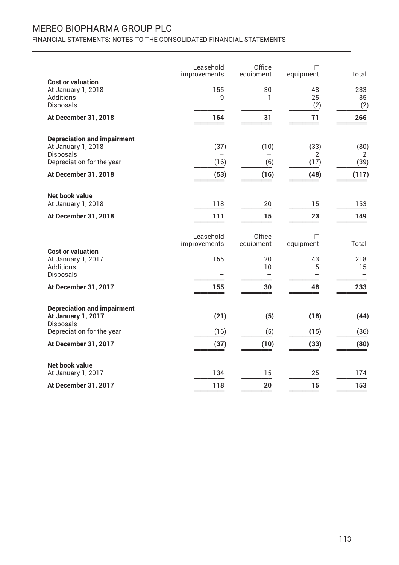|                                                                                                           | Leasehold<br>improvements        | Office<br>equipment                                  | $\mathsf{I}\mathsf{T}$<br>equipment                    | Total                          |
|-----------------------------------------------------------------------------------------------------------|----------------------------------|------------------------------------------------------|--------------------------------------------------------|--------------------------------|
| <b>Cost or valuation</b><br>At January 1, 2018<br><b>Additions</b><br>Disposals                           | 155<br>9                         | 30<br>1<br>$\overline{\phantom{0}}$                  | 48<br>25<br>(2)                                        | 233<br>35<br>(2)               |
| At December 31, 2018                                                                                      | 164                              | 31                                                   | 71                                                     | 266                            |
| <b>Depreciation and impairment</b><br>At January 1, 2018<br><b>Disposals</b><br>Depreciation for the year | (37)<br>(16)                     | (10)<br>(6)                                          | (33)<br>2<br>(17)                                      | (80)<br>$\overline{2}$<br>(39) |
| At December 31, 2018                                                                                      | (53)                             | (16)                                                 | (48)                                                   | (117)                          |
| <b>Net book value</b><br>At January 1, 2018<br>At December 31, 2018                                       | 118<br>111                       | 20<br>15                                             | 15<br>23                                               | 153<br>149                     |
|                                                                                                           |                                  |                                                      |                                                        |                                |
| <b>Cost or valuation</b><br>At January 1, 2017<br><b>Additions</b><br><b>Disposals</b>                    | Leasehold<br>improvements<br>155 | Office<br>equipment<br>20<br>10<br>$\qquad \qquad -$ | IT<br>equipment<br>43<br>5<br>$\overline{\phantom{0}}$ | Total<br>218<br>15             |
| At December 31, 2017                                                                                      | 155                              | 30                                                   | 48                                                     | 233                            |
| <b>Depreciation and impairment</b><br>At January 1, 2017<br>Disposals                                     | (21)                             | (5)                                                  | (18)                                                   | (44)                           |
| Depreciation for the year<br>At December 31, 2017                                                         | (16)<br>(37)                     | (5)<br>(10)                                          | (15)<br>(33)                                           | (36)<br>(80)                   |
| <b>Net book value</b><br>At January 1, 2017                                                               | 134                              | 15                                                   | 25                                                     | 174                            |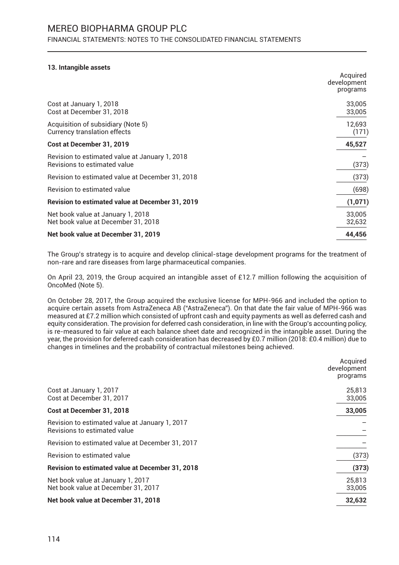# **13. Intangible assets**

|                                                                                | Acquired<br>development<br>programs |
|--------------------------------------------------------------------------------|-------------------------------------|
| Cost at January 1, 2018<br>Cost at December 31, 2018                           | 33,005<br>33,005                    |
| Acquisition of subsidiary (Note 5)<br><b>Currency translation effects</b>      | 12,693<br>(171)                     |
| Cost at December 31, 2019                                                      | 45,527                              |
| Revision to estimated value at January 1, 2018<br>Revisions to estimated value | (373)                               |
| Revision to estimated value at December 31, 2018                               | (373)                               |
| Revision to estimated value                                                    | (698)                               |
| <b>Revision to estimated value at December 31, 2019</b>                        | (1,071)                             |
| Net book value at January 1, 2018<br>Net book value at December 31, 2018       | 33,005<br>32,632                    |
| Net book value at December 31, 2019                                            | 44,456                              |

The Group's strategy is to acquire and develop clinical-stage development programs for the treatment of non-rare and rare diseases from large pharmaceutical companies.

On April 23, 2019, the Group acquired an intangible asset of £12.7 million following the acquisition of OncoMed (Note 5).

On October 28, 2017, the Group acquired the exclusive license for MPH-966 and included the option to acquire certain assets from AstraZeneca AB ("AstraZeneca"). On that date the fair value of MPH-966 was measured at £7.2 million which consisted of upfront cash and equity payments as well as deferred cash and equity consideration. The provision for deferred cash consideration, in line with the Group's accounting policy, is re-measured to fair value at each balance sheet date and recognized in the intangible asset. During the year, the provision for deferred cash consideration has decreased by £0.7 million (2018: £0.4 million) due to changes in timelines and the probability of contractual milestones being achieved.

|                                                                                | Acquired<br>development<br>programs |
|--------------------------------------------------------------------------------|-------------------------------------|
| Cost at January 1, 2017<br>Cost at December 31, 2017                           | 25,813<br>33,005                    |
| Cost at December 31, 2018                                                      | 33,005                              |
| Revision to estimated value at January 1, 2017<br>Revisions to estimated value |                                     |
| Revision to estimated value at December 31, 2017                               |                                     |
| Revision to estimated value                                                    | (373)                               |
| <b>Revision to estimated value at December 31, 2018</b>                        | (373)                               |
| Net book value at January 1, 2017<br>Net book value at December 31, 2017       | 25.813<br>33,005                    |
| Net book value at December 31, 2018                                            | 32,632                              |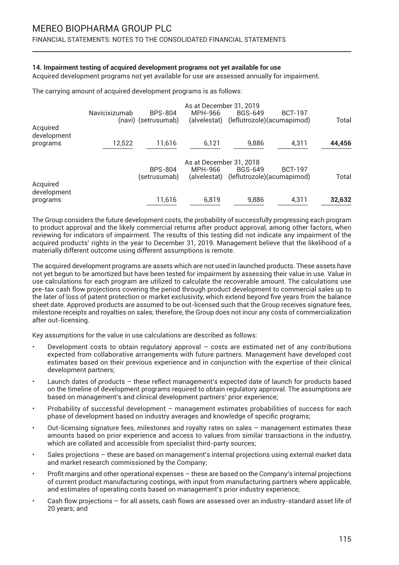# **14. Impairment testing of acquired development programs not yet available for use**

Acquired development programs not yet available for use are assessed annually for impairment.

The carrying amount of acquired development programs is as follows:

| Acquired                | Navicixizumab | <b>BPS-804</b><br>(navi) (setrusumab) | As at December 31, 2019<br><b>MPH-966</b><br>(alvelestat) | <b>BGS-649</b><br>(leflutrozole)(acumapimod) | <b>BCT-197</b> | Total  |
|-------------------------|---------------|---------------------------------------|-----------------------------------------------------------|----------------------------------------------|----------------|--------|
| development<br>programs | 12,522        | 11,616                                | 6,121                                                     | 9,886                                        | 4,311          | 44,456 |
| Acquired                |               | <b>BPS-804</b><br>(setrusumab)        | As at December 31, 2018<br><b>MPH-966</b><br>(alvelestat) | <b>BGS-649</b><br>(leflutrozole)(acumapimod) | <b>BCT-197</b> | Total  |
| development<br>programs |               | 11,616                                | 6,819                                                     | 9,886                                        | 4,311          | 32,632 |

The Group considers the future development costs, the probability of successfully progressing each program to product approval and the likely commercial returns after product approval, among other factors, when reviewing for indicators of impairment. The results of this testing did not indicate any impairment of the acquired products' rights in the year to December 31, 2019. Management believe that the likelihood of a materially different outcome using different assumptions is remote.

The acquired development programs are assets which are not used in launched products. These assets have not yet begun to be amortized but have been tested for impairment by assessing their value in use. Value in use calculations for each program are utilized to calculate the recoverable amount. The calculations use pre-tax cash flow projections covering the period through product development to commercial sales up to the later of loss of patent protection or market exclusivity, which extend beyond five years from the balance sheet date. Approved products are assumed to be out-licensed such that the Group receives signature fees, milestone receipts and royalties on sales; therefore, the Group does not incur any costs of commercialization after out-licensing.

Key assumptions for the value in use calculations are described as follows:

- Development costs to obtain regulatory approval  $-$  costs are estimated net of any contributions expected from collaborative arrangements with future partners. Management have developed cost estimates based on their previous experience and in conjunction with the expertise of their clinical development partners;
- Launch dates of products these reflect management's expected date of launch for products based on the timeline of development programs required to obtain regulatory approval. The assumptions are based on management's and clinical development partners' prior experience;
- Probability of successful development management estimates probabilities of success for each phase of development based on industry averages and knowledge of specific programs;
- Out-licensing signature fees, milestones and royalty rates on sales management estimates these amounts based on prior experience and access to values from similar transactions in the industry, which are collated and accessible from specialist third-party sources;
- Sales projections these are based on management's internal projections using external market data and market research commissioned by the Company;
- Profit margins and other operational expenses these are based on the Company's internal projections of current product manufacturing costings, with input from manufacturing partners where applicable, and estimates of operating costs based on management's prior industry experience;
- Cash flow projections for all assets, cash flows are assessed over an industry-standard asset life of 20 years; and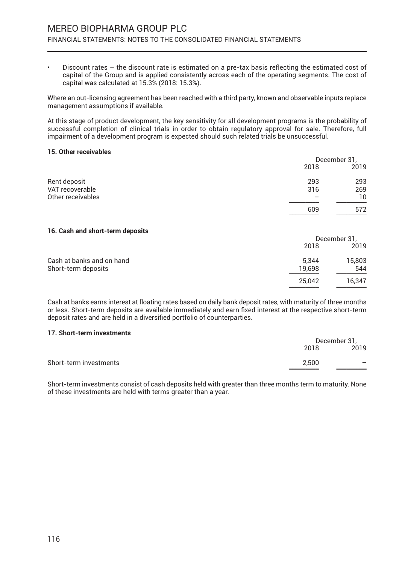• Discount rates – the discount rate is estimated on a pre-tax basis reflecting the estimated cost of capital of the Group and is applied consistently across each of the operating segments. The cost of capital was calculated at 15.3% (2018: 15.3%).

Where an out-licensing agreement has been reached with a third party, known and observable inputs replace management assumptions if available.

At this stage of product development, the key sensitivity for all development programs is the probability of successful completion of clinical trials in order to obtain regulatory approval for sale. Therefore, full impairment of a development program is expected should such related trials be unsuccessful.

### **15. Other receivables**

|                   |      | December 31, |
|-------------------|------|--------------|
|                   | 2018 | 2019         |
| Rent deposit      | 293  | 293          |
| VAT recoverable   | 316  | 269          |
| Other receivables |      | 10           |
|                   | 609  | 572          |
|                   |      |              |

### **16. Cash and short-term deposits**

|                           | December 31, |        |
|---------------------------|--------------|--------|
|                           | 2018         | 2019   |
| Cash at banks and on hand | 5.344        | 15,803 |
| Short-term deposits       | 19,698       | 544    |
|                           | 25,042       | 16,347 |

Cash at banks earns interest at floating rates based on daily bank deposit rates, with maturity of three months or less. Short-term deposits are available immediately and earn fixed interest at the respective short-term deposit rates and are held in a diversified portfolio of counterparties.

#### **17. Short-term investments**

| 2018  | 2019                     |
|-------|--------------------------|
| 2,500 | $\overline{\phantom{a}}$ |
|       |                          |

Short-term investments consist of cash deposits held with greater than three months term to maturity. None of these investments are held with terms greater than a year.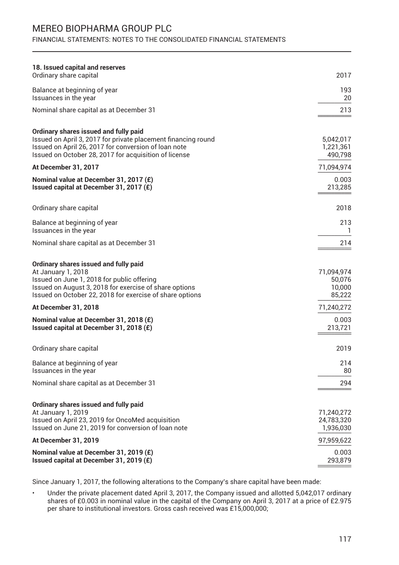# MEREO BIOPHARMA GROUP PLC

FINANCIAL STATEMENTS: NOTES TO THE CONSOLIDATED FINANCIAL STATEMENTS

| 18. Issued capital and reserves                                                                                                                                                                                                 |                                          |
|---------------------------------------------------------------------------------------------------------------------------------------------------------------------------------------------------------------------------------|------------------------------------------|
| Ordinary share capital                                                                                                                                                                                                          | 2017                                     |
| Balance at beginning of year<br>Issuances in the year                                                                                                                                                                           | 193<br>20                                |
| Nominal share capital as at December 31                                                                                                                                                                                         | 213                                      |
| Ordinary shares issued and fully paid                                                                                                                                                                                           |                                          |
| Issued on April 3, 2017 for private placement financing round<br>Issued on April 26, 2017 for conversion of loan note<br>Issued on October 28, 2017 for acquisition of license                                                  | 5,042,017<br>1,221,361<br>490,798        |
| At December 31, 2017                                                                                                                                                                                                            | 71,094,974                               |
| Nominal value at December 31, 2017 (£)<br>Issued capital at December 31, 2017 (£)                                                                                                                                               | 0.003<br>213,285                         |
| Ordinary share capital                                                                                                                                                                                                          | 2018                                     |
| Balance at beginning of year<br>Issuances in the year                                                                                                                                                                           | 213                                      |
| Nominal share capital as at December 31                                                                                                                                                                                         | 214                                      |
| Ordinary shares issued and fully paid<br>At January 1, 2018<br>Issued on June 1, 2018 for public offering<br>Issued on August 3, 2018 for exercise of share options<br>Issued on October 22, 2018 for exercise of share options | 71,094,974<br>50,076<br>10,000<br>85,222 |
| At December 31, 2018                                                                                                                                                                                                            | 71,240,272                               |
| Nominal value at December 31, 2018 (£)<br>Issued capital at December 31, 2018 (£)                                                                                                                                               | 0.003<br>213,721                         |
| Ordinary share capital                                                                                                                                                                                                          | 2019                                     |
| Balance at beginning of year<br>Issuances in the year                                                                                                                                                                           | 214<br>80                                |
| Nominal share capital as at December 31                                                                                                                                                                                         | 294                                      |
| Ordinary shares issued and fully paid<br>At January 1, 2019<br>Issued on April 23, 2019 for OncoMed acquisition<br>Issued on June 21, 2019 for conversion of loan note                                                          | 71,240,272<br>24,783,320<br>1,936,030    |
| At December 31, 2019                                                                                                                                                                                                            | 97,959,622                               |
| Nominal value at December 31, 2019 (£)<br>Issued capital at December 31, 2019 (£)                                                                                                                                               | 0.003<br>293,879                         |
|                                                                                                                                                                                                                                 |                                          |

Since January 1, 2017, the following alterations to the Company's share capital have been made:

• Under the private placement dated April 3, 2017, the Company issued and allotted 5,042,017 ordinary shares of £0.003 in nominal value in the capital of the Company on April 3, 2017 at a price of £2.975 per share to institutional investors. Gross cash received was £15,000,000;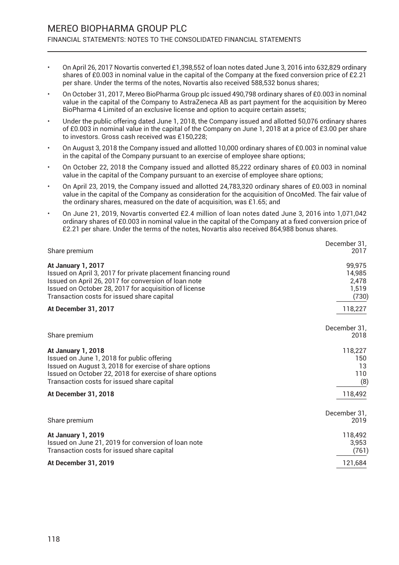- On April 26, 2017 Novartis converted £1,398,552 of loan notes dated June 3, 2016 into 632,829 ordinary shares of £0.003 in nominal value in the capital of the Company at the fixed conversion price of £2.21 per share. Under the terms of the notes, Novartis also received 588,532 bonus shares;
- On October 31, 2017, Mereo BioPharma Group plc issued 490,798 ordinary shares of £0.003 in nominal value in the capital of the Company to AstraZeneca AB as part payment for the acquisition by Mereo BioPharma 4 Limited of an exclusive license and option to acquire certain assets;
- Under the public offering dated June 1, 2018, the Company issued and allotted 50,076 ordinary shares of £0.003 in nominal value in the capital of the Company on June 1, 2018 at a price of £3.00 per share to investors. Gross cash received was £150,228;
- On August 3, 2018 the Company issued and allotted 10,000 ordinary shares of £0.003 in nominal value in the capital of the Company pursuant to an exercise of employee share options;
- On October 22, 2018 the Company issued and allotted 85,222 ordinary shares of £0.003 in nominal value in the capital of the Company pursuant to an exercise of employee share options;
- On April 23, 2019, the Company issued and allotted 24,783,320 ordinary shares of £0.003 in nominal value in the capital of the Company as consideration for the acquisition of OncoMed. The fair value of the ordinary shares, measured on the date of acquisition, was £1.65; and
- On June 21, 2019, Novartis converted £2.4 million of loan notes dated June 3, 2016 into 1,071,042 ordinary shares of £0.003 in nominal value in the capital of the Company at a fixed conversion price of £2.21 per share. Under the terms of the notes, Novartis also received 864,988 bonus shares.

| Share premium                                                                                                                                                                                                                                      | December 31,<br>2017                        |
|----------------------------------------------------------------------------------------------------------------------------------------------------------------------------------------------------------------------------------------------------|---------------------------------------------|
| At January 1, 2017<br>Issued on April 3, 2017 for private placement financing round<br>Issued on April 26, 2017 for conversion of loan note<br>Issued on October 28, 2017 for acquisition of license<br>Transaction costs for issued share capital | 99,975<br>14,985<br>2,478<br>1,519<br>(730) |
| At December 31, 2017                                                                                                                                                                                                                               | 118,227                                     |
| Share premium                                                                                                                                                                                                                                      | December 31,<br>2018                        |
| <b>At January 1, 2018</b><br>Issued on June 1, 2018 for public offering<br>Issued on August 3, 2018 for exercise of share options<br>Issued on October 22, 2018 for exercise of share options<br>Transaction costs for issued share capital        | 118,227<br>150<br>13<br>110<br>(8)          |
| At December 31, 2018                                                                                                                                                                                                                               | 118,492                                     |
| Share premium                                                                                                                                                                                                                                      | December 31,<br>2019                        |
| <b>At January 1, 2019</b><br>Issued on June 21, 2019 for conversion of loan note<br>Transaction costs for issued share capital                                                                                                                     | 118,492<br>3,953<br>(761)                   |
| At December 31, 2019                                                                                                                                                                                                                               | 121,684                                     |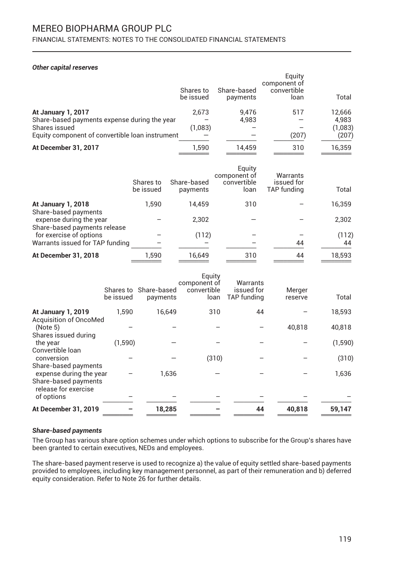# MEREO BIOPHARMA GROUP PLC

FINANCIAL STATEMENTS: NOTES TO THE CONSOLIDATED FINANCIAL STATEMENTS

# *Other capital reserves*

| Shares to<br>be issued                          | Share-based<br>payments | component of<br>convertible<br>loan | Total   |
|-------------------------------------------------|-------------------------|-------------------------------------|---------|
| 2,673                                           | 9,476                   | 517                                 | 12,666  |
|                                                 | 4,983                   |                                     | 4,983   |
| (1,083)                                         |                         |                                     | (1,083) |
| Equity component of convertible loan instrument |                         | (207)                               | (207)   |
| 1,590                                           | 14,459                  | 310                                 | 16,359  |
|                                                 |                         |                                     | Equity  |

|                                                         | Shares to<br>be issued | Share-based<br>payments | Equity<br>component of<br>convertible<br>loan | Warrants<br>issued for<br>TAP funding | Total  |
|---------------------------------------------------------|------------------------|-------------------------|-----------------------------------------------|---------------------------------------|--------|
| <b>At January 1, 2018</b><br>Share-based payments       | 1,590                  | 14,459                  | 310                                           |                                       | 16,359 |
| expense during the year<br>Share-based payments release |                        | 2,302                   |                                               |                                       | 2,302  |
| for exercise of options                                 |                        | (112)                   |                                               |                                       | (112)  |
| Warrants issued for TAP funding                         |                        |                         |                                               | 44                                    | 44     |
| At December 31, 2018                                    | 1,590                  | 16,649                  | 310                                           | 44                                    | 18,593 |

|                                                                         | be issued | Shares to Share-based<br>payments | Equity<br>component of<br>convertible<br>loan | Warrants<br>issued for<br>TAP funding | Merger<br>reserve | Total    |
|-------------------------------------------------------------------------|-----------|-----------------------------------|-----------------------------------------------|---------------------------------------|-------------------|----------|
| <b>At January 1, 2019</b><br>Acquisition of OncoMed                     | 1,590     | 16,649                            | 310                                           | 44                                    |                   | 18,593   |
| (Note 5)                                                                |           |                                   |                                               |                                       | 40,818            | 40,818   |
| Shares issued during<br>the year                                        | (1,590)   |                                   |                                               |                                       |                   | (1, 590) |
| Convertible loan<br>conversion                                          |           |                                   | (310)                                         |                                       |                   | (310)    |
| Share-based payments<br>expense during the year<br>Share-based payments |           | 1,636                             |                                               |                                       |                   | 1,636    |
| release for exercise<br>of options                                      |           |                                   |                                               |                                       |                   |          |
| At December 31, 2019                                                    |           | 18,285                            |                                               | 44                                    | 40,818            | 59,147   |

# *Share-based payments*

The Group has various share option schemes under which options to subscribe for the Group's shares have been granted to certain executives, NEDs and employees.

The share-based payment reserve is used to recognize a) the value of equity settled share-based payments provided to employees, including key management personnel, as part of their remuneration and b) deferred equity consideration. Refer to Note 26 for further details.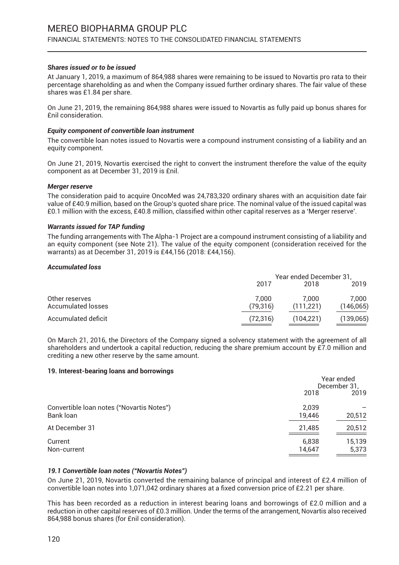# *Shares issued or to be issued*

At January 1, 2019, a maximum of 864,988 shares were remaining to be issued to Novartis pro rata to their percentage shareholding as and when the Company issued further ordinary shares. The fair value of these shares was £1.84 per share.

On June 21, 2019, the remaining 864,988 shares were issued to Novartis as fully paid up bonus shares for £nil consideration.

### *Equity component of convertible loan instrument*

The convertible loan notes issued to Novartis were a compound instrument consisting of a liability and an equity component.

On June 21, 2019, Novartis exercised the right to convert the instrument therefore the value of the equity component as at December 31, 2019 is £nil.

#### *Merger reserve*

The consideration paid to acquire OncoMed was 24,783,320 ordinary shares with an acquisition date fair value of £40.9 million, based on the Group's quoted share price. The nominal value of the issued capital was £0.1 million with the excess, £40.8 million, classified within other capital reserves as a 'Merger reserve'.

### *Warrants issued for TAP funding*

The funding arrangements with The Alpha-1 Project are a compound instrument consisting of a liability and an equity component (see Note 21). The value of the equity component (consideration received for the warrants) as at December 31, 2019 is £44,156 (2018: £44,156).

### *Accumulated loss*

|                                             | Year ended December 31, |                     |                    |
|---------------------------------------------|-------------------------|---------------------|--------------------|
|                                             | 2017                    | 2018                | 2019               |
| Other reserves<br><b>Accumulated losses</b> | 7.000<br>(79,316)       | 7.000<br>(111, 221) | 7,000<br>(146,065) |
| Accumulated deficit                         | (72, 316)               | (104, 221)          | (139,065)          |

On March 21, 2016, the Directors of the Company signed a solvency statement with the agreement of all shareholders and undertook a capital reduction, reducing the share premium account by £7.0 million and crediting a new other reserve by the same amount.

#### **19. Interest-bearing loans and borrowings**

|                                                        | Year ended<br>December 31, |                 |
|--------------------------------------------------------|----------------------------|-----------------|
|                                                        | 2018                       | 2019            |
| Convertible Ioan notes ("Novartis Notes")<br>Bank loan | 2,039<br>19,446            | 20,512          |
| At December 31                                         | 21,485                     | 20,512          |
| Current<br>Non-current                                 | 6,838<br>14,647            | 15,139<br>5,373 |

# *19.1 Convertible loan notes ("Novartis Notes")*

On June 21, 2019, Novartis converted the remaining balance of principal and interest of £2.4 million of convertible loan notes into 1,071,042 ordinary shares at a fixed conversion price of £2.21 per share.

This has been recorded as a reduction in interest bearing loans and borrowings of £2.0 million and a reduction in other capital reserves of £0.3 million. Under the terms of the arrangement, Novartis also received 864,988 bonus shares (for £nil consideration).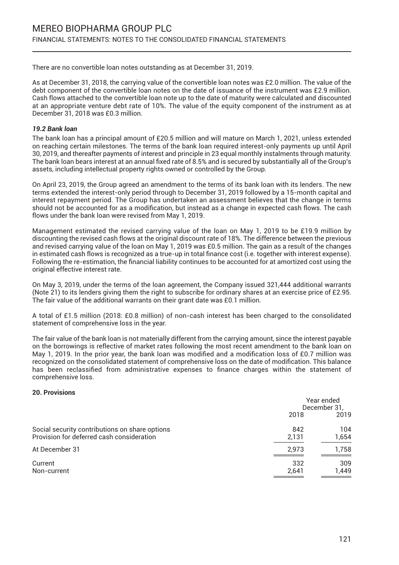There are no convertible loan notes outstanding as at December 31, 2019.

As at December 31, 2018, the carrying value of the convertible loan notes was £2.0 million. The value of the debt component of the convertible loan notes on the date of issuance of the instrument was £2.9 million. Cash flows attached to the convertible loan note up to the date of maturity were calculated and discounted at an appropriate venture debt rate of 10%. The value of the equity component of the instrument as at December 31, 2018 was £0.3 million.

# *19.2 Bank loan*

The bank loan has a principal amount of £20.5 million and will mature on March 1, 2021, unless extended on reaching certain milestones. The terms of the bank loan required interest-only payments up until April 30, 2019, and thereafter payments of interest and principle in 23 equal monthly instalments through maturity. The bank loan bears interest at an annual fixed rate of 8.5% and is secured by substantially all of the Group's assets, including intellectual property rights owned or controlled by the Group.

On April 23, 2019, the Group agreed an amendment to the terms of its bank loan with its lenders. The new terms extended the interest-only period through to December 31, 2019 followed by a 15-month capital and interest repayment period. The Group has undertaken an assessment believes that the change in terms should not be accounted for as a modification, but instead as a change in expected cash flows. The cash flows under the bank loan were revised from May 1, 2019.

Management estimated the revised carrying value of the loan on May 1, 2019 to be £19.9 million by discounting the revised cash flows at the original discount rate of 18%. The difference between the previous and revised carrying value of the loan on May 1, 2019 was £0.5 million. The gain as a result of the changes in estimated cash flows is recognized as a true-up in total finance cost (i.e. together with interest expense). Following the re-estimation, the financial liability continues to be accounted for at amortized cost using the original effective interest rate.

On May 3, 2019, under the terms of the loan agreement, the Company issued 321,444 additional warrants (Note 21) to its lenders giving them the right to subscribe for ordinary shares at an exercise price of £2.95. The fair value of the additional warrants on their grant date was £0.1 million.

A total of £1.5 million (2018: £0.8 million) of non-cash interest has been charged to the consolidated statement of comprehensive loss in the year.

The fair value of the bank loan is not materially different from the carrying amount, since the interest payable on the borrowings is reflective of market rates following the most recent amendment to the bank loan on May 1, 2019. In the prior year, the bank loan was modified and a modification loss of £0.7 million was recognized on the consolidated statement of comprehensive loss on the date of modification. This balance has been reclassified from administrative expenses to finance charges within the statement of comprehensive loss.

# **20. Provisions**

|                                                                                             | Year ended<br>December 31, |              |
|---------------------------------------------------------------------------------------------|----------------------------|--------------|
|                                                                                             | 2018                       | 2019         |
| Social security contributions on share options<br>Provision for deferred cash consideration | 842<br>2,131               | 104<br>1,654 |
| At December 31                                                                              | 2,973                      | 1,758        |
| Current<br>Non-current                                                                      | 332<br>2,641               | 309<br>1,449 |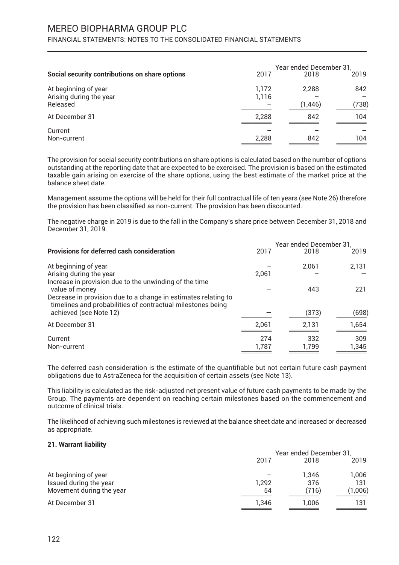| Social security contributions on share options              | 2017           | Year ended December 31,<br>2018 | 2019         |
|-------------------------------------------------------------|----------------|---------------------------------|--------------|
| At beginning of year<br>Arising during the year<br>Released | 1,172<br>1,116 | 2,288<br>(1, 446)               | 842<br>(738) |
| At December 31                                              | 2,288          | 842                             | 104          |
| Current<br>Non-current                                      | 2.288          | 842                             | 104          |

The provision for social security contributions on share options is calculated based on the number of options outstanding at the reporting date that are expected to be exercised. The provision is based on the estimated taxable gain arising on exercise of the share options, using the best estimate of the market price at the balance sheet date.

Management assume the options will be held for their full contractual life of ten years (see Note 26) therefore the provision has been classified as non-current. The provision has been discounted.

The negative charge in 2019 is due to the fall in the Company's share price between December 31, 2018 and December 31, 2019.

|                                                                                                                               |       | Year ended December 31, |       |
|-------------------------------------------------------------------------------------------------------------------------------|-------|-------------------------|-------|
| <b>Provisions for deferred cash consideration</b>                                                                             | 2017  | 2018                    | 2019  |
| At beginning of year                                                                                                          |       | 2.061                   | 2,131 |
| Arising during the year                                                                                                       | 2,061 |                         |       |
| Increase in provision due to the unwinding of the time<br>value of money                                                      |       | 443                     | 221   |
| Decrease in provision due to a change in estimates relating to<br>timelines and probabilities of contractual milestones being |       |                         |       |
| achieved (see Note 12)                                                                                                        |       | (373)                   | (698) |
| At December 31                                                                                                                | 2,061 | 2,131                   | 1,654 |
| Current                                                                                                                       | 274   | 332                     | 309   |
| Non-current                                                                                                                   | 1,787 | 1,799                   | 1,345 |
|                                                                                                                               |       |                         |       |

The deferred cash consideration is the estimate of the quantifiable but not certain future cash payment obligations due to AstraZeneca for the acquisition of certain assets (see Note 13).

This liability is calculated as the risk-adjusted net present value of future cash payments to be made by the Group. The payments are dependent on reaching certain milestones based on the commencement and outcome of clinical trials.

The likelihood of achieving such milestones is reviewed at the balance sheet date and increased or decreased as appropriate.

#### **21. Warrant liability**

|                          |       | Year ended December 31, |         |
|--------------------------|-------|-------------------------|---------|
|                          | 2017  | 2018                    | 2019    |
| At beginning of year     |       | 1.346                   | 1,006   |
| Issued during the year   | 1,292 | 376                     | 131     |
| Movement during the year | 54    | (716)                   | (1,006) |
| At December 31           | 1,346 | 1.006                   | 131     |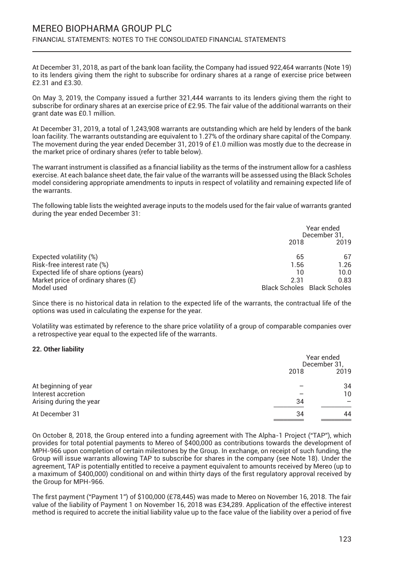At December 31, 2018, as part of the bank loan facility, the Company had issued 922,464 warrants (Note 19) to its lenders giving them the right to subscribe for ordinary shares at a range of exercise price between £2.31 and £3.30.

On May 3, 2019, the Company issued a further 321,444 warrants to its lenders giving them the right to subscribe for ordinary shares at an exercise price of £2.95. The fair value of the additional warrants on their grant date was £0.1 million.

At December 31, 2019, a total of 1,243,908 warrants are outstanding which are held by lenders of the bank loan facility. The warrants outstanding are equivalent to 1.27% of the ordinary share capital of the Company. The movement during the year ended December 31, 2019 of £1.0 million was mostly due to the decrease in the market price of ordinary shares (refer to table below).

The warrant instrument is classified as a financial liability as the terms of the instrument allow for a cashless exercise. At each balance sheet date, the fair value of the warrants will be assessed using the Black Scholes model considering appropriate amendments to inputs in respect of volatility and remaining expected life of the warrants.

The following table lists the weighted average inputs to the models used for the fair value of warrants granted during the year ended December 31:

|                                        | Year ended<br>December 31,         |      |  |
|----------------------------------------|------------------------------------|------|--|
|                                        | 2018                               | 2019 |  |
| Expected volatility (%)                | 65                                 | 67   |  |
| Risk-free interest rate (%)            | 1.56                               | 1.26 |  |
| Expected life of share options (years) | 10                                 | 10.0 |  |
| Market price of ordinary shares $(E)$  | 2.31                               | 0.83 |  |
| Model used                             | <b>Black Scholes</b> Black Scholes |      |  |

Since there is no historical data in relation to the expected life of the warrants, the contractual life of the options was used in calculating the expense for the year.

Volatility was estimated by reference to the share price volatility of a group of comparable companies over a retrospective year equal to the expected life of the warrants.

# **22. Other liability**

|                                            | Year ended<br>December 31, |          |
|--------------------------------------------|----------------------------|----------|
|                                            | 2018                       | 2019     |
| At beginning of year<br>Interest accretion |                            | 34<br>10 |
| Arising during the year                    | 34                         |          |
| At December 31                             | 34                         | 44       |

On October 8, 2018, the Group entered into a funding agreement with The Alpha-1 Project ("TAP"), which provides for total potential payments to Mereo of \$400,000 as contributions towards the development of MPH-966 upon completion of certain milestones by the Group. In exchange, on receipt of such funding, the Group will issue warrants allowing TAP to subscribe for shares in the company (see Note 18). Under the agreement, TAP is potentially entitled to receive a payment equivalent to amounts received by Mereo (up to a maximum of \$400,000) conditional on and within thirty days of the first regulatory approval received by the Group for MPH-966.

The first payment ("Payment 1") of \$100,000 (£78,445) was made to Mereo on November 16, 2018. The fair value of the liability of Payment 1 on November 16, 2018 was £34,289. Application of the effective interest method is required to accrete the initial liability value up to the face value of the liability over a period of five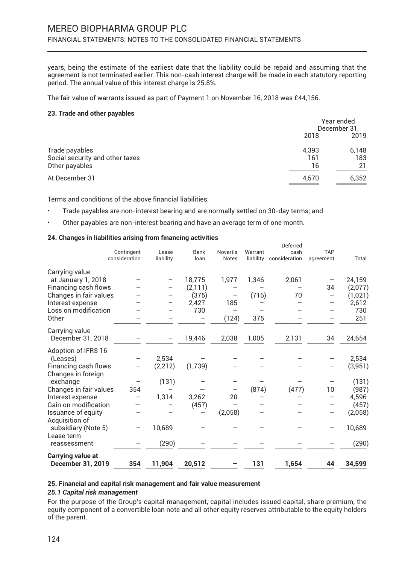years, being the estimate of the earliest date that the liability could be repaid and assuming that the agreement is not terminated earlier. This non-cash interest charge will be made in each statutory reporting period. The annual value of this interest charge is 25.8%.

The fair value of warrants issued as part of Payment 1 on November 16, 2018 was £44,156.

#### **23. Trade and other payables**

|                                 | Year ended<br>December 31, |       |  |
|---------------------------------|----------------------------|-------|--|
|                                 | 2018                       | 2019  |  |
| Trade payables                  | 4,393                      | 6,148 |  |
| Social security and other taxes | 161                        | 183   |  |
| Other payables                  | 16                         | 21    |  |
| At December 31                  | 4,570                      | 6,352 |  |

Terms and conditions of the above financial liabilities:

- Trade payables are non-interest bearing and are normally settled on 30-day terms; and
- Other payables are non-interest bearing and have an average term of one month.

# **24. Changes in liabilities arising from financing activities**

| December 31, 2019                                            | 354           | 11,904    | 20,512             |                 | 131       | 1,654            | 44         | 34,599            |
|--------------------------------------------------------------|---------------|-----------|--------------------|-----------------|-----------|------------------|------------|-------------------|
| <b>Carrying value at</b>                                     |               |           |                    |                 |           |                  |            |                   |
| Lease term<br>reassessment                                   |               | (290)     |                    |                 |           |                  |            | (290)             |
| Acquisition of<br>subsidiary (Note 5)                        |               | 10,689    |                    |                 |           |                  |            | 10,689            |
| Issuance of equity                                           |               |           |                    | (2,058)         |           |                  |            | (2,058)           |
| Gain on modification                                         |               |           | (457)              |                 |           |                  |            | (457)             |
| Interest expense                                             |               | 1,314     | 3,262              | 20              |           |                  |            | 4,596             |
| Changes in fair values                                       | 354           |           |                    |                 | (874)     | (477)            | 10         | (987)             |
| Changes in foreign<br>exchange                               |               | (131)     |                    |                 |           |                  |            | (131)             |
| Financing cash flows                                         |               | (2, 212)  | (1, 739)           |                 |           |                  |            | (3, 951)          |
| Adoption of IFRS 16<br>(Leases)                              |               | 2,534     |                    |                 |           |                  |            | 2,534             |
| Carrying value<br>December 31, 2018                          |               |           | 19,446             | 2,038           | 1,005     | 2,131            | 34         | 24,654            |
| Other                                                        |               |           |                    | (124)           | 375       |                  |            | 251               |
| Loss on modification                                         |               |           | 730                |                 |           |                  |            | 730               |
| Interest expense                                             |               |           | 2,427              | 185             |           |                  |            | 2,612             |
| Changes in fair values                                       |               |           | (375)              |                 | (716)     | 70               |            | (1,021)           |
| Carrying value<br>at January 1, 2018<br>Financing cash flows |               |           | 18,775<br>(2, 111) | 1,977           | 1,346     | 2,061            | 34         | 24,159<br>(2,077) |
|                                                              | consideration | liability | loan               | <b>Notes</b>    | liability | consideration    | agreement  | Total             |
|                                                              | Contingent    | Lease     | <b>Bank</b>        | <b>Novartis</b> | Warrant   | Deferred<br>cash | <b>TAP</b> |                   |

# **25. Financial and capital risk management and fair value measurement**

# *25.1 Capital risk management*

For the purpose of the Group's capital management, capital includes issued capital, share premium, the equity component of a convertible loan note and all other equity reserves attributable to the equity holders of the parent.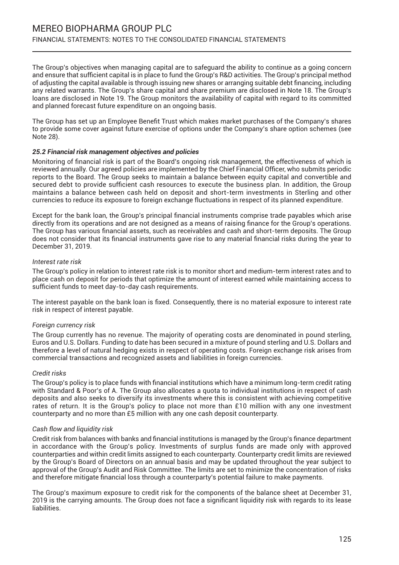The Group's objectives when managing capital are to safeguard the ability to continue as a going concern and ensure that sufficient capital is in place to fund the Group's R&D activities. The Group's principal method of adjusting the capital available is through issuing new shares or arranging suitable debt financing, including any related warrants. The Group's share capital and share premium are disclosed in Note 18. The Group's loans are disclosed in Note 19. The Group monitors the availability of capital with regard to its committed and planned forecast future expenditure on an ongoing basis.

The Group has set up an Employee Benefit Trust which makes market purchases of the Company's shares to provide some cover against future exercise of options under the Company's share option schemes (see Note 28).

# *25.2 Financial risk management objectives and policies*

Monitoring of financial risk is part of the Board's ongoing risk management, the effectiveness of which is reviewed annually. Our agreed policies are implemented by the Chief Financial Officer, who submits periodic reports to the Board. The Group seeks to maintain a balance between equity capital and convertible and secured debt to provide sufficient cash resources to execute the business plan. In addition, the Group maintains a balance between cash held on deposit and short-term investments in Sterling and other currencies to reduce its exposure to foreign exchange fluctuations in respect of its planned expenditure.

Except for the bank loan, the Group's principal financial instruments comprise trade payables which arise directly from its operations and are not designed as a means of raising finance for the Group's operations. The Group has various financial assets, such as receivables and cash and short-term deposits. The Group does not consider that its financial instruments gave rise to any material financial risks during the year to December 31, 2019.

#### *Interest rate risk*

The Group's policy in relation to interest rate risk is to monitor short and medium-term interest rates and to place cash on deposit for periods that optimize the amount of interest earned while maintaining access to sufficient funds to meet day-to-day cash requirements.

The interest payable on the bank loan is fixed. Consequently, there is no material exposure to interest rate risk in respect of interest payable.

# *Foreign currency risk*

The Group currently has no revenue. The majority of operating costs are denominated in pound sterling, Euros and U.S. Dollars. Funding to date has been secured in a mixture of pound sterling and U.S. Dollars and therefore a level of natural hedging exists in respect of operating costs. Foreign exchange risk arises from commercial transactions and recognized assets and liabilities in foreign currencies.

#### *Credit risks*

The Group's policy is to place funds with financial institutions which have a minimum long-term credit rating with Standard & Poor's of A. The Group also allocates a quota to individual institutions in respect of cash deposits and also seeks to diversify its investments where this is consistent with achieving competitive rates of return. It is the Group's policy to place not more than £10 million with any one investment counterparty and no more than £5 million with any one cash deposit counterparty.

# *Cash flow and liquidity risk*

Credit risk from balances with banks and financial institutions is managed by the Group's finance department in accordance with the Group's policy. Investments of surplus funds are made only with approved counterparties and within credit limits assigned to each counterparty. Counterparty credit limits are reviewed by the Group's Board of Directors on an annual basis and may be updated throughout the year subject to approval of the Group's Audit and Risk Committee. The limits are set to minimize the concentration of risks and therefore mitigate financial loss through a counterparty's potential failure to make payments.

The Group's maximum exposure to credit risk for the components of the balance sheet at December 31, 2019 is the carrying amounts. The Group does not face a significant liquidity risk with regards to its lease liabilities.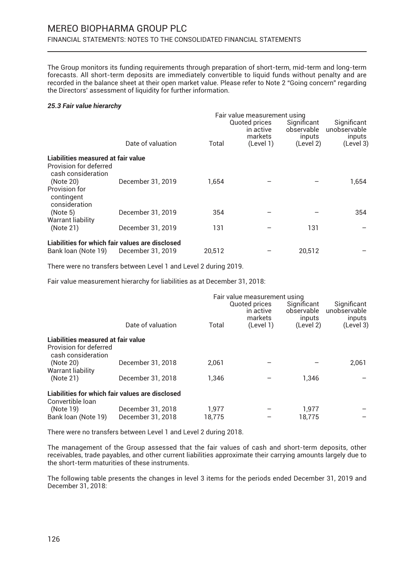The Group monitors its funding requirements through preparation of short-term, mid-term and long-term forecasts. All short-term deposits are immediately convertible to liquid funds without penalty and are recorded in the balance sheet at their open market value. Please refer to Note 2 "Going concern" regarding the Directors' assessment of liquidity for further information.

#### *25.3 Fair value hierarchy*

|                                                           | Date of valuation                               | Total  | Fair value measurement using<br>Quoted prices<br>in active<br>markets<br>(Level 1) | Significant<br>observable<br>inputs<br>(Level 2) | Significant<br>unobservable<br>inputs<br>(Level 3) |
|-----------------------------------------------------------|-------------------------------------------------|--------|------------------------------------------------------------------------------------|--------------------------------------------------|----------------------------------------------------|
|                                                           |                                                 |        |                                                                                    |                                                  |                                                    |
| Liabilities measured at fair value                        |                                                 |        |                                                                                    |                                                  |                                                    |
| Provision for deferred<br>cash consideration<br>(Note 20) | December 31, 2019                               | 1.654  |                                                                                    |                                                  | 1,654                                              |
| Provision for<br>contingent<br>consideration              |                                                 |        |                                                                                    |                                                  |                                                    |
| (Note 5)<br><b>Warrant liability</b>                      | December 31, 2019                               | 354    |                                                                                    |                                                  | 354                                                |
| (Note 21)                                                 | December 31, 2019                               | 131    |                                                                                    | 131                                              |                                                    |
|                                                           | Liabilities for which fair values are disclosed |        |                                                                                    |                                                  |                                                    |
| Bank loan (Note 19)                                       | December 31, 2019                               | 20,512 |                                                                                    | 20,512                                           |                                                    |

There were no transfers between Level 1 and Level 2 during 2019.

Fair value measurement hierarchy for liabilities as at December 31, 2018:

|                                                                     |                   |        | Fair value measurement using          |                                     |                                       |
|---------------------------------------------------------------------|-------------------|--------|---------------------------------------|-------------------------------------|---------------------------------------|
|                                                                     |                   |        | Quoted prices<br>in active<br>markets | Significant<br>observable<br>inputs | Significant<br>unobservable<br>inputs |
|                                                                     | Date of valuation | Total  | (Level 1)                             | (Level 2)                           | (Level 3)                             |
| Liabilities measured at fair value                                  |                   |        |                                       |                                     |                                       |
| Provision for deferred<br>cash consideration                        |                   |        |                                       |                                     |                                       |
| (Note 20)<br>Warrant liability                                      | December 31, 2018 | 2,061  |                                       |                                     | 2,061                                 |
| (Note 21)                                                           | December 31, 2018 | 1,346  |                                       | 1,346                               |                                       |
| Liabilities for which fair values are disclosed<br>Convertible loan |                   |        |                                       |                                     |                                       |
| (Note 19)                                                           | December 31, 2018 | 1.977  |                                       | 1.977                               |                                       |
| Bank loan (Note 19)                                                 | December 31, 2018 | 18.775 |                                       | 18.775                              |                                       |

There were no transfers between Level 1 and Level 2 during 2018.

The management of the Group assessed that the fair values of cash and short-term deposits, other receivables, trade payables, and other current liabilities approximate their carrying amounts largely due to the short-term maturities of these instruments.

The following table presents the changes in level 3 items for the periods ended December 31, 2019 and December 31, 2018: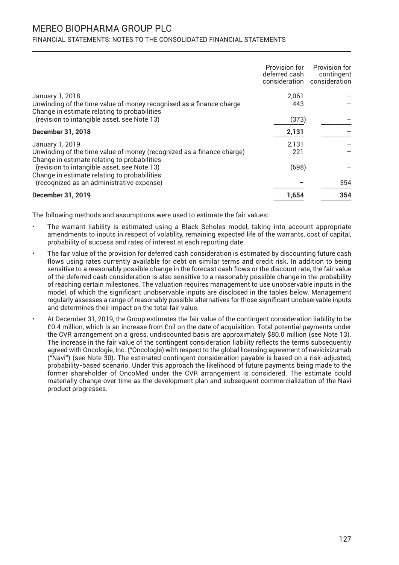|                                                                                                                       | Provision for<br>deferred cash<br>consideration consideration | Provision for<br>contingent |
|-----------------------------------------------------------------------------------------------------------------------|---------------------------------------------------------------|-----------------------------|
| January 1, 2018                                                                                                       | 2,061                                                         |                             |
| Unwinding of the time value of money recognised as a finance charge<br>Change in estimate relating to probabilities   | 443                                                           |                             |
| (revision to intangible asset, see Note 13)                                                                           | (373)                                                         |                             |
| <b>December 31, 2018</b>                                                                                              | 2,131                                                         |                             |
| January 1, 2019                                                                                                       | 2,131                                                         |                             |
| Unwinding of the time value of money (recognized as a finance charge)<br>Change in estimate relating to probabilities | 221                                                           |                             |
| (revision to intangible asset, see Note 13)<br>Change in estimate relating to probabilities                           | (698)                                                         |                             |
| (recognized as an administrative expense)                                                                             |                                                               | 354                         |
| <b>December 31, 2019</b>                                                                                              | 1,654                                                         | 354                         |

The following methods and assumptions were used to estimate the fair values:

- The warrant liability is estimated using a Black Scholes model, taking into account appropriate amendments to inputs in respect of volatility, remaining expected life of the warrants, cost of capital, probability of success and rates of interest at each reporting date.
- The fair value of the provision for deferred cash consideration is estimated by discounting future cash flows using rates currently available for debt on similar terms and credit risk. In addition to being sensitive to a reasonably possible change in the forecast cash flows or the discount rate, the fair value of the deferred cash consideration is also sensitive to a reasonably possible change in the probability of reaching certain milestones. The valuation requires management to use unobservable inputs in the model, of which the significant unobservable inputs are disclosed in the tables below. Management regularly assesses a range of reasonably possible alternatives for those significant unobservable inputs and determines their impact on the total fair value.
- At December 31, 2019, the Group estimates the fair value of the contingent consideration liability to be £0.4 million, which is an increase from £nil on the date of acquisition. Total potential payments under the CVR arrangement on a gross, undiscounted basis are approximately \$80.0 million (see Note 13). The increase in the fair value of the contingent consideration liability reflects the terms subsequently agreed with Oncologie, Inc. ("Oncologie) with respect to the global licensing agreement of navicixizumab ("Navi") (see Note 30). The estimated contingent consideration payable is based on a risk-adjusted, probability-based scenario. Under this approach the likelihood of future payments being made to the former shareholder of OncoMed under the CVR arrangement is considered. The estimate could materially change over time as the development plan and subsequent commercialization of the Navi product progresses.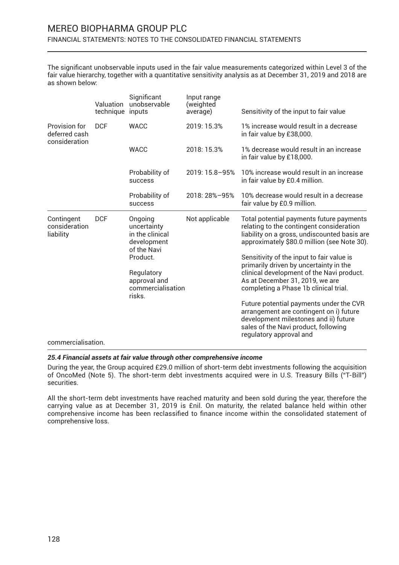The significant unobservable inputs used in the fair value measurements categorized within Level 3 of the fair value hierarchy, together with a quantitative sensitivity analysis as at December 31, 2019 and 2018 are as shown below:

|                                                 | Valuation<br>technique inputs | Significant<br>unobservable                                             | Input range<br>(weighted<br>average) | Sensitivity of the input to fair value                                                                                                                                                         |
|-------------------------------------------------|-------------------------------|-------------------------------------------------------------------------|--------------------------------------|------------------------------------------------------------------------------------------------------------------------------------------------------------------------------------------------|
| Provision for<br>deferred cash<br>consideration | <b>DCF</b>                    | <b>WACC</b>                                                             | 2019: 15.3%                          | 1% increase would result in a decrease<br>in fair value by £38,000.                                                                                                                            |
|                                                 |                               | <b>WACC</b>                                                             | 2018: 15.3%                          | 1% decrease would result in an increase<br>in fair value by £18,000.                                                                                                                           |
|                                                 |                               | Probability of<br>success                                               | 2019: 15.8-95%                       | 10% increase would result in an increase<br>in fair value by £0.4 million.                                                                                                                     |
|                                                 |                               | Probability of<br>success                                               | 2018: 28%-95%                        | 10% decrease would result in a decrease<br>fair value by £0.9 million.                                                                                                                         |
| Contingent<br>consideration<br>liability        | <b>DCF</b>                    | Ongoing<br>uncertainty<br>in the clinical<br>development<br>of the Navi | Not applicable                       | Total potential payments future payments<br>relating to the contingent consideration<br>liability on a gross, undiscounted basis are<br>approximately \$80.0 million (see Note 30).            |
|                                                 |                               | Product.                                                                |                                      | Sensitivity of the input to fair value is<br>primarily driven by uncertainty in the                                                                                                            |
|                                                 |                               | Regulatory                                                              |                                      | clinical development of the Navi product.                                                                                                                                                      |
|                                                 |                               | approval and<br>commercialisation<br>risks.                             |                                      | As at December 31, 2019, we are<br>completing a Phase 1b clinical trial.                                                                                                                       |
|                                                 |                               |                                                                         |                                      | Future potential payments under the CVR<br>arrangement are contingent on i) future<br>development milestones and ii) future<br>sales of the Navi product, following<br>regulatory approval and |
| commercialisation.                              |                               |                                                                         |                                      |                                                                                                                                                                                                |

# *25.4 Financial assets at fair value through other comprehensive income*

During the year, the Group acquired £29.0 million of short-term debt investments following the acquisition of OncoMed (Note 5). The short-term debt investments acquired were in U.S. Treasury Bills ("T-Bill") securities.

All the short-term debt investments have reached maturity and been sold during the year, therefore the carrying value as at December 31, 2019 is £nil. On maturity, the related balance held within other comprehensive income has been reclassified to finance income within the consolidated statement of comprehensive loss.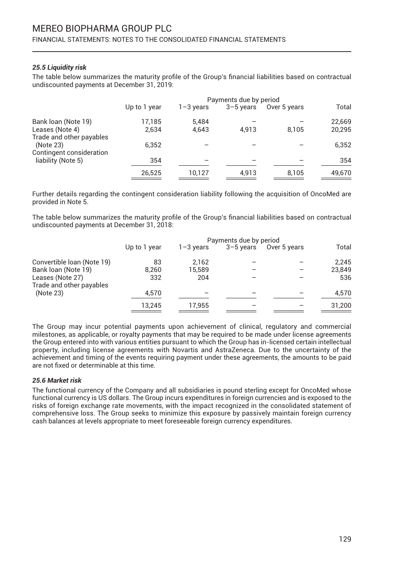# *25.5 Liquidity risk*

The table below summarizes the maturity profile of the Group's financial liabilities based on contractual undiscounted payments at December 31, 2019:

|                          | Payments due by period |           |             |              |        |
|--------------------------|------------------------|-----------|-------------|--------------|--------|
|                          | Up to 1 year           | 1−3 years | $3-5$ years | Over 5 years | Total  |
| Bank loan (Note 19)      | 17,185                 | 5,484     |             |              | 22,669 |
| Leases (Note 4)          | 2,634                  | 4,643     | 4.913       | 8.105        | 20,295 |
| Trade and other payables |                        |           |             |              |        |
| (Note 23)                | 6,352                  |           |             |              | 6,352  |
| Contingent consideration |                        |           |             |              |        |
| liability (Note 5)       | 354                    |           |             |              | 354    |
|                          | 26,525                 | 10,127    | 4,913       | 8,105        | 49,670 |

Further details regarding the contingent consideration liability following the acquisition of OncoMed are provided in Note 5.

The table below summarizes the maturity profile of the Group's financial liabilities based on contractual undiscounted payments at December 31, 2018:

|                                              | Payments due by period |           |               |              |        |
|----------------------------------------------|------------------------|-----------|---------------|--------------|--------|
|                                              | Up to 1 year           | 1−3 years | $3 - 5$ years | Over 5 years | Total  |
| Convertible Ioan (Note 19)                   | 83                     | 2.162     |               |              | 2,245  |
| Bank loan (Note 19)                          | 8,260                  | 15,589    |               |              | 23,849 |
| Leases (Note 27)<br>Trade and other payables | 332                    | 204       |               |              | 536    |
| (Note 23)                                    | 4,570                  |           |               |              | 4,570  |
|                                              | 13,245                 | 17.955    |               |              | 31,200 |

The Group may incur potential payments upon achievement of clinical, regulatory and commercial milestones, as applicable, or royalty payments that may be required to be made under license agreements the Group entered into with various entities pursuant to which the Group has in-licensed certain intellectual property, including license agreements with Novartis and AstraZeneca. Due to the uncertainty of the achievement and timing of the events requiring payment under these agreements, the amounts to be paid are not fixed or determinable at this time.

# *25.6 Market risk*

The functional currency of the Company and all subsidiaries is pound sterling except for OncoMed whose functional currency is US dollars. The Group incurs expenditures in foreign currencies and is exposed to the risks of foreign exchange rate movements, with the impact recognized in the consolidated statement of comprehensive loss. The Group seeks to minimize this exposure by passively maintain foreign currency cash balances at levels appropriate to meet foreseeable foreign currency expenditures.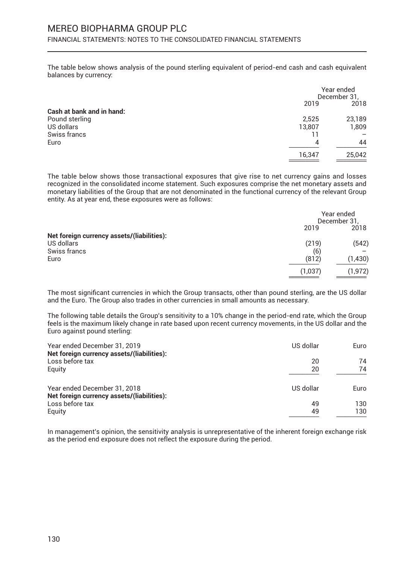The table below shows analysis of the pound sterling equivalent of period-end cash and cash equivalent balances by currency:

|                           |        | Year ended   |  |
|---------------------------|--------|--------------|--|
|                           |        | December 31, |  |
|                           | 2019   | 2018         |  |
| Cash at bank and in hand: |        |              |  |
| Pound sterling            | 2,525  | 23,189       |  |
| US dollars                | 13,807 | 1,809        |  |
| Swiss francs              | 11     |              |  |
| Euro                      | 4      | 44           |  |
|                           | 16,347 | 25,042       |  |
|                           |        |              |  |

The table below shows those transactional exposures that give rise to net currency gains and losses recognized in the consolidated income statement. Such exposures comprise the net monetary assets and monetary liabilities of the Group that are not denominated in the functional currency of the relevant Group entity. As at year end, these exposures were as follows:

|                                            |         | Year ended<br>December 31, |
|--------------------------------------------|---------|----------------------------|
|                                            | 2019    | 2018                       |
| Net foreign currency assets/(liabilities): |         |                            |
| US dollars                                 | (219)   | (542)                      |
| Swiss francs                               | (6)     |                            |
| Euro                                       | (812)   | (1,430)                    |
|                                            | (1,037) | (1, 972)                   |

The most significant currencies in which the Group transacts, other than pound sterling, are the US dollar and the Euro. The Group also trades in other currencies in small amounts as necessary.

The following table details the Group's sensitivity to a 10% change in the period-end rate, which the Group feels is the maximum likely change in rate based upon recent currency movements, in the US dollar and the Euro against pound sterling:

| Year ended December 31, 2019<br>Net foreign currency assets/(liabilities): | US dollar | Euro |
|----------------------------------------------------------------------------|-----------|------|
| Loss before tax                                                            | 20        | 74   |
| Equity                                                                     | 20        | 74   |
| Year ended December 31, 2018<br>Net foreign currency assets/(liabilities): | US dollar | Euro |
| Loss before tax                                                            | 49        | 130  |
| Equity                                                                     | 49        | 130  |

In management's opinion, the sensitivity analysis is unrepresentative of the inherent foreign exchange risk as the period end exposure does not reflect the exposure during the period.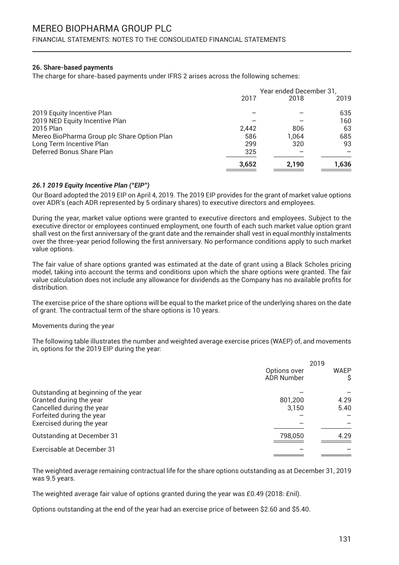# **26. Share-based payments**

The charge for share-based payments under IFRS 2 arises across the following schemes:

|                                             |       | Year ended December 31, |       |
|---------------------------------------------|-------|-------------------------|-------|
|                                             | 2017  | 2018                    | 2019  |
| 2019 Equity Incentive Plan                  |       |                         | 635   |
| 2019 NED Equity Incentive Plan              |       |                         | 160   |
| 2015 Plan                                   | 2.442 | 806                     | 63    |
| Mereo BioPharma Group plc Share Option Plan | 586   | 1.064                   | 685   |
| Long Term Incentive Plan                    | 299   | 320                     | 93    |
| Deferred Bonus Share Plan                   | 325   |                         |       |
|                                             | 3,652 | 2.190                   | 1,636 |

# *26.1 2019 Equity Incentive Plan ("EIP")*

Our Board adopted the 2019 EIP on April 4, 2019. The 2019 EIP provides for the grant of market value options over ADR's (each ADR represented by 5 ordinary shares) to executive directors and employees.

During the year, market value options were granted to executive directors and employees. Subject to the executive director or employees continued employment, one fourth of each such market value option grant shall vest on the first anniversary of the grant date and the remainder shall vest in equal monthly instalments over the three-year period following the first anniversary. No performance conditions apply to such market value options.

The fair value of share options granted was estimated at the date of grant using a Black Scholes pricing model, taking into account the terms and conditions upon which the share options were granted. The fair value calculation does not include any allowance for dividends as the Company has no available profits for distribution.

The exercise price of the share options will be equal to the market price of the underlying shares on the date of grant. The contractual term of the share options is 10 years.

# Movements during the year

The following table illustrates the number and weighted average exercise prices (WAEP) of, and movements in, options for the 2019 EIP during the year:

|                                      | Options over<br><b>ADR Number</b> | 2019<br><b>WAEP</b><br>S. |
|--------------------------------------|-----------------------------------|---------------------------|
| Outstanding at beginning of the year |                                   |                           |
| Granted during the year              | 801,200                           | 4.29                      |
| Cancelled during the year            | 3,150                             | 5.40                      |
| Forfeited during the year            |                                   |                           |
| Exercised during the year            |                                   |                           |
| Outstanding at December 31           | 798,050                           | 4.29                      |
| Exercisable at December 31           |                                   |                           |
|                                      |                                   |                           |

The weighted average remaining contractual life for the share options outstanding as at December 31, 2019 was 9.5 years.

The weighted average fair value of options granted during the year was £0.49 (2018: £nil).

Options outstanding at the end of the year had an exercise price of between \$2.60 and \$5.40.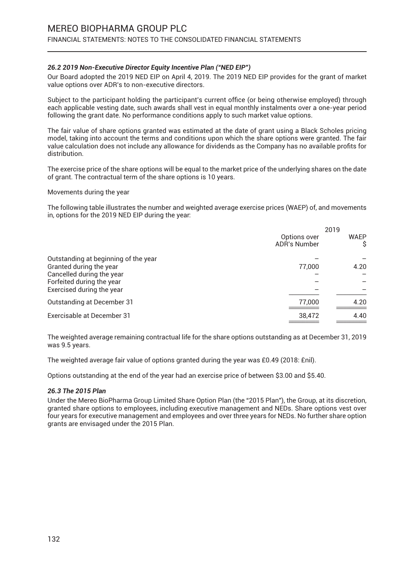# *26.2 2019 Non-Executive Director Equity Incentive Plan ("NED EIP")*

Our Board adopted the 2019 NED EIP on April 4, 2019. The 2019 NED EIP provides for the grant of market value options over ADR's to non-executive directors.

Subject to the participant holding the participant's current office (or being otherwise employed) through each applicable vesting date, such awards shall vest in equal monthly instalments over a one-year period following the grant date. No performance conditions apply to such market value options.

The fair value of share options granted was estimated at the date of grant using a Black Scholes pricing model, taking into account the terms and conditions upon which the share options were granted. The fair value calculation does not include any allowance for dividends as the Company has no available profits for distribution.

The exercise price of the share options will be equal to the market price of the underlying shares on the date of grant. The contractual term of the share options is 10 years.

Movements during the year

The following table illustrates the number and weighted average exercise prices (WAEP) of, and movements in, options for the 2019 NED EIP during the year:

|                                      | Options over<br>ADR's Number | 2019<br><b>WAEP</b><br>S |
|--------------------------------------|------------------------------|--------------------------|
| Outstanding at beginning of the year |                              |                          |
| Granted during the year              | 77,000                       | 4.20                     |
| Cancelled during the year            |                              |                          |
| Forfeited during the year            |                              |                          |
| Exercised during the year            |                              |                          |
| Outstanding at December 31           | 77,000                       | 4.20                     |
| Exercisable at December 31           | 38,472                       | 4.40                     |

The weighted average remaining contractual life for the share options outstanding as at December 31, 2019 was 9.5 years.

The weighted average fair value of options granted during the year was £0.49 (2018: £nil).

Options outstanding at the end of the year had an exercise price of between \$3.00 and \$5.40.

# *26.3 The 2015 Plan*

Under the Mereo BioPharma Group Limited Share Option Plan (the "2015 Plan"), the Group, at its discretion, granted share options to employees, including executive management and NEDs. Share options vest over four years for executive management and employees and over three years for NEDs. No further share option grants are envisaged under the 2015 Plan.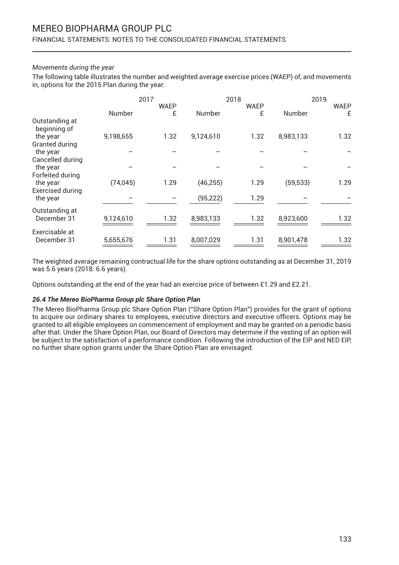# *Movements during the year*

The following table illustrates the number and weighted average exercise prices (WAEP) of, and movements in, options for the 2015 Plan during the year:

|                                     |           | 2017             |               | 2018             |               | 2019             |
|-------------------------------------|-----------|------------------|---------------|------------------|---------------|------------------|
|                                     | Number    | <b>WAEP</b><br>£ | <b>Number</b> | <b>WAEP</b><br>£ | <b>Number</b> | <b>WAEP</b><br>£ |
| Outstanding at<br>beginning of      |           |                  |               |                  |               |                  |
| the year<br>Granted during          | 9,198,655 | 1.32             | 9,124,610     | 1.32             | 8,983,133     | 1.32             |
| the year<br>Cancelled during        |           |                  |               |                  |               |                  |
| the year<br>Forfeited during        |           |                  |               |                  |               |                  |
| the year<br><b>Exercised during</b> | (74, 045) | 1.29             | (46, 255)     | 1.29             | (59, 533)     | 1.29             |
| the year                            |           |                  | (95, 222)     | 1.29             |               |                  |
| Outstanding at<br>December 31       | 9,124,610 | 1.32             | 8,983,133     | 1.32             | 8,923,600     | 1.32             |
| Exercisable at<br>December 31       | 5,655,676 | 1.31             | 8,007,029     | 1.31             | 8,901,478     | 1.32             |

The weighted average remaining contractual life for the share options outstanding as at December 31, 2019 was 5.6 years (2018: 6.6 years).

Options outstanding at the end of the year had an exercise price of between £1.29 and £2.21.

# *26.4 The Mereo BioPharma Group plc Share Option Plan*

The Mereo BioPharma Group plc Share Option Plan ("Share Option Plan") provides for the grant of options to acquire our ordinary shares to employees, executive directors and executive officers. Options may be granted to all eligible employees on commencement of employment and may be granted on a periodic basis after that. Under the Share Option Plan, our Board of Directors may determine if the vesting of an option will be subject to the satisfaction of a performance condition. Following the introduction of the EIP and NED EIP, no further share option grants under the Share Option Plan are envisaged.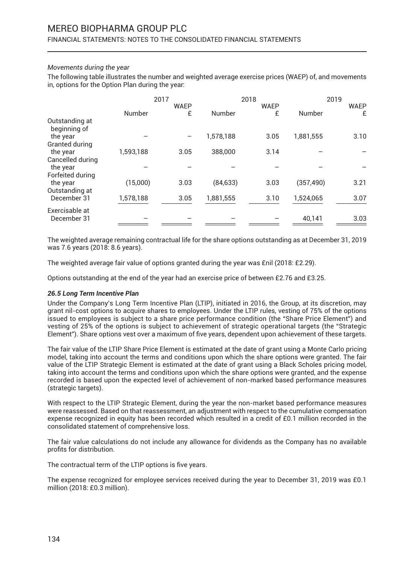# *Movements during the year*

The following table illustrates the number and weighted average exercise prices (WAEP) of, and movements in, options for the Option Plan during the year:

|                                |           | 2017<br><b>WAEP</b> |           | 2018<br><b>WAEP</b> |               | 2019<br><b>WAEP</b> |
|--------------------------------|-----------|---------------------|-----------|---------------------|---------------|---------------------|
|                                | Number    | £                   | Number    | £                   | <b>Number</b> | £                   |
| Outstanding at<br>beginning of |           |                     |           |                     |               |                     |
| the year<br>Granted during     |           |                     | 1,578,188 | 3.05                | 1,881,555     | 3.10                |
| the year                       | 1,593,188 | 3.05                | 388,000   | 3.14                |               |                     |
| Cancelled during<br>the year   |           |                     |           |                     |               |                     |
| Forfeited during<br>the year   | (15,000)  | 3.03                | (84, 633) | 3.03                | (357, 490)    | 3.21                |
| Outstanding at<br>December 31  | 1,578,188 | 3.05                | 1,881,555 | 3.10                | 1,524,065     | 3.07                |
| Exercisable at                 |           |                     |           |                     |               |                     |
| December 31                    |           |                     |           |                     | 40,141        | 3.03                |

The weighted average remaining contractual life for the share options outstanding as at December 31, 2019 was 7.6 years (2018: 8.6 years).

The weighted average fair value of options granted during the year was £nil (2018: £2.29).

Options outstanding at the end of the year had an exercise price of between £2.76 and £3.25.

# *26.5 Long Term Incentive Plan*

Under the Company's Long Term Incentive Plan (LTIP), initiated in 2016, the Group, at its discretion, may grant nil-cost options to acquire shares to employees. Under the LTIP rules, vesting of 75% of the options issued to employees is subject to a share price performance condition (the "Share Price Element") and vesting of 25% of the options is subject to achievement of strategic operational targets (the "Strategic Element"). Share options vest over a maximum of five years, dependent upon achievement of these targets.

The fair value of the LTIP Share Price Element is estimated at the date of grant using a Monte Carlo pricing model, taking into account the terms and conditions upon which the share options were granted. The fair value of the LTIP Strategic Element is estimated at the date of grant using a Black Scholes pricing model, taking into account the terms and conditions upon which the share options were granted, and the expense recorded is based upon the expected level of achievement of non-marked based performance measures (strategic targets).

With respect to the LTIP Strategic Element, during the year the non-market based performance measures were reassessed. Based on that reassessment, an adjustment with respect to the cumulative compensation expense recognized in equity has been recorded which resulted in a credit of £0.1 million recorded in the consolidated statement of comprehensive loss.

The fair value calculations do not include any allowance for dividends as the Company has no available profits for distribution.

The contractual term of the LTIP options is five years.

The expense recognized for employee services received during the year to December 31, 2019 was £0.1 million (2018: £0.3 million).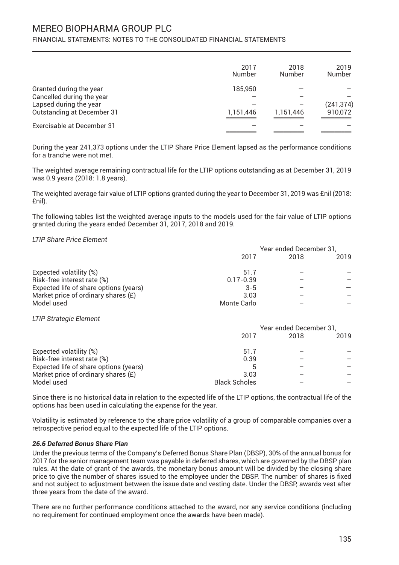|                                   | 2017<br><b>Number</b> | 2018<br>Number | 2019<br><b>Number</b> |
|-----------------------------------|-----------------------|----------------|-----------------------|
| Granted during the year           | 185,950               |                |                       |
| Cancelled during the year         |                       |                |                       |
| Lapsed during the year            |                       |                | (241, 374)            |
| Outstanding at December 31        | 1,151,446             | 1,151,446      | 910,072               |
| <b>Exercisable at December 31</b> |                       |                |                       |
|                                   |                       |                |                       |

During the year 241,373 options under the LTIP Share Price Element lapsed as the performance conditions for a tranche were not met.

The weighted average remaining contractual life for the LTIP options outstanding as at December 31, 2019 was 0.9 years (2018: 1.8 years).

The weighted average fair value of LTIP options granted during the year to December 31, 2019 was £nil (2018: £nil).

The following tables list the weighted average inputs to the models used for the fair value of LTIP options granted during the years ended December 31, 2017, 2018 and 2019.

### *LTIP Share Price Element*

|                                        | Year ended December 31, |      |      |  |
|----------------------------------------|-------------------------|------|------|--|
|                                        | 2017                    | 2018 | 2019 |  |
| Expected volatility (%)                | 51.7                    |      |      |  |
| Risk-free interest rate (%)            | $0.17 - 0.39$           |      |      |  |
| Expected life of share options (years) | $3 - 5$                 |      |      |  |
| Market price of ordinary shares $(E)$  | 3.03                    |      |      |  |
| Model used                             | Monte Carlo             |      |      |  |

#### *LTIP Strategic Element*

|                                        | Year ended December 31, |      |      |
|----------------------------------------|-------------------------|------|------|
|                                        | 2017                    | 2018 | 2019 |
| Expected volatility (%)                | 51.7                    |      |      |
| Risk-free interest rate (%)            | 0.39                    |      |      |
| Expected life of share options (years) |                         |      |      |
| Market price of ordinary shares $(E)$  | 3.03                    |      |      |
| Model used                             | <b>Black Scholes</b>    |      |      |

Since there is no historical data in relation to the expected life of the LTIP options, the contractual life of the options has been used in calculating the expense for the year.

Volatility is estimated by reference to the share price volatility of a group of comparable companies over a retrospective period equal to the expected life of the LTIP options.

### *26.6 Deferred Bonus Share Plan*

Under the previous terms of the Company's Deferred Bonus Share Plan (DBSP), 30% of the annual bonus for 2017 for the senior management team was payable in deferred shares, which are governed by the DBSP plan rules. At the date of grant of the awards, the monetary bonus amount will be divided by the closing share price to give the number of shares issued to the employee under the DBSP. The number of shares is fixed and not subject to adjustment between the issue date and vesting date. Under the DBSP, awards vest after three years from the date of the award.

There are no further performance conditions attached to the award, nor any service conditions (including no requirement for continued employment once the awards have been made).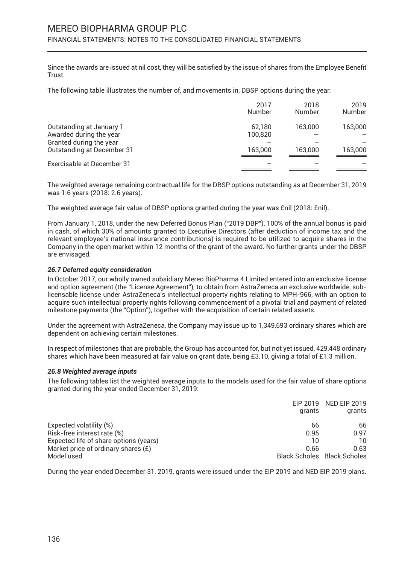Since the awards are issued at nil cost, they will be satisfied by the issue of shares from the Employee Benefit Trust.

The following table illustrates the number of, and movements in, DBSP options during the year:

|                                                     | 2017<br><b>Number</b> | 2018<br><b>Number</b> | 2019<br>Number |
|-----------------------------------------------------|-----------------------|-----------------------|----------------|
| Outstanding at January 1<br>Awarded during the year | 62.180<br>100,820     | 163,000               | 163,000        |
| Granted during the year                             |                       |                       |                |
| Outstanding at December 31                          | 163,000               | 163,000               | 163,000        |
| <b>Exercisable at December 31</b>                   |                       |                       |                |

The weighted average remaining contractual life for the DBSP options outstanding as at December 31, 2019 was 1.6 years (2018: 2.6 years).

The weighted average fair value of DBSP options granted during the year was £nil (2018: £nil).

From January 1, 2018, under the new Deferred Bonus Plan ("2019 DBP"), 100% of the annual bonus is paid in cash, of which 30% of amounts granted to Executive Directors (after deduction of income tax and the relevant employee's national insurance contributions) is required to be utilized to acquire shares in the Company in the open market within 12 months of the grant of the award. No further grants under the DBSP are envisaged.

### *26.7 Deferred equity consideration*

In October 2017, our wholly owned subsidiary Mereo BioPharma 4 Limited entered into an exclusive license and option agreement (the "License Agreement"), to obtain from AstraZeneca an exclusive worldwide, sublicensable license under AstraZeneca's intellectual property rights relating to MPH-966, with an option to acquire such intellectual property rights following commencement of a pivotal trial and payment of related milestone payments (the "Option"), together with the acquisition of certain related assets.

Under the agreement with AstraZeneca, the Company may issue up to 1,349,693 ordinary shares which are dependent on achieving certain milestones.

In respect of milestones that are probable, the Group has accounted for, but not yet issued, 429,448 ordinary shares which have been measured at fair value on grant date, being £3.10, giving a total of £1.3 million.

#### *26.8 Weighted average inputs*

The following tables list the weighted average inputs to the models used for the fair value of share options granted during the year ended December 31, 2019:

|                                        | grants                             | EIP 2019 NED EIP 2019<br>grants |
|----------------------------------------|------------------------------------|---------------------------------|
| Expected volatility (%)                | 66                                 | 66                              |
| Risk-free interest rate (%)            | 0.95                               | 0.97                            |
| Expected life of share options (years) | 10                                 | 10                              |
| Market price of ordinary shares $(E)$  | 0.66                               | 0.63                            |
| Model used                             | <b>Black Scholes Black Scholes</b> |                                 |

During the year ended December 31, 2019, grants were issued under the EIP 2019 and NED EIP 2019 plans.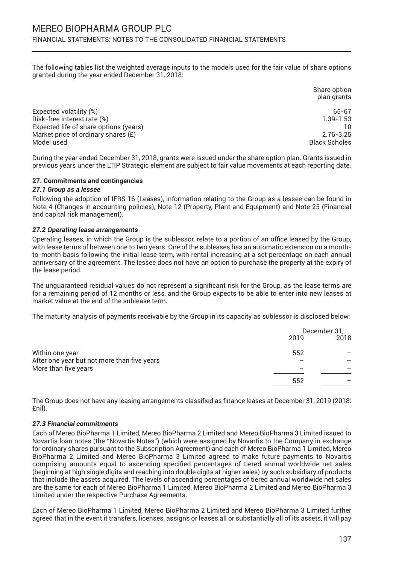The following tables list the weighted average inputs to the models used for the fair value of share options granted during the year ended December 31, 2018:

| Share option<br>plan grants |
|-----------------------------|
| 65-67                       |
| $1.39 - 1.53$               |
| 10                          |
| 2.76-3.25                   |
| <b>Black Scholes</b>        |
|                             |

During the year ended December 31, 2018, grants were issued under the share option plan. Grants issued in previous years under the LTIP Strategic element are subject to fair value movements at each reporting date.

# **27. Commitments and contingencies**

### *27.1 Group as a lessee*

Following the adoption of IFRS 16 (Leases), information relating to the Group as a lessee can be found in Note 4 (Changes in accounting policies), Note 12 (Property, Plant and Equipment) and Note 25 (Financial and capital risk management).

### *27.2 Operating lease arrangements*

Operating leases, in which the Group is the sublessor, relate to a portion of an office leased by the Group, with lease terms of between one to two years. One of the subleases has an automatic extension on a monthto-month basis following the initial lease term, with rental increasing at a set percentage on each annual anniversary of the agreement. The lessee does not have an option to purchase the property at the expiry of the lease period.

The unguaranteed residual values do not represent a significant risk for the Group, as the lease terms are for a remaining period of 12 months or less, and the Group expects to be able to enter into new leases at market value at the end of the sublease term.

The maturity analysis of payments receivable by the Group in its capacity as sublessor is disclosed below:

|                                                                                        |      | December 31, |  |
|----------------------------------------------------------------------------------------|------|--------------|--|
|                                                                                        | 2019 | 2018         |  |
| Within one year<br>After one year but not more than five years<br>More than five years | 552  |              |  |
|                                                                                        | 552  |              |  |

The Group does not have any leasing arrangements classified as finance leases at December 31, 2019 (2018: £nil).

# *27.3 Financial commitments*

Each of Mereo BioPharma 1 Limited, Mereo BioPharma 2 Limited and Mereo BioPharma 3 Limited issued to Novartis loan notes (the "Novartis Notes") (which were assigned by Novartis to the Company in exchange for ordinary shares pursuant to the Subscription Agreement) and each of Mereo BioPharma 1 Limited, Mereo BioPharma 2 Limited and Mereo BioPharma 3 Limited agreed to make future payments to Novartis comprising amounts equal to ascending specified percentages of tiered annual worldwide net sales (beginning at high single digits and reaching into double digits at higher sales) by such subsidiary of products that include the assets acquired. The levels of ascending percentages of tiered annual worldwide net sales are the same for each of Mereo BioPharma 1 Limited, Mereo BioPharma 2 Limited and Mereo BioPharma 3 Limited under the respective Purchase Agreements.

Each of Mereo BioPharma 1 Limited, Mereo BioPharma 2 Limited and Mereo BioPharma 3 Limited further agreed that in the event it transfers, licenses, assigns or leases all or substantially all of its assets, it will pay

Share option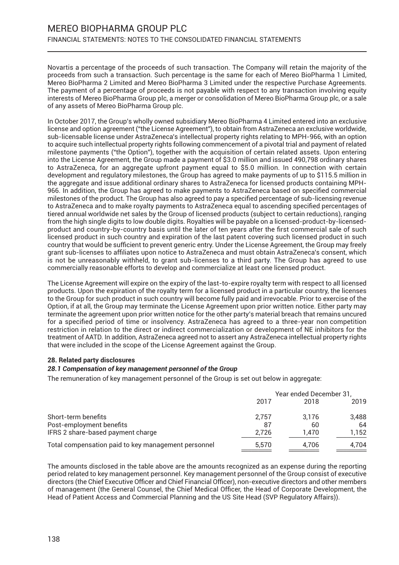Novartis a percentage of the proceeds of such transaction. The Company will retain the majority of the proceeds from such a transaction. Such percentage is the same for each of Mereo BioPharma 1 Limited, Mereo BioPharma 2 Limited and Mereo BioPharma 3 Limited under the respective Purchase Agreements. The payment of a percentage of proceeds is not payable with respect to any transaction involving equity interests of Mereo BioPharma Group plc, a merger or consolidation of Mereo BioPharma Group plc, or a sale of any assets of Mereo BioPharma Group plc.

In October 2017, the Group's wholly owned subsidiary Mereo BioPharma 4 Limited entered into an exclusive license and option agreement ("the License Agreement"), to obtain from AstraZeneca an exclusive worldwide, sub-licensable license under AstraZeneca's intellectual property rights relating to MPH-966, with an option to acquire such intellectual property rights following commencement of a pivotal trial and payment of related milestone payments ("the Option"), together with the acquisition of certain related assets. Upon entering into the License Agreement, the Group made a payment of \$3.0 million and issued 490,798 ordinary shares to AstraZeneca, for an aggregate upfront payment equal to \$5.0 million. In connection with certain development and regulatory milestones, the Group has agreed to make payments of up to \$115.5 million in the aggregate and issue additional ordinary shares to AstraZeneca for licensed products containing MPH-966. In addition, the Group has agreed to make payments to AstraZeneca based on specified commercial milestones of the product. The Group has also agreed to pay a specified percentage of sub-licensing revenue to AstraZeneca and to make royalty payments to AstraZeneca equal to ascending specified percentages of tiered annual worldwide net sales by the Group of licensed products (subject to certain reductions), ranging from the high single digits to low double digits. Royalties will be payable on a licensed-product-by-licensedproduct and country-by-country basis until the later of ten years after the first commercial sale of such licensed product in such country and expiration of the last patent covering such licensed product in such country that would be sufficient to prevent generic entry. Under the License Agreement, the Group may freely grant sub-licenses to affiliates upon notice to AstraZeneca and must obtain AstraZeneca's consent, which is not be unreasonably withheld, to grant sub-licenses to a third party. The Group has agreed to use commercially reasonable efforts to develop and commercialize at least one licensed product.

The License Agreement will expire on the expiry of the last-to-expire royalty term with respect to all licensed products. Upon the expiration of the royalty term for a licensed product in a particular country, the licenses to the Group for such product in such country will become fully paid and irrevocable. Prior to exercise of the Option, if at all, the Group may terminate the License Agreement upon prior written notice. Either party may terminate the agreement upon prior written notice for the other party's material breach that remains uncured for a specified period of time or insolvency. AstraZeneca has agreed to a three-year non competition restriction in relation to the direct or indirect commercialization or development of NE inhibitors for the treatment of AATD. In addition, AstraZeneca agreed not to assert any AstraZeneca intellectual property rights that were included in the scope of the License Agreement against the Group.

# **28. Related party disclosures**

# *28.1 Compensation of key management personnel of the Group*

The remuneration of key management personnel of the Group is set out below in aggregate:

|                                                     | Year ended December 31, |       |       |
|-----------------------------------------------------|-------------------------|-------|-------|
|                                                     | 2017                    | 2018  | 2019  |
| Short-term benefits                                 | 2.757                   | 3.176 | 3,488 |
| Post-employment benefits                            | 87                      | 60    | 64    |
| IFRS 2 share-based payment charge                   | 2.726                   | 1.470 | 1,152 |
| Total compensation paid to key management personnel | 5.570                   | 4.706 | 4.704 |

The amounts disclosed in the table above are the amounts recognized as an expense during the reporting period related to key management personnel. Key management personnel of the Group consist of executive directors (the Chief Executive Officer and Chief Financial Officer), non-executive directors and other members of management (the General Counsel, the Chief Medical Officer, the Head of Corporate Development, the Head of Patient Access and Commercial Planning and the US Site Head (SVP Regulatory Affairs)).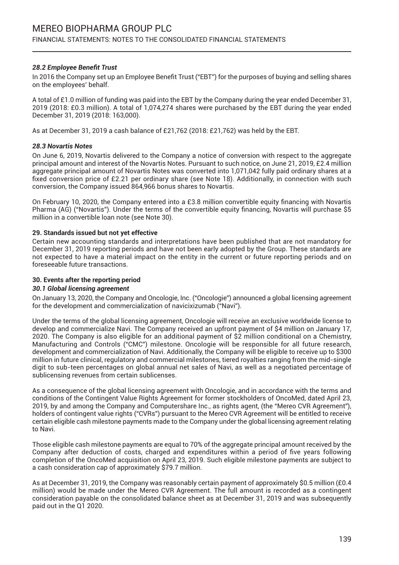# *28.2 Employee Benefit Trust*

In 2016 the Company set up an Employee Benefit Trust ("EBT") for the purposes of buying and selling shares on the employees' behalf.

A total of £1.0 million of funding was paid into the EBT by the Company during the year ended December 31, 2019 (2018: £0.3 million). A total of 1,074,274 shares were purchased by the EBT during the year ended December 31, 2019 (2018: 163,000).

As at December 31, 2019 a cash balance of £21,762 (2018: £21,762) was held by the EBT.

# *28.3 Novartis Notes*

On June 6, 2019, Novartis delivered to the Company a notice of conversion with respect to the aggregate principal amount and interest of the Novartis Notes. Pursuant to such notice, on June 21, 2019, £2.4 million aggregate principal amount of Novartis Notes was converted into 1,071,042 fully paid ordinary shares at a fixed conversion price of £2.21 per ordinary share (see Note 18). Additionally, in connection with such conversion, the Company issued 864,966 bonus shares to Novartis.

On February 10, 2020, the Company entered into a £3.8 million convertible equity financing with Novartis Pharma (AG) ("Novartis"). Under the terms of the convertible equity financing, Novartis will purchase \$5 million in a convertible loan note (see Note 30).

# **29. Standards issued but not yet effective**

Certain new accounting standards and interpretations have been published that are not mandatory for December 31, 2019 reporting periods and have not been early adopted by the Group. These standards are not expected to have a material impact on the entity in the current or future reporting periods and on foreseeable future transactions.

# **30. Events after the reporting period**

# *30.1 Global licensing agreement*

On January 13, 2020, the Company and Oncologie, Inc. ("Oncologie") announced a global licensing agreement for the development and commercialization of navicixizumab ("Navi").

Under the terms of the global licensing agreement, Oncologie will receive an exclusive worldwide license to develop and commercialize Navi. The Company received an upfront payment of \$4 million on January 17, 2020. The Company is also eligible for an additional payment of \$2 million conditional on a Chemistry, Manufacturing and Controls ("CMC") milestone. Oncologie will be responsible for all future research, development and commercialization of Navi. Additionally, the Company will be eligible to receive up to \$300 million in future clinical, regulatory and commercial milestones, tiered royalties ranging from the mid-single digit to sub-teen percentages on global annual net sales of Navi, as well as a negotiated percentage of sublicensing revenues from certain sublicenses.

As a consequence of the global licensing agreement with Oncologie, and in accordance with the terms and conditions of the Contingent Value Rights Agreement for former stockholders of OncoMed, dated April 23, 2019, by and among the Company and Computershare Inc., as rights agent, (the "Mereo CVR Agreement"), holders of contingent value rights ("CVRs") pursuant to the Mereo CVR Agreement will be entitled to receive certain eligible cash milestone payments made to the Company under the global licensing agreement relating to Navi.

Those eligible cash milestone payments are equal to 70% of the aggregate principal amount received by the Company after deduction of costs, charged and expenditures within a period of five years following completion of the OncoMed acquisition on April 23, 2019. Such eligible milestone payments are subject to a cash consideration cap of approximately \$79.7 million.

As at December 31, 2019, the Company was reasonably certain payment of approximately \$0.5 million (£0.4 million) would be made under the Mereo CVR Agreement. The full amount is recorded as a contingent consideration payable on the consolidated balance sheet as at December 31, 2019 and was subsequently paid out in the Q1 2020.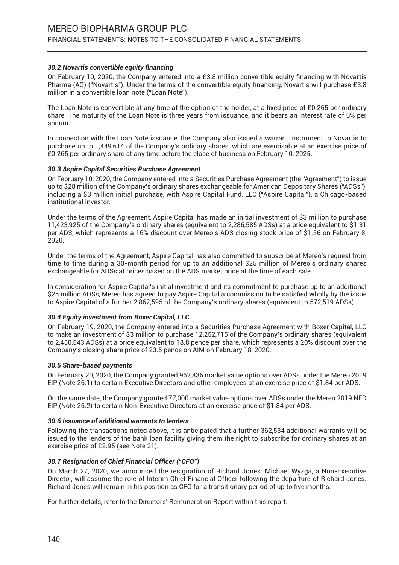# *30.2 Novartis convertible equity financing*

On February 10, 2020, the Company entered into a £3.8 million convertible equity financing with Novartis Pharma (AG) ("Novartis"). Under the terms of the convertible equity financing, Novartis will purchase £3.8 million in a convertible loan note ("Loan Note").

The Loan Note is convertible at any time at the option of the holder, at a fixed price of £0.265 per ordinary share. The maturity of the Loan Note is three years from issuance, and it bears an interest rate of 6% per annum.

In connection with the Loan Note issuance, the Company also issued a warrant instrument to Novartis to purchase up to 1,449,614 of the Company's ordinary shares, which are exercisable at an exercise price of £0.265 per ordinary share at any time before the close of business on February 10, 2025.

# *30.3 Aspire Capital Securities Purchase Agreement*

On February 10, 2020, the Company entered into a Securities Purchase Agreement (the "Agreement") to issue up to \$28 million of the Company's ordinary shares exchangeable for American Depositary Shares ("ADSs"), including a \$3 million initial purchase, with Aspire Capital Fund, LLC ("Aspire Capital"), a Chicago-based institutional investor.

Under the terms of the Agreement, Aspire Capital has made an initial investment of \$3 million to purchase 11,423,925 of the Company's ordinary shares (equivalent to 2,286,585 ADSs) at a price equivalent to \$1.31 per ADS, which represents a 16% discount over Mereo's ADS closing stock price of \$1.56 on February 8, 2020.

Under the terms of the Agreement, Aspire Capital has also committed to subscribe at Mereo's request from time to time during a 30-month period for up to an additional \$25 million of Mereo's ordinary shares exchangeable for ADSs at prices based on the ADS market price at the time of each sale.

In consideration for Aspire Capital's initial investment and its commitment to purchase up to an additional \$25 million ADSs, Mereo has agreed to pay Aspire Capital a commission to be satisfied wholly by the issue to Aspire Capital of a further 2,862,595 of the Company's ordinary shares (equivalent to 572,519 ADSs).

# *30.4 Equity investment from Boxer Capital, LLC*

On February 19, 2020, the Company entered into a Securities Purchase Agreement with Boxer Capital, LLC to make an investment of \$3 million to purchase 12,252,715 of the Company's ordinary shares (equivalent to 2,450,543 ADSs) at a price equivalent to 18.8 pence per share, which represents a 20% discount over the Company's closing share price of 23.5 pence on AIM on February 18, 2020.

# *30.5 Share-based payments*

On February 20, 2020, the Company granted 962,836 market value options over ADSs under the Mereo 2019 EIP (Note 26.1) to certain Executive Directors and other employees at an exercise price of \$1.84 per ADS.

On the same date, the Company granted 77,000 market value options over ADSs under the Mereo 2019 NED EIP (Note 26.2) to certain Non-Executive Directors at an exercise price of \$1.84 per ADS.

# *30.6 Issuance of additional warrants to lenders*

Following the transactions noted above, it is anticipated that a further 362,534 additional warrants will be issued to the lenders of the bank loan facility giving them the right to subscribe for ordinary shares at an exercise price of £2.95 (see Note 21).

# *30.7 Resignation of Chief Financial Officer ("CFO")*

On March 27, 2020, we announced the resignation of Richard Jones. Michael Wyzga, a Non-Executive Director, will assume the role of Interim Chief Financial Officer following the departure of Richard Jones. Richard Jones will remain in his position as CFO for a transitionary period of up to five months.

For further details, refer to the Directors' Remuneration Report within this report.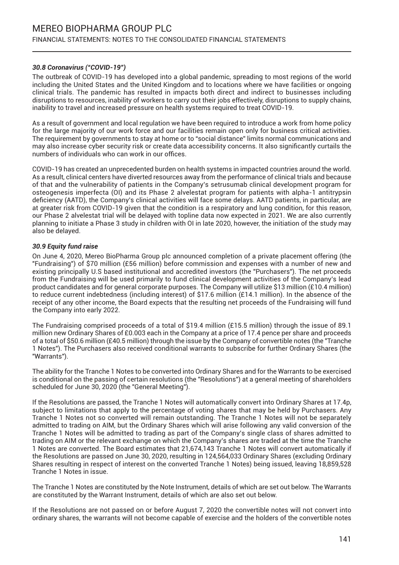# *30.8 Coronavirus ("COVID-19")*

The outbreak of COVID-19 has developed into a global pandemic, spreading to most regions of the world including the United States and the United Kingdom and to locations where we have facilities or ongoing clinical trials. The pandemic has resulted in impacts both direct and indirect to businesses including disruptions to resources, inability of workers to carry out their jobs effectively, disruptions to supply chains, inability to travel and increased pressure on health systems required to treat COVID-19.

As a result of government and local regulation we have been required to introduce a work from home policy for the large majority of our work force and our facilities remain open only for business critical activities. The requirement by governments to stay at home or to "social distance" limits normal communications and may also increase cyber security risk or create data accessibility concerns. It also significantly curtails the numbers of individuals who can work in our offices.

COVID-19 has created an unprecedented burden on health systems in impacted countries around the world. As a result, clinical centers have diverted resources away from the performance of clinical trials and because of that and the vulnerability of patients in the Company's setrusumab clinical development program for osteogenesis imperfecta (OI) and its Phase 2 alvelestat program for patients with alpha-1 antitrypsin deficiency (AATD), the Company's clinical activities will face some delays. AATD patients, in particular, are at greater risk from COVID-19 given that the condition is a respiratory and lung condition, for this reason, our Phase 2 alvelestat trial will be delayed with topline data now expected in 2021. We are also currently planning to initiate a Phase 3 study in children with OI in late 2020, however, the initiation of the study may also be delayed.

# *30.9 Equity fund raise*

On June 4, 2020, Mereo BioPharma Group plc announced completion of a private placement offering (the "Fundraising") of \$70 million (£56 million) before commission and expenses with a number of new and existing principally U.S based institutional and accredited investors (the "Purchasers"). The net proceeds from the Fundraising will be used primarily to fund clinical development activities of the Company's lead product candidates and for general corporate purposes. The Company will utilize \$13 million (£10.4 million) to reduce current indebtedness (including interest) of \$17.6 million (£14.1 million). In the absence of the receipt of any other income, the Board expects that the resulting net proceeds of the Fundraising will fund the Company into early 2022.

The Fundraising comprised proceeds of a total of \$19.4 million (£15.5 million) through the issue of 89.1 million new Ordinary Shares of £0.003 each in the Company at a price of 17.4 pence per share and proceeds of a total of \$50.6 million (£40.5 million) through the issue by the Company of convertible notes (the "Tranche 1 Notes"). The Purchasers also received conditional warrants to subscribe for further Ordinary Shares (the "Warrants").

The ability for the Tranche 1 Notes to be converted into Ordinary Shares and for the Warrants to be exercised is conditional on the passing of certain resolutions (the "Resolutions") at a general meeting of shareholders scheduled for June 30, 2020 (the "General Meeting").

If the Resolutions are passed, the Tranche 1 Notes will automatically convert into Ordinary Shares at 17.4p, subject to limitations that apply to the percentage of voting shares that may be held by Purchasers. Any Tranche 1 Notes not so converted will remain outstanding. The Tranche 1 Notes will not be separately admitted to trading on AIM, but the Ordinary Shares which will arise following any valid conversion of the Tranche 1 Notes will be admitted to trading as part of the Company's single class of shares admitted to trading on AIM or the relevant exchange on which the Company's shares are traded at the time the Tranche 1 Notes are converted. The Board estimates that 21,674,143 Tranche 1 Notes will convert automatically if the Resolutions are passed on June 30, 2020, resulting in 124,564,033 Ordinary Shares (excluding Ordinary Shares resulting in respect of interest on the converted Tranche 1 Notes) being issued, leaving 18,859,528 Tranche 1 Notes in issue.

The Tranche 1 Notes are constituted by the Note Instrument, details of which are set out below. The Warrants are constituted by the Warrant Instrument, details of which are also set out below.

If the Resolutions are not passed on or before August 7, 2020 the convertible notes will not convert into ordinary shares, the warrants will not become capable of exercise and the holders of the convertible notes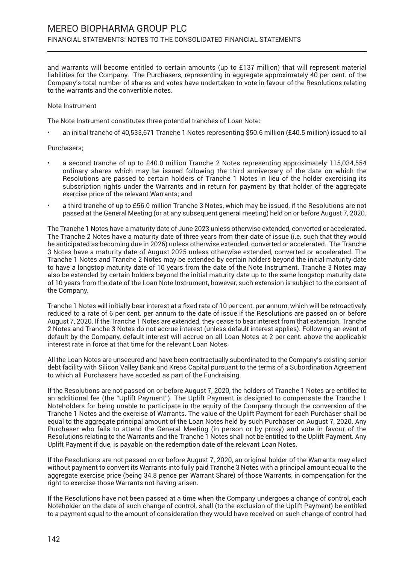and warrants will become entitled to certain amounts (up to £137 million) that will represent material liabilities for the Company. The Purchasers, representing in aggregate approximately 40 per cent. of the Company's total number of shares and votes have undertaken to vote in favour of the Resolutions relating to the warrants and the convertible notes.

### Note Instrument

The Note Instrument constitutes three potential tranches of Loan Note:

• an initial tranche of 40,533,671 Tranche 1 Notes representing \$50.6 million (£40.5 million) issued to all

### Purchasers;

- a second tranche of up to £40.0 million Tranche 2 Notes representing approximately 115,034,554 ordinary shares which may be issued following the third anniversary of the date on which the Resolutions are passed to certain holders of Tranche 1 Notes in lieu of the holder exercising its subscription rights under the Warrants and in return for payment by that holder of the aggregate exercise price of the relevant Warrants; and
- a third tranche of up to £56.0 million Tranche 3 Notes, which may be issued, if the Resolutions are not passed at the General Meeting (or at any subsequent general meeting) held on or before August 7, 2020.

The Tranche 1 Notes have a maturity date of June 2023 unless otherwise extended, converted or accelerated. The Tranche 2 Notes have a maturity date of three years from their date of issue (i.e. such that they would be anticipated as becoming due in 2026) unless otherwise extended, converted or accelerated. The Tranche 3 Notes have a maturity date of August 2025 unless otherwise extended, converted or accelerated. The Tranche 1 Notes and Tranche 2 Notes may be extended by certain holders beyond the initial maturity date to have a longstop maturity date of 10 years from the date of the Note Instrument. Tranche 3 Notes may also be extended by certain holders beyond the initial maturity date up to the same longstop maturity date of 10 years from the date of the Loan Note Instrument, however, such extension is subject to the consent of the Company.

Tranche 1 Notes will initially bear interest at a fixed rate of 10 per cent. per annum, which will be retroactively reduced to a rate of 6 per cent. per annum to the date of issue if the Resolutions are passed on or before August 7, 2020. If the Tranche 1 Notes are extended, they cease to bear interest from that extension. Tranche 2 Notes and Tranche 3 Notes do not accrue interest (unless default interest applies). Following an event of default by the Company, default interest will accrue on all Loan Notes at 2 per cent. above the applicable interest rate in force at that time for the relevant Loan Notes.

All the Loan Notes are unsecured and have been contractually subordinated to the Company's existing senior debt facility with Silicon Valley Bank and Kreos Capital pursuant to the terms of a Subordination Agreement to which all Purchasers have acceded as part of the Fundraising.

If the Resolutions are not passed on or before August 7, 2020, the holders of Tranche 1 Notes are entitled to an additional fee (the "Uplift Payment"). The Uplift Payment is designed to compensate the Tranche 1 Noteholders for being unable to participate in the equity of the Company through the conversion of the Tranche 1 Notes and the exercise of Warrants. The value of the Uplift Payment for each Purchaser shall be equal to the aggregate principal amount of the Loan Notes held by such Purchaser on August 7, 2020. Any Purchaser who fails to attend the General Meeting (in person or by proxy) and vote in favour of the Resolutions relating to the Warrants and the Tranche 1 Notes shall not be entitled to the Uplift Payment. Any Uplift Payment if due, is payable on the redemption date of the relevant Loan Notes.

If the Resolutions are not passed on or before August 7, 2020, an original holder of the Warrants may elect without payment to convert its Warrants into fully paid Tranche 3 Notes with a principal amount equal to the aggregate exercise price (being 34.8 pence per Warrant Share) of those Warrants, in compensation for the right to exercise those Warrants not having arisen.

If the Resolutions have not been passed at a time when the Company undergoes a change of control, each Noteholder on the date of such change of control, shall (to the exclusion of the Uplift Payment) be entitled to a payment equal to the amount of consideration they would have received on such change of control had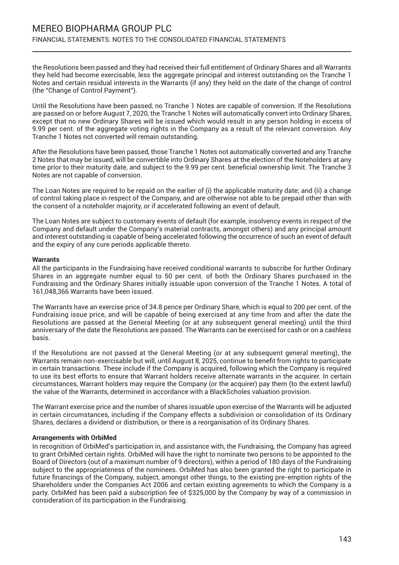the Resolutions been passed and they had received their full entitlement of Ordinary Shares and all Warrants they held had become exercisable, less the aggregate principal and interest outstanding on the Tranche 1 Notes and certain residual interests in the Warrants (if any) they held on the date of the change of control (the "Change of Control Payment").

Until the Resolutions have been passed, no Tranche 1 Notes are capable of conversion. If the Resolutions are passed on or before August 7, 2020, the Tranche 1 Notes will automatically convert into Ordinary Shares, except that no new Ordinary Shares will be issued which would result in any person holding in excess of 9.99 per cent. of the aggregate voting rights in the Company as a result of the relevant conversion. Any Tranche 1 Notes not converted will remain outstanding.

After the Resolutions have been passed, those Tranche 1 Notes not automatically converted and any Tranche 2 Notes that may be issued, will be convertible into Ordinary Shares at the election of the Noteholders at any time prior to their maturity date, and subject to the 9.99 per cent. beneficial ownership limit. The Tranche 3 Notes are not capable of conversion.

The Loan Notes are required to be repaid on the earlier of (i) the applicable maturity date; and (ii) a change of control taking place in respect of the Company, and are otherwise not able to be prepaid other than with the consent of a noteholder majority, or if accelerated following an event of default.

The Loan Notes are subject to customary events of default (for example, insolvency events in respect of the Company and default under the Company's material contracts, amongst others) and any principal amount and interest outstanding is capable of being accelerated following the occurrence of such an event of default and the expiry of any cure periods applicable thereto.

# **Warrants**

All the participants in the Fundraising have received conditional warrants to subscribe for further Ordinary Shares in an aggregate number equal to 50 per cent. of both the Ordinary Shares purchased in the Fundraising and the Ordinary Shares initially issuable upon conversion of the Tranche 1 Notes. A total of 161,048,366 Warrants have been issued.

The Warrants have an exercise price of 34.8 pence per Ordinary Share, which is equal to 200 per cent. of the Fundraising issue price, and will be capable of being exercised at any time from and after the date the Resolutions are passed at the General Meeting (or at any subsequent general meeting) until the third anniversary of the date the Resolutions are passed. The Warrants can be exercised for cash or on a cashless basis.

If the Resolutions are not passed at the General Meeting (or at any subsequent general meeting), the Warrants remain non-exercisable but will, until August 8, 2025, continue to benefit from rights to participate in certain transactions. These include if the Company is acquired, following which the Company is required to use its best efforts to ensure that Warrant holders receive alternate warrants in the acquirer. In certain circumstances, Warrant holders may require the Company (or the acquirer) pay them (to the extent lawful) the value of the Warrants, determined in accordance with a BlackScholes valuation provision.

The Warrant exercise price and the number of shares issuable upon exercise of the Warrants will be adjusted in certain circumstances, including if the Company effects a subdivision or consolidation of its Ordinary Shares, declares a dividend or distribution, or there is a reorganisation of its Ordinary Shares.

# **Arrangements with OrbiMed**

In recognition of OrbiMed's participation in, and assistance with, the Fundraising, the Company has agreed to grant OrbiMed certain rights. OrbiMed will have the right to nominate two persons to be appointed to the Board of Directors (out of a maximum number of 9 directors), within a period of 180 days of the Fundraising subject to the appropriateness of the nominees. OrbiMed has also been granted the right to participate in future financings of the Company, subject, amongst other things, to the existing pre-emption rights of the Shareholders under the Companies Act 2006 and certain existing agreements to which the Company is a party. OrbiMed has been paid a subscription fee of \$325,000 by the Company by way of a commission in consideration of its participation in the Fundraising.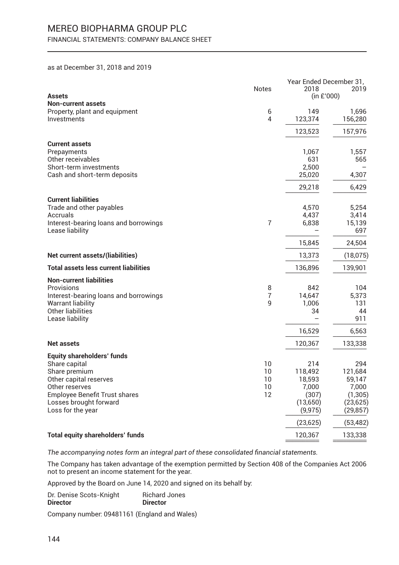# MEREO BIOPHARMA GROUP PLC

FINANCIAL STATEMENTS: COMPANY BALANCE SHEET

#### as at December 31, 2018 and 2019

| <b>Assets</b><br><b>Non-current assets</b>                                                                                                                                                             | Year Ended December 31,<br><b>Notes</b><br>2018<br>2019<br>(in £'000) |                                                                                 |                                                                                     |
|--------------------------------------------------------------------------------------------------------------------------------------------------------------------------------------------------------|-----------------------------------------------------------------------|---------------------------------------------------------------------------------|-------------------------------------------------------------------------------------|
| Property, plant and equipment<br>Investments                                                                                                                                                           | 6<br>$\overline{4}$                                                   | 149<br>123,374                                                                  | 1,696<br>156,280                                                                    |
|                                                                                                                                                                                                        |                                                                       | 123,523                                                                         | 157,976                                                                             |
| <b>Current assets</b><br>Prepayments<br>Other receivables<br>Short-term investments<br>Cash and short-term deposits                                                                                    |                                                                       | 1,067<br>631<br>2,500<br>25,020<br>29,218                                       | 1,557<br>565<br>4,307<br>6,429                                                      |
| <b>Current liabilities</b><br>Trade and other payables<br>Accruals<br>Interest-bearing loans and borrowings<br>Lease liability                                                                         | $\overline{7}$                                                        | 4,570<br>4,437<br>6,838                                                         | 5,254<br>3,414<br>15,139<br>697                                                     |
|                                                                                                                                                                                                        |                                                                       | 15,845                                                                          | 24,504                                                                              |
| <b>Net current assets/(liabilities)</b>                                                                                                                                                                |                                                                       | 13,373                                                                          | (18,075)                                                                            |
| <b>Total assets less current liabilities</b>                                                                                                                                                           |                                                                       | 136,896                                                                         | 139,901                                                                             |
| <b>Non-current liabilities</b><br>Provisions<br>Interest-bearing loans and borrowings<br><b>Warrant liability</b><br>Other liabilities<br>Lease liability                                              | 8<br>$\overline{7}$<br>9                                              | 842<br>14,647<br>1,006<br>34                                                    | 104<br>5,373<br>131<br>44<br>911                                                    |
|                                                                                                                                                                                                        |                                                                       | 16,529                                                                          | 6,563                                                                               |
| <b>Net assets</b>                                                                                                                                                                                      |                                                                       | 120,367                                                                         | 133,338                                                                             |
| <b>Equity shareholders' funds</b><br>Share capital<br>Share premium<br>Other capital reserves<br>Other reserves<br><b>Employee Benefit Trust shares</b><br>Losses brought forward<br>Loss for the year | 10<br>10<br>10<br>10<br>12                                            | 214<br>118,492<br>18,593<br>7,000<br>(307)<br>(13,650)<br>(9, 975)<br>(23, 625) | 294<br>121,684<br>59,147<br>7,000<br>(1, 305)<br>(23, 625)<br>(29,857)<br>(53, 482) |
| <b>Total equity shareholders' funds</b>                                                                                                                                                                |                                                                       | 120,367                                                                         | 133,338                                                                             |
|                                                                                                                                                                                                        |                                                                       |                                                                                 |                                                                                     |

*The accompanying notes form an integral part of these consolidated financial statements.* 

The Company has taken advantage of the exemption permitted by Section 408 of the Companies Act 2006 not to present an income statement for the year.

Approved by the Board on June 14, 2020 and signed on its behalf by:

| Dr. Denise Scots-Knight | <b>Richard Jones</b> |
|-------------------------|----------------------|
| <b>Director</b>         | <b>Director</b>      |

Company number: 09481161 (England and Wales)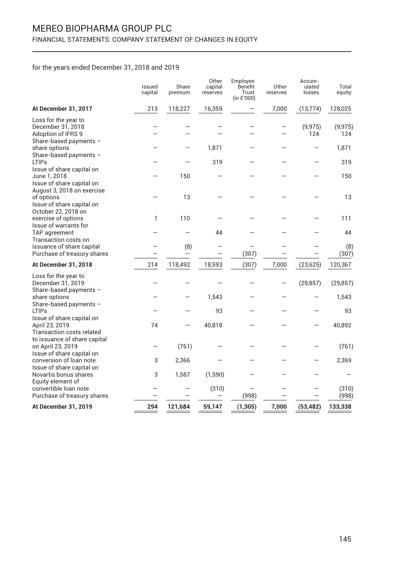# MEREO BIOPHARMA GROUP PLC FINANCIAL STATEMENTS: COMPANY STATEMENT OF CHANGES IN EQUITY

## for the years ended December 31, 2018 and 2019

|                                                                                           | Issued<br>capital | Share<br>premium | Other<br>capital<br>reserves | Employee<br>Benefit<br>Trust<br>(in £'000) | Other<br>reserves | Accum-<br>ulated<br>losses | Total<br>equity |
|-------------------------------------------------------------------------------------------|-------------------|------------------|------------------------------|--------------------------------------------|-------------------|----------------------------|-----------------|
| At December 31, 2017                                                                      | 213               | 118,227          | 16,359                       |                                            | 7,000             | (13, 774)                  | 128,025         |
| Loss for the year to<br>December 31, 2018<br>Adoption of IFRS 9<br>Share-based payments - |                   |                  |                              |                                            |                   | (9, 975)<br>124            | (9, 975)<br>124 |
| share options<br>Share-based payments -                                                   |                   |                  | 1,871                        |                                            |                   |                            | 1,871           |
| <b>LTIPs</b><br>Issue of share capital on                                                 |                   |                  | 319                          |                                            |                   |                            | 319             |
| June 1, 2018<br>Issue of share capital on<br>August 3, 2018 on exercise                   |                   | 150              |                              |                                            |                   |                            | 150             |
| of options<br>Issue of share capital on<br>October 22, 2018 on                            |                   | 13               |                              |                                            |                   |                            | 13              |
| exercise of options<br>Issue of warrants for                                              | 1                 | 110              |                              |                                            |                   |                            | 111             |
| TAP agreement<br>Transaction costs on                                                     |                   |                  | 44                           |                                            |                   |                            | 44              |
| issuance of share capital<br>Purchase of treasury shares                                  |                   | (8)<br>—         |                              | (307)                                      |                   |                            | (8)<br>(307)    |
| At December 31, 2018                                                                      | 214               | 118,492          | 18,593                       | (307)                                      | 7,000             | (23, 625)                  | 120,367         |
| Loss for the year to<br>December 31, 2019<br>Share-based payments -                       |                   |                  |                              |                                            |                   | (29, 857)                  | (29, 857)       |
| share options<br>Share-based payments -                                                   |                   |                  | 1,543                        |                                            |                   |                            | 1,543           |
| <b>LTIPs</b><br>Issue of share capital on                                                 |                   |                  | 93                           |                                            |                   |                            | 93              |
| April 23, 2019<br>Transaction costs related<br>to issuance of share capital               | 74                |                  | 40,818                       |                                            |                   |                            | 40,892          |
| on April 23, 2019<br>Issue of share capital on                                            |                   | (761)            |                              |                                            |                   |                            | (761)           |
| conversion of loan note<br>Issue of share capital on                                      | 3                 | 2,366            |                              |                                            |                   |                            | 2,369           |
| Novartis bonus shares<br>Equity element of                                                | 3                 | 1,587            | (1, 590)                     |                                            |                   |                            |                 |
| convertible loan note<br>Purchase of treasury shares                                      |                   |                  | (310)                        | (998)                                      |                   |                            | (310)<br>(998)  |
| At December 31, 2019                                                                      | 294               | 121,684          | 59,147                       | (1, 305)                                   | 7,000             | (53, 482)                  | 133,338         |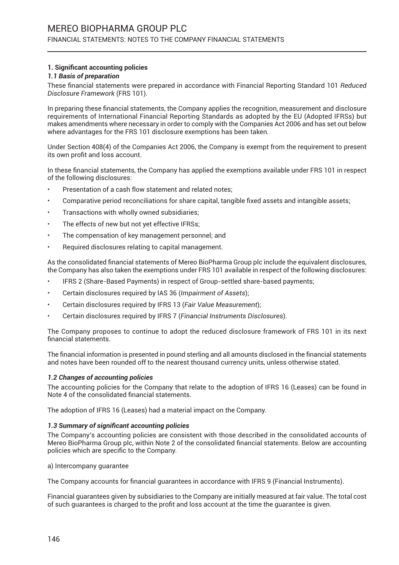## **1. Significant accounting policies**

## *1.1 Basis of preparation*

These financial statements were prepared in accordance with Financial Reporting Standard 101 *Reduced Disclosure Framework* (FRS 101).

In preparing these financial statements, the Company applies the recognition, measurement and disclosure requirements of International Financial Reporting Standards as adopted by the EU (Adopted IFRSs) but makes amendments where necessary in order to comply with the Companies Act 2006 and has set out below where advantages for the FRS 101 disclosure exemptions has been taken.

Under Section 408(4) of the Companies Act 2006, the Company is exempt from the requirement to present its own profit and loss account.

In these financial statements, the Company has applied the exemptions available under FRS 101 in respect of the following disclosures:

- Presentation of a cash flow statement and related notes:
- Comparative period reconciliations for share capital, tangible fixed assets and intangible assets;
- Transactions with wholly owned subsidiaries;
- The effects of new but not yet effective IFRSs;
- The compensation of key management personnel; and
- Required disclosures relating to capital management.

As the consolidated financial statements of Mereo BioPharma Group plc include the equivalent disclosures, the Company has also taken the exemptions under FRS 101 available in respect of the following disclosures:

- IFRS 2 (Share-Based Payments) in respect of Group-settled share-based payments;
- Certain disclosures required by IAS 36 (*Impairment of Assets*);
- Certain disclosures required by IFRS 13 (*Fair Value Measurement*);
- Certain disclosures required by IFRS 7 (*Financial Instruments Disclosures*).

The Company proposes to continue to adopt the reduced disclosure framework of FRS 101 in its next financial statements.

The financial information is presented in pound sterling and all amounts disclosed in the financial statements and notes have been rounded off to the nearest thousand currency units, unless otherwise stated.

## *1.2 Changes of accounting policies*

The accounting policies for the Company that relate to the adoption of IFRS 16 (Leases) can be found in Note 4 of the consolidated financial statements.

The adoption of IFRS 16 (Leases) had a material impact on the Company.

## *1.3 Summary of significant accounting policies*

The Company's accounting policies are consistent with those described in the consolidated accounts of Mereo BioPharma Group plc, within Note 2 of the consolidated financial statements. Below are accounting policies which are specific to the Company.

## a) Intercompany guarantee

The Company accounts for financial guarantees in accordance with IFRS 9 (Financial Instruments).

Financial guarantees given by subsidiaries to the Company are initially measured at fair value. The total cost of such guarantees is charged to the profit and loss account at the time the guarantee is given.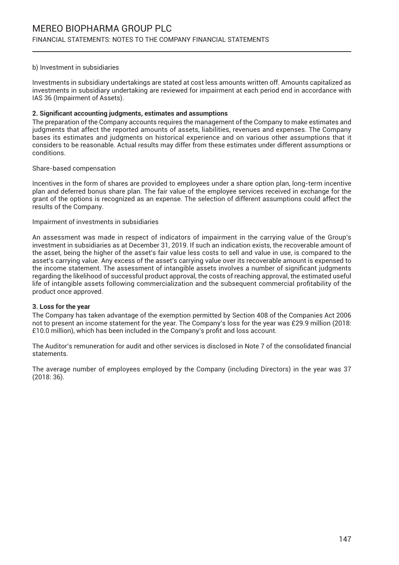## b) Investment in subsidiaries

Investments in subsidiary undertakings are stated at cost less amounts written off. Amounts capitalized as investments in subsidiary undertaking are reviewed for impairment at each period end in accordance with IAS 36 (Impairment of Assets).

## **2. Significant accounting judgments, estimates and assumptions**

The preparation of the Company accounts requires the management of the Company to make estimates and judgments that affect the reported amounts of assets, liabilities, revenues and expenses. The Company bases its estimates and judgments on historical experience and on various other assumptions that it considers to be reasonable. Actual results may differ from these estimates under different assumptions or conditions.

## Share-based compensation

Incentives in the form of shares are provided to employees under a share option plan, long-term incentive plan and deferred bonus share plan. The fair value of the employee services received in exchange for the grant of the options is recognized as an expense. The selection of different assumptions could affect the results of the Company.

## Impairment of investments in subsidiaries

An assessment was made in respect of indicators of impairment in the carrying value of the Group's investment in subsidiaries as at December 31, 2019. If such an indication exists, the recoverable amount of the asset, being the higher of the asset's fair value less costs to sell and value in use, is compared to the asset's carrying value. Any excess of the asset's carrying value over its recoverable amount is expensed to the income statement. The assessment of intangible assets involves a number of significant judgments regarding the likelihood of successful product approval, the costs of reaching approval, the estimated useful life of intangible assets following commercialization and the subsequent commercial profitability of the product once approved.

## **3. Loss for the year**

The Company has taken advantage of the exemption permitted by Section 408 of the Companies Act 2006 not to present an income statement for the year. The Company's loss for the year was £29.9 million (2018: £10.0 million), which has been included in the Company's profit and loss account.

The Auditor's remuneration for audit and other services is disclosed in Note 7 of the consolidated financial statements.

The average number of employees employed by the Company (including Directors) in the year was 37 (2018: 36).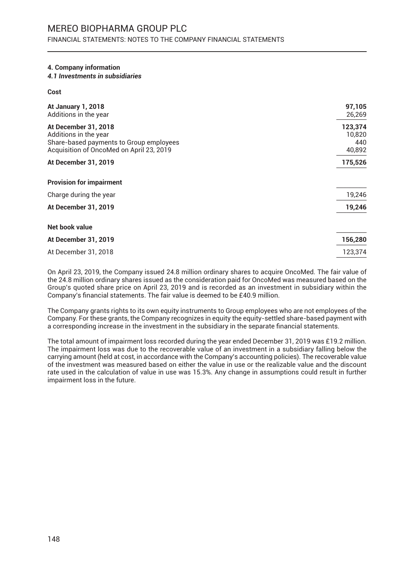## **4. Company information**

## *4.1 Investments in subsidiaries*

**Cost** 

| At January 1, 2018<br>Additions in the year                                                                                          | 97,105<br>26,269                   |
|--------------------------------------------------------------------------------------------------------------------------------------|------------------------------------|
| At December 31, 2018<br>Additions in the year<br>Share-based payments to Group employees<br>Acquisition of OncoMed on April 23, 2019 | 123,374<br>10,820<br>440<br>40,892 |
| At December 31, 2019                                                                                                                 | 175,526                            |
| <b>Provision for impairment</b>                                                                                                      |                                    |
| Charge during the year                                                                                                               | 19,246                             |
| At December 31, 2019                                                                                                                 | 19,246                             |
| Net book value                                                                                                                       |                                    |
| At December 31, 2019                                                                                                                 | 156,280                            |
| At December 31, 2018                                                                                                                 | 123,374                            |

On April 23, 2019, the Company issued 24.8 million ordinary shares to acquire OncoMed. The fair value of the 24.8 million ordinary shares issued as the consideration paid for OncoMed was measured based on the Group's quoted share price on April 23, 2019 and is recorded as an investment in subsidiary within the Company's financial statements. The fair value is deemed to be £40.9 million.

The Company grants rights to its own equity instruments to Group employees who are not employees of the Company. For these grants, the Company recognizes in equity the equity-settled share-based payment with a corresponding increase in the investment in the subsidiary in the separate financial statements.

The total amount of impairment loss recorded during the year ended December 31, 2019 was £19.2 million. The impairment loss was due to the recoverable value of an investment in a subsidiary falling below the carrying amount (held at cost, in accordance with the Company's accounting policies). The recoverable value of the investment was measured based on either the value in use or the realizable value and the discount rate used in the calculation of value in use was 15.3%. Any change in assumptions could result in further impairment loss in the future.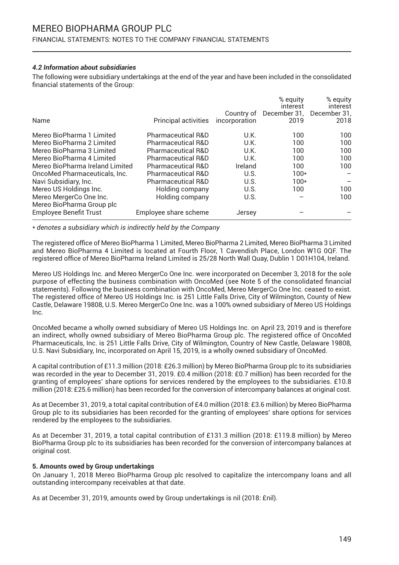# MEREO BIOPHARMA GROUP PLC FINANCIAL STATEMENTS: NOTES TO THE COMPANY FINANCIAL STATEMENTS

## *4.2 Information about subsidiaries*

The following were subsidiary undertakings at the end of the year and have been included in the consolidated financial statements of the Group:

|                                 |                               |               | % equity<br>interest | % equity<br>interest |
|---------------------------------|-------------------------------|---------------|----------------------|----------------------|
|                                 |                               | Country of    | December 31,         | December 31,         |
| Name                            | <b>Principal activities</b>   | incorporation | 2019                 | 2018                 |
| Mereo BioPharma 1 Limited       | <b>Pharmaceutical R&amp;D</b> | U.K.          | 100                  | 100                  |
| Mereo BioPharma 2 Limited       | <b>Pharmaceutical R&amp;D</b> | U.K.          | 100                  | 100                  |
| Mereo BioPharma 3 Limited       | <b>Pharmaceutical R&amp;D</b> | U.K.          | 100                  | 100                  |
| Mereo BioPharma 4 Limited       | <b>Pharmaceutical R&amp;D</b> | U.K.          | 100                  | 100                  |
| Mereo BioPharma Ireland Limited | <b>Pharmaceutical R&amp;D</b> | Ireland       | 100                  | 100                  |
| OncoMed Pharmaceuticals, Inc.   | <b>Pharmaceutical R&amp;D</b> | U.S.          | $100*$               |                      |
| Navi Subsidiary, Inc.           | <b>Pharmaceutical R&amp;D</b> | U.S.          | $100*$               |                      |
| Mereo US Holdings Inc.          | Holding company               | U.S.          | 100                  | 100                  |
| Mereo MergerCo One Inc.         | Holding company               | U.S.          |                      | 100                  |
| Mereo BioPharma Group plc       |                               |               |                      |                      |
| <b>Employee Benefit Trust</b>   | Employee share scheme         | Jersey        |                      |                      |

*\* denotes a subsidiary which is indirectly held by the Company* 

The registered office of Mereo BioPharma 1 Limited, Mereo BioPharma 2 Limited, Mereo BioPharma 3 Limited and Mereo BioPharma 4 Limited is located at Fourth Floor, 1 Cavendish Place, London W1G 0QF. The registered office of Mereo BioPharma Ireland Limited is 25/28 North Wall Quay, Dublin 1 D01H104, Ireland.

Mereo US Holdings Inc. and Mereo MergerCo One Inc. were incorporated on December 3, 2018 for the sole purpose of effecting the business combination with OncoMed (see Note 5 of the consolidated financial statements). Following the business combination with OncoMed, Mereo MergerCo One Inc. ceased to exist. The registered office of Mereo US Holdings Inc. is 251 Little Falls Drive, City of Wilmington, County of New Castle, Delaware 19808, U.S. Mereo MergerCo One Inc. was a 100% owned subsidiary of Mereo US Holdings Inc.

OncoMed became a wholly owned subsidiary of Mereo US Holdings Inc. on April 23, 2019 and is therefore an indirect, wholly owned subsidiary of Mereo BioPharma Group plc. The registered office of OncoMed Pharmaceuticals, Inc. is 251 Little Falls Drive, City of Wilmington, Country of New Castle, Delaware 19808, U.S. Navi Subsidiary, Inc, incorporated on April 15, 2019, is a wholly owned subsidiary of OncoMed.

A capital contribution of £11.3 million (2018: £26.3 million) by Mereo BioPharma Group plc to its subsidiaries was recorded in the year to December 31, 2019. £0.4 million (2018: £0.7 million) has been recorded for the granting of employees' share options for services rendered by the employees to the subsidiaries. £10.8 million (2018: £25.6 million) has been recorded for the conversion of intercompany balances at original cost.

As at December 31, 2019, a total capital contribution of £4.0 million (2018: £3.6 million) by Mereo BioPharma Group plc to its subsidiaries has been recorded for the granting of employees' share options for services rendered by the employees to the subsidiaries.

As at December 31, 2019, a total capital contribution of £131.3 million (2018: £119.8 million) by Mereo BioPharma Group plc to its subsidiaries has been recorded for the conversion of intercompany balances at original cost.

## **5. Amounts owed by Group undertakings**

On January 1, 2018 Mereo BioPharma Group plc resolved to capitalize the intercompany loans and all outstanding intercompany receivables at that date.

As at December 31, 2019, amounts owed by Group undertakings is nil (2018: £nil).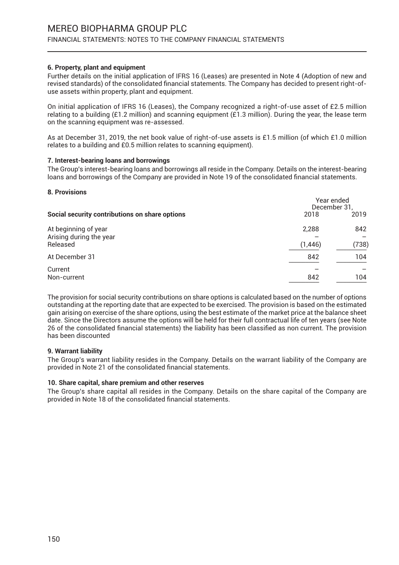## **6. Property, plant and equipment**

Further details on the initial application of IFRS 16 (Leases) are presented in Note 4 (Adoption of new and revised standards) of the consolidated financial statements. The Company has decided to present right-ofuse assets within property, plant and equipment.

On initial application of IFRS 16 (Leases), the Company recognized a right-of-use asset of £2.5 million relating to a building (£1.2 million) and scanning equipment (£1.3 million). During the year, the lease term on the scanning equipment was re-assessed.

As at December 31, 2019, the net book value of right-of-use assets is £1.5 million (of which £1.0 million relates to a building and £0.5 million relates to scanning equipment).

## **7. Interest-bearing loans and borrowings**

The Group's interest-bearing loans and borrowings all reside in the Company. Details on the interest-bearing loans and borrowings of the Company are provided in Note 19 of the consolidated financial statements.

## **8. Provisions**

|                                                 |          | Year ended<br>December 31, |  |
|-------------------------------------------------|----------|----------------------------|--|
| Social security contributions on share options  | 2018     | 2019                       |  |
| At beginning of year<br>Arising during the year | 2,288    | 842                        |  |
| Released                                        | (1, 446) | (738)                      |  |
| At December 31                                  | 842      | 104                        |  |
| Current<br>Non-current                          | 842      | 104                        |  |

The provision for social security contributions on share options is calculated based on the number of options outstanding at the reporting date that are expected to be exercised. The provision is based on the estimated gain arising on exercise of the share options, using the best estimate of the market price at the balance sheet date. Since the Directors assume the options will be held for their full contractual life of ten years (see Note 26 of the consolidated financial statements) the liability has been classified as non current. The provision has been discounted

## **9. Warrant liability**

The Group's warrant liability resides in the Company. Details on the warrant liability of the Company are provided in Note 21 of the consolidated financial statements.

## **10. Share capital, share premium and other reserves**

The Group's share capital all resides in the Company. Details on the share capital of the Company are provided in Note 18 of the consolidated financial statements.